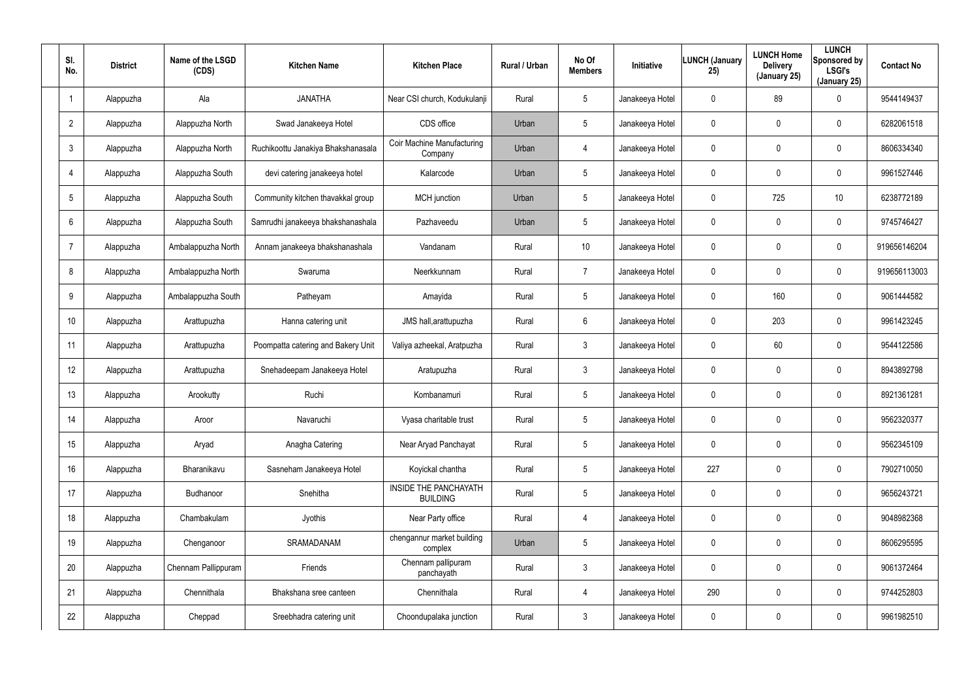| SI.<br>No.      | <b>District</b> | Name of the LSGD<br>(CDS) | <b>Kitchen Name</b>                | <b>Kitchen Place</b>                     | Rural / Urban | No Of<br><b>Members</b> | <b>Initiative</b> | <b>LUNCH (January</b><br>25) | <b>LUNCH Home</b><br><b>Delivery</b><br>(January 25) | <b>LUNCH</b><br>Sponsored by<br><b>LSGI's</b><br>(January 25) | <b>Contact No</b> |
|-----------------|-----------------|---------------------------|------------------------------------|------------------------------------------|---------------|-------------------------|-------------------|------------------------------|------------------------------------------------------|---------------------------------------------------------------|-------------------|
|                 | Alappuzha       | Ala                       | <b>JANATHA</b>                     | Near CSI church, Kodukulanji             | Rural         | 5                       | Janakeeya Hotel   | 0                            | 89                                                   | 0                                                             | 9544149437        |
| $\overline{2}$  | Alappuzha       | Alappuzha North           | Swad Janakeeya Hotel               | CDS office                               | Urban         | 5                       | Janakeeya Hotel   | 0                            | $\mathbf 0$                                          | 0                                                             | 6282061518        |
| 3               | Alappuzha       | Alappuzha North           | Ruchikoottu Janakiya Bhakshanasala | Coir Machine Manufacturing<br>Company    | Urban         | 4                       | Janakeeya Hotel   | 0                            | 0                                                    | 0                                                             | 8606334340        |
| $\overline{4}$  | Alappuzha       | Alappuzha South           | devi catering janakeeya hotel      | Kalarcode                                | Urban         | 5                       | Janakeeya Hotel   | 0                            | 0                                                    | 0                                                             | 9961527446        |
| 5               | Alappuzha       | Alappuzha South           | Community kitchen thavakkal group  | <b>MCH</b> junction                      | Urban         | $5\phantom{.0}$         | Janakeeya Hotel   | 0                            | 725                                                  | 10                                                            | 6238772189        |
| 6               | Alappuzha       | Alappuzha South           | Samrudhi janakeeya bhakshanashala  | Pazhaveedu                               | Urban         | 5                       | Janakeeya Hotel   | 0                            | $\mathbf 0$                                          | 0                                                             | 9745746427        |
| $\overline{7}$  | Alappuzha       | Ambalappuzha North        | Annam janakeeya bhakshanashala     | Vandanam                                 | Rural         | 10 <sup>°</sup>         | Janakeeya Hotel   | 0                            | $\mathbf 0$                                          | 0                                                             | 919656146204      |
| 8               | Alappuzha       | Ambalappuzha North        | Swaruma                            | Neerkkunnam                              | Rural         | $\overline{7}$          | Janakeeya Hotel   | 0                            | $\mathbf 0$                                          | 0                                                             | 919656113003      |
| 9               | Alappuzha       | Ambalappuzha South        | Patheyam                           | Amayida                                  | Rural         | $5\phantom{.0}$         | Janakeeya Hotel   | $\mathbf 0$                  | 160                                                  | 0                                                             | 9061444582        |
| 10 <sup>°</sup> | Alappuzha       | Arattupuzha               | Hanna catering unit                | JMS hall, arattupuzha                    | Rural         | 6                       | Janakeeya Hotel   | 0                            | 203                                                  | 0                                                             | 9961423245        |
| 11              | Alappuzha       | Arattupuzha               | Poompatta catering and Bakery Unit | Valiya azheekal, Aratpuzha               | Rural         | $\mathbf{3}$            | Janakeeya Hotel   | 0                            | 60                                                   | 0                                                             | 9544122586        |
| 12              | Alappuzha       | Arattupuzha               | Snehadeepam Janakeeya Hotel        | Aratupuzha                               | Rural         | $\mathbf{3}$            | Janakeeya Hotel   | 0                            | $\mathbf 0$                                          | 0                                                             | 8943892798        |
| 13              | Alappuzha       | Arookutty                 | Ruchi                              | Kombanamuri                              | Rural         | $5\overline{)}$         | Janakeeya Hotel   | 0                            | $\mathbf 0$                                          | 0                                                             | 8921361281        |
| 14              | Alappuzha       | Aroor                     | Navaruchi                          | Vyasa charitable trust                   | Rural         | 5                       | Janakeeya Hotel   | 0                            | $\mathbf 0$                                          | 0                                                             | 9562320377        |
| 15              | Alappuzha       | Aryad                     | Anagha Catering                    | Near Aryad Panchayat                     | Rural         | $5\phantom{.0}$         | Janakeeya Hotel   | $\mathbf 0$                  | $\overline{0}$                                       | 0                                                             | 9562345109        |
| 16              | Alappuzha       | Bharanikavu               | Sasneham Janakeeya Hotel           | Koyickal chantha                         | Rural         | $5\phantom{.0}$         | Janakeeya Hotel   | 227                          | $\mathbf 0$                                          | 0                                                             | 7902710050        |
| 17              | Alappuzha       | Budhanoor                 | Snehitha                           | INSIDE THE PANCHAYATH<br><b>BUILDING</b> | Rural         | $5\phantom{.0}$         | Janakeeya Hotel   | $\mathbf 0$                  | $\overline{0}$                                       | 0                                                             | 9656243721        |
| 18              | Alappuzha       | Chambakulam               | Jyothis                            | Near Party office                        | Rural         | 4                       | Janakeeya Hotel   | 0                            | $\mathbf 0$                                          | 0                                                             | 9048982368        |
| 19              | Alappuzha       | Chenganoor                | SRAMADANAM                         | chengannur market building<br>complex    | Urban         | $5\overline{)}$         | Janakeeya Hotel   | 0                            | $\overline{0}$                                       | 0                                                             | 8606295595        |
| 20              | Alappuzha       | Chennam Pallippuram       | Friends                            | Chennam pallipuram<br>panchayath         | Rural         | $\mathbf{3}$            | Janakeeya Hotel   | 0                            | $\mathbf 0$                                          | 0                                                             | 9061372464        |
| 21              | Alappuzha       | Chennithala               | Bhakshana sree canteen             | Chennithala                              | Rural         | 4                       | Janakeeya Hotel   | 290                          | $\overline{0}$                                       | 0                                                             | 9744252803        |
| 22              | Alappuzha       | Cheppad                   | Sreebhadra catering unit           | Choondupalaka junction                   | Rural         | $\mathfrak{Z}$          | Janakeeya Hotel   | 0                            | $\mathbf 0$                                          | 0                                                             | 9961982510        |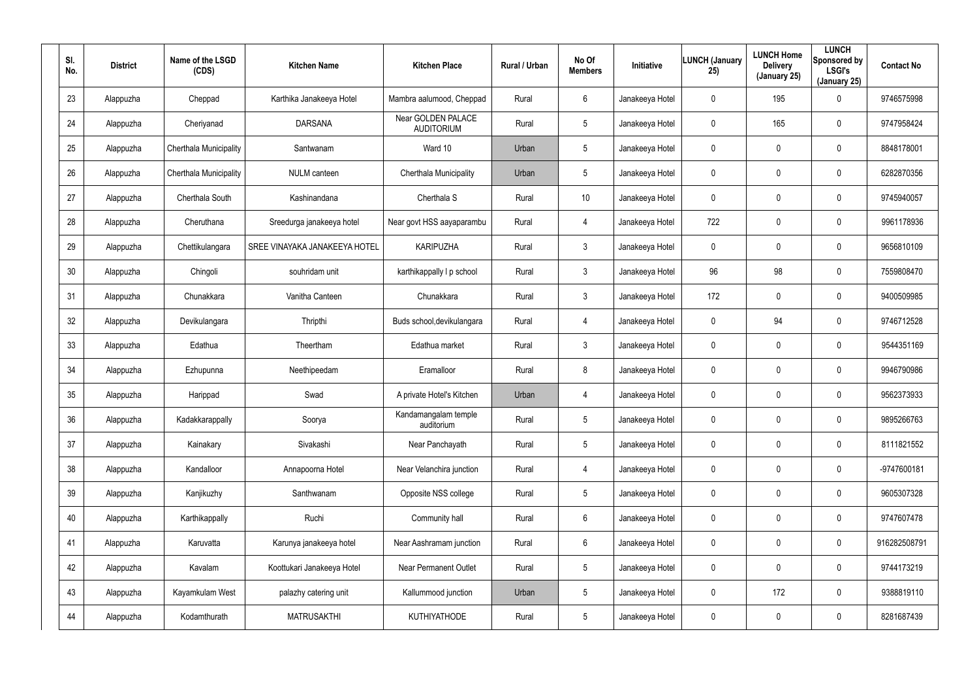| SI.<br>No. | <b>District</b> | Name of the LSGD<br>(CDS) | <b>Kitchen Name</b>           | <b>Kitchen Place</b>                    | Rural / Urban | No Of<br><b>Members</b> | Initiative      | <b>LUNCH (January</b><br>25) | <b>LUNCH Home</b><br><b>Delivery</b><br>(January 25) | <b>LUNCH</b><br>Sponsored by<br><b>LSGI's</b><br>(January 25) | <b>Contact No</b> |
|------------|-----------------|---------------------------|-------------------------------|-----------------------------------------|---------------|-------------------------|-----------------|------------------------------|------------------------------------------------------|---------------------------------------------------------------|-------------------|
| 23         | Alappuzha       | Cheppad                   | Karthika Janakeeya Hotel      | Mambra aalumood, Cheppad                | Rural         | 6                       | Janakeeya Hotel | 0                            | 195                                                  | 0                                                             | 9746575998        |
| 24         | Alappuzha       | Cheriyanad                | <b>DARSANA</b>                | Near GOLDEN PALACE<br><b>AUDITORIUM</b> | Rural         | 5                       | Janakeeya Hotel | 0                            | 165                                                  | 0                                                             | 9747958424        |
| 25         | Alappuzha       | Cherthala Municipality    | Santwanam                     | Ward 10                                 | Urban         | 5                       | Janakeeya Hotel | 0                            | $\mathbf 0$                                          | 0                                                             | 8848178001        |
| 26         | Alappuzha       | Cherthala Municipality    | <b>NULM</b> canteen           | Cherthala Municipality                  | Urban         | 5                       | Janakeeya Hotel | 0                            | $\mathbf 0$                                          | $\mathbf 0$                                                   | 6282870356        |
| 27         | Alappuzha       | Cherthala South           | Kashinandana                  | Cherthala <sub>S</sub>                  | Rural         | 10                      | Janakeeya Hotel | 0                            | $\mathbf 0$                                          | 0                                                             | 9745940057        |
| 28         | Alappuzha       | Cheruthana                | Sreedurga janakeeya hotel     | Near govt HSS aayaparambu               | Rural         | $\overline{4}$          | Janakeeya Hotel | 722                          | $\mathbf 0$                                          | $\mathbf 0$                                                   | 9961178936        |
| 29         | Alappuzha       | Chettikulangara           | SREE VINAYAKA JANAKEEYA HOTEL | <b>KARIPUZHA</b>                        | Rural         | $\mathbf{3}$            | Janakeeya Hotel | 0                            | $\mathbf 0$                                          | $\mathbf 0$                                                   | 9656810109        |
| 30         | Alappuzha       | Chingoli                  | souhridam unit                | karthikappally I p school               | Rural         | $\mathbf{3}$            | Janakeeya Hotel | 96                           | 98                                                   | $\mathbf 0$                                                   | 7559808470        |
| 31         | Alappuzha       | Chunakkara                | Vanitha Canteen               | Chunakkara                              | Rural         | $\mathbf{3}$            | Janakeeya Hotel | 172                          | $\mathbf 0$                                          | $\mathbf 0$                                                   | 9400509985        |
| 32         | Alappuzha       | Devikulangara             | Thripthi                      | Buds school, devikulangara              | Rural         | 4                       | Janakeeya Hotel | 0                            | 94                                                   | $\mathbf 0$                                                   | 9746712528        |
| 33         | Alappuzha       | Edathua                   | Theertham                     | Edathua market                          | Rural         | $\mathbf{3}$            | Janakeeya Hotel | 0                            | $\mathbf 0$                                          | $\mathbf 0$                                                   | 9544351169        |
| 34         | Alappuzha       | Ezhupunna                 | Neethipeedam                  | Eramalloor                              | Rural         | 8                       | Janakeeya Hotel | 0                            | 0                                                    | 0                                                             | 9946790986        |
| 35         | Alappuzha       | Harippad                  | Swad                          | A private Hotel's Kitchen               | Urban         | 4                       | Janakeeya Hotel | 0                            | $\boldsymbol{0}$                                     | 0                                                             | 9562373933        |
| 36         | Alappuzha       | Kadakkarappally           | Soorya                        | Kandamangalam temple<br>auditorium      | Rural         | 5                       | Janakeeya Hotel | 0                            | $\overline{0}$                                       | 0                                                             | 9895266763        |
| 37         | Alappuzha       | Kainakary                 | Sivakashi                     | Near Panchayath                         | Rural         | $5\phantom{.0}$         | Janakeeya Hotel | 0                            | $\pmb{0}$                                            | 0                                                             | 8111821552        |
| 38         | Alappuzha       | Kandalloor                | Annapoorna Hotel              | Near Velanchira junction                | Rural         | $\overline{4}$          | Janakeeya Hotel | 0                            | $\overline{0}$                                       | $\pmb{0}$                                                     | -9747600181       |
| 39         | Alappuzha       | Kanjikuzhy                | Santhwanam                    | Opposite NSS college                    | Rural         | $5\phantom{.0}$         | Janakeeya Hotel | 0                            | $\overline{0}$                                       | 0                                                             | 9605307328        |
| 40         | Alappuzha       | Karthikappally            | Ruchi                         | Community hall                          | Rural         | $6\phantom{.}6$         | Janakeeya Hotel | 0                            | $\overline{0}$                                       | 0                                                             | 9747607478        |
| 41         | Alappuzha       | Karuvatta                 | Karunya janakeeya hotel       | Near Aashramam junction                 | Rural         | $6\phantom{.}6$         | Janakeeya Hotel | 0                            | $\pmb{0}$                                            | 0                                                             | 916282508791      |
| 42         | Alappuzha       | Kavalam                   | Koottukari Janakeeya Hotel    | <b>Near Permanent Outlet</b>            | Rural         | 5                       | Janakeeya Hotel | 0                            | $\overline{0}$                                       | 0                                                             | 9744173219        |
| 43         | Alappuzha       | Kayamkulam West           | palazhy catering unit         | Kallummood junction                     | Urban         | 5                       | Janakeeya Hotel | 0                            | 172                                                  | 0                                                             | 9388819110        |
| 44         | Alappuzha       | Kodamthurath              | <b>MATRUSAKTHI</b>            | KUTHIYATHODE                            | Rural         | $5\phantom{.0}$         | Janakeeya Hotel | 0                            | $\boldsymbol{0}$                                     | 0                                                             | 8281687439        |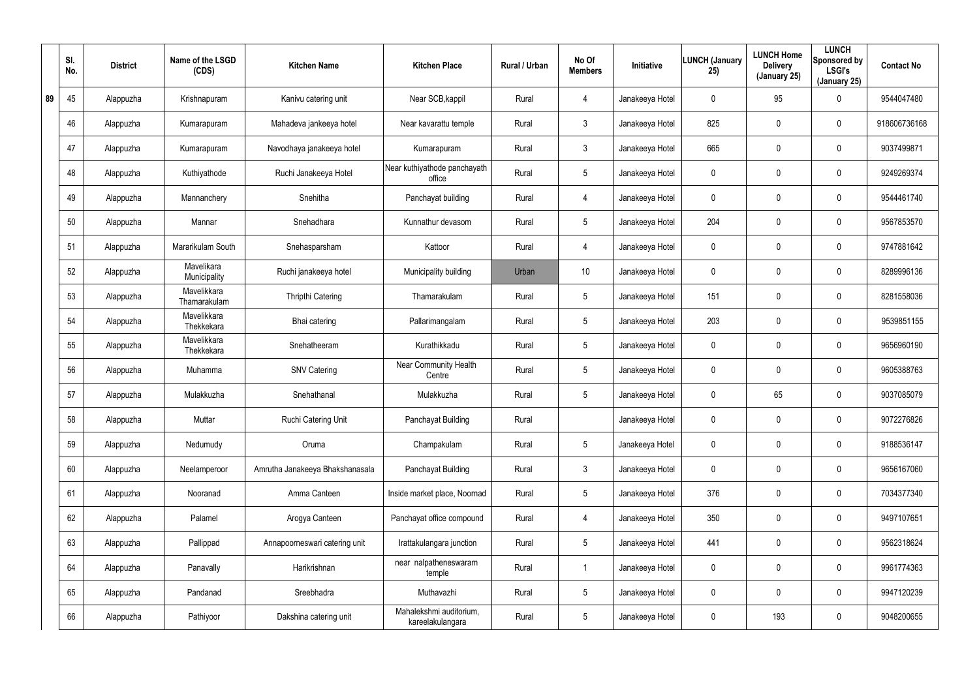|    | SI.<br>No. | <b>District</b> | Name of the LSGD<br>(CDS)   | <b>Kitchen Name</b>             | <b>Kitchen Place</b>                        | Rural / Urban | No Of<br><b>Members</b> | <b>Initiative</b> | <b>LUNCH (January</b><br>25) | <b>LUNCH Home</b><br><b>Delivery</b><br>(January 25) | <b>LUNCH</b><br>Sponsored by<br><b>LSGI's</b><br>(January 25) | <b>Contact No</b> |
|----|------------|-----------------|-----------------------------|---------------------------------|---------------------------------------------|---------------|-------------------------|-------------------|------------------------------|------------------------------------------------------|---------------------------------------------------------------|-------------------|
| 89 | 45         | Alappuzha       | Krishnapuram                | Kanivu catering unit            | Near SCB, kappil                            | Rural         | $\overline{4}$          | Janakeeya Hotel   | 0                            | 95                                                   | $\mathbf 0$                                                   | 9544047480        |
|    | 46         | Alappuzha       | Kumarapuram                 | Mahadeva jankeeya hotel         | Near kavarattu temple                       | Rural         | $\mathbf{3}$            | Janakeeya Hotel   | 825                          | 0                                                    | $\mathbf 0$                                                   | 918606736168      |
|    | 47         | Alappuzha       | Kumarapuram                 | Navodhaya janakeeya hotel       | Kumarapuram                                 | Rural         | $\mathbf{3}$            | Janakeeya Hotel   | 665                          | 0                                                    | $\mathbf 0$                                                   | 9037499871        |
|    | 48         | Alappuzha       | Kuthiyathode                | Ruchi Janakeeya Hotel           | Near kuthiyathode panchayath<br>office      | Rural         | $5\phantom{.0}$         | Janakeeya Hotel   | 0                            | 0                                                    | $\mathbf 0$                                                   | 9249269374        |
|    | 49         | Alappuzha       | Mannanchery                 | Snehitha                        | Panchayat building                          | Rural         | $\overline{4}$          | Janakeeya Hotel   | 0                            | 0                                                    | $\mathbf 0$                                                   | 9544461740        |
|    | 50         | Alappuzha       | Mannar                      | Snehadhara                      | Kunnathur devasom                           | Rural         | $5\phantom{.0}$         | Janakeeya Hotel   | 204                          | 0                                                    | $\mathbf 0$                                                   | 9567853570        |
|    | 51         | Alappuzha       | Mararikulam South           | Snehasparsham                   | Kattoor                                     | Rural         | $\overline{4}$          | Janakeeya Hotel   | 0                            | 0                                                    | $\mathbf 0$                                                   | 9747881642        |
|    | 52         | Alappuzha       | Mavelikara<br>Municipality  | Ruchi janakeeya hotel           | Municipality building                       | Urban         | 10 <sup>°</sup>         | Janakeeya Hotel   | 0                            | 0                                                    | $\mathbf 0$                                                   | 8289996136        |
|    | 53         | Alappuzha       | Mavelikkara<br>Thamarakulam | Thripthi Catering               | Thamarakulam                                | Rural         | $5\phantom{.0}$         | Janakeeya Hotel   | 151                          | 0                                                    | $\mathbf 0$                                                   | 8281558036        |
|    | 54         | Alappuzha       | Mavelikkara<br>Thekkekara   | Bhai catering                   | Pallarimangalam                             | Rural         | $5\phantom{.0}$         | Janakeeya Hotel   | 203                          | 0                                                    | $\mathbf 0$                                                   | 9539851155        |
|    | 55         | Alappuzha       | Mavelikkara<br>Thekkekara   | Snehatheeram                    | Kurathikkadu                                | Rural         | $5\phantom{.0}$         | Janakeeya Hotel   | 0                            | 0                                                    | $\mathbf 0$                                                   | 9656960190        |
|    | 56         | Alappuzha       | Muhamma                     | <b>SNV Catering</b>             | <b>Near Community Health</b><br>Centre      | Rural         | $5\overline{)}$         | Janakeeya Hotel   | 0                            | 0                                                    | $\mathbf 0$                                                   | 9605388763        |
|    | 57         | Alappuzha       | Mulakkuzha                  | Snehathanal                     | Mulakkuzha                                  | Rural         | $5\phantom{.0}$         | Janakeeya Hotel   | 0                            | 65                                                   | $\mathbf 0$                                                   | 9037085079        |
|    | 58         | Alappuzha       | Muttar                      | Ruchi Catering Unit             | Panchayat Building                          | Rural         |                         | Janakeeya Hotel   | 0                            | $\mathbf 0$                                          | $\mathbf 0$                                                   | 9072276826        |
|    | 59         | Alappuzha       | Nedumudy                    | Oruma                           | Champakulam                                 | Rural         | $5\phantom{.0}$         | Janakeeya Hotel   | 0                            | 0                                                    | $\pmb{0}$                                                     | 9188536147        |
|    | 60         | Alappuzha       | Neelamperoor                | Amrutha Janakeeya Bhakshanasala | Panchayat Building                          | Rural         | $\mathfrak{Z}$          | Janakeeya Hotel   | 0                            | 0                                                    | $\pmb{0}$                                                     | 9656167060        |
|    | 61         | Alappuzha       | Nooranad                    | Amma Canteen                    | Inside market place, Noornad                | Rural         | $5\phantom{.0}$         | Janakeeya Hotel   | 376                          | 0                                                    | $\pmb{0}$                                                     | 7034377340        |
|    | 62         | Alappuzha       | Palamel                     | Arogya Canteen                  | Panchayat office compound                   | Rural         | 4                       | Janakeeya Hotel   | 350                          | $\mathbf 0$                                          | $\mathbf 0$                                                   | 9497107651        |
|    | 63         | Alappuzha       | Pallippad                   | Annapoorneswari catering unit   | Irattakulangara junction                    | Rural         | $5\phantom{.0}$         | Janakeeya Hotel   | 441                          | 0                                                    | $\mathbf 0$                                                   | 9562318624        |
|    | 64         | Alappuzha       | Panavally                   | Harikrishnan                    | near nalpatheneswaram<br>temple             | Rural         |                         | Janakeeya Hotel   | $\mathbf 0$                  | $\mathbf 0$                                          | $\mathbf 0$                                                   | 9961774363        |
|    | 65         | Alappuzha       | Pandanad                    | Sreebhadra                      | Muthavazhi                                  | Rural         | $5\phantom{.0}$         | Janakeeya Hotel   | 0                            | 0                                                    | $\mathbf 0$                                                   | 9947120239        |
|    | 66         | Alappuzha       | Pathiyoor                   | Dakshina catering unit          | Mahalekshmi auditorium,<br>kareelakulangara | Rural         | $5\phantom{.0}$         | Janakeeya Hotel   | 0                            | 193                                                  | $\pmb{0}$                                                     | 9048200655        |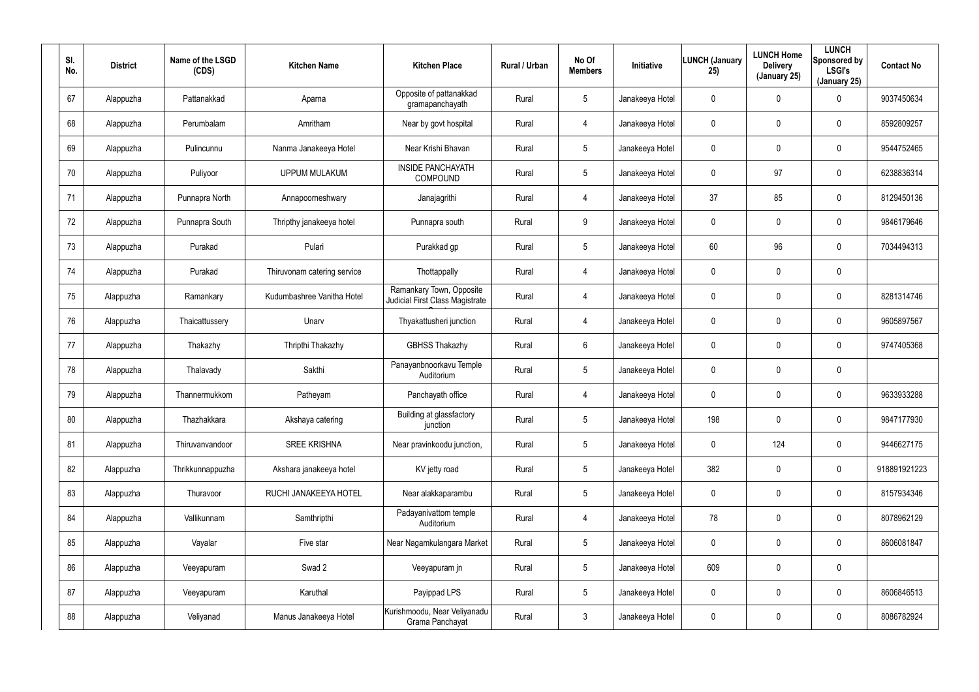| SI.<br>No. | <b>District</b> | Name of the LSGD<br>(CDS) | <b>Kitchen Name</b>         | <b>Kitchen Place</b>                                        | <b>Rural / Urban</b> | No Of<br><b>Members</b> | <b>Initiative</b> | <b>LUNCH (January</b><br>25) | <b>LUNCH Home</b><br><b>Delivery</b><br>(January 25) | <b>LUNCH</b><br>Sponsored by<br><b>LSGI's</b><br>(January 25) | <b>Contact No</b> |
|------------|-----------------|---------------------------|-----------------------------|-------------------------------------------------------------|----------------------|-------------------------|-------------------|------------------------------|------------------------------------------------------|---------------------------------------------------------------|-------------------|
| 67         | Alappuzha       | Pattanakkad               | Aparna                      | Opposite of pattanakkad<br>gramapanchayath                  | Rural                | $5\overline{)}$         | Janakeeya Hotel   | 0                            | 0                                                    | $\mathbf 0$                                                   | 9037450634        |
| 68         | Alappuzha       | Perumbalam                | Amritham                    | Near by govt hospital                                       | Rural                | 4                       | Janakeeya Hotel   | 0                            | 0                                                    | $\mathbf 0$                                                   | 8592809257        |
| 69         | Alappuzha       | Pulincunnu                | Nanma Janakeeya Hotel       | Near Krishi Bhavan                                          | Rural                | $5\overline{)}$         | Janakeeya Hotel   | 0                            | 0                                                    | $\mathbf 0$                                                   | 9544752465        |
| 70         | Alappuzha       | Puliyoor                  | <b>UPPUM MULAKUM</b>        | <b>INSIDE PANCHAYATH</b><br>COMPOUND                        | Rural                | $5\overline{)}$         | Janakeeya Hotel   | 0                            | 97                                                   | $\mathbf 0$                                                   | 6238836314        |
| 71         | Alappuzha       | Punnapra North            | Annapoorneshwary            | Janajagrithi                                                | Rural                | 4                       | Janakeeya Hotel   | 37                           | 85                                                   | $\mathbf 0$                                                   | 8129450136        |
| 72         | Alappuzha       | Punnapra South            | Thripthy janakeeya hotel    | Punnapra south                                              | Rural                | 9                       | Janakeeya Hotel   | 0                            | 0                                                    | $\mathbf 0$                                                   | 9846179646        |
| 73         | Alappuzha       | Purakad                   | Pulari                      | Purakkad gp                                                 | Rural                | $5\phantom{.0}$         | Janakeeya Hotel   | 60                           | 96                                                   | $\mathbf 0$                                                   | 7034494313        |
| 74         | Alappuzha       | Purakad                   | Thiruvonam catering service | Thottappally                                                | Rural                | 4                       | Janakeeya Hotel   | 0                            | 0                                                    | $\pmb{0}$                                                     |                   |
| 75         | Alappuzha       | Ramankary                 | Kudumbashree Vanitha Hotel  | Ramankary Town, Opposite<br>Judicial First Class Magistrate | Rural                | 4                       | Janakeeya Hotel   | 0                            | 0                                                    | $\pmb{0}$                                                     | 8281314746        |
| 76         | Alappuzha       | Thaicattussery            | Unarv                       | Thyakattusheri junction                                     | Rural                | 4                       | Janakeeya Hotel   | 0                            | 0                                                    | $\mathbf 0$                                                   | 9605897567        |
| 77         | Alappuzha       | Thakazhy                  | Thripthi Thakazhy           | <b>GBHSS Thakazhy</b>                                       | Rural                | 6                       | Janakeeya Hotel   | 0                            | 0                                                    | $\mathbf 0$                                                   | 9747405368        |
| 78         | Alappuzha       | Thalavady                 | Sakthi                      | Panayanbnoorkavu Temple<br>Auditorium                       | Rural                | $5\phantom{.0}$         | Janakeeya Hotel   | 0                            | 0                                                    | $\pmb{0}$                                                     |                   |
| 79         | Alappuzha       | Thannermukkom             | Patheyam                    | Panchayath office                                           | Rural                | 4                       | Janakeeya Hotel   | 0                            | 0                                                    | $\mathbf 0$                                                   | 9633933288        |
| 80         | Alappuzha       | Thazhakkara               | Akshaya catering            | Building at glassfactory<br>junction                        | Rural                | $5\phantom{.0}$         | Janakeeya Hotel   | 198                          | 0                                                    | $\pmb{0}$                                                     | 9847177930        |
| 81         | Alappuzha       | Thiruvanvandoor           | <b>SREE KRISHNA</b>         | Near pravinkoodu junction,                                  | Rural                | $5\phantom{.0}$         | Janakeeya Hotel   | 0                            | 124                                                  | $\mathsf{0}$                                                  | 9446627175        |
| 82         | Alappuzha       | Thrikkunnappuzha          | Akshara janakeeya hotel     | KV jetty road                                               | Rural                | $5\phantom{.0}$         | Janakeeya Hotel   | 382                          | 0                                                    | $\mathsf{0}$                                                  | 918891921223      |
| 83         | Alappuzha       | Thuravoor                 | RUCHI JANAKEEYA HOTEL       | Near alakkaparambu                                          | Rural                | $5\phantom{.0}$         | Janakeeya Hotel   | 0                            | 0                                                    | $\mathsf{0}$                                                  | 8157934346        |
| 84         | Alappuzha       | Vallikunnam               | Samthripthi                 | Padayanivattom temple<br>Auditorium                         | Rural                | 4                       | Janakeeya Hotel   | 78                           | 0                                                    | $\mathsf{0}$                                                  | 8078962129        |
| 85         | Alappuzha       | Vayalar                   | Five star                   | Near Nagamkulangara Market                                  | Rural                | $5\phantom{.0}$         | Janakeeya Hotel   | 0                            | 0                                                    | $\mathbf 0$                                                   | 8606081847        |
| 86         | Alappuzha       | Veeyapuram                | Swad 2                      | Veeyapuram jn                                               | Rural                | $5\phantom{.0}$         | Janakeeya Hotel   | 609                          | 0                                                    | $\pmb{0}$                                                     |                   |
| 87         | Alappuzha       | Veeyapuram                | Karuthal                    | Payippad LPS                                                | Rural                | $5\phantom{.0}$         | Janakeeya Hotel   | 0                            | 0                                                    | $\mathsf{0}$                                                  | 8606846513        |
| 88         | Alappuzha       | Veliyanad                 | Manus Janakeeya Hotel       | Kurishmoodu, Near Veliyanadu<br>Grama Panchayat             | Rural                | $\mathfrak{Z}$          | Janakeeya Hotel   | 0                            | 0                                                    | $\mathsf{0}$                                                  | 8086782924        |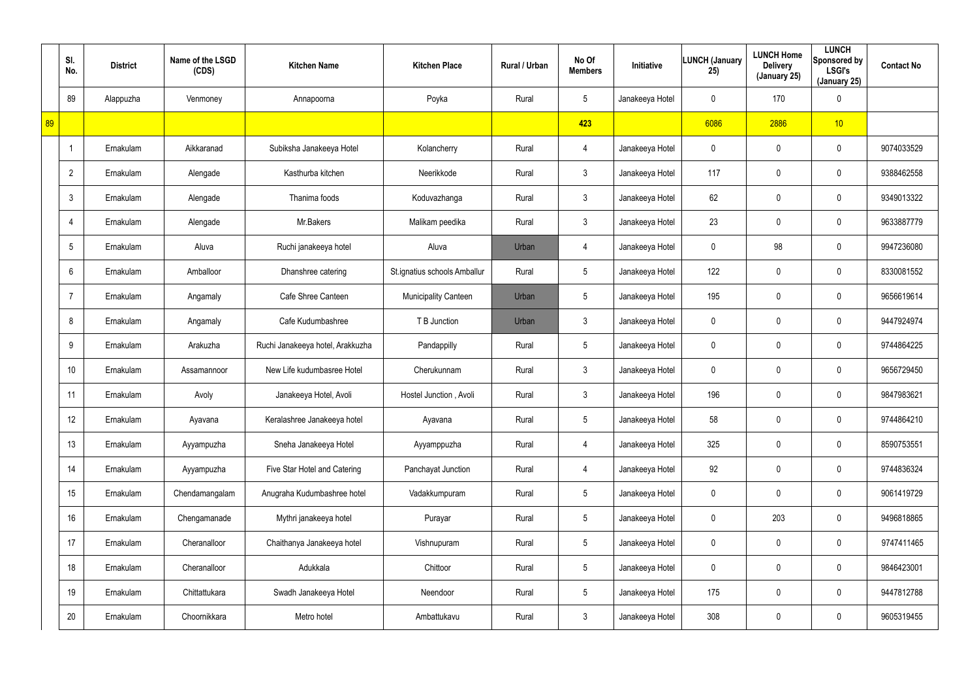|    | SI.<br>No.     | <b>District</b> | Name of the LSGD<br>(CDS) | <b>Kitchen Name</b>              | <b>Kitchen Place</b>         | Rural / Urban | No Of<br><b>Members</b> | Initiative      | <b>LUNCH (January</b><br>25) | <b>LUNCH Home</b><br><b>Delivery</b><br>(January 25) | <b>LUNCH</b><br>Sponsored by<br><b>LSGI's</b><br>(January 25) | <b>Contact No</b> |
|----|----------------|-----------------|---------------------------|----------------------------------|------------------------------|---------------|-------------------------|-----------------|------------------------------|------------------------------------------------------|---------------------------------------------------------------|-------------------|
|    | 89             | Alappuzha       | Venmoney                  | Annapoorna                       | Poyka                        | Rural         | $5\phantom{.0}$         | Janakeeya Hotel | 0                            | 170                                                  | $\mathbf 0$                                                   |                   |
| 89 |                |                 |                           |                                  |                              |               | 423                     |                 | 6086                         | 2886                                                 | 10                                                            |                   |
|    |                | Ernakulam       | Aikkaranad                | Subiksha Janakeeya Hotel         | Kolancherry                  | Rural         | 4                       | Janakeeya Hotel | $\mathbf 0$                  | 0                                                    | $\boldsymbol{0}$                                              | 9074033529        |
|    | $\overline{2}$ | Ernakulam       | Alengade                  | Kasthurba kitchen                | Neerikkode                   | Rural         | $\mathfrak{Z}$          | Janakeeya Hotel | 117                          | 0                                                    | $\boldsymbol{0}$                                              | 9388462558        |
|    | 3              | Ernakulam       | Alengade                  | Thanima foods                    | Koduvazhanga                 | Rural         | $\mathfrak{Z}$          | Janakeeya Hotel | 62                           | 0                                                    | $\boldsymbol{0}$                                              | 9349013322        |
|    |                | Ernakulam       | Alengade                  | Mr.Bakers                        | Malikam peedika              | Rural         | $\mathfrak{Z}$          | Janakeeya Hotel | 23                           | 0                                                    | $\boldsymbol{0}$                                              | 9633887779        |
|    | 5              | Ernakulam       | Aluva                     | Ruchi janakeeya hotel            | Aluva                        | Urban         | 4                       | Janakeeya Hotel | 0                            | 98                                                   | $\mathbf 0$                                                   | 9947236080        |
|    | 6              | Ernakulam       | Amballoor                 | Dhanshree catering               | St.ignatius schools Amballur | Rural         | $5\phantom{.0}$         | Janakeeya Hotel | 122                          | 0                                                    | $\mathbf 0$                                                   | 8330081552        |
|    |                | Ernakulam       | Angamaly                  | Cafe Shree Canteen               | Municipality Canteen         | Urban         | $5\phantom{.0}$         | Janakeeya Hotel | 195                          | 0                                                    | $\boldsymbol{0}$                                              | 9656619614        |
|    | 8              | Ernakulam       | Angamaly                  | Cafe Kudumbashree                | T B Junction                 | Urban         | $\mathfrak{Z}$          | Janakeeya Hotel | 0                            | 0                                                    | $\mathbf 0$                                                   | 9447924974        |
|    | 9              | Ernakulam       | Arakuzha                  | Ruchi Janakeeya hotel, Arakkuzha | Pandappilly                  | Rural         | $5\phantom{.0}$         | Janakeeya Hotel | 0                            | 0                                                    | $\mathbf 0$                                                   | 9744864225        |
|    | 10             | Ernakulam       | Assamannoor               | New Life kudumbasree Hotel       | Cherukunnam                  | Rural         | $\mathfrak{Z}$          | Janakeeya Hotel | 0                            | 0                                                    | $\mathbf 0$                                                   | 9656729450        |
|    | 11             | Ernakulam       | Avoly                     | Janakeeya Hotel, Avoli           | Hostel Junction, Avoli       | Rural         | $\mathfrak{Z}$          | Janakeeya Hotel | 196                          | 0                                                    | $\mathbf 0$                                                   | 9847983621        |
|    | 12             | Ernakulam       | Ayavana                   | Keralashree Janakeeya hotel      | Ayavana                      | Rural         | $5\phantom{.0}$         | Janakeeya Hotel | 58                           | 0                                                    | $\pmb{0}$                                                     | 9744864210        |
|    | 13             | Ernakulam       | Ayyampuzha                | Sneha Janakeeya Hotel            | Ayyamppuzha                  | Rural         | 4                       | Janakeeya Hotel | 325                          | 0                                                    | $\pmb{0}$                                                     | 8590753551        |
|    | 14             | Ernakulam       | Ayyampuzha                | Five Star Hotel and Catering     | Panchayat Junction           | Rural         | 4                       | Janakeeya Hotel | 92                           | 0                                                    | $\pmb{0}$                                                     | 9744836324        |
|    | 15             | Ernakulam       | Chendamangalam            | Anugraha Kudumbashree hotel      | Vadakkumpuram                | Rural         | $5\overline{)}$         | Janakeeya Hotel | $\mathbf 0$                  | 0                                                    | $\pmb{0}$                                                     | 9061419729        |
|    | 16             | Ernakulam       | Chengamanade              | Mythri janakeeya hotel           | Purayar                      | Rural         | $5\phantom{.0}$         | Janakeeya Hotel | $\mathbf 0$                  | 203                                                  | $\pmb{0}$                                                     | 9496818865        |
|    | 17             | Ernakulam       | Cheranalloor              | Chaithanya Janakeeya hotel       | Vishnupuram                  | Rural         | $5\phantom{.0}$         | Janakeeya Hotel | 0                            | 0                                                    | $\pmb{0}$                                                     | 9747411465        |
|    | 18             | Ernakulam       | Cheranalloor              | Adukkala                         | Chittoor                     | Rural         | $5\phantom{.0}$         | Janakeeya Hotel | $\mathbf 0$                  | 0                                                    | $\pmb{0}$                                                     | 9846423001        |
|    | 19             | Ernakulam       | Chittattukara             | Swadh Janakeeya Hotel            | Neendoor                     | Rural         | $5\phantom{.0}$         | Janakeeya Hotel | 175                          | 0                                                    | $\mathbf 0$                                                   | 9447812788        |
|    | 20             | Ernakulam       | Choornikkara              | Metro hotel                      | Ambattukavu                  | Rural         | $\mathfrak{Z}$          | Janakeeya Hotel | 308                          | 0                                                    | $\pmb{0}$                                                     | 9605319455        |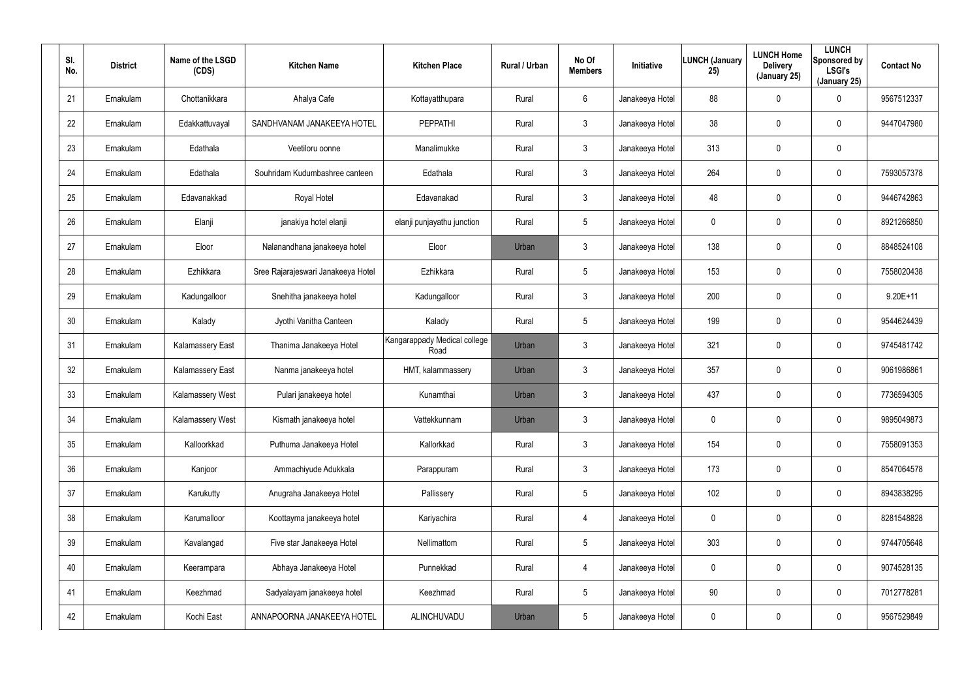| SI.<br>No. | <b>District</b> | Name of the LSGD<br>(CDS) | <b>Kitchen Name</b>                | <b>Kitchen Place</b>                 | Rural / Urban | No Of<br><b>Members</b> | Initiative      | <b>LUNCH (January</b><br>25) | <b>LUNCH Home</b><br><b>Delivery</b><br>(January 25) | <b>LUNCH</b><br>Sponsored by<br><b>LSGI's</b><br>(January 25) | <b>Contact No</b> |
|------------|-----------------|---------------------------|------------------------------------|--------------------------------------|---------------|-------------------------|-----------------|------------------------------|------------------------------------------------------|---------------------------------------------------------------|-------------------|
| 21         | Ernakulam       | Chottanikkara             | Ahalya Cafe                        | Kottayatthupara                      | Rural         | 6                       | Janakeeya Hotel | 88                           | 0                                                    | 0                                                             | 9567512337        |
| 22         | Ernakulam       | Edakkattuvayal            | SANDHVANAM JANAKEEYA HOTEL         | <b>PEPPATHI</b>                      | Rural         | $\mathbf{3}$            | Janakeeya Hotel | 38                           | 0                                                    | $\mathbf 0$                                                   | 9447047980        |
| 23         | Ernakulam       | Edathala                  | Veetiloru oonne                    | Manalimukke                          | Rural         | 3                       | Janakeeya Hotel | 313                          | $\mathbf 0$                                          | $\mathbf 0$                                                   |                   |
| 24         | Ernakulam       | Edathala                  | Souhridam Kudumbashree canteen     | Edathala                             | Rural         | $\mathbf{3}$            | Janakeeya Hotel | 264                          | 0                                                    | $\mathbf 0$                                                   | 7593057378        |
| 25         | Ernakulam       | Edavanakkad               | Royal Hotel                        | Edavanakad                           | Rural         | 3                       | Janakeeya Hotel | 48                           | 0                                                    | $\mathbf 0$                                                   | 9446742863        |
| 26         | Ernakulam       | Elanji                    | janakiya hotel elanji              | elanji punjayathu junction           | Rural         | 5                       | Janakeeya Hotel | 0                            | 0                                                    | $\mathbf 0$                                                   | 8921266850        |
| 27         | Ernakulam       | Eloor                     | Nalanandhana janakeeya hotel       | Eloor                                | Urban         | $\mathbf{3}$            | Janakeeya Hotel | 138                          | $\boldsymbol{0}$                                     | 0                                                             | 8848524108        |
| 28         | Ernakulam       | Ezhikkara                 | Sree Rajarajeswari Janakeeya Hotel | Ezhikkara                            | Rural         | 5                       | Janakeeya Hotel | 153                          | $\boldsymbol{0}$                                     | $\mathbf 0$                                                   | 7558020438        |
| 29         | Ernakulam       | Kadungalloor              | Snehitha janakeeya hotel           | Kadungalloor                         | Rural         | $\mathbf{3}$            | Janakeeya Hotel | 200                          | $\boldsymbol{0}$                                     | 0                                                             | $9.20E + 11$      |
| 30         | Ernakulam       | Kalady                    | Jyothi Vanitha Canteen             | Kalady                               | Rural         | 5                       | Janakeeya Hotel | 199                          | $\boldsymbol{0}$                                     | $\mathbf 0$                                                   | 9544624439        |
| 31         | Ernakulam       | <b>Kalamassery East</b>   | Thanima Janakeeya Hotel            | Kangarappady Medical college<br>Road | Urban         | $\mathbf{3}$            | Janakeeya Hotel | 321                          | $\boldsymbol{0}$                                     | 0                                                             | 9745481742        |
| 32         | Ernakulam       | <b>Kalamassery East</b>   | Nanma janakeeya hotel              | HMT, kalammassery                    | Urban         | $\mathbf{3}$            | Janakeeya Hotel | 357                          | $\boldsymbol{0}$                                     | $\mathbf 0$                                                   | 9061986861        |
| 33         | Ernakulam       | <b>Kalamassery West</b>   | Pulari janakeeya hotel             | Kunamthai                            | Urban         | $\mathbf{3}$            | Janakeeya Hotel | 437                          | $\boldsymbol{0}$                                     | $\mathbf 0$                                                   | 7736594305        |
| 34         | Ernakulam       | Kalamassery West          | Kismath janakeeya hotel            | Vattekkunnam                         | Urban         | $\mathfrak{Z}$          | Janakeeya Hotel | 0                            | $\pmb{0}$                                            | $\pmb{0}$                                                     | 9895049873        |
| 35         | Ernakulam       | Kalloorkkad               | Puthuma Janakeeya Hotel            | Kallorkkad                           | Rural         | $\mathfrak{Z}$          | Janakeeya Hotel | 154                          | $\pmb{0}$                                            | 0                                                             | 7558091353        |
| 36         | Ernakulam       | Kanjoor                   | Ammachiyude Adukkala               | Parappuram                           | Rural         | $\mathfrak{Z}$          | Janakeeya Hotel | 173                          | $\pmb{0}$                                            | $\pmb{0}$                                                     | 8547064578        |
| 37         | Ernakulam       | Karukutty                 | Anugraha Janakeeya Hotel           | Pallissery                           | Rural         | 5                       | Janakeeya Hotel | 102                          | $\pmb{0}$                                            | $\pmb{0}$                                                     | 8943838295        |
| 38         | Ernakulam       | Karumalloor               | Koottayma janakeeya hotel          | Kariyachira                          | Rural         | $\overline{4}$          | Janakeeya Hotel | 0                            | $\mathbf 0$                                          | 0                                                             | 8281548828        |
| 39         | Ernakulam       | Kavalangad                | Five star Janakeeya Hotel          | Nellimattom                          | Rural         | $5\phantom{.0}$         | Janakeeya Hotel | 303                          | $\pmb{0}$                                            | 0                                                             | 9744705648        |
| 40         | Ernakulam       | Keerampara                | Abhaya Janakeeya Hotel             | Punnekkad                            | Rural         | $\overline{4}$          | Janakeeya Hotel | 0                            | $\overline{0}$                                       | 0                                                             | 9074528135        |
| 41         | Ernakulam       | Keezhmad                  | Sadyalayam janakeeya hotel         | Keezhmad                             | Rural         | $5\phantom{.0}$         | Janakeeya Hotel | 90                           | $\pmb{0}$                                            | 0                                                             | 7012778281        |
| 42         | Ernakulam       | Kochi East                | ANNAPOORNA JANAKEEYA HOTEL         | ALINCHUVADU                          | Urban         | $5\phantom{.0}$         | Janakeeya Hotel | 0                            | $\boldsymbol{0}$                                     | 0                                                             | 9567529849        |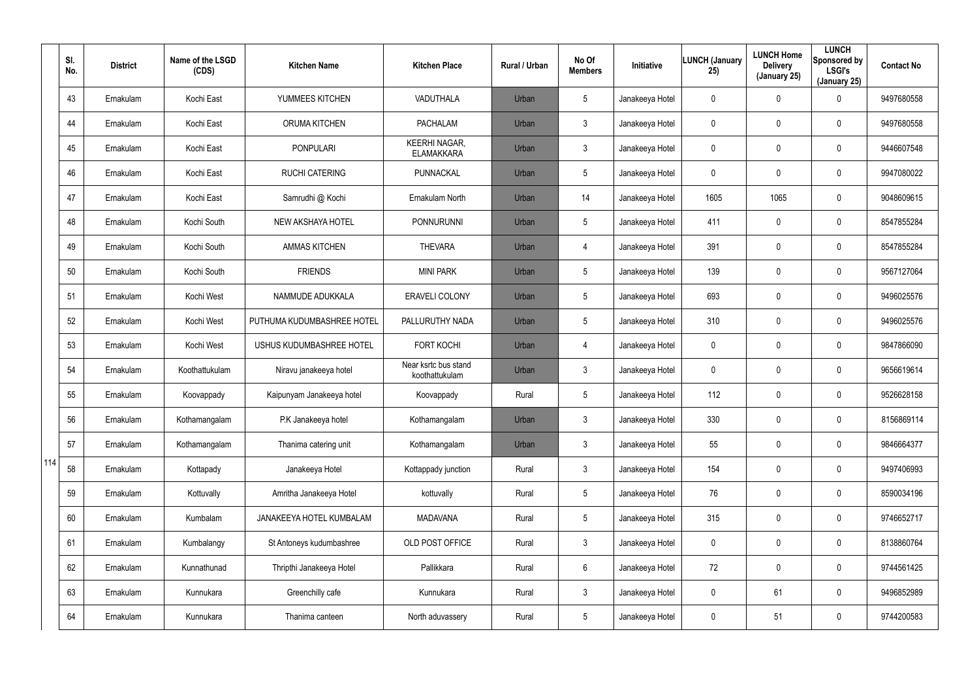|     | SI.<br>No. | <b>District</b> | Name of the LSGD<br>(CDS) | <b>Kitchen Name</b>        | <b>Kitchen Place</b>                      | Rural / Urban | No Of<br><b>Members</b> | <b>Initiative</b> | <b>LUNCH (January</b><br>25) | <b>LUNCH Home</b><br><b>Delivery</b><br>(January 25) | <b>LUNCH</b><br>Sponsored by<br><b>LSGI's</b><br>(January 25) | <b>Contact No</b> |
|-----|------------|-----------------|---------------------------|----------------------------|-------------------------------------------|---------------|-------------------------|-------------------|------------------------------|------------------------------------------------------|---------------------------------------------------------------|-------------------|
|     | 43         | Ernakulam       | Kochi East                | YUMMEES KITCHEN            | VADUTHALA                                 | Urban         | $5\overline{)}$         | Janakeeya Hotel   | 0                            | $\mathbf 0$                                          | $\mathbf 0$                                                   | 9497680558        |
|     | 44         | Ernakulam       | Kochi East                | <b>ORUMA KITCHEN</b>       | <b>PACHALAM</b>                           | Urban         | $\mathbf{3}$            | Janakeeya Hotel   | 0                            | 0                                                    | $\mathbf 0$                                                   | 9497680558        |
|     | 45         | Ernakulam       | Kochi East                | <b>PONPULARI</b>           | <b>KEERHI NAGAR,</b><br><b>ELAMAKKARA</b> | Urban         | $\mathbf{3}$            | Janakeeya Hotel   | 0                            | 0                                                    | $\mathbf 0$                                                   | 9446607548        |
|     | 46         | Ernakulam       | Kochi East                | <b>RUCHI CATERING</b>      | PUNNACKAL                                 | Urban         | $5\overline{)}$         | Janakeeya Hotel   | 0                            | 0                                                    | $\mathbf 0$                                                   | 9947080022        |
|     | 47         | Ernakulam       | Kochi East                | Samrudhi @ Kochi           | Ernakulam North                           | Urban         | 14                      | Janakeeya Hotel   | 1605                         | 1065                                                 | $\mathbf 0$                                                   | 9048609615        |
|     | 48         | Ernakulam       | Kochi South               | NEW AKSHAYA HOTEL          | PONNURUNNI                                | Urban         | $5\overline{)}$         | Janakeeya Hotel   | 411                          | 0                                                    | $\mathbf 0$                                                   | 8547855284        |
|     | 49         | Ernakulam       | Kochi South               | <b>AMMAS KITCHEN</b>       | <b>THEVARA</b>                            | Urban         | $\overline{4}$          | Janakeeya Hotel   | 391                          | $\mathbf 0$                                          | $\mathbf 0$                                                   | 8547855284        |
|     | 50         | Ernakulam       | Kochi South               | <b>FRIENDS</b>             | <b>MINI PARK</b>                          | Urban         | $5\phantom{.0}$         | Janakeeya Hotel   | 139                          | 0                                                    | $\mathbf 0$                                                   | 9567127064        |
|     | 51         | Ernakulam       | Kochi West                | NAMMUDE ADUKKALA           | <b>ERAVELI COLONY</b>                     | Urban         | $5\phantom{.0}$         | Janakeeya Hotel   | 693                          | $\mathbf 0$                                          | $\mathbf 0$                                                   | 9496025576        |
|     | 52         | Ernakulam       | Kochi West                | PUTHUMA KUDUMBASHREE HOTEL | PALLURUTHY NADA                           | Urban         | $5\phantom{.0}$         | Janakeeya Hotel   | 310                          | 0                                                    | $\mathbf 0$                                                   | 9496025576        |
|     | 53         | Ernakulam       | Kochi West                | USHUS KUDUMBASHREE HOTEL   | <b>FORT KOCHI</b>                         | Urban         | $\overline{4}$          | Janakeeya Hotel   | 0                            | 0                                                    | $\mathbf 0$                                                   | 9847866090        |
|     | 54         | Ernakulam       | Koothattukulam            | Niravu janakeeya hotel     | Near ksrtc bus stand<br>koothattukulam    | Urban         | $\mathbf{3}$            | Janakeeya Hotel   | 0                            | 0                                                    | $\mathbf 0$                                                   | 9656619614        |
|     | 55         | Ernakulam       | Koovappady                | Kaipunyam Janakeeya hotel  | Koovappady                                | Rural         | $5\phantom{.0}$         | Janakeeya Hotel   | 112                          | $\mathbf 0$                                          | $\mathbf 0$                                                   | 9526628158        |
|     | 56         | Ernakulam       | Kothamangalam             | P.K Janakeeya hotel        | Kothamangalam                             | Urban         | 3                       | Janakeeya Hotel   | 330                          | $\mathbf 0$                                          | $\mathbf 0$                                                   | 8156869114        |
|     | 57         | Ernakulam       | Kothamangalam             | Thanima catering unit      | Kothamangalam                             | Urban         | $\mathbf{3}$            | Janakeeya Hotel   | 55                           | 0                                                    | $\pmb{0}$                                                     | 9846664377        |
| 114 | 58         | Ernakulam       | Kottapady                 | Janakeeya Hotel            | Kottappady junction                       | Rural         | $\mathbf{3}$            | Janakeeya Hotel   | 154                          | 0                                                    | $\pmb{0}$                                                     | 9497406993        |
|     | 59         | Ernakulam       | Kottuvally                | Amritha Janakeeya Hotel    | kottuvally                                | Rural         | $5\phantom{.0}$         | Janakeeya Hotel   | 76                           | 0                                                    | $\pmb{0}$                                                     | 8590034196        |
|     | 60         | Ernakulam       | Kumbalam                  | JANAKEEYA HOTEL KUMBALAM   | <b>MADAVANA</b>                           | Rural         | $5\phantom{.0}$         | Janakeeya Hotel   | 315                          | $\mathbf 0$                                          | $\boldsymbol{0}$                                              | 9746652717        |
|     | 61         | Ernakulam       | Kumbalangy                | St Antoneys kudumbashree   | OLD POST OFFICE                           | Rural         | $\mathbf{3}$            | Janakeeya Hotel   | 0                            | 0                                                    | $\boldsymbol{0}$                                              | 8138860764        |
|     | 62         | Ernakulam       | Kunnathunad               | Thripthi Janakeeya Hotel   | Pallikkara                                | Rural         | 6                       | Janakeeya Hotel   | 72                           | $\mathbf 0$                                          | $\boldsymbol{0}$                                              | 9744561425        |
|     | 63         | Ernakulam       | Kunnukara                 | Greenchilly cafe           | Kunnukara                                 | Rural         | $\mathfrak{Z}$          | Janakeeya Hotel   | 0                            | 61                                                   | $\boldsymbol{0}$                                              | 9496852989        |
|     | 64         | Ernakulam       | Kunnukara                 | Thanima canteen            | North aduvassery                          | Rural         | $5\phantom{.0}$         | Janakeeya Hotel   | 0                            | 51                                                   | $\pmb{0}$                                                     | 9744200583        |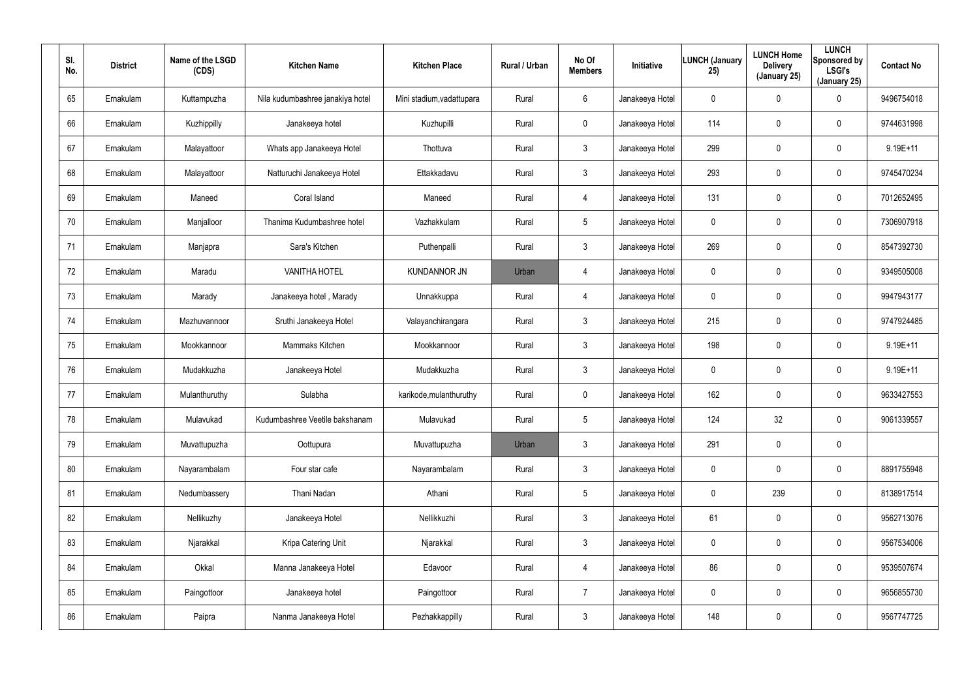| SI.<br>No. | <b>District</b> | Name of the LSGD<br>(CDS) | <b>Kitchen Name</b>              | <b>Kitchen Place</b>      | Rural / Urban | No Of<br><b>Members</b> | Initiative      | <b>LUNCH (January</b><br>25) | <b>LUNCH Home</b><br><b>Delivery</b><br>(January 25) | <b>LUNCH</b><br>Sponsored by<br><b>LSGI's</b><br>(January 25) | <b>Contact No</b> |
|------------|-----------------|---------------------------|----------------------------------|---------------------------|---------------|-------------------------|-----------------|------------------------------|------------------------------------------------------|---------------------------------------------------------------|-------------------|
| 65         | Ernakulam       | Kuttampuzha               | Nila kudumbashree janakiya hotel | Mini stadium, vadattupara | Rural         | 6                       | Janakeeya Hotel | $\mathbf 0$                  | $\mathbf 0$                                          | 0                                                             | 9496754018        |
| 66         | Ernakulam       | Kuzhippilly               | Janakeeya hotel                  | Kuzhupilli                | Rural         | $\mathbf 0$             | Janakeeya Hotel | 114                          | 0                                                    | $\mathbf 0$                                                   | 9744631998        |
| 67         | Ernakulam       | Malayattoor               | Whats app Janakeeya Hotel        | Thottuva                  | Rural         | $\mathbf{3}$            | Janakeeya Hotel | 299                          | $\mathbf 0$                                          | $\mathbf 0$                                                   | 9.19E+11          |
| 68         | Ernakulam       | Malayattoor               | Natturuchi Janakeeya Hotel       | Ettakkadavu               | Rural         | $\mathbf{3}$            | Janakeeya Hotel | 293                          | 0                                                    | $\mathbf 0$                                                   | 9745470234        |
| 69         | Ernakulam       | Maneed                    | Coral Island                     | Maneed                    | Rural         | $\overline{4}$          | Janakeeya Hotel | 131                          | 0                                                    | $\mathbf 0$                                                   | 7012652495        |
| 70         | Ernakulam       | Manjalloor                | Thanima Kudumbashree hotel       | Vazhakkulam               | Rural         | $5\overline{)}$         | Janakeeya Hotel | 0                            | 0                                                    | $\mathbf 0$                                                   | 7306907918        |
| 71         | Ernakulam       | Manjapra                  | Sara's Kitchen                   | Puthenpalli               | Rural         | $\mathbf{3}$            | Janakeeya Hotel | 269                          | $\boldsymbol{0}$                                     | 0                                                             | 8547392730        |
| 72         | Ernakulam       | Maradu                    | <b>VANITHA HOTEL</b>             | <b>KUNDANNOR JN</b>       | Urban         | $\overline{4}$          | Janakeeya Hotel | 0                            | $\boldsymbol{0}$                                     | $\mathbf 0$                                                   | 9349505008        |
| 73         | Ernakulam       | Marady                    | Janakeeya hotel, Marady          | Unnakkuppa                | Rural         | $\overline{4}$          | Janakeeya Hotel | 0                            | $\boldsymbol{0}$                                     | 0                                                             | 9947943177        |
| 74         | Ernakulam       | Mazhuvannoor              | Sruthi Janakeeya Hotel           | Valayanchirangara         | Rural         | $\mathbf{3}$            | Janakeeya Hotel | 215                          | $\boldsymbol{0}$                                     | $\mathbf 0$                                                   | 9747924485        |
| 75         | Ernakulam       | Mookkannoor               | Mammaks Kitchen                  | Mookkannoor               | Rural         | $\mathbf{3}$            | Janakeeya Hotel | 198                          | $\boldsymbol{0}$                                     | 0                                                             | $9.19E+11$        |
| 76         | Ernakulam       | Mudakkuzha                | Janakeeya Hotel                  | Mudakkuzha                | Rural         | $\mathbf{3}$            | Janakeeya Hotel | 0                            | $\boldsymbol{0}$                                     | $\mathbf 0$                                                   | $9.19E + 11$      |
| 77         | Ernakulam       | Mulanthuruthy             | Sulabha                          | karikode, mulanthuruthy   | Rural         | $\mathbf 0$             | Janakeeya Hotel | 162                          | $\boldsymbol{0}$                                     | $\mathbf 0$                                                   | 9633427553        |
| 78         | Ernakulam       | Mulavukad                 | Kudumbashree Veetile bakshanam   | Mulavukad                 | Rural         | 5                       | Janakeeya Hotel | 124                          | 32                                                   | $\pmb{0}$                                                     | 9061339557        |
| 79         | Ernakulam       | Muvattupuzha              | Oottupura                        | Muvattupuzha              | Urban         | $\mathfrak{Z}$          | Janakeeya Hotel | 291                          | $\pmb{0}$                                            | $\pmb{0}$                                                     |                   |
| 80         | Ernakulam       | Nayarambalam              | Four star cafe                   | Nayarambalam              | Rural         | $\mathfrak{Z}$          | Janakeeya Hotel | $\pmb{0}$                    | $\pmb{0}$                                            | $\pmb{0}$                                                     | 8891755948        |
| 81         | Ernakulam       | Nedumbassery              | Thani Nadan                      | Athani                    | Rural         | $5\phantom{.0}$         | Janakeeya Hotel | 0                            | 239                                                  | $\pmb{0}$                                                     | 8138917514        |
| 82         | Ernakulam       | Nellikuzhy                | Janakeeya Hotel                  | Nellikkuzhi               | Rural         | $\mathfrak{Z}$          | Janakeeya Hotel | 61                           | $\mathbf 0$                                          | $\pmb{0}$                                                     | 9562713076        |
| 83         | Ernakulam       | Njarakkal                 | Kripa Catering Unit              | Njarakkal                 | Rural         | $\mathbf{3}$            | Janakeeya Hotel | 0                            | $\pmb{0}$                                            | 0                                                             | 9567534006        |
| 84         | Ernakulam       | Okkal                     | Manna Janakeeya Hotel            | Edavoor                   | Rural         | $\overline{4}$          | Janakeeya Hotel | 86                           | $\mathbf 0$                                          | $\pmb{0}$                                                     | 9539507674        |
| 85         | Ernakulam       | Paingottoor               | Janakeeya hotel                  | Paingottoor               | Rural         | $\overline{7}$          | Janakeeya Hotel | 0                            | $\pmb{0}$                                            | 0                                                             | 9656855730        |
| 86         | Ernakulam       | Paipra                    | Nanma Janakeeya Hotel            | Pezhakkappilly            | Rural         | $\mathfrak{Z}$          | Janakeeya Hotel | 148                          | $\boldsymbol{0}$                                     | $\pmb{0}$                                                     | 9567747725        |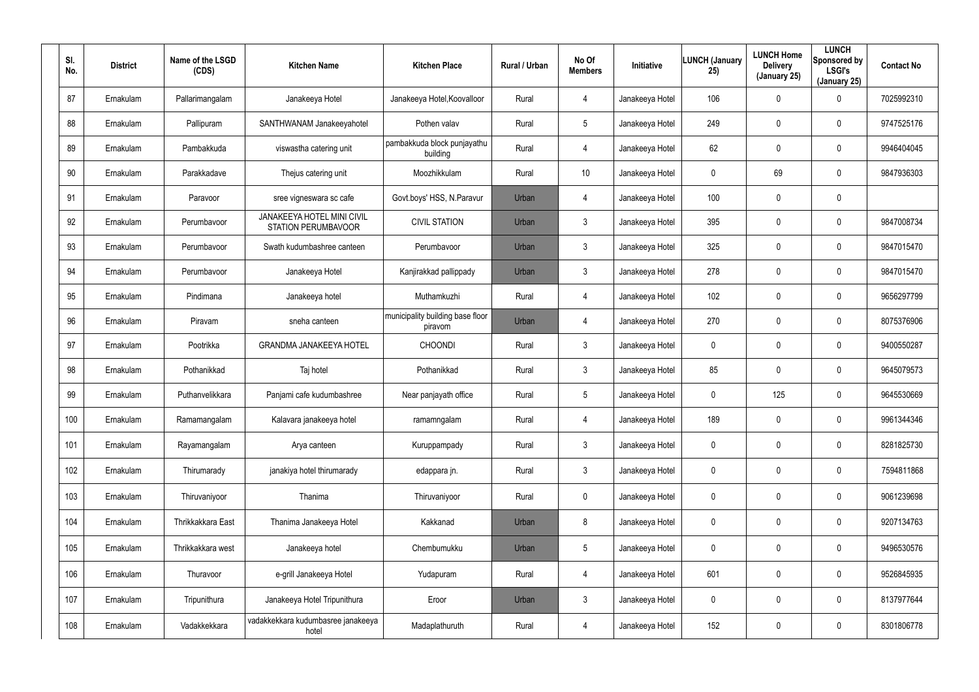| SI.<br>No. | <b>District</b> | Name of the LSGD<br>(CDS) | <b>Kitchen Name</b>                                      | <b>Kitchen Place</b>                        | <b>Rural / Urban</b> | No Of<br><b>Members</b> | Initiative      | <b>LUNCH (January</b><br>25) | <b>LUNCH Home</b><br><b>Delivery</b><br>(January 25) | <b>LUNCH</b><br>Sponsored by<br><b>LSGI's</b><br>(January 25) | <b>Contact No</b> |
|------------|-----------------|---------------------------|----------------------------------------------------------|---------------------------------------------|----------------------|-------------------------|-----------------|------------------------------|------------------------------------------------------|---------------------------------------------------------------|-------------------|
| 87         | Ernakulam       | Pallarimangalam           | Janakeeya Hotel                                          | Janakeeya Hotel, Koovalloor                 | Rural                | 4                       | Janakeeya Hotel | 106                          | $\mathbf 0$                                          | 0                                                             | 7025992310        |
| 88         | Ernakulam       | Pallipuram                | SANTHWANAM Janakeeyahotel                                | Pothen valav                                | Rural                | 5                       | Janakeeya Hotel | 249                          | $\mathbf 0$                                          | 0                                                             | 9747525176        |
| 89         | Ernakulam       | Pambakkuda                | viswastha catering unit                                  | pambakkuda block punjayathu<br>building     | Rural                | 4                       | Janakeeya Hotel | 62                           | $\mathbf 0$                                          | $\mathbf 0$                                                   | 9946404045        |
| 90         | Ernakulam       | Parakkadave               | Thejus catering unit                                     | Moozhikkulam                                | Rural                | 10                      | Janakeeya Hotel | 0                            | 69                                                   | $\mathbf 0$                                                   | 9847936303        |
| 91         | Ernakulam       | Paravoor                  | sree vigneswara sc cafe                                  | Govt.boys' HSS, N.Paravur                   | Urban                | 4                       | Janakeeya Hotel | 100                          | $\mathbf 0$                                          | 0                                                             |                   |
| 92         | Ernakulam       | Perumbavoor               | JANAKEEYA HOTEL MINI CIVIL<br><b>STATION PERUMBAVOOR</b> | <b>CIVIL STATION</b>                        | Urban                | $\mathfrak{Z}$          | Janakeeya Hotel | 395                          | 0                                                    | $\mathbf 0$                                                   | 9847008734        |
| 93         | Ernakulam       | Perumbavoor               | Swath kudumbashree canteen                               | Perumbavoor                                 | Urban                | $\mathbf{3}$            | Janakeeya Hotel | 325                          | $\mathbf 0$                                          | $\mathbf 0$                                                   | 9847015470        |
| 94         | Ernakulam       | Perumbavoor               | Janakeeya Hotel                                          | Kanjirakkad pallippady                      | Urban                | $\mathbf{3}$            | Janakeeya Hotel | 278                          | 0                                                    | 0                                                             | 9847015470        |
| 95         | Ernakulam       | Pindimana                 | Janakeeya hotel                                          | Muthamkuzhi                                 | Rural                | $\overline{4}$          | Janakeeya Hotel | 102                          | $\mathbf 0$                                          | $\mathbf 0$                                                   | 9656297799        |
| 96         | Ernakulam       | Piravam                   | sneha canteen                                            | municipality building base floor<br>piravom | Urban                | 4                       | Janakeeya Hotel | 270                          | 0                                                    | 0                                                             | 8075376906        |
| 97         | Ernakulam       | Pootrikka                 | <b>GRANDMA JANAKEEYA HOTEL</b>                           | <b>CHOONDI</b>                              | Rural                | $\mathbf{3}$            | Janakeeya Hotel | 0                            | $\mathbf 0$                                          | $\mathbf 0$                                                   | 9400550287        |
| 98         | Ernakulam       | Pothanikkad               | Taj hotel                                                | Pothanikkad                                 | Rural                | $\mathbf{3}$            | Janakeeya Hotel | 85                           | 0                                                    | 0                                                             | 9645079573        |
| 99         | Ernakulam       | Puthanvelikkara           | Panjami cafe kudumbashree                                | Near panjayath office                       | Rural                | $5\overline{)}$         | Janakeeya Hotel | 0                            | 125                                                  | 0                                                             | 9645530669        |
| 100        | Ernakulam       | Ramamangalam              | Kalavara janakeeya hotel                                 | ramamngalam                                 | Rural                | 4                       | Janakeeya Hotel | 189                          | $\pmb{0}$                                            | 0                                                             | 9961344346        |
| 101        | Ernakulam       | Rayamangalam              | Arya canteen                                             | Kuruppampady                                | Rural                | $\mathbf{3}$            | Janakeeya Hotel | 0                            | $\boldsymbol{0}$                                     | $\pmb{0}$                                                     | 8281825730        |
| 102        | Ernakulam       | Thirumarady               | janakiya hotel thirumarady                               | edappara jn.                                | Rural                | $\mathfrak{Z}$          | Janakeeya Hotel | 0                            | $\pmb{0}$                                            | $\pmb{0}$                                                     | 7594811868        |
| 103        | Ernakulam       | Thiruvaniyoor             | Thanima                                                  | Thiruvaniyoor                               | Rural                | $\mathbf 0$             | Janakeeya Hotel | 0                            | $\pmb{0}$                                            | 0                                                             | 9061239698        |
| 104        | Ernakulam       | Thrikkakkara East         | Thanima Janakeeya Hotel                                  | Kakkanad                                    | Urban                | 8                       | Janakeeya Hotel | 0                            | $\mathbf 0$                                          | $\pmb{0}$                                                     | 9207134763        |
| 105        | Ernakulam       | Thrikkakkara west         | Janakeeya hotel                                          | Chembumukku                                 | Urban                | $5\phantom{.0}$         | Janakeeya Hotel | 0                            | $\pmb{0}$                                            | 0                                                             | 9496530576        |
| 106        | Ernakulam       | Thuravoor                 | e-grill Janakeeya Hotel                                  | Yudapuram                                   | Rural                | 4                       | Janakeeya Hotel | 601                          | $\boldsymbol{0}$                                     | $\pmb{0}$                                                     | 9526845935        |
| 107        | Ernakulam       | Tripunithura              | Janakeeya Hotel Tripunithura                             | Eroor                                       | Urban                | $\mathfrak{Z}$          | Janakeeya Hotel | 0                            | $\pmb{0}$                                            | $\pmb{0}$                                                     | 8137977644        |
| 108        | Ernakulam       | Vadakkekkara              | vadakkekkara kudumbasree janakeeya<br>hotel              | Madaplathuruth                              | Rural                | 4                       | Janakeeya Hotel | 152                          | $\boldsymbol{0}$                                     | 0                                                             | 8301806778        |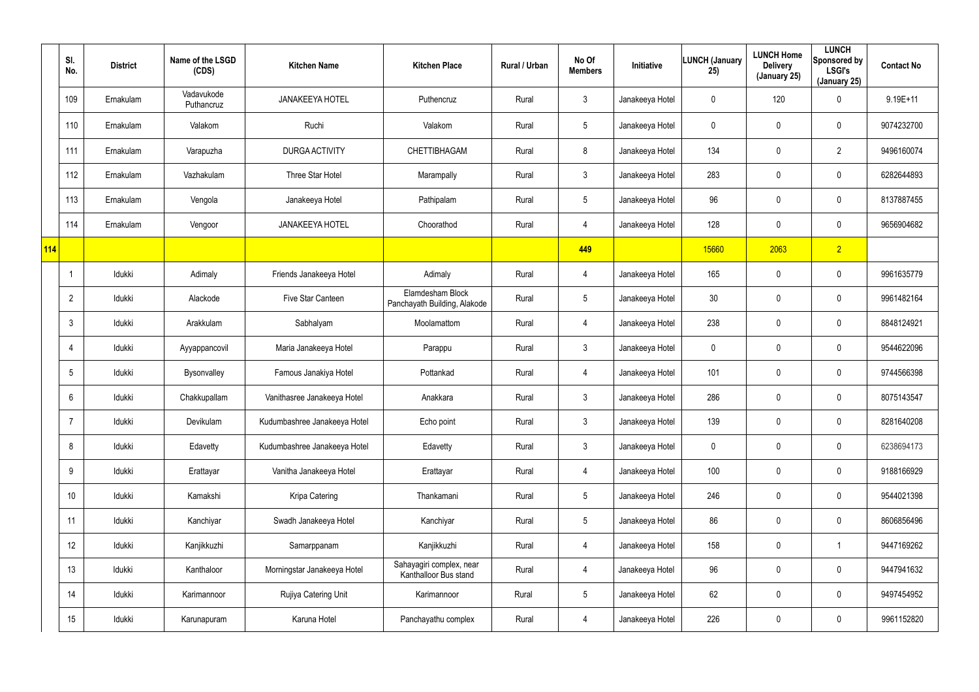|     | SI.<br>No.      | <b>District</b> | Name of the LSGD<br>(CDS) | <b>Kitchen Name</b>          | <b>Kitchen Place</b>                              | Rural / Urban | No Of<br><b>Members</b> | Initiative      | <b>LUNCH (January</b><br>25) | <b>LUNCH Home</b><br><b>Delivery</b><br>(January 25) | <b>LUNCH</b><br>Sponsored by<br><b>LSGI's</b><br>(January 25) | <b>Contact No</b> |
|-----|-----------------|-----------------|---------------------------|------------------------------|---------------------------------------------------|---------------|-------------------------|-----------------|------------------------------|------------------------------------------------------|---------------------------------------------------------------|-------------------|
|     | 109             | Ernakulam       | Vadavukode<br>Puthancruz  | <b>JANAKEEYA HOTEL</b>       | Puthencruz                                        | Rural         | $\mathfrak{Z}$          | Janakeeya Hotel | 0                            | 120                                                  | $\mathbf 0$                                                   | $9.19E+11$        |
|     | 110             | Ernakulam       | Valakom                   | Ruchi                        | Valakom                                           | Rural         | $5\phantom{.0}$         | Janakeeya Hotel | 0                            | $\pmb{0}$                                            | $\pmb{0}$                                                     | 9074232700        |
|     | 111             | Ernakulam       | Varapuzha                 | <b>DURGA ACTIVITY</b>        | CHETTIBHAGAM                                      | Rural         | 8                       | Janakeeya Hotel | 134                          | $\pmb{0}$                                            | $\overline{2}$                                                | 9496160074        |
|     | 112             | Ernakulam       | Vazhakulam                | Three Star Hotel             | Marampally                                        | Rural         | $\mathfrak{Z}$          | Janakeeya Hotel | 283                          | $\mathbf 0$                                          | $\mathbf 0$                                                   | 6282644893        |
|     | 113             | Ernakulam       | Vengola                   | Janakeeya Hotel              | Pathipalam                                        | Rural         | $5\phantom{.0}$         | Janakeeya Hotel | 96                           | $\pmb{0}$                                            | $\pmb{0}$                                                     | 8137887455        |
|     | 114             | Ernakulam       | Vengoor                   | <b>JANAKEEYA HOTEL</b>       | Choorathod                                        | Rural         | 4                       | Janakeeya Hotel | 128                          | $\pmb{0}$                                            | $\mathbf 0$                                                   | 9656904682        |
| 114 |                 |                 |                           |                              |                                                   |               | 449                     |                 | 15660                        | 2063                                                 | $\sqrt{2}$                                                    |                   |
|     |                 | Idukki          | Adimaly                   | Friends Janakeeya Hotel      | Adimaly                                           | Rural         | 4                       | Janakeeya Hotel | 165                          | $\pmb{0}$                                            | $\pmb{0}$                                                     | 9961635779        |
|     | $\overline{2}$  | Idukki          | Alackode                  | Five Star Canteen            | Elamdesham Block<br>Panchayath Building, Alakode  | Rural         | $5\phantom{.0}$         | Janakeeya Hotel | 30 <sub>o</sub>              | $\pmb{0}$                                            | $\pmb{0}$                                                     | 9961482164        |
|     | $\mathbf{3}$    | Idukki          | Arakkulam                 | Sabhalyam                    | Moolamattom                                       | Rural         | 4                       | Janakeeya Hotel | 238                          | $\boldsymbol{0}$                                     | $\pmb{0}$                                                     | 8848124921        |
|     | $\overline{4}$  | Idukki          | Ayyappancovil             | Maria Janakeeya Hotel        | Parappu                                           | Rural         | $\mathfrak{Z}$          | Janakeeya Hotel | 0                            | $\pmb{0}$                                            | $\mathbf 0$                                                   | 9544622096        |
|     | $5\phantom{.0}$ | Idukki          | Bysonvalley               | Famous Janakiya Hotel        | Pottankad                                         | Rural         | 4                       | Janakeeya Hotel | 101                          | $\mathbf 0$                                          | $\mathbf 0$                                                   | 9744566398        |
|     | 6               | Idukki          | Chakkupallam              | Vanithasree Janakeeya Hotel  | Anakkara                                          | Rural         | $\mathfrak{Z}$          | Janakeeya Hotel | 286                          | $\mathbf 0$                                          | $\pmb{0}$                                                     | 8075143547        |
|     | $\overline{7}$  | Idukki          | Devikulam                 | Kudumbashree Janakeeya Hotel | Echo point                                        | Rural         | $\mathfrak{Z}$          | Janakeeya Hotel | 139                          | $\mathbf 0$                                          | $\pmb{0}$                                                     | 8281640208        |
|     | 8               | Idukki          | Edavetty                  | Kudumbashree Janakeeya Hotel | Edavetty                                          | Rural         | $\mathfrak{Z}$          | Janakeeya Hotel | 0                            | 0                                                    | $\pmb{0}$                                                     | 6238694173        |
|     | 9               | Idukki          | Erattayar                 | Vanitha Janakeeya Hotel      | Erattayar                                         | Rural         | 4                       | Janakeeya Hotel | 100                          | $\mathbf 0$                                          | $\pmb{0}$                                                     | 9188166929        |
|     | 10 <sup>°</sup> | Idukki          | Kamakshi                  | Kripa Catering               | Thankamani                                        | Rural         | $\overline{5}$          | Janakeeya Hotel | 246                          | $\overline{0}$                                       | $\pmb{0}$                                                     | 9544021398        |
|     | 11              | ldukki          | Kanchiyar                 | Swadh Janakeeya Hotel        | Kanchiyar                                         | Rural         | $\overline{5}$          | Janakeeya Hotel | 86                           | $\mathbf 0$                                          | $\mathbf 0$                                                   | 8606856496        |
|     | 12              | Idukki          | Kanjikkuzhi               | Samarppanam                  | Kanjikkuzhi                                       | Rural         | 4                       | Janakeeya Hotel | 158                          | $\overline{0}$                                       | -1                                                            | 9447169262        |
|     | 13              | ldukki          | Kanthaloor                | Morningstar Janakeeya Hotel  | Sahayagiri complex, near<br>Kanthalloor Bus stand | Rural         | 4                       | Janakeeya Hotel | 96                           | $\mathbf 0$                                          | $\mathbf 0$                                                   | 9447941632        |
|     | 14              | Idukki          | Karimannoor               | Rujiya Catering Unit         | Karimannoor                                       | Rural         | $\overline{5}$          | Janakeeya Hotel | 62                           | $\overline{0}$                                       | $\pmb{0}$                                                     | 9497454952        |
|     | 15              | ldukki          | Karunapuram               | Karuna Hotel                 | Panchayathu complex                               | Rural         | 4                       | Janakeeya Hotel | 226                          | $\mathbf 0$                                          | $\pmb{0}$                                                     | 9961152820        |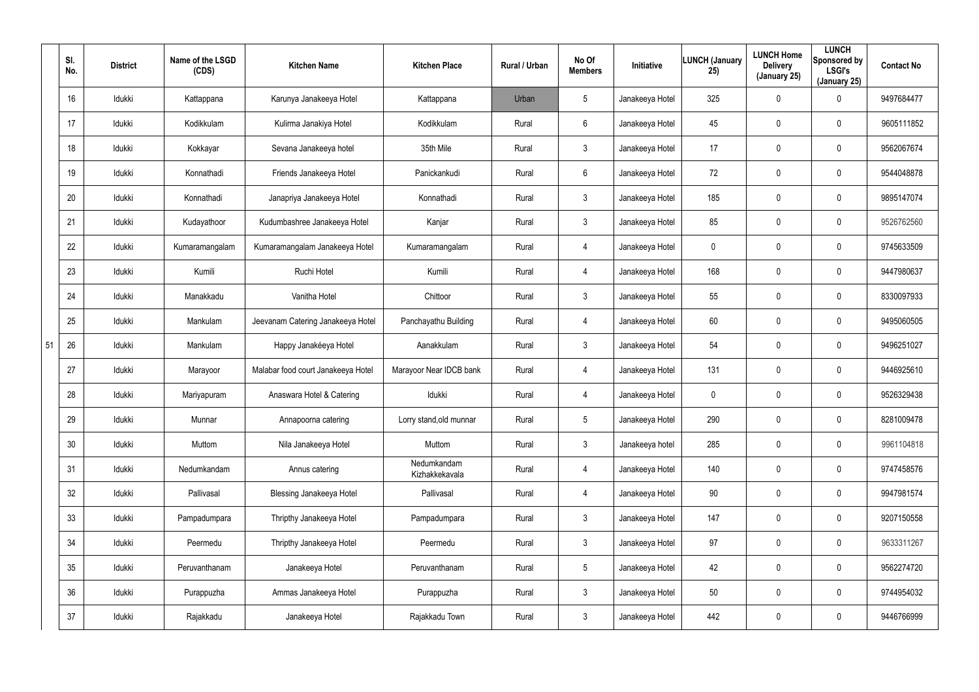|    | SI.<br>No.      | <b>District</b> | Name of the LSGD<br>(CDS) | <b>Kitchen Name</b>                | <b>Kitchen Place</b>          | Rural / Urban | No Of<br><b>Members</b> | Initiative      | LUNCH (January<br>25) | <b>LUNCH Home</b><br><b>Delivery</b><br>(January 25) | <b>LUNCH</b><br>Sponsored by<br><b>LSGI's</b><br>(January 25) | <b>Contact No</b> |
|----|-----------------|-----------------|---------------------------|------------------------------------|-------------------------------|---------------|-------------------------|-----------------|-----------------------|------------------------------------------------------|---------------------------------------------------------------|-------------------|
|    | 16              | Idukki          | Kattappana                | Karunya Janakeeya Hotel            | Kattappana                    | Urban         | 5                       | Janakeeya Hotel | 325                   | $\mathbf 0$                                          | 0                                                             | 9497684477        |
|    | 17              | Idukki          | Kodikkulam                | Kulirma Janakiya Hotel             | Kodikkulam                    | Rural         | 6                       | Janakeeya Hotel | 45                    | 0                                                    | 0                                                             | 9605111852        |
|    | 18              | Idukki          | Kokkayar                  | Sevana Janakeeya hotel             | 35th Mile                     | Rural         | 3                       | Janakeeya Hotel | 17                    | 0                                                    | 0                                                             | 9562067674        |
|    | 19              | Idukki          | Konnathadi                | Friends Janakeeya Hotel            | Panickankudi                  | Rural         | $6\phantom{.}6$         | Janakeeya Hotel | 72                    | $\boldsymbol{0}$                                     | 0                                                             | 9544048878        |
|    | 20              | Idukki          | Konnathadi                | Janapriya Janakeeya Hotel          | Konnathadi                    | Rural         | 3                       | Janakeeya Hotel | 185                   | 0                                                    | 0                                                             | 9895147074        |
|    | 21              | Idukki          | Kudayathoor               | Kudumbashree Janakeeya Hotel       | Kanjar                        | Rural         | 3                       | Janakeeya Hotel | 85                    | 0                                                    | 0                                                             | 9526762560        |
|    | 22              | Idukki          | Kumaramangalam            | Kumaramangalam Janakeeya Hotel     | Kumaramangalam                | Rural         | 4                       | Janakeeya Hotel | 0                     | 0                                                    | 0                                                             | 9745633509        |
|    | 23              | Idukki          | Kumili                    | Ruchi Hotel                        | Kumili                        | Rural         | 4                       | Janakeeya Hotel | 168                   | 0                                                    | 0                                                             | 9447980637        |
|    | 24              | Idukki          | Manakkadu                 | Vanitha Hotel                      | Chittoor                      | Rural         | $\mathbf{3}$            | Janakeeya Hotel | 55                    | 0                                                    | 0                                                             | 8330097933        |
|    | 25              | Idukki          | Mankulam                  | Jeevanam Catering Janakeeya Hotel  | Panchayathu Building          | Rural         | 4                       | Janakeeya Hotel | 60                    | 0                                                    | 0                                                             | 9495060505        |
| 51 | 26              | Idukki          | Mankulam                  | Happy Janakéeya Hotel              | Aanakkulam                    | Rural         | $\mathbf{3}$            | Janakeeya Hotel | 54                    | 0                                                    | 0                                                             | 9496251027        |
|    | 27              | Idukki          | Marayoor                  | Malabar food court Janakeeya Hotel | Marayoor Near IDCB bank       | Rural         | 4                       | Janakeeya Hotel | 131                   | 0                                                    | 0                                                             | 9446925610        |
|    | 28              | Idukki          | Mariyapuram               | Anaswara Hotel & Catering          | Idukki                        | Rural         | 4                       | Janakeeya Hotel | 0                     | 0                                                    | 0                                                             | 9526329438        |
|    | 29              | Idukki          | Munnar                    | Annapoorna catering                | Lorry stand, old munnar       | Rural         | 5                       | Janakeeya Hotel | 290                   | 0                                                    | 0                                                             | 8281009478        |
|    | 30              | Idukki          | Muttom                    | Nila Janakeeya Hotel               | Muttom                        | Rural         | $\mathbf{3}$            | Janakeeya hotel | 285                   | $\mathbf 0$                                          | 0                                                             | 9961104818        |
|    | 31              | Idukki          | Nedumkandam               | Annus catering                     | Nedumkandam<br>Kizhakkekavala | Rural         | 4                       | Janakeeya Hotel | 140                   | $\mathbf 0$                                          | 0                                                             | 9747458576        |
|    | 32              | Idukki          | Pallivasal                | Blessing Janakeeya Hotel           | Pallivasal                    | Rural         | 4                       | Janakeeya Hotel | 90                    | $\mathbf 0$                                          | 0                                                             | 9947981574        |
|    | 33              | Idukki          | Pampadumpara              | Thripthy Janakeeya Hotel           | Pampadumpara                  | Rural         | $\mathbf{3}$            | Janakeeya Hotel | 147                   | $\mathbf 0$                                          | 0                                                             | 9207150558        |
|    | 34              | Idukki          | Peermedu                  | Thripthy Janakeeya Hotel           | Peermedu                      | Rural         | $\mathbf{3}$            | Janakeeya Hotel | 97                    | $\mathbf 0$                                          | 0                                                             | 9633311267        |
|    | 35 <sub>5</sub> | Idukki          | Peruvanthanam             | Janakeeya Hotel                    | Peruvanthanam                 | Rural         | $5\phantom{.0}$         | Janakeeya Hotel | 42                    | $\mathbf 0$                                          | 0                                                             | 9562274720        |
|    | 36              | Idukki          | Purappuzha                | Ammas Janakeeya Hotel              | Purappuzha                    | Rural         | $\mathbf{3}$            | Janakeeya Hotel | 50                    | $\mathbf 0$                                          | 0                                                             | 9744954032        |
|    | 37              | Idukki          | Rajakkadu                 | Janakeeya Hotel                    | Rajakkadu Town                | Rural         | $\mathbf{3}$            | Janakeeya Hotel | 442                   | $\overline{0}$                                       | 0                                                             | 9446766999        |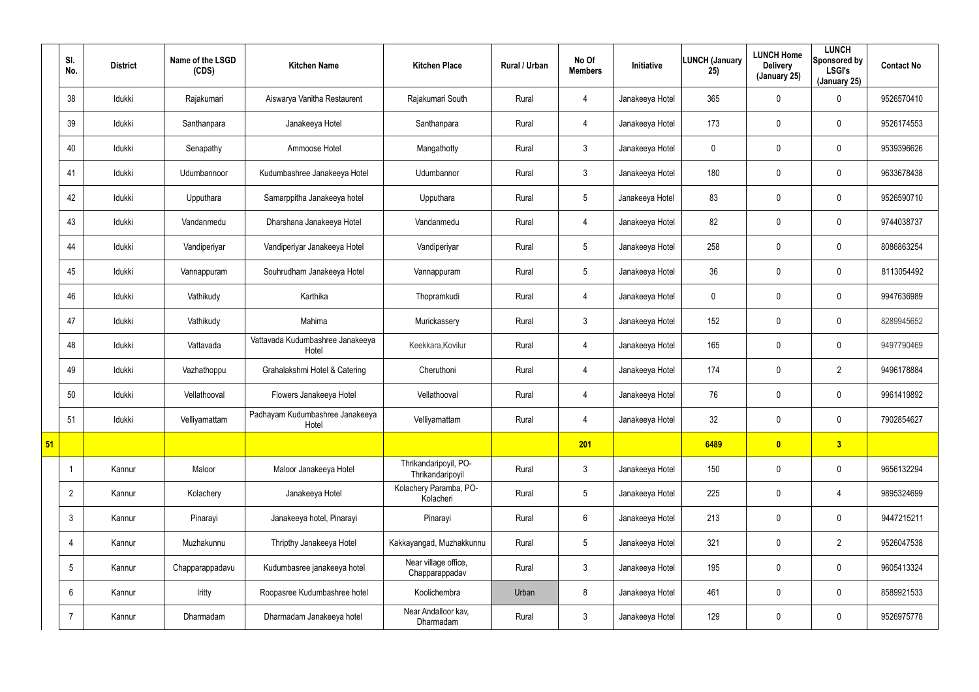|    | SI.<br>No.      | <b>District</b> | Name of the LSGD<br>(CDS) | <b>Kitchen Name</b>                       | <b>Kitchen Place</b>                      | Rural / Urban | No Of<br><b>Members</b> | Initiative      | LUNCH (January<br>25) | <b>LUNCH Home</b><br><b>Delivery</b><br>(January 25) | <b>LUNCH</b><br>Sponsored by<br><b>LSGI's</b><br>(January 25) | <b>Contact No</b> |
|----|-----------------|-----------------|---------------------------|-------------------------------------------|-------------------------------------------|---------------|-------------------------|-----------------|-----------------------|------------------------------------------------------|---------------------------------------------------------------|-------------------|
|    | 38              | Idukki          | Rajakumari                | Aiswarya Vanitha Restaurent               | Rajakumari South                          | Rural         | $\overline{4}$          | Janakeeya Hotel | 365                   | 0                                                    | $\mathbf 0$                                                   | 9526570410        |
|    | 39              | Idukki          | Santhanpara               | Janakeeya Hotel                           | Santhanpara                               | Rural         | $\overline{4}$          | Janakeeya Hotel | 173                   | 0                                                    | $\mathbf 0$                                                   | 9526174553        |
|    | 40              | Idukki          | Senapathy                 | Ammoose Hotel                             | Mangathotty                               | Rural         | $\mathbf{3}$            | Janakeeya Hotel | 0                     | $\mathbf{0}$                                         | $\pmb{0}$                                                     | 9539396626        |
|    | 41              | Idukki          | Udumbannoor               | Kudumbashree Janakeeya Hotel              | Udumbannor                                | Rural         | $\mathfrak{Z}$          | Janakeeya Hotel | 180                   | 0                                                    | $\mathbf 0$                                                   | 9633678438        |
|    | 42              | Idukki          | Upputhara                 | Samarppitha Janakeeya hotel               | Upputhara                                 | Rural         | $5\phantom{.0}$         | Janakeeya Hotel | 83                    | $\mathbf{0}$                                         | $\pmb{0}$                                                     | 9526590710        |
|    | 43              | Idukki          | Vandanmedu                | Dharshana Janakeeya Hotel                 | Vandanmedu                                | Rural         | $\overline{4}$          | Janakeeya Hotel | 82                    | 0                                                    | $\mathbf 0$                                                   | 9744038737        |
|    | 44              | Idukki          | Vandiperiyar              | Vandiperiyar Janakeeya Hotel              | Vandiperiyar                              | Rural         | $5\phantom{.0}$         | Janakeeya Hotel | 258                   | 0                                                    | $\mathbf 0$                                                   | 8086863254        |
|    | 45              | Idukki          | Vannappuram               | Souhrudham Janakeeya Hotel                | Vannappuram                               | Rural         | $5\phantom{.0}$         | Janakeeya Hotel | 36                    | 0                                                    | $\mathbf 0$                                                   | 8113054492        |
|    | 46              | Idukki          | Vathikudy                 | Karthika                                  | Thopramkudi                               | Rural         | 4                       | Janakeeya Hotel | 0                     | 0                                                    | $\mathbf 0$                                                   | 9947636989        |
|    | 47              | Idukki          | Vathikudy                 | Mahima                                    | Murickassery                              | Rural         | $\mathbf{3}$            | Janakeeya Hotel | 152                   | 0                                                    | $\mathbf 0$                                                   | 8289945652        |
|    | 48              | Idukki          | Vattavada                 | Vattavada Kudumbashree Janakeeya<br>Hotel | Keekkara, Kovilur                         | Rural         | 4                       | Janakeeya Hotel | 165                   | $\mathbf 0$                                          | $\mathbf 0$                                                   | 9497790469        |
|    | 49              | Idukki          | Vazhathoppu               | Grahalakshmi Hotel & Catering             | Cheruthoni                                | Rural         | $\overline{4}$          | Janakeeya Hotel | 174                   | 0                                                    | $\overline{2}$                                                | 9496178884        |
|    | 50              | Idukki          | Vellathooval              | Flowers Janakeeya Hotel                   | Vellathooval                              | Rural         | 4                       | Janakeeya Hotel | 76                    | 0                                                    | $\mathbf 0$                                                   | 9961419892        |
|    | 51              | Idukki          | Velliyamattam             | Padhayam Kudumbashree Janakeeya<br>Hotel  | Velliyamattam                             | Rural         | $\overline{4}$          | Janakeeya Hotel | 32                    | 0                                                    | $\pmb{0}$                                                     | 7902854627        |
| 51 |                 |                 |                           |                                           |                                           |               | 201                     |                 | 6489                  | $\bullet$                                            | 3                                                             |                   |
|    |                 | Kannur          | Maloor                    | Maloor Janakeeya Hotel                    | Thrikandaripoyil, PO-<br>Thrikandaripoyil | Rural         | 3 <sup>1</sup>          | Janakeeya Hotel | 150                   | 0                                                    | $\mathbf 0$                                                   | 9656132294        |
|    | $\overline{2}$  | Kannur          | Kolachery                 | Janakeeya Hotel                           | Kolachery Paramba, PO-<br>Kolacheri       | Rural         | $5\phantom{.0}$         | Janakeeya Hotel | 225                   | 0                                                    | $\overline{4}$                                                | 9895324699        |
|    | $\mathbf{3}$    | Kannur          | Pinarayi                  | Janakeeya hotel, Pinarayi                 | Pinarayi                                  | Rural         | $6\phantom{.0}$         | Janakeeya Hotel | 213                   | 0                                                    | $\pmb{0}$                                                     | 9447215211        |
|    | 4               | Kannur          | Muzhakunnu                | Thripthy Janakeeya Hotel                  | Kakkayangad, Muzhakkunnu                  | Rural         | $5\phantom{.0}$         | Janakeeya Hotel | 321                   | 0                                                    | $\overline{2}$                                                | 9526047538        |
|    | $5\overline{)}$ | Kannur          | Chapparappadavu           | Kudumbasree janakeeya hotel               | Near village office,<br>Chapparappadav    | Rural         | 3 <sup>1</sup>          | Janakeeya Hotel | 195                   | 0                                                    | $\mathbf 0$                                                   | 9605413324        |
|    | $6\overline{6}$ | Kannur          | Iritty                    | Roopasree Kudumbashree hotel              | Koolichembra                              | Urban         | 8                       | Janakeeya Hotel | 461                   | 0                                                    | $\mathbf 0$                                                   | 8589921533        |
|    | $\overline{7}$  | Kannur          | Dharmadam                 | Dharmadam Janakeeya hotel                 | Near Andalloor kav,<br>Dharmadam          | Rural         | 3 <sup>1</sup>          | Janakeeya Hotel | 129                   | 0                                                    | $\pmb{0}$                                                     | 9526975778        |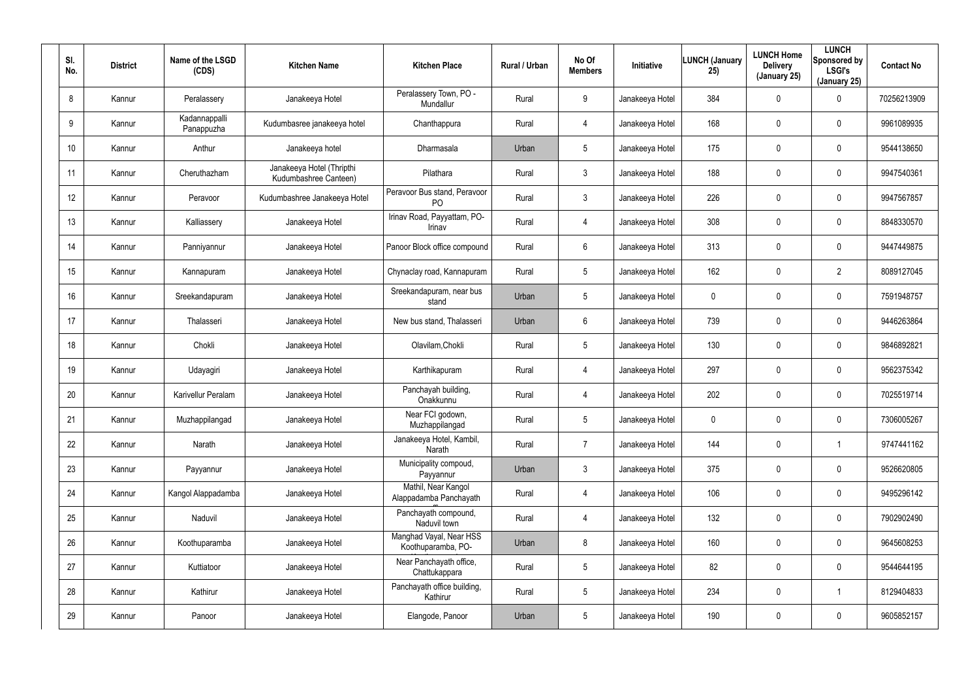| SI.<br>No.      | <b>District</b> | Name of the LSGD<br>(CDS)   | <b>Kitchen Name</b>                                | <b>Kitchen Place</b>                           | Rural / Urban | No Of<br><b>Members</b> | Initiative      | <b>LUNCH (January</b><br>25) | <b>LUNCH Home</b><br><b>Delivery</b><br>(January 25) | <b>LUNCH</b><br>Sponsored by<br><b>LSGI's</b><br>(January 25) | <b>Contact No</b> |
|-----------------|-----------------|-----------------------------|----------------------------------------------------|------------------------------------------------|---------------|-------------------------|-----------------|------------------------------|------------------------------------------------------|---------------------------------------------------------------|-------------------|
| 8               | Kannur          | Peralassery                 | Janakeeya Hotel                                    | Peralassery Town, PO -<br>Mundallur            | Rural         | 9                       | Janakeeya Hotel | 384                          | $\mathbf 0$                                          | 0                                                             | 70256213909       |
| 9               | Kannur          | Kadannappalli<br>Panappuzha | Kudumbasree janakeeya hotel                        | Chanthappura                                   | Rural         | 4                       | Janakeeya Hotel | 168                          | $\mathbf 0$                                          | 0                                                             | 9961089935        |
| 10 <sup>°</sup> | Kannur          | Anthur                      | Janakeeya hotel                                    | Dharmasala                                     | Urban         | $5\phantom{.0}$         | Janakeeya Hotel | 175                          | $\mathbf 0$                                          | 0                                                             | 9544138650        |
| 11              | Kannur          | Cheruthazham                | Janakeeya Hotel (Thripthi<br>Kudumbashree Canteen) | Pilathara                                      | Rural         | 3                       | Janakeeya Hotel | 188                          | $\mathbf 0$                                          | 0                                                             | 9947540361        |
| 12 <sup>°</sup> | Kannur          | Peravoor                    | Kudumbashree Janakeeya Hotel                       | Peravoor Bus stand, Peravoor<br>P <sub>O</sub> | Rural         | 3                       | Janakeeya Hotel | 226                          | $\mathbf 0$                                          | 0                                                             | 9947567857        |
| 13              | Kannur          | Kalliassery                 | Janakeeya Hotel                                    | Irinav Road, Payyattam, PO-<br>Irinav          | Rural         | 4                       | Janakeeya Hotel | 308                          | $\mathbf 0$                                          | 0                                                             | 8848330570        |
| 14              | Kannur          | Panniyannur                 | Janakeeya Hotel                                    | Panoor Block office compound                   | Rural         | 6                       | Janakeeya Hotel | 313                          | $\mathbf 0$                                          | 0                                                             | 9447449875        |
| 15              | Kannur          | Kannapuram                  | Janakeeya Hotel                                    | Chynaclay road, Kannapuram                     | Rural         | $5\overline{)}$         | Janakeeya Hotel | 162                          | $\mathbf 0$                                          | $\overline{2}$                                                | 8089127045        |
| 16              | Kannur          | Sreekandapuram              | Janakeeya Hotel                                    | Sreekandapuram, near bus<br>stand              | Urban         | $5\phantom{.0}$         | Janakeeya Hotel | 0                            | $\mathbf 0$                                          | 0                                                             | 7591948757        |
| 17              | Kannur          | Thalasseri                  | Janakeeya Hotel                                    | New bus stand, Thalasseri                      | Urban         | 6                       | Janakeeya Hotel | 739                          | $\mathbf 0$                                          | 0                                                             | 9446263864        |
| 18              | Kannur          | Chokli                      | Janakeeya Hotel                                    | Olavilam, Chokli                               | Rural         | $5\phantom{.0}$         | Janakeeya Hotel | 130                          | $\mathbf 0$                                          | 0                                                             | 9846892821        |
| 19              | Kannur          | Udayagiri                   | Janakeeya Hotel                                    | Karthikapuram                                  | Rural         | 4                       | Janakeeya Hotel | 297                          | $\mathbf 0$                                          | 0                                                             | 9562375342        |
| 20              | Kannur          | Karivellur Peralam          | Janakeeya Hotel                                    | Panchayah building,<br>Onakkunnu               | Rural         | 4                       | Janakeeya Hotel | 202                          | $\mathbf 0$                                          | 0                                                             | 7025519714        |
| 21              | Kannur          | Muzhappilangad              | Janakeeya Hotel                                    | Near FCI godown,<br>Muzhappilangad             | Rural         | $5\phantom{.0}$         | Janakeeya Hotel | 0                            | $\mathbf 0$                                          | 0                                                             | 7306005267        |
| 22              | Kannur          | Narath                      | Janakeeya Hotel                                    | Janakeeya Hotel, Kambil,<br>Narath             | Rural         | $\overline{7}$          | Janakeeya Hotel | 144                          | $\overline{0}$                                       | -1                                                            | 9747441162        |
| 23              | Kannur          | Payyannur                   | Janakeeya Hotel                                    | Municipality compoud,<br>Payyannur             | Urban         | $\mathbf{3}$            | Janakeeya Hotel | 375                          | $\overline{0}$                                       | 0                                                             | 9526620805        |
| 24              | Kannur          | Kangol Alappadamba          | Janakeeya Hotel                                    | Mathil, Near Kangol<br>Alappadamba Panchayath  | Rural         | 4                       | Janakeeya Hotel | 106                          | $\mathbf 0$                                          | 0                                                             | 9495296142        |
| 25              | Kannur          | Naduvil                     | Janakeeya Hotel                                    | Panchayath compound,<br>Naduvil town           | Rural         | $\overline{4}$          | Janakeeya Hotel | 132                          | $\mathbf 0$                                          | 0                                                             | 7902902490        |
| 26              | Kannur          | Koothuparamba               | Janakeeya Hotel                                    | Manghad Vayal, Near HSS<br>Koothuparamba, PO-  | Urban         | 8                       | Janakeeya Hotel | 160                          | $\overline{0}$                                       | 0                                                             | 9645608253        |
| 27              | Kannur          | Kuttiatoor                  | Janakeeya Hotel                                    | Near Panchayath office,<br>Chattukappara       | Rural         | $5\phantom{.0}$         | Janakeeya Hotel | 82                           | $\boldsymbol{0}$                                     | 0                                                             | 9544644195        |
| 28              | Kannur          | Kathirur                    | Janakeeya Hotel                                    | Panchayath office building,<br>Kathirur        | Rural         | $5\phantom{.0}$         | Janakeeya Hotel | 234                          | $\boldsymbol{0}$                                     |                                                               | 8129404833        |
| 29              | Kannur          | Panoor                      | Janakeeya Hotel                                    | Elangode, Panoor                               | Urban         | $5\phantom{.0}$         | Janakeeya Hotel | 190                          | $\pmb{0}$                                            | 0                                                             | 9605852157        |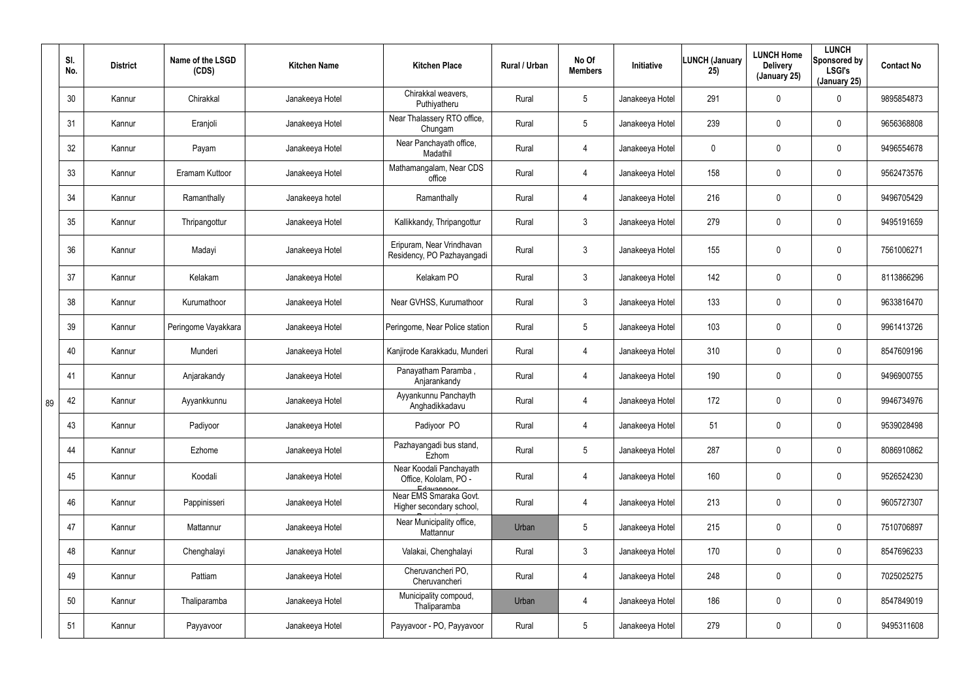|    | SI.<br>No. | <b>District</b> | Name of the LSGD<br>(CDS) | <b>Kitchen Name</b> | <b>Kitchen Place</b>                                             | Rural / Urban | No Of<br><b>Members</b> | Initiative      | <b>LUNCH (January</b><br>25) | <b>LUNCH Home</b><br><b>Delivery</b><br>(January 25) | <b>LUNCH</b><br>Sponsored by<br><b>LSGI's</b><br>(January 25) | <b>Contact No</b> |
|----|------------|-----------------|---------------------------|---------------------|------------------------------------------------------------------|---------------|-------------------------|-----------------|------------------------------|------------------------------------------------------|---------------------------------------------------------------|-------------------|
|    | 30         | Kannur          | Chirakkal                 | Janakeeya Hotel     | Chirakkal weavers,<br>Puthiyatheru                               | Rural         | $5\phantom{.0}$         | Janakeeya Hotel | 291                          | $\mathbf 0$                                          | $\mathbf 0$                                                   | 9895854873        |
|    | 31         | Kannur          | Eranjoli                  | Janakeeya Hotel     | Near Thalassery RTO office,<br>Chungam                           | Rural         | $5\phantom{.0}$         | Janakeeya Hotel | 239                          | 0                                                    | $\mathbf 0$                                                   | 9656368808        |
|    | 32         | Kannur          | Payam                     | Janakeeya Hotel     | Near Panchayath office,<br>Madathil                              | Rural         | $\overline{4}$          | Janakeeya Hotel | 0                            | 0                                                    | $\mathbf 0$                                                   | 9496554678        |
|    | 33         | Kannur          | Eramam Kuttoor            | Janakeeya Hotel     | Mathamangalam, Near CDS<br>office                                | Rural         | $\overline{4}$          | Janakeeya Hotel | 158                          | 0                                                    | $\mathbf 0$                                                   | 9562473576        |
|    | 34         | Kannur          | Ramanthally               | Janakeeya hotel     | Ramanthally                                                      | Rural         | $\overline{4}$          | Janakeeya Hotel | 216                          | 0                                                    | $\mathbf 0$                                                   | 9496705429        |
|    | 35         | Kannur          | Thripangottur             | Janakeeya Hotel     | Kallikkandy, Thripangottur                                       | Rural         | $\mathbf{3}$            | Janakeeya Hotel | 279                          | 0                                                    | $\mathbf 0$                                                   | 9495191659        |
|    | 36         | Kannur          | Madayi                    | Janakeeya Hotel     | Eripuram, Near Vrindhavan<br>Residency, PO Pazhayangadi          | Rural         | $\mathfrak{Z}$          | Janakeeya Hotel | 155                          | 0                                                    | $\mathbf 0$                                                   | 7561006271        |
|    | 37         | Kannur          | Kelakam                   | Janakeeya Hotel     | Kelakam PO                                                       | Rural         | $\mathbf{3}$            | Janakeeya Hotel | 142                          | 0                                                    | $\mathbf 0$                                                   | 8113866296        |
|    | 38         | Kannur          | Kurumathoor               | Janakeeya Hotel     | Near GVHSS, Kurumathoor                                          | Rural         | $\mathbf{3}$            | Janakeeya Hotel | 133                          | 0                                                    | $\mathbf 0$                                                   | 9633816470        |
|    | 39         | Kannur          | Peringome Vayakkara       | Janakeeya Hotel     | Peringome, Near Police station                                   | Rural         | $5\phantom{.0}$         | Janakeeya Hotel | 103                          | 0                                                    | $\mathbf 0$                                                   | 9961413726        |
|    | 40         | Kannur          | Munderi                   | Janakeeya Hotel     | Kanjirode Karakkadu, Munderi                                     | Rural         | $\overline{4}$          | Janakeeya Hotel | 310                          | $\pmb{0}$                                            | $\mathbf 0$                                                   | 8547609196        |
|    | 41         | Kannur          | Anjarakandy               | Janakeeya Hotel     | Panayatham Paramba,<br>Anjarankandy                              | Rural         | $\overline{4}$          | Janakeeya Hotel | 190                          | 0                                                    | $\pmb{0}$                                                     | 9496900755        |
| 89 | 42         | Kannur          | Ayyankkunnu               | Janakeeya Hotel     | Ayyankunnu Panchayth<br>Anghadikkadavu                           | Rural         | 4                       | Janakeeya Hotel | 172                          | 0                                                    | $\mathbf 0$                                                   | 9946734976        |
|    | 43         | Kannur          | Padiyoor                  | Janakeeya Hotel     | Padiyoor PO                                                      | Rural         | $\overline{4}$          | Janakeeya Hotel | 51                           | 0                                                    | $\pmb{0}$                                                     | 9539028498        |
|    | 44         | Kannur          | Ezhome                    | Janakeeya Hotel     | Pazhayangadi bus stand,<br>Ezhom                                 | Rural         | $5\phantom{.0}$         | Janakeeya Hotel | 287                          | 0                                                    | $\pmb{0}$                                                     | 8086910862        |
|    | 45         | Kannur          | Koodali                   | Janakeeya Hotel     | Near Koodali Panchayath<br>Office, Kololam, PO -                 | Rural         | 4                       | Janakeeya Hotel | 160                          | 0                                                    | $\pmb{0}$                                                     | 9526524230        |
|    | 46         | Kannur          | Pappinisseri              | Janakeeya Hotel     | Edavannont<br>Near EMS Smaraka Govt.<br>Higher secondary school, | Rural         | $\overline{4}$          | Janakeeya Hotel | 213                          | 0                                                    | $\pmb{0}$                                                     | 9605727307        |
|    | 47         | Kannur          | Mattannur                 | Janakeeya Hotel     | Near Municipality office,<br>Mattannur                           | Urban         | $5\phantom{.0}$         | Janakeeya Hotel | 215                          | 0                                                    | $\pmb{0}$                                                     | 7510706897        |
|    | 48         | Kannur          | Chenghalayi               | Janakeeya Hotel     | Valakai, Chenghalayi                                             | Rural         | $\mathbf{3}$            | Janakeeya Hotel | 170                          | 0                                                    | $\pmb{0}$                                                     | 8547696233        |
|    | 49         | Kannur          | Pattiam                   | Janakeeya Hotel     | Cheruvancheri PO,<br>Cheruvancheri                               | Rural         | $\overline{4}$          | Janakeeya Hotel | 248                          | 0                                                    | $\pmb{0}$                                                     | 7025025275        |
|    | 50         | Kannur          | Thaliparamba              | Janakeeya Hotel     | Municipality compoud,<br>Thaliparamba                            | Urban         | $\overline{4}$          | Janakeeya Hotel | 186                          | $\mathbf 0$                                          | $\pmb{0}$                                                     | 8547849019        |
|    | 51         | Kannur          | Payyavoor                 | Janakeeya Hotel     | Payyavoor - PO, Payyavoor                                        | Rural         | $5\phantom{.0}$         | Janakeeya Hotel | 279                          | 0                                                    | $\pmb{0}$                                                     | 9495311608        |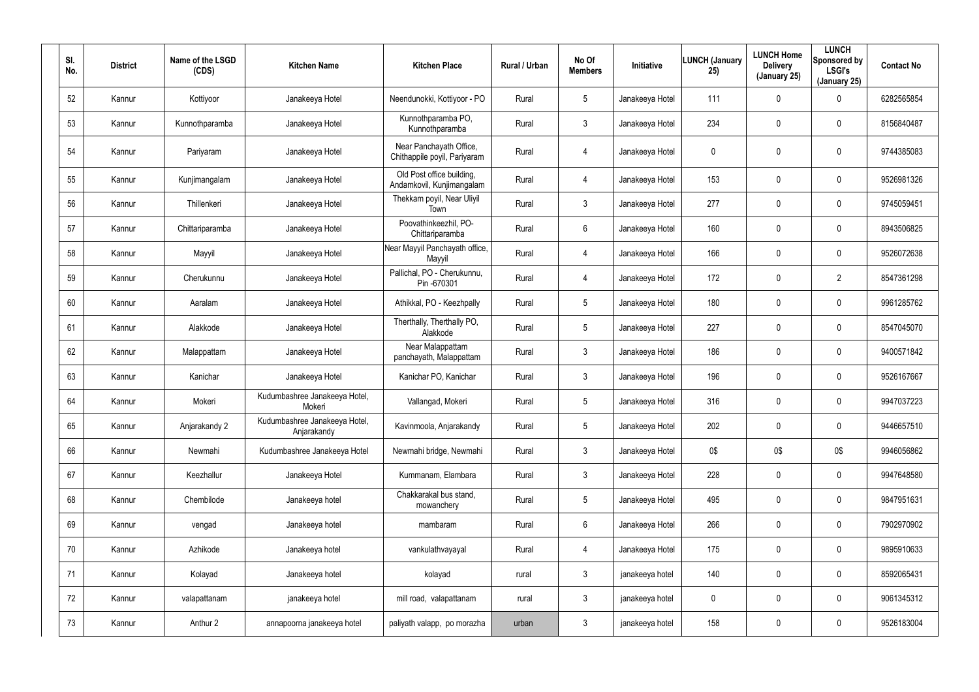| SI.<br>No. | <b>District</b> | Name of the LSGD<br>(CDS) | <b>Kitchen Name</b>                          | <b>Kitchen Place</b>                                    | Rural / Urban | No Of<br><b>Members</b> | Initiative      | <b>LUNCH (January</b><br>25) | <b>LUNCH Home</b><br><b>Delivery</b><br>(January 25) | <b>LUNCH</b><br>Sponsored by<br><b>LSGI's</b><br>(January 25) | <b>Contact No</b> |
|------------|-----------------|---------------------------|----------------------------------------------|---------------------------------------------------------|---------------|-------------------------|-----------------|------------------------------|------------------------------------------------------|---------------------------------------------------------------|-------------------|
| 52         | Kannur          | Kottiyoor                 | Janakeeya Hotel                              | Neendunokki, Kottiyoor - PO                             | Rural         | 5                       | Janakeeya Hotel | 111                          | 0                                                    | $\mathbf 0$                                                   | 6282565854        |
| 53         | Kannur          | Kunnothparamba            | Janakeeya Hotel                              | Kunnothparamba PO,<br>Kunnothparamba                    | Rural         | 3                       | Janakeeya Hotel | 234                          | 0                                                    | $\mathbf 0$                                                   | 8156840487        |
| 54         | Kannur          | Pariyaram                 | Janakeeya Hotel                              | Near Panchayath Office,<br>Chithappile poyil, Pariyaram | Rural         | 4                       | Janakeeya Hotel | 0                            | $\mathbf 0$                                          | $\pmb{0}$                                                     | 9744385083        |
| 55         | Kannur          | Kunjimangalam             | Janakeeya Hotel                              | Old Post office building,<br>Andamkovil, Kunjimangalam  | Rural         | 4                       | Janakeeya Hotel | 153                          | $\mathbf 0$                                          | $\pmb{0}$                                                     | 9526981326        |
| 56         | Kannur          | Thillenkeri               | Janakeeya Hotel                              | Thekkam poyil, Near Uliyil<br>Town                      | Rural         | $\mathfrak{Z}$          | Janakeeya Hotel | 277                          | 0                                                    | $\pmb{0}$                                                     | 9745059451        |
| 57         | Kannur          | Chittariparamba           | Janakeeya Hotel                              | Poovathinkeezhil, PO-<br>Chittariparamba                | Rural         | 6                       | Janakeeya Hotel | 160                          | $\mathbf 0$                                          | $\pmb{0}$                                                     | 8943506825        |
| 58         | Kannur          | Mayyil                    | Janakeeya Hotel                              | Near Mayyil Panchayath office,<br>Mayyil                | Rural         | 4                       | Janakeeya Hotel | 166                          | 0                                                    | $\pmb{0}$                                                     | 9526072638        |
| 59         | Kannur          | Cherukunnu                | Janakeeya Hotel                              | Pallichal, PO - Cherukunnu,<br>Pin -670301              | Rural         | 4                       | Janakeeya Hotel | 172                          | $\mathbf 0$                                          | $\overline{2}$                                                | 8547361298        |
| 60         | Kannur          | Aaralam                   | Janakeeya Hotel                              | Athikkal, PO - Keezhpally                               | Rural         | 5                       | Janakeeya Hotel | 180                          | 0                                                    | $\pmb{0}$                                                     | 9961285762        |
| 61         | Kannur          | Alakkode                  | Janakeeya Hotel                              | Therthally, Therthally PO,<br>Alakkode                  | Rural         | 5                       | Janakeeya Hotel | 227                          | $\mathbf 0$                                          | $\pmb{0}$                                                     | 8547045070        |
| 62         | Kannur          | Malappattam               | Janakeeya Hotel                              | Near Malappattam<br>panchayath, Malappattam             | Rural         | $\mathfrak{Z}$          | Janakeeya Hotel | 186                          | 0                                                    | $\pmb{0}$                                                     | 9400571842        |
| 63         | Kannur          | Kanichar                  | Janakeeya Hotel                              | Kanichar PO, Kanichar                                   | Rural         | $\mathfrak{Z}$          | Janakeeya Hotel | 196                          | $\mathbf 0$                                          | $\pmb{0}$                                                     | 9526167667        |
| 64         | Kannur          | Mokeri                    | Kudumbashree Janakeeya Hotel,<br>Mokeri      | Vallangad, Mokeri                                       | Rural         | 5                       | Janakeeya Hotel | 316                          | 0                                                    | $\pmb{0}$                                                     | 9947037223        |
| 65         | Kannur          | Anjarakandy 2             | Kudumbashree Janakeeya Hotel,<br>Anjarakandy | Kavinmoola, Anjarakandy                                 | Rural         | $\overline{5}$          | Janakeeya Hotel | 202                          | $\mathbf 0$                                          | $\pmb{0}$                                                     | 9446657510        |
| 66         | Kannur          | Newmahi                   | Kudumbashree Janakeeya Hotel                 | Newmahi bridge, Newmahi                                 | Rural         | $\mathbf{3}$            | Janakeeya Hotel | 0\$                          | 0\$                                                  | 0\$                                                           | 9946056862        |
| 67         | Kannur          | Keezhallur                | Janakeeya Hotel                              | Kummanam, Elambara                                      | Rural         | $\mathfrak{Z}$          | Janakeeya Hotel | 228                          | $\mathbf 0$                                          | $\pmb{0}$                                                     | 9947648580        |
| 68         | Kannur          | Chembilode                | Janakeeya hotel                              | Chakkarakal bus stand,<br>mowanchery                    | Rural         | $5\phantom{.0}$         | Janakeeya Hotel | 495                          | $\mathbf 0$                                          | $\pmb{0}$                                                     | 9847951631        |
| 69         | Kannur          | vengad                    | Janakeeya hotel                              | mambaram                                                | Rural         | 6                       | Janakeeya Hotel | 266                          | 0                                                    | $\pmb{0}$                                                     | 7902970902        |
| 70         | Kannur          | Azhikode                  | Janakeeya hotel                              | vankulathvayayal                                        | Rural         | 4                       | Janakeeya Hotel | 175                          | $\mathbf 0$                                          | $\pmb{0}$                                                     | 9895910633        |
| 71         | Kannur          | Kolayad                   | Janakeeya hotel                              | kolayad                                                 | rural         | $\mathfrak{Z}$          | janakeeya hotel | 140                          | 0                                                    | $\pmb{0}$                                                     | 8592065431        |
| 72         | Kannur          | valapattanam              | janakeeya hotel                              | mill road, valapattanam                                 | rural         | $\mathfrak{Z}$          | janakeeya hotel | 0                            | $\mathbf 0$                                          | $\mathsf{0}$                                                  | 9061345312        |
| 73         | Kannur          | Anthur 2                  | annapoorna janakeeya hotel                   | paliyath valapp, po morazha                             | urban         | $\mathfrak{Z}$          | janakeeya hotel | 158                          | 0                                                    | $\pmb{0}$                                                     | 9526183004        |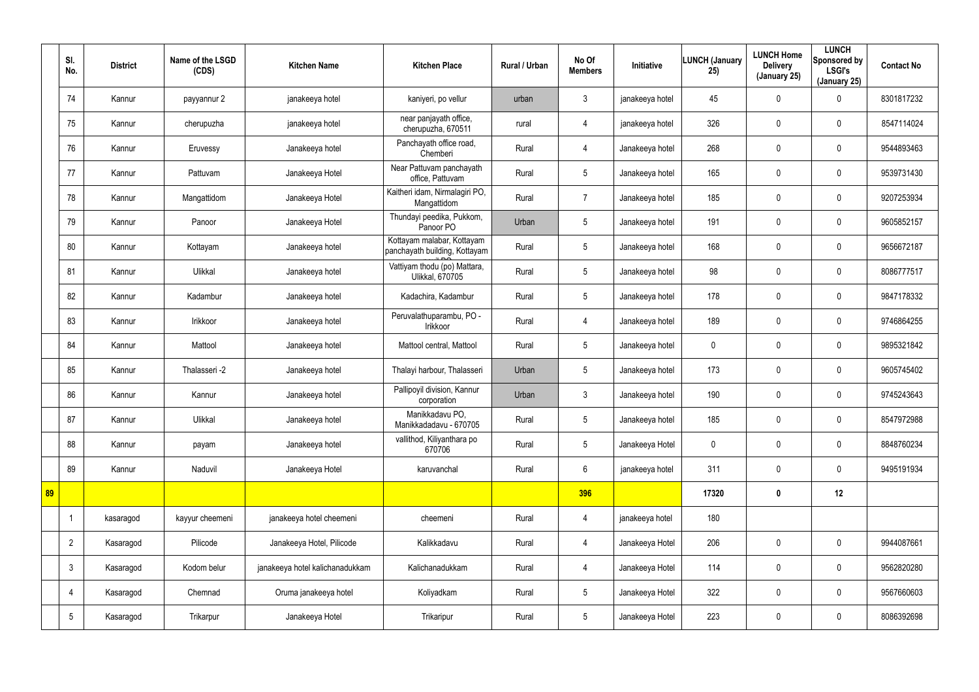|    | SI.<br>No.      | <b>District</b> | Name of the LSGD<br>(CDS) | <b>Kitchen Name</b>             | <b>Kitchen Place</b>                                        | Rural / Urban | No Of<br><b>Members</b> | <b>Initiative</b> | <b>LUNCH (January</b><br>25) | <b>LUNCH Home</b><br><b>Delivery</b><br>(January 25) | <b>LUNCH</b><br>Sponsored by<br><b>LSGI's</b><br>(January 25) | <b>Contact No</b> |
|----|-----------------|-----------------|---------------------------|---------------------------------|-------------------------------------------------------------|---------------|-------------------------|-------------------|------------------------------|------------------------------------------------------|---------------------------------------------------------------|-------------------|
|    | 74              | Kannur          | payyannur 2               | janakeeya hotel                 | kaniyeri, po vellur                                         | urban         | 3                       | janakeeya hotel   | 45                           | $\mathbf 0$                                          | 0                                                             | 8301817232        |
|    | 75              | Kannur          | cherupuzha                | janakeeya hotel                 | near panjayath office,<br>cherupuzha, 670511                | rural         | 4                       | janakeeya hotel   | 326                          | 0                                                    | $\pmb{0}$                                                     | 8547114024        |
|    | 76              | Kannur          | Eruvessy                  | Janakeeya hotel                 | Panchayath office road,<br>Chemberi                         | Rural         | $\overline{4}$          | Janakeeya hotel   | 268                          | $\mathbf 0$                                          | $\pmb{0}$                                                     | 9544893463        |
|    | 77              | Kannur          | Pattuvam                  | Janakeeya Hotel                 | Near Pattuvam panchayath<br>office, Pattuvam                | Rural         | $5\phantom{.0}$         | Janakeeya hotel   | 165                          | 0                                                    | 0                                                             | 9539731430        |
|    | 78              | Kannur          | Mangattidom               | Janakeeya Hotel                 | Kaitheri idam, Nirmalagiri PO,<br>Mangattidom               | Rural         | $\overline{7}$          | Janakeeya hotel   | 185                          | 0                                                    | 0                                                             | 9207253934        |
|    | 79              | Kannur          | Panoor                    | Janakeeya Hotel                 | Thundayi peedika, Pukkom,<br>Panoor PO                      | Urban         | $5\phantom{.0}$         | Janakeeya hotel   | 191                          | 0                                                    | 0                                                             | 9605852157        |
|    | 80              | Kannur          | Kottayam                  | Janakeeya hotel                 | Kottayam malabar, Kottayam<br>panchayath building, Kottayam | Rural         | $5\phantom{.0}$         | Janakeeya hotel   | 168                          | 0                                                    | $\pmb{0}$                                                     | 9656672187        |
|    | 81              | Kannur          | Ulikkal                   | Janakeeya hotel                 | Vattiyam thodu (po) Mattara,<br><b>Ulikkal, 670705</b>      | Rural         | $5\overline{)}$         | Janakeeya hotel   | 98                           | 0                                                    | 0                                                             | 8086777517        |
|    | 82              | Kannur          | Kadambur                  | Janakeeya hotel                 | Kadachira, Kadambur                                         | Rural         | $5\phantom{.0}$         | Janakeeya hotel   | 178                          | 0                                                    | 0                                                             | 9847178332        |
|    | 83              | Kannur          | Irikkoor                  | Janakeeya hotel                 | Peruvalathuparambu, PO -<br>Irikkoor                        | Rural         | $\overline{4}$          | Janakeeya hotel   | 189                          | 0                                                    | 0                                                             | 9746864255        |
|    | 84              | Kannur          | Mattool                   | Janakeeya hotel                 | Mattool central, Mattool                                    | Rural         | $5\phantom{.0}$         | Janakeeya hotel   | $\mathbf 0$                  | 0                                                    | $\pmb{0}$                                                     | 9895321842        |
|    | 85              | Kannur          | Thalasseri -2             | Janakeeya hotel                 | Thalayi harbour, Thalasseri                                 | Urban         | $5\overline{)}$         | Janakeeya hotel   | 173                          | 0                                                    | $\pmb{0}$                                                     | 9605745402        |
|    | 86              | Kannur          | Kannur                    | Janakeeya hotel                 | Pallipoyil division, Kannur<br>corporation                  | Urban         | $\mathbf{3}$            | Janakeeya hotel   | 190                          | 0                                                    | 0                                                             | 9745243643        |
|    | 87              | Kannur          | Ulikkal                   | Janakeeya hotel                 | Manikkadavu PO,<br>Manikkadadavu - 670705                   | Rural         | $5\phantom{.0}$         | Janakeeya hotel   | 185                          | 0                                                    | $\pmb{0}$                                                     | 8547972988        |
|    | 88              | Kannur          | payam                     | Janakeeya hotel                 | vallithod, Kiliyanthara po<br>670706                        | Rural         | $5\overline{)}$         | Janakeeya Hotel   | 0                            | $\mathbf 0$                                          | $\mathbf 0$                                                   | 8848760234        |
|    | 89              | Kannur          | Naduvil                   | Janakeeya Hotel                 | karuvanchal                                                 | Rural         | $6\overline{6}$         | janakeeya hotel   | 311                          | 0                                                    | $\mathbf 0$                                                   | 9495191934        |
| 89 |                 |                 |                           |                                 |                                                             |               | 396                     |                   | 17320                        | $\boldsymbol{0}$                                     | 12                                                            |                   |
|    | $\overline{1}$  | kasaragod       | kayyur cheemeni           | janakeeya hotel cheemeni        | cheemeni                                                    | Rural         | $\overline{4}$          | janakeeya hotel   | 180                          |                                                      |                                                               |                   |
|    | $\overline{2}$  | Kasaragod       | Pilicode                  | Janakeeya Hotel, Pilicode       | Kalikkadavu                                                 | Rural         | $\overline{4}$          | Janakeeya Hotel   | 206                          | $\mathbf 0$                                          | $\mathbf 0$                                                   | 9944087661        |
|    | $\mathbf{3}$    | Kasaragod       | Kodom belur               | janakeeya hotel kalichanadukkam | Kalichanadukkam                                             | Rural         | $\overline{4}$          | Janakeeya Hotel   | 114                          | 0                                                    | $\mathbf 0$                                                   | 9562820280        |
|    | 4               | Kasaragod       | Chemnad                   | Oruma janakeeya hotel           | Koliyadkam                                                  | Rural         | $5\overline{)}$         | Janakeeya Hotel   | 322                          | $\mathbf 0$                                          | $\mathbf 0$                                                   | 9567660603        |
|    | $5\phantom{.0}$ | Kasaragod       | Trikarpur                 | Janakeeya Hotel                 | Trikaripur                                                  | Rural         | $5\overline{)}$         | Janakeeya Hotel   | 223                          | 0                                                    | $\pmb{0}$                                                     | 8086392698        |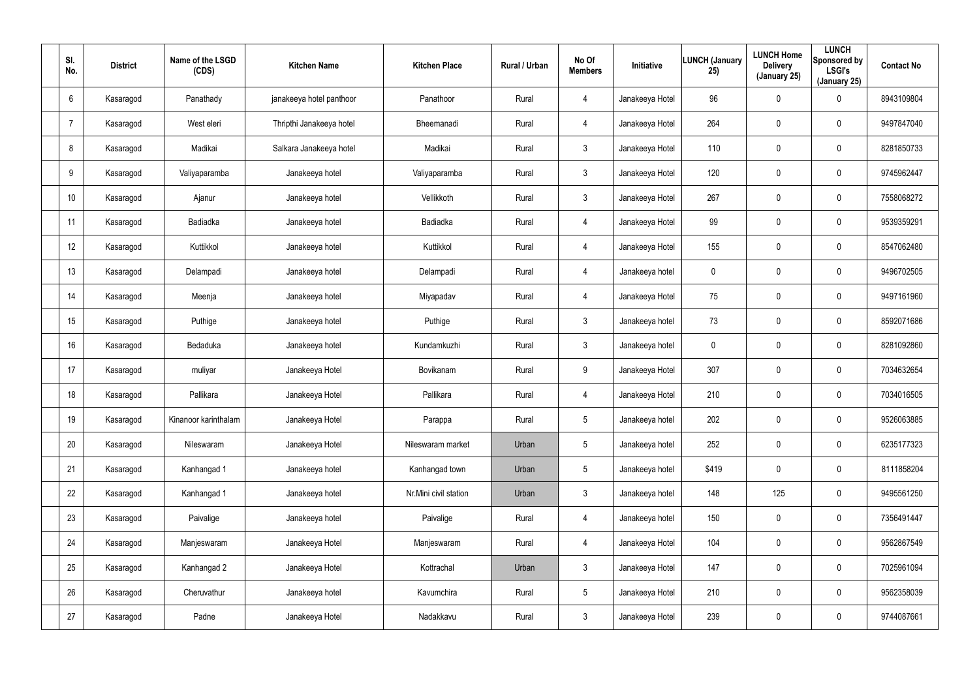| SI.<br>No.      | <b>District</b> | Name of the LSGD<br>(CDS) | <b>Kitchen Name</b>      | <b>Kitchen Place</b>  | Rural / Urban | No Of<br><b>Members</b> | Initiative      | <b>LUNCH (January</b><br>25) | <b>LUNCH Home</b><br><b>Delivery</b><br>(January 25) | <b>LUNCH</b><br>Sponsored by<br><b>LSGI's</b><br>(January 25) | <b>Contact No</b> |
|-----------------|-----------------|---------------------------|--------------------------|-----------------------|---------------|-------------------------|-----------------|------------------------------|------------------------------------------------------|---------------------------------------------------------------|-------------------|
| 6               | Kasaragod       | Panathady                 | janakeeya hotel panthoor | Panathoor             | Rural         | 4                       | Janakeeya Hotel | 96                           | $\boldsymbol{0}$                                     | $\boldsymbol{0}$                                              | 8943109804        |
|                 | Kasaragod       | West eleri                | Thripthi Janakeeya hotel | Bheemanadi            | Rural         | 4                       | Janakeeya Hotel | 264                          | $\boldsymbol{0}$                                     | $\mathbf 0$                                                   | 9497847040        |
| 8               | Kasaragod       | Madikai                   | Salkara Janakeeya hotel  | Madikai               | Rural         | 3 <sup>1</sup>          | Janakeeya Hotel | 110                          | $\boldsymbol{0}$                                     | $\pmb{0}$                                                     | 8281850733        |
| 9               | Kasaragod       | Valiyaparamba             | Janakeeya hotel          | Valiyaparamba         | Rural         | $\mathbf{3}$            | Janakeeya Hotel | 120                          | $\boldsymbol{0}$                                     | $\boldsymbol{0}$                                              | 9745962447        |
| 10 <sup>°</sup> | Kasaragod       | Ajanur                    | Janakeeya hotel          | Vellikkoth            | Rural         | 3                       | Janakeeya Hotel | 267                          | $\boldsymbol{0}$                                     | $\boldsymbol{0}$                                              | 7558068272        |
| 11              | Kasaragod       | Badiadka                  | Janakeeya hotel          | <b>Badiadka</b>       | Rural         | 4                       | Janakeeya Hotel | 99                           | 0                                                    | $\mathbf 0$                                                   | 9539359291        |
| 12              | Kasaragod       | Kuttikkol                 | Janakeeya hotel          | Kuttikkol             | Rural         | $\overline{4}$          | Janakeeya Hotel | 155                          | $\boldsymbol{0}$                                     | $\pmb{0}$                                                     | 8547062480        |
| 13              | Kasaragod       | Delampadi                 | Janakeeya hotel          | Delampadi             | Rural         | 4                       | Janakeeya hotel | 0                            | $\boldsymbol{0}$                                     | $\mathbf 0$                                                   | 9496702505        |
| 14              | Kasaragod       | Meenja                    | Janakeeya hotel          | Miyapadav             | Rural         | 4                       | Janakeeya Hotel | 75                           | $\boldsymbol{0}$                                     | $\boldsymbol{0}$                                              | 9497161960        |
| 15              | Kasaragod       | Puthige                   | Janakeeya hotel          | Puthige               | Rural         | $\mathbf{3}$            | Janakeeya hotel | 73                           | $\boldsymbol{0}$                                     | $\mathbf 0$                                                   | 8592071686        |
| 16              | Kasaragod       | Bedaduka                  | Janakeeya hotel          | Kundamkuzhi           | Rural         | $\mathbf{3}$            | Janakeeya hotel | 0                            | $\boldsymbol{0}$                                     | $\pmb{0}$                                                     | 8281092860        |
| 17              | Kasaragod       | muliyar                   | Janakeeya Hotel          | Bovikanam             | Rural         | 9                       | Janakeeya Hotel | 307                          | $\boldsymbol{0}$                                     | $\pmb{0}$                                                     | 7034632654        |
| 18              | Kasaragod       | Pallikara                 | Janakeeya Hotel          | Pallikara             | Rural         | 4                       | Janakeeya Hotel | 210                          | $\boldsymbol{0}$                                     | $\pmb{0}$                                                     | 7034016505        |
| 19              | Kasaragod       | Kinanoor karinthalam      | Janakeeya Hotel          | Parappa               | Rural         | $5\phantom{.0}$         | Janakeeya hotel | 202                          | $\pmb{0}$                                            | $\pmb{0}$                                                     | 9526063885        |
| 20              | Kasaragod       | Nileswaram                | Janakeeya Hotel          | Nileswaram market     | Urban         | $5\phantom{.0}$         | Janakeeya hotel | 252                          | 0                                                    | $\mathbf 0$                                                   | 6235177323        |
| 21              | Kasaragod       | Kanhangad 1               | Janakeeya hotel          | Kanhangad town        | Urban         | 5 <sub>5</sub>          | Janakeeya hotel | \$419                        | 0                                                    | $\mathbf 0$                                                   | 8111858204        |
| 22              | Kasaragod       | Kanhangad 1               | Janakeeya hotel          | Nr.Mini civil station | Urban         | $\mathbf{3}$            | Janakeeya hotel | 148                          | 125                                                  | $\mathbf 0$                                                   | 9495561250        |
| 23              | Kasaragod       | Paivalige                 | Janakeeya hotel          | Paivalige             | Rural         | $\overline{4}$          | Janakeeya hotel | 150                          | 0                                                    | $\mathbf 0$                                                   | 7356491447        |
| 24              | Kasaragod       | Manjeswaram               | Janakeeya Hotel          | Manjeswaram           | Rural         | $\overline{4}$          | Janakeeya Hotel | 104                          | 0                                                    | $\mathbf 0$                                                   | 9562867549        |
| 25              | Kasaragod       | Kanhangad 2               | Janakeeya Hotel          | Kottrachal            | Urban         | 3 <sup>5</sup>          | Janakeeya Hotel | 147                          | 0                                                    | $\mathbf 0$                                                   | 7025961094        |
| 26              | Kasaragod       | Cheruvathur               | Janakeeya hotel          | Kavumchira            | Rural         | $5\overline{)}$         | Janakeeya Hotel | 210                          | $\boldsymbol{0}$                                     | $\mathbf 0$                                                   | 9562358039        |
| 27              | Kasaragod       | Padne                     | Janakeeya Hotel          | Nadakkavu             | Rural         | $\mathbf{3}$            | Janakeeya Hotel | 239                          | 0                                                    | $\bf{0}$                                                      | 9744087661        |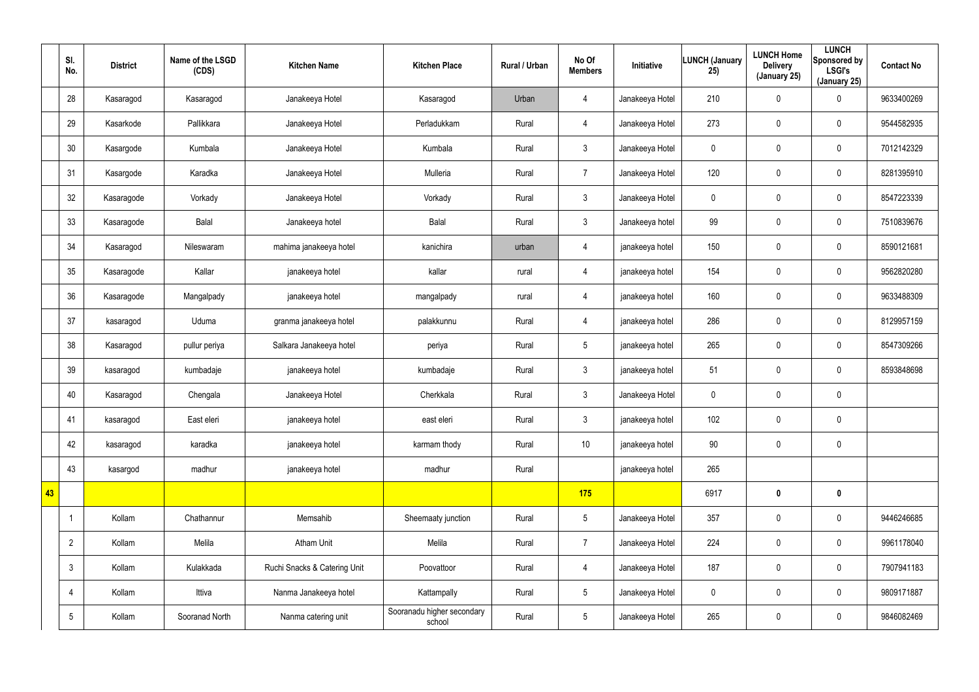|    | SI.<br>No.      | <b>District</b> | Name of the LSGD<br>(CDS) | <b>Kitchen Name</b>          | <b>Kitchen Place</b>                 | Rural / Urban | No Of<br><b>Members</b> | Initiative      | <b>LUNCH (January</b><br>25) | <b>LUNCH Home</b><br><b>Delivery</b><br>(January 25) | <b>LUNCH</b><br>Sponsored by<br><b>LSGI's</b><br>(January 25) | <b>Contact No</b> |
|----|-----------------|-----------------|---------------------------|------------------------------|--------------------------------------|---------------|-------------------------|-----------------|------------------------------|------------------------------------------------------|---------------------------------------------------------------|-------------------|
|    | 28              | Kasaragod       | Kasaragod                 | Janakeeya Hotel              | Kasaragod                            | Urban         | $\overline{4}$          | Janakeeya Hotel | 210                          | $\mathbf 0$                                          | $\mathbf 0$                                                   | 9633400269        |
|    | 29              | Kasarkode       | Pallikkara                | Janakeeya Hotel              | Perladukkam                          | Rural         | $\overline{4}$          | Janakeeya Hotel | 273                          | 0                                                    | $\mathbf 0$                                                   | 9544582935        |
|    | 30              | Kasargode       | Kumbala                   | Janakeeya Hotel              | Kumbala                              | Rural         | 3                       | Janakeeya Hotel | 0                            | $\mathbf 0$                                          | $\mathbf 0$                                                   | 7012142329        |
|    | 31              | Kasargode       | Karadka                   | Janakeeya Hotel              | Mulleria                             | Rural         | $\overline{7}$          | Janakeeya Hotel | 120                          | $\mathbf 0$                                          | $\mathbf 0$                                                   | 8281395910        |
|    | 32              | Kasaragode      | Vorkady                   | Janakeeya Hotel              | Vorkady                              | Rural         | $\mathbf{3}$            | Janakeeya Hotel | 0                            | $\mathbf 0$                                          | $\mathbf 0$                                                   | 8547223339        |
|    | 33              | Kasaragode      | Balal                     | Janakeeya hotel              | Balal                                | Rural         | $\mathbf{3}$            | Janakeeya hotel | 99                           | $\mathbf 0$                                          | $\mathbf 0$                                                   | 7510839676        |
|    | 34              | Kasaragod       | Nileswaram                | mahima janakeeya hotel       | kanichira                            | urban         | 4                       | janakeeya hotel | 150                          | $\mathbf 0$                                          | $\mathbf 0$                                                   | 8590121681        |
|    | 35              | Kasaragode      | Kallar                    | janakeeya hotel              | kallar                               | rural         | 4                       | janakeeya hotel | 154                          | 0                                                    | $\mathbf 0$                                                   | 9562820280        |
|    | 36              | Kasaragode      | Mangalpady                | janakeeya hotel              | mangalpady                           | rural         | 4                       | janakeeya hotel | 160                          | $\mathbf 0$                                          | $\pmb{0}$                                                     | 9633488309        |
|    | 37              | kasaragod       | Uduma                     | granma janakeeya hotel       | palakkunnu                           | Rural         | $\overline{4}$          | janakeeya hotel | 286                          | 0                                                    | $\mathbf 0$                                                   | 8129957159        |
|    | 38              | Kasaragod       | pullur periya             | Salkara Janakeeya hotel      | periya                               | Rural         | $5\overline{)}$         | janakeeya hotel | 265                          | 0                                                    | 0                                                             | 8547309266        |
|    | 39              | kasaragod       | kumbadaje                 | janakeeya hotel              | kumbadaje                            | Rural         | 3                       | janakeeya hotel | 51                           | 0                                                    | $\mathbf 0$                                                   | 8593848698        |
|    | 40              | Kasaragod       | Chengala                  | Janakeeya Hotel              | Cherkkala                            | Rural         | $\mathbf{3}$            | Janakeeya Hotel | 0                            | 0                                                    | $\pmb{0}$                                                     |                   |
|    | 41              | kasaragod       | East eleri                | janakeeya hotel              | east eleri                           | Rural         | $\mathbf{3}$            | janakeeya hotel | 102                          | $\pmb{0}$                                            | $\pmb{0}$                                                     |                   |
|    | 42              | kasaragod       | karadka                   | janakeeya hotel              | karmam thody                         | Rural         | 10 <sup>°</sup>         | janakeeya hotel | 90                           | $\pmb{0}$                                            | $\mathbf 0$                                                   |                   |
|    | 43              | kasargod        | madhur                    | janakeeya hotel              | madhur                               | Rural         |                         | janakeeya hotel | 265                          |                                                      |                                                               |                   |
| 43 |                 |                 |                           |                              |                                      |               | 175                     |                 | 6917                         | $\boldsymbol{0}$                                     | $\mathbf 0$                                                   |                   |
|    | -1              | Kollam          | Chathannur                | Memsahib                     | Sheemaaty junction                   | Rural         | $5\overline{)}$         | Janakeeya Hotel | 357                          | 0                                                    | $\pmb{0}$                                                     | 9446246685        |
|    | $\overline{2}$  | Kollam          | Melila                    | <b>Atham Unit</b>            | Melila                               | Rural         | $\overline{7}$          | Janakeeya Hotel | 224                          | $\mathbf 0$                                          | $\pmb{0}$                                                     | 9961178040        |
|    | $\mathbf{3}$    | Kollam          | Kulakkada                 | Ruchi Snacks & Catering Unit | Poovattoor                           | Rural         | $\overline{4}$          | Janakeeya Hotel | 187                          | 0                                                    | $\pmb{0}$                                                     | 7907941183        |
|    | $\overline{4}$  | Kollam          | Ittiva                    | Nanma Janakeeya hotel        | Kattampally                          | Rural         | $5\overline{)}$         | Janakeeya Hotel | $\pmb{0}$                    | $\mathbf 0$                                          | $\mathbf 0$                                                   | 9809171887        |
|    | $5\phantom{.0}$ | Kollam          | Sooranad North            | Nanma catering unit          | Sooranadu higher secondary<br>school | Rural         | $5\overline{)}$         | Janakeeya Hotel | 265                          | 0                                                    | $\pmb{0}$                                                     | 9846082469        |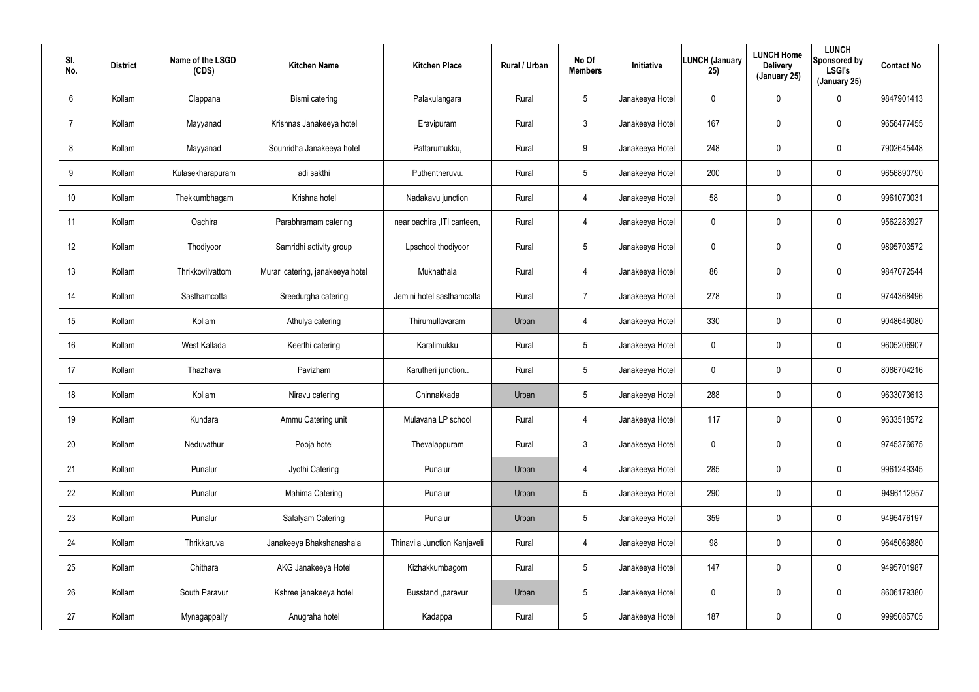| SI.<br>No. | <b>District</b> | Name of the LSGD<br>(CDS) | <b>Kitchen Name</b>              | <b>Kitchen Place</b>         | <b>Rural / Urban</b> | No Of<br><b>Members</b> | Initiative      | <b>LUNCH (January</b><br>25) | <b>LUNCH Home</b><br><b>Delivery</b><br>(January 25) | <b>LUNCH</b><br>Sponsored by<br><b>LSGI's</b><br>(January 25) | <b>Contact No</b> |
|------------|-----------------|---------------------------|----------------------------------|------------------------------|----------------------|-------------------------|-----------------|------------------------------|------------------------------------------------------|---------------------------------------------------------------|-------------------|
| 6          | Kollam          | Clappana                  | Bismi catering                   | Palakulangara                | Rural                | 5                       | Janakeeya Hotel | $\mathbf 0$                  | 0                                                    | 0                                                             | 9847901413        |
| 7          | Kollam          | Mayyanad                  | Krishnas Janakeeya hotel         | Eravipuram                   | Rural                | $\mathbf{3}$            | Janakeeya Hotel | 167                          | 0                                                    | $\mathbf 0$                                                   | 9656477455        |
| 8          | Kollam          | Mayyanad                  | Souhridha Janakeeya hotel        | Pattarumukku,                | Rural                | 9                       | Janakeeya Hotel | 248                          | 0                                                    | $\mathbf 0$                                                   | 7902645448        |
| 9          | Kollam          | Kulasekharapuram          | adi sakthi                       | Puthentheruvu.               | Rural                | $5\overline{)}$         | Janakeeya Hotel | 200                          | 0                                                    | $\mathbf 0$                                                   | 9656890790        |
| 10         | Kollam          | Thekkumbhagam             | Krishna hotel                    | Nadakavu junction            | Rural                | $\overline{4}$          | Janakeeya Hotel | 58                           | 0                                                    | $\mathbf 0$                                                   | 9961070031        |
| 11         | Kollam          | Oachira                   | Parabhramam catering             | near oachira , ITI canteen,  | Rural                | 4                       | Janakeeya Hotel | 0                            | 0                                                    | $\mathbf 0$                                                   | 9562283927        |
| 12         | Kollam          | Thodiyoor                 | Samridhi activity group          | Lpschool thodiyoor           | Rural                | 5                       | Janakeeya Hotel | 0                            | $\boldsymbol{0}$                                     | 0                                                             | 9895703572        |
| 13         | Kollam          | Thrikkovilvattom          | Murari catering, janakeeya hotel | Mukhathala                   | Rural                | $\overline{4}$          | Janakeeya Hotel | 86                           | $\boldsymbol{0}$                                     | $\mathbf 0$                                                   | 9847072544        |
| 14         | Kollam          | Sasthamcotta              | Sreedurgha catering              | Jemini hotel sasthamcotta    | Rural                | $\overline{7}$          | Janakeeya Hotel | 278                          | $\boldsymbol{0}$                                     | 0                                                             | 9744368496        |
| 15         | Kollam          | Kollam                    | Athulya catering                 | Thirumullavaram              | Urban                | $\overline{4}$          | Janakeeya Hotel | 330                          | $\boldsymbol{0}$                                     | $\mathbf 0$                                                   | 9048646080        |
| 16         | Kollam          | West Kallada              | Keerthi catering                 | Karalimukku                  | Rural                | 5                       | Janakeeya Hotel | 0                            | $\boldsymbol{0}$                                     | 0                                                             | 9605206907        |
| 17         | Kollam          | Thazhava                  | Pavizham                         | Karutheri junction           | Rural                | 5                       | Janakeeya Hotel | 0                            | $\boldsymbol{0}$                                     | $\mathbf 0$                                                   | 8086704216        |
| 18         | Kollam          | Kollam                    | Niravu catering                  | Chinnakkada                  | Urban                | 5                       | Janakeeya Hotel | 288                          | $\boldsymbol{0}$                                     | $\mathbf 0$                                                   | 9633073613        |
| 19         | Kollam          | Kundara                   | Ammu Catering unit               | Mulavana LP school           | Rural                | $\overline{4}$          | Janakeeya Hotel | 117                          | $\pmb{0}$                                            | $\pmb{0}$                                                     | 9633518572        |
| 20         | Kollam          | Neduvathur                | Pooja hotel                      | Thevalappuram                | Rural                | $\mathfrak{Z}$          | Janakeeya Hotel | $\pmb{0}$                    | $\pmb{0}$                                            | $\pmb{0}$                                                     | 9745376675        |
| 21         | Kollam          | Punalur                   | Jyothi Catering                  | Punalur                      | Urban                | $\overline{4}$          | Janakeeya Hotel | 285                          | $\pmb{0}$                                            | $\pmb{0}$                                                     | 9961249345        |
| 22         | Kollam          | Punalur                   | Mahima Catering                  | Punalur                      | Urban                | $5\phantom{.0}$         | Janakeeya Hotel | 290                          | $\pmb{0}$                                            | $\pmb{0}$                                                     | 9496112957        |
| 23         | Kollam          | Punalur                   | Safalyam Catering                | Punalur                      | Urban                | $5\phantom{.0}$         | Janakeeya Hotel | 359                          | $\mathbf 0$                                          | $\pmb{0}$                                                     | 9495476197        |
| 24         | Kollam          | Thrikkaruva               | Janakeeya Bhakshanashala         | Thinavila Junction Kanjaveli | Rural                | $\overline{4}$          | Janakeeya Hotel | 98                           | $\pmb{0}$                                            | 0                                                             | 9645069880        |
| 25         | Kollam          | Chithara                  | AKG Janakeeya Hotel              | Kizhakkumbagom               | Rural                | $5\phantom{.0}$         | Janakeeya Hotel | 147                          | $\mathbf 0$                                          | $\pmb{0}$                                                     | 9495701987        |
| 26         | Kollam          | South Paravur             | Kshree janakeeya hotel           | Busstand , paravur           | Urban                | $5\phantom{.0}$         | Janakeeya Hotel | 0                            | $\pmb{0}$                                            | 0                                                             | 8606179380        |
| 27         | Kollam          | Mynagappally              | Anugraha hotel                   | Kadappa                      | Rural                | $5\phantom{.0}$         | Janakeeya Hotel | 187                          | $\boldsymbol{0}$                                     | 0                                                             | 9995085705        |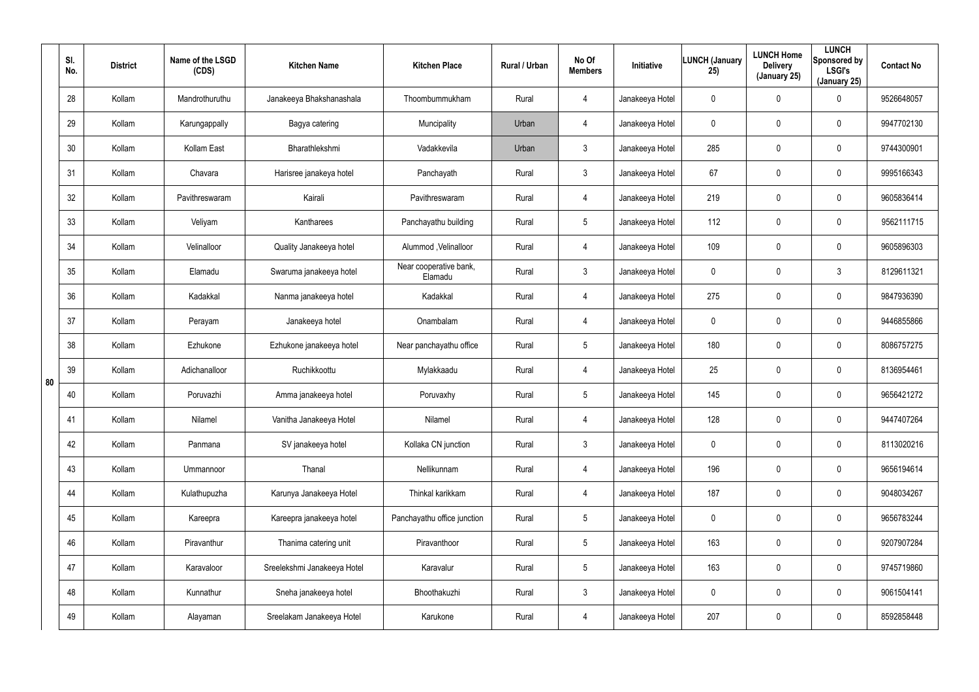|    | SI.<br>No. | <b>District</b> | Name of the LSGD<br>(CDS) | <b>Kitchen Name</b>         | <b>Kitchen Place</b>              | Rural / Urban | No Of<br><b>Members</b> | Initiative      | <b>LUNCH (January</b><br>25) | <b>LUNCH Home</b><br><b>Delivery</b><br>(January 25) | <b>LUNCH</b><br>Sponsored by<br><b>LSGI's</b><br>(January 25) | <b>Contact No</b> |
|----|------------|-----------------|---------------------------|-----------------------------|-----------------------------------|---------------|-------------------------|-----------------|------------------------------|------------------------------------------------------|---------------------------------------------------------------|-------------------|
|    | 28         | Kollam          | Mandrothuruthu            | Janakeeya Bhakshanashala    | Thoombummukham                    | Rural         | 4                       | Janakeeya Hotel | 0                            | $\mathbf 0$                                          | 0                                                             | 9526648057        |
|    | 29         | Kollam          | Karungappally             | Bagya catering              | Muncipality                       | Urban         | 4                       | Janakeeya Hotel | 0                            | $\mathbf 0$                                          | 0                                                             | 9947702130        |
|    | 30         | Kollam          | Kollam East               | Bharathlekshmi              | Vadakkevila                       | Urban         | $\mathfrak{Z}$          | Janakeeya Hotel | 285                          | $\mathbf 0$                                          | 0                                                             | 9744300901        |
|    | 31         | Kollam          | Chavara                   | Harisree janakeya hotel     | Panchayath                        | Rural         | $\mathfrak{Z}$          | Janakeeya Hotel | 67                           | $\mathbf 0$                                          | 0                                                             | 9995166343        |
|    | 32         | Kollam          | Pavithreswaram            | Kairali                     | Pavithreswaram                    | Rural         | 4                       | Janakeeya Hotel | 219                          | $\mathbf 0$                                          | 0                                                             | 9605836414        |
|    | 33         | Kollam          | Veliyam                   | Kantharees                  | Panchayathu building              | Rural         | 5                       | Janakeeya Hotel | 112                          | $\mathbf 0$                                          | 0                                                             | 9562111715        |
|    | 34         | Kollam          | Velinalloor               | Quality Janakeeya hotel     | Alummod, Velinalloor              | Rural         | 4                       | Janakeeya Hotel | 109                          | $\mathbf 0$                                          | 0                                                             | 9605896303        |
|    | 35         | Kollam          | Elamadu                   | Swaruma janakeeya hotel     | Near cooperative bank,<br>Elamadu | Rural         | $\mathbf{3}$            | Janakeeya Hotel | 0                            | 0                                                    | 3                                                             | 8129611321        |
|    | 36         | Kollam          | Kadakkal                  | Nanma janakeeya hotel       | Kadakkal                          | Rural         | 4                       | Janakeeya Hotel | 275                          | $\mathbf 0$                                          | 0                                                             | 9847936390        |
|    | 37         | Kollam          | Perayam                   | Janakeeya hotel             | Onambalam                         | Rural         | 4                       | Janakeeya Hotel | 0                            | 0                                                    | 0                                                             | 9446855866        |
|    | 38         | Kollam          | Ezhukone                  | Ezhukone janakeeya hotel    | Near panchayathu office           | Rural         | $5\overline{)}$         | Janakeeya Hotel | 180                          | $\mathbf 0$                                          | 0                                                             | 8086757275        |
| 80 | 39         | Kollam          | Adichanalloor             | Ruchikkoottu                | Mylakkaadu                        | Rural         | 4                       | Janakeeya Hotel | 25                           | 0                                                    | 0                                                             | 8136954461        |
|    | 40         | Kollam          | Poruvazhi                 | Amma janakeeya hotel        | Poruvaxhy                         | Rural         | $5\overline{)}$         | Janakeeya Hotel | 145                          | $\mathbf 0$                                          | 0                                                             | 9656421272        |
|    | 41         | Kollam          | Nilamel                   | Vanitha Janakeeya Hotel     | Nilamel                           | Rural         | 4                       | Janakeeya Hotel | 128                          | $\mathbf 0$                                          | 0                                                             | 9447407264        |
|    | 42         | Kollam          | Panmana                   | SV janakeeya hotel          | Kollaka CN junction               | Rural         | $\mathbf{3}$            | Janakeeya Hotel | 0                            | $\mathbf 0$                                          | 0                                                             | 8113020216        |
|    | 43         | Kollam          | Ummannoor                 | Thanal                      | Nellikunnam                       | Rural         | 4                       | Janakeeya Hotel | 196                          | $\mathbf 0$                                          | 0                                                             | 9656194614        |
|    | 44         | Kollam          | Kulathupuzha              | Karunya Janakeeya Hotel     | Thinkal karikkam                  | Rural         | 4                       | Janakeeya Hotel | 187                          | $\mathbf 0$                                          | 0                                                             | 9048034267        |
|    | 45         | Kollam          | Kareepra                  | Kareepra janakeeya hotel    | Panchayathu office junction       | Rural         | $5\phantom{.0}$         | Janakeeya Hotel | 0                            | $\boldsymbol{0}$                                     | 0                                                             | 9656783244        |
|    | 46         | Kollam          | Piravanthur               | Thanima catering unit       | Piravanthoor                      | Rural         | $5\phantom{.0}$         | Janakeeya Hotel | 163                          | $\boldsymbol{0}$                                     | 0                                                             | 9207907284        |
|    | 47         | Kollam          | Karavaloor                | Sreelekshmi Janakeeya Hotel | Karavalur                         | Rural         | $5\phantom{.0}$         | Janakeeya Hotel | 163                          | $\mathbf 0$                                          | 0                                                             | 9745719860        |
|    | 48         | Kollam          | Kunnathur                 | Sneha janakeeya hotel       | Bhoothakuzhi                      | Rural         | $\mathbf{3}$            | Janakeeya Hotel | 0                            | $\boldsymbol{0}$                                     | 0                                                             | 9061504141        |
|    | 49         | Kollam          | Alayaman                  | Sreelakam Janakeeya Hotel   | Karukone                          | Rural         | 4                       | Janakeeya Hotel | 207                          | $\mathbf 0$                                          | 0                                                             | 8592858448        |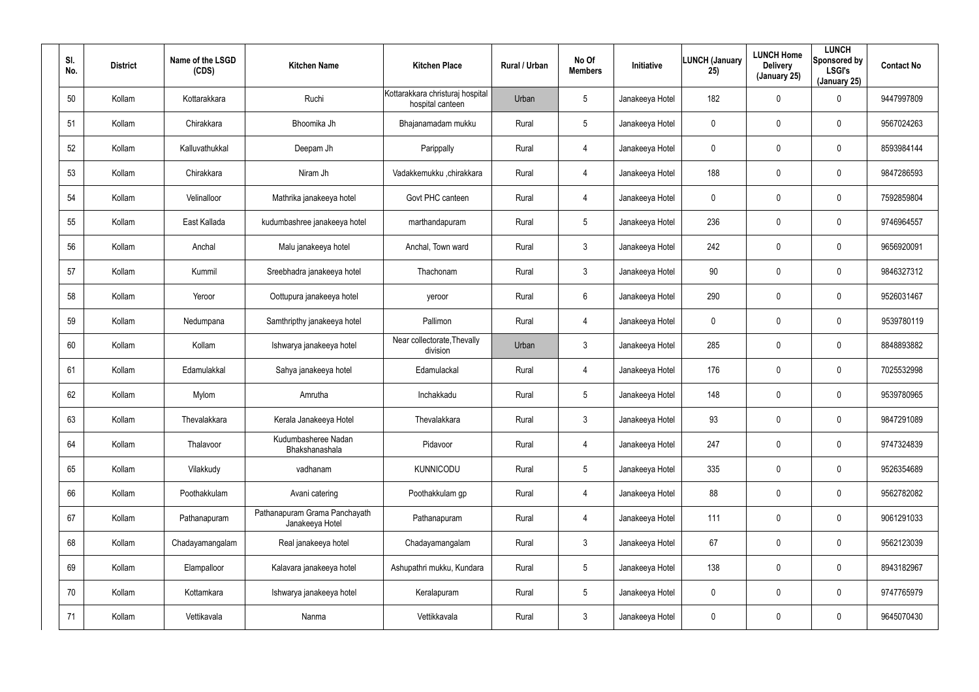| SI.<br>No. | <b>District</b> | Name of the LSGD<br>(CDS) | <b>Kitchen Name</b>                              | <b>Kitchen Place</b>                                 | Rural / Urban | No Of<br><b>Members</b> | Initiative      | <b>LUNCH (January</b><br>25) | <b>LUNCH Home</b><br><b>Delivery</b><br>(January 25) | <b>LUNCH</b><br>Sponsored by<br><b>LSGI's</b><br>(January 25) | <b>Contact No</b> |
|------------|-----------------|---------------------------|--------------------------------------------------|------------------------------------------------------|---------------|-------------------------|-----------------|------------------------------|------------------------------------------------------|---------------------------------------------------------------|-------------------|
| 50         | Kollam          | Kottarakkara              | Ruchi                                            | Kottarakkara christuraj hospital<br>hospital canteen | Urban         | $5\overline{)}$         | Janakeeya Hotel | 182                          | $\mathbf 0$                                          | 0                                                             | 9447997809        |
| 51         | Kollam          | Chirakkara                | Bhoomika Jh                                      | Bhajanamadam mukku                                   | Rural         | $5\overline{)}$         | Janakeeya Hotel | 0                            | 0                                                    | 0                                                             | 9567024263        |
| 52         | Kollam          | Kalluvathukkal            | Deepam Jh                                        | Parippally                                           | Rural         | 4                       | Janakeeya Hotel | 0                            | $\mathbf 0$                                          | 0                                                             | 8593984144        |
| 53         | Kollam          | Chirakkara                | Niram Jh                                         | Vadakkemukku ,chirakkara                             | Rural         | $\overline{4}$          | Janakeeya Hotel | 188                          | 0                                                    | 0                                                             | 9847286593        |
| 54         | Kollam          | Velinalloor               | Mathrika janakeeya hotel                         | Govt PHC canteen                                     | Rural         | 4                       | Janakeeya Hotel | 0                            | $\mathbf 0$                                          | 0                                                             | 7592859804        |
| 55         | Kollam          | East Kallada              | kudumbashree janakeeya hotel                     | marthandapuram                                       | Rural         | $5\overline{)}$         | Janakeeya Hotel | 236                          | 0                                                    | 0                                                             | 9746964557        |
| 56         | Kollam          | Anchal                    | Malu janakeeya hotel                             | Anchal, Town ward                                    | Rural         | $\mathbf{3}$            | Janakeeya Hotel | 242                          | $\pmb{0}$                                            | 0                                                             | 9656920091        |
| 57         | Kollam          | Kummil                    | Sreebhadra janakeeya hotel                       | Thachonam                                            | Rural         | $\mathbf{3}$            | Janakeeya Hotel | 90                           | $\boldsymbol{0}$                                     | 0                                                             | 9846327312        |
| 58         | Kollam          | Yeroor                    | Oottupura janakeeya hotel                        | yeroor                                               | Rural         | $6\phantom{.}6$         | Janakeeya Hotel | 290                          | $\pmb{0}$                                            | 0                                                             | 9526031467        |
| 59         | Kollam          | Nedumpana                 | Samthripthy janakeeya hotel                      | Pallimon                                             | Rural         | 4                       | Janakeeya Hotel | 0                            | $\boldsymbol{0}$                                     | 0                                                             | 9539780119        |
| 60         | Kollam          | Kollam                    | Ishwarya janakeeya hotel                         | Near collectorate, Thevally<br>division              | Urban         | $\mathbf{3}$            | Janakeeya Hotel | 285                          | $\pmb{0}$                                            | 0                                                             | 8848893882        |
| 61         | Kollam          | Edamulakkal               | Sahya janakeeya hotel                            | Edamulackal                                          | Rural         | 4                       | Janakeeya Hotel | 176                          | $\boldsymbol{0}$                                     | 0                                                             | 7025532998        |
| 62         | Kollam          | Mylom                     | Amrutha                                          | Inchakkadu                                           | Rural         | 5                       | Janakeeya Hotel | 148                          | $\boldsymbol{0}$                                     | 0                                                             | 9539780965        |
| 63         | Kollam          | Thevalakkara              | Kerala Janakeeya Hotel                           | Thevalakkara                                         | Rural         | 3                       | Janakeeya Hotel | 93                           | $\pmb{0}$                                            | 0                                                             | 9847291089        |
| 64         | Kollam          | Thalavoor                 | Kudumbasheree Nadan<br>Bhakshanashala            | Pidavoor                                             | Rural         | $\overline{4}$          | Janakeeya Hotel | 247                          | $\overline{0}$                                       | 0                                                             | 9747324839        |
| 65         | Kollam          | Vilakkudy                 | vadhanam                                         | KUNNICODU                                            | Rural         | $5\phantom{.0}$         | Janakeeya Hotel | 335                          | $\boldsymbol{0}$                                     | 0                                                             | 9526354689        |
| 66         | Kollam          | Poothakkulam              | Avani catering                                   | Poothakkulam gp                                      | Rural         | $\overline{4}$          | Janakeeya Hotel | 88                           | $\boldsymbol{0}$                                     | 0                                                             | 9562782082        |
| 67         | Kollam          | Pathanapuram              | Pathanapuram Grama Panchayath<br>Janakeeya Hotel | Pathanapuram                                         | Rural         | 4                       | Janakeeya Hotel | 111                          | $\overline{0}$                                       | 0                                                             | 9061291033        |
| 68         | Kollam          | Chadayamangalam           | Real janakeeya hotel                             | Chadayamangalam                                      | Rural         | $\mathbf{3}$            | Janakeeya Hotel | 67                           | $\overline{0}$                                       | 0                                                             | 9562123039        |
| 69         | Kollam          | Elampalloor               | Kalavara janakeeya hotel                         | Ashupathri mukku, Kundara                            | Rural         | $5\phantom{.0}$         | Janakeeya Hotel | 138                          | $\mathbf 0$                                          | 0                                                             | 8943182967        |
| 70         | Kollam          | Kottamkara                | Ishwarya janakeeya hotel                         | Keralapuram                                          | Rural         | $5\phantom{.0}$         | Janakeeya Hotel | 0                            | $\mathbf 0$                                          | 0                                                             | 9747765979        |
| 71         | Kollam          | Vettikavala               | Nanma                                            | Vettikkavala                                         | Rural         | $\mathfrak{Z}$          | Janakeeya Hotel | 0                            | $\mathbf 0$                                          | 0                                                             | 9645070430        |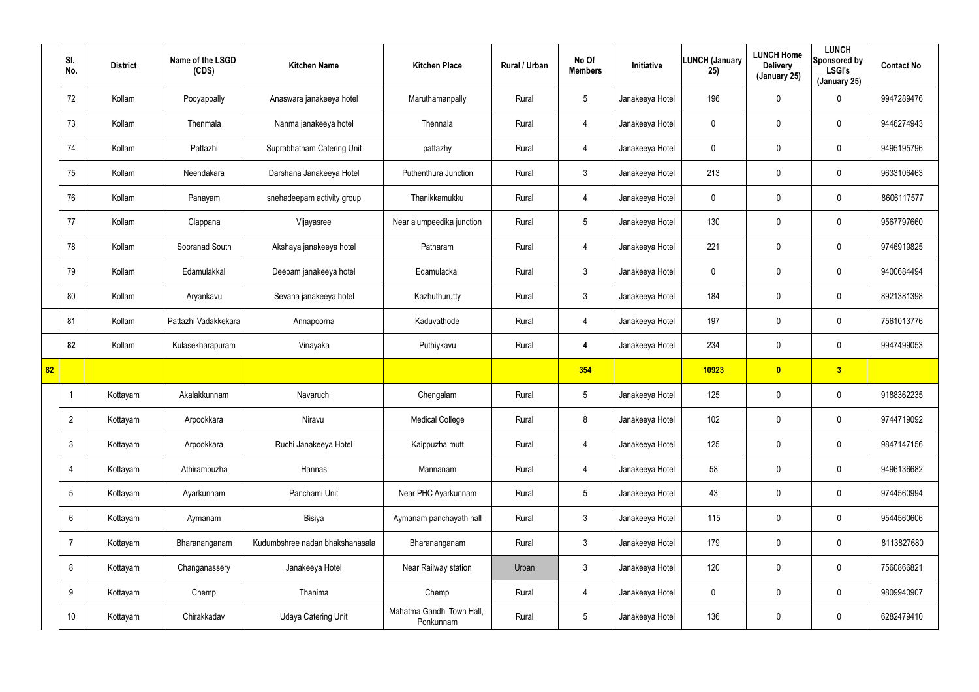|                 | SI.<br>No.      | <b>District</b> | Name of the LSGD<br>(CDS) | <b>Kitchen Name</b>             | <b>Kitchen Place</b>                   | Rural / Urban | No Of<br><b>Members</b> | Initiative      | LUNCH (January<br>25) | <b>LUNCH Home</b><br><b>Delivery</b><br>(January 25) | <b>LUNCH</b><br>Sponsored by<br><b>LSGI's</b><br>(January 25) | <b>Contact No</b> |
|-----------------|-----------------|-----------------|---------------------------|---------------------------------|----------------------------------------|---------------|-------------------------|-----------------|-----------------------|------------------------------------------------------|---------------------------------------------------------------|-------------------|
|                 | 72              | Kollam          | Pooyappally               | Anaswara janakeeya hotel        | Maruthamanpally                        | Rural         | $5\phantom{.0}$         | Janakeeya Hotel | 196                   | 0                                                    | $\mathbf 0$                                                   | 9947289476        |
|                 | 73              | Kollam          | Thenmala                  | Nanma janakeeya hotel           | Thennala                               | Rural         | $\overline{4}$          | Janakeeya Hotel | 0                     | 0                                                    | $\mathbf 0$                                                   | 9446274943        |
|                 | 74              | Kollam          | Pattazhi                  | Suprabhatham Catering Unit      | pattazhy                               | Rural         | $\overline{4}$          | Janakeeya Hotel | 0                     | 0                                                    | $\mathbf 0$                                                   | 9495195796        |
|                 | 75              | Kollam          | Neendakara                | Darshana Janakeeya Hotel        | Puthenthura Junction                   | Rural         | $\mathbf{3}$            | Janakeeya Hotel | 213                   | 0                                                    | $\mathbf 0$                                                   | 9633106463        |
|                 | 76              | Kollam          | Panayam                   | snehadeepam activity group      | Thanikkamukku                          | Rural         | $\overline{4}$          | Janakeeya Hotel | 0                     | 0                                                    | $\mathbf 0$                                                   | 8606117577        |
|                 | 77              | Kollam          | Clappana                  | Vijayasree                      | Near alumpeedika junction              | Rural         | $5\overline{)}$         | Janakeeya Hotel | 130                   | 0                                                    | $\mathbf 0$                                                   | 9567797660        |
|                 | 78              | Kollam          | Sooranad South            | Akshaya janakeeya hotel         | Patharam                               | Rural         | $\overline{4}$          | Janakeeya Hotel | 221                   | 0                                                    | $\mathbf 0$                                                   | 9746919825        |
|                 | 79              | Kollam          | Edamulakkal               | Deepam janakeeya hotel          | Edamulackal                            | Rural         | $\mathbf{3}$            | Janakeeya Hotel | 0                     | 0                                                    | $\mathbf 0$                                                   | 9400684494        |
|                 | 80              | Kollam          | Aryankavu                 | Sevana janakeeya hotel          | Kazhuthurutty                          | Rural         | $\mathbf{3}$            | Janakeeya Hotel | 184                   | 0                                                    | $\mathbf 0$                                                   | 8921381398        |
|                 | 81              | Kollam          | Pattazhi Vadakkekara      | Annapoorna                      | Kaduvathode                            | Rural         | $\overline{4}$          | Janakeeya Hotel | 197                   | 0                                                    | $\mathbf 0$                                                   | 7561013776        |
|                 | 82              | Kollam          | Kulasekharapuram          | Vinayaka                        | Puthiykavu                             | Rural         | 4                       | Janakeeya Hotel | 234                   | 0                                                    | $\mathbf 0$                                                   | 9947499053        |
| $\overline{82}$ |                 |                 |                           |                                 |                                        |               | 354                     |                 | 10923                 | $\overline{\mathbf{0}}$                              | 3                                                             |                   |
|                 |                 | Kottayam        | Akalakkunnam              | Navaruchi                       | Chengalam                              | Rural         | $5\phantom{.0}$         | Janakeeya Hotel | 125                   | 0                                                    | $\mathbf 0$                                                   | 9188362235        |
|                 | $\overline{2}$  | Kottayam        | Arpookkara                | Niravu                          | <b>Medical College</b>                 | Rural         | 8                       | Janakeeya Hotel | 102                   | 0                                                    | $\pmb{0}$                                                     | 9744719092        |
|                 | $\mathbf{3}$    | Kottayam        | Arpookkara                | Ruchi Janakeeya Hotel           | Kaippuzha mutt                         | Rural         | $\overline{4}$          | Janakeeya Hotel | 125                   | 0                                                    | $\mathbf 0$                                                   | 9847147156        |
|                 | 4               | Kottayam        | Athirampuzha              | Hannas                          | Mannanam                               | Rural         | $\overline{4}$          | Janakeeya Hotel | 58                    | 0                                                    | $\mathsf{0}$                                                  | 9496136682        |
|                 | $5\phantom{.0}$ | Kottayam        | Ayarkunnam                | Panchami Unit                   | Near PHC Ayarkunnam                    | Rural         | $5\phantom{.0}$         | Janakeeya Hotel | 43                    | 0                                                    | $\mathsf{0}$                                                  | 9744560994        |
|                 | 6               | Kottayam        | Aymanam                   | Bisiya                          | Aymanam panchayath hall                | Rural         | 3 <sup>1</sup>          | Janakeeya Hotel | 115                   | 0                                                    | $\mathbf 0$                                                   | 9544560606        |
|                 | $\overline{7}$  | Kottayam        | Bharananganam             | Kudumbshree nadan bhakshanasala | Bharananganam                          | Rural         | $\mathbf{3}$            | Janakeeya Hotel | 179                   | 0                                                    | $\mathbf 0$                                                   | 8113827680        |
|                 | 8               | Kottayam        | Changanassery             | Janakeeya Hotel                 | Near Railway station                   | Urban         | 3 <sup>1</sup>          | Janakeeya Hotel | 120                   | 0                                                    | $\mathsf{0}$                                                  | 7560866821        |
|                 | 9               | Kottayam        | Chemp                     | Thanima                         | Chemp                                  | Rural         | 4                       | Janakeeya Hotel | 0                     | 0                                                    | $\mathbf 0$                                                   | 9809940907        |
|                 | 10              | Kottayam        | Chirakkadav               | Udaya Catering Unit             | Mahatma Gandhi Town Hall,<br>Ponkunnam | Rural         | $5\phantom{.0}$         | Janakeeya Hotel | 136                   | 0                                                    | $\pmb{0}$                                                     | 6282479410        |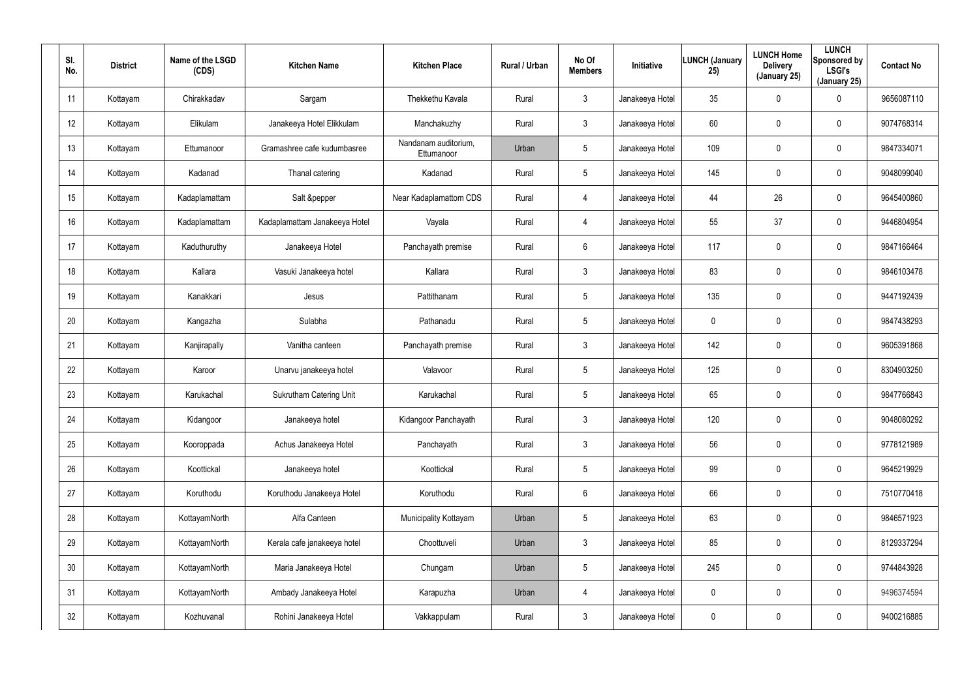| SI.<br>No. | <b>District</b> | Name of the LSGD<br>(CDS) | <b>Kitchen Name</b>            | <b>Kitchen Place</b>               | Rural / Urban | No Of<br><b>Members</b> | Initiative      | <b>LUNCH (January</b><br>25) | <b>LUNCH Home</b><br><b>Delivery</b><br>(January 25) | <b>LUNCH</b><br>Sponsored by<br><b>LSGI's</b><br>(January 25) | <b>Contact No</b> |
|------------|-----------------|---------------------------|--------------------------------|------------------------------------|---------------|-------------------------|-----------------|------------------------------|------------------------------------------------------|---------------------------------------------------------------|-------------------|
| 11         | Kottayam        | Chirakkadav               | Sargam                         | Thekkethu Kavala                   | Rural         | 3                       | Janakeeya Hotel | 35                           | 0                                                    | 0                                                             | 9656087110        |
| 12         | Kottayam        | Elikulam                  | Janakeeya Hotel Elikkulam      | Manchakuzhy                        | Rural         | $\mathbf{3}$            | Janakeeya Hotel | 60                           | 0                                                    | $\mathbf 0$                                                   | 9074768314        |
| 13         | Kottayam        | Ettumanoor                | Gramashree cafe kudumbasree    | Nandanam auditorium,<br>Ettumanoor | Urban         | 5                       | Janakeeya Hotel | 109                          | $\mathbf 0$                                          | $\mathbf 0$                                                   | 9847334071        |
| 14         | Kottayam        | Kadanad                   | Thanal catering                | Kadanad                            | Rural         | 5                       | Janakeeya Hotel | 145                          | 0                                                    | $\mathbf 0$                                                   | 9048099040        |
| 15         | Kottayam        | Kadaplamattam             | Salt &pepper                   | Near Kadaplamattom CDS             | Rural         | $\overline{4}$          | Janakeeya Hotel | 44                           | 26                                                   | $\mathbf 0$                                                   | 9645400860        |
| 16         | Kottayam        | Kadaplamattam             | Kadaplamattam Janakeeya Hotel  | Vayala                             | Rural         | 4                       | Janakeeya Hotel | 55                           | 37                                                   | $\mathbf 0$                                                   | 9446804954        |
| 17         | Kottayam        | Kaduthuruthy              | Janakeeya Hotel                | Panchayath premise                 | Rural         | 6                       | Janakeeya Hotel | 117                          | $\pmb{0}$                                            | 0                                                             | 9847166464        |
| 18         | Kottayam        | Kallara                   | Vasuki Janakeeya hotel         | Kallara                            | Rural         | $\mathbf{3}$            | Janakeeya Hotel | 83                           | $\boldsymbol{0}$                                     | $\mathbf 0$                                                   | 9846103478        |
| 19         | Kottayam        | Kanakkari                 | Jesus                          | Pattithanam                        | Rural         | 5                       | Janakeeya Hotel | 135                          | $\boldsymbol{0}$                                     | 0                                                             | 9447192439        |
| 20         | Kottayam        | Kangazha                  | Sulabha                        | Pathanadu                          | Rural         | 5                       | Janakeeya Hotel | 0                            | $\boldsymbol{0}$                                     | $\mathbf 0$                                                   | 9847438293        |
| 21         | Kottayam        | Kanjirapally              | Vanitha canteen                | Panchayath premise                 | Rural         | $\mathbf{3}$            | Janakeeya Hotel | 142                          | $\boldsymbol{0}$                                     | 0                                                             | 9605391868        |
| 22         | Kottayam        | Karoor                    | Unarvu janakeeya hotel         | Valavoor                           | Rural         | 5                       | Janakeeya Hotel | 125                          | $\boldsymbol{0}$                                     | $\mathbf 0$                                                   | 8304903250        |
| 23         | Kottayam        | Karukachal                | <b>Sukrutham Catering Unit</b> | Karukachal                         | Rural         | 5                       | Janakeeya Hotel | 65                           | $\boldsymbol{0}$                                     | $\mathbf 0$                                                   | 9847766843        |
| 24         | Kottayam        | Kidangoor                 | Janakeeya hotel                | Kidangoor Panchayath               | Rural         | $\mathbf{3}$            | Janakeeya Hotel | 120                          | $\pmb{0}$                                            | $\pmb{0}$                                                     | 9048080292        |
| 25         | Kottayam        | Kooroppada                | Achus Janakeeya Hotel          | Panchayath                         | Rural         | $\mathfrak{Z}$          | Janakeeya Hotel | 56                           | $\pmb{0}$                                            | $\pmb{0}$                                                     | 9778121989        |
| 26         | Kottayam        | Koottickal                | Janakeeya hotel                | Koottickal                         | Rural         | 5                       | Janakeeya Hotel | 99                           | $\boldsymbol{0}$                                     | $\pmb{0}$                                                     | 9645219929        |
| 27         | Kottayam        | Koruthodu                 | Koruthodu Janakeeya Hotel      | Koruthodu                          | Rural         | $6\phantom{.}6$         | Janakeeya Hotel | 66                           | $\pmb{0}$                                            | $\pmb{0}$                                                     | 7510770418        |
| 28         | Kottayam        | KottayamNorth             | Alfa Canteen                   | Municipality Kottayam              | Urban         | $5\phantom{.0}$         | Janakeeya Hotel | 63                           | $\mathbf 0$                                          | $\pmb{0}$                                                     | 9846571923        |
| 29         | Kottayam        | KottayamNorth             | Kerala cafe janakeeya hotel    | Choottuveli                        | Urban         | $\mathbf{3}$            | Janakeeya Hotel | 85                           | $\pmb{0}$                                            | 0                                                             | 8129337294        |
| 30         | Kottayam        | KottayamNorth             | Maria Janakeeya Hotel          | Chungam                            | Urban         | $5\phantom{.0}$         | Janakeeya Hotel | 245                          | $\mathbf 0$                                          | $\pmb{0}$                                                     | 9744843928        |
| 31         | Kottayam        | KottayamNorth             | Ambady Janakeeya Hotel         | Karapuzha                          | Urban         | $\overline{4}$          | Janakeeya Hotel | 0                            | $\pmb{0}$                                            | 0                                                             | 9496374594        |
| 32         | Kottayam        | Kozhuvanal                | Rohini Janakeeya Hotel         | Vakkappulam                        | Rural         | $\mathfrak{Z}$          | Janakeeya Hotel | 0                            | $\boldsymbol{0}$                                     | 0                                                             | 9400216885        |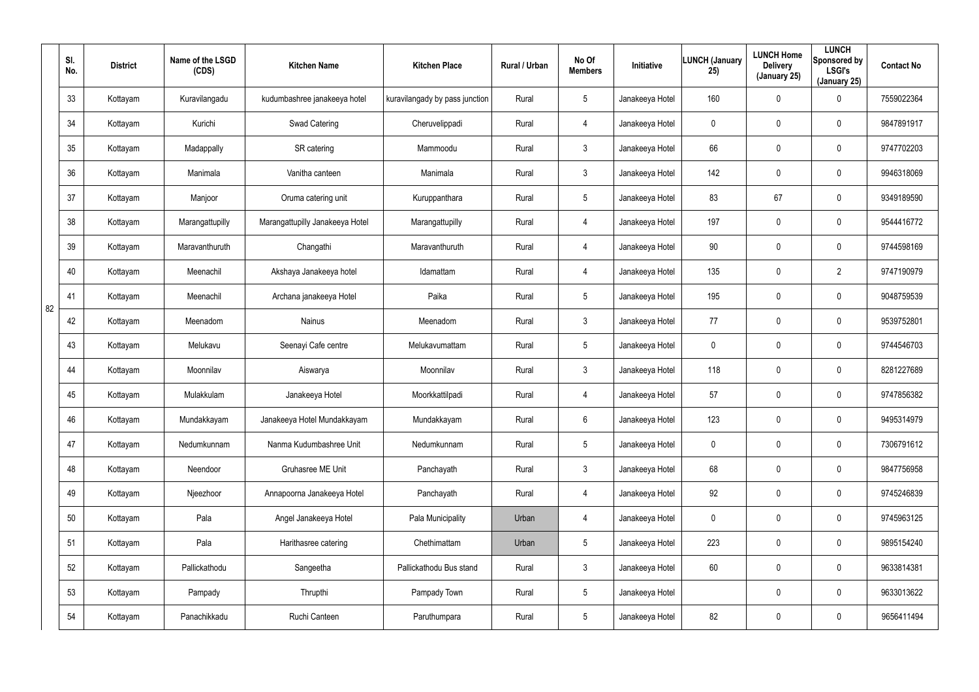|    | SI.<br>No. | <b>District</b> | Name of the LSGD<br>(CDS) | <b>Kitchen Name</b>             | <b>Kitchen Place</b>           | Rural / Urban | No Of<br><b>Members</b> | Initiative      | <b>LUNCH (January</b><br>25) | <b>LUNCH Home</b><br><b>Delivery</b><br>(January 25) | <b>LUNCH</b><br>Sponsored by<br><b>LSGI's</b><br>(January 25) | <b>Contact No</b> |
|----|------------|-----------------|---------------------------|---------------------------------|--------------------------------|---------------|-------------------------|-----------------|------------------------------|------------------------------------------------------|---------------------------------------------------------------|-------------------|
|    | 33         | Kottayam        | Kuravilangadu             | kudumbashree janakeeya hotel    | kuravilangady by pass junction | Rural         | $5\phantom{.0}$         | Janakeeya Hotel | 160                          | 0                                                    | 0                                                             | 7559022364        |
|    | 34         | Kottayam        | Kurichi                   | Swad Catering                   | Cheruvelippadi                 | Rural         | 4                       | Janakeeya Hotel | 0                            | 0                                                    | $\mathbf 0$                                                   | 9847891917        |
|    | 35         | Kottayam        | Madappally                | SR catering                     | Mammoodu                       | Rural         | $\mathfrak{Z}$          | Janakeeya Hotel | 66                           | 0                                                    | $\mathbf 0$                                                   | 9747702203        |
|    | 36         | Kottayam        | Manimala                  | Vanitha canteen                 | Manimala                       | Rural         | $\mathfrak{Z}$          | Janakeeya Hotel | 142                          | 0                                                    | $\mathbf 0$                                                   | 9946318069        |
|    | 37         | Kottayam        | Manjoor                   | Oruma catering unit             | Kuruppanthara                  | Rural         | $5\phantom{.0}$         | Janakeeya Hotel | 83                           | 67                                                   | $\mathbf 0$                                                   | 9349189590        |
|    | 38         | Kottayam        | Marangattupilly           | Marangattupilly Janakeeya Hotel | Marangattupilly                | Rural         | 4                       | Janakeeya Hotel | 197                          | 0                                                    | $\mathbf 0$                                                   | 9544416772        |
|    | 39         | Kottayam        | Maravanthuruth            | Changathi                       | Maravanthuruth                 | Rural         | 4                       | Janakeeya Hotel | 90                           | 0                                                    | $\mathbf 0$                                                   | 9744598169        |
|    | 40         | Kottayam        | Meenachil                 | Akshaya Janakeeya hotel         | Idamattam                      | Rural         | 4                       | Janakeeya Hotel | 135                          | 0                                                    | $\overline{2}$                                                | 9747190979        |
| 82 | 41         | Kottayam        | Meenachil                 | Archana janakeeya Hotel         | Paika                          | Rural         | $5\phantom{.0}$         | Janakeeya Hotel | 195                          | 0                                                    | $\mathbf 0$                                                   | 9048759539        |
|    | 42         | Kottayam        | Meenadom                  | Nainus                          | Meenadom                       | Rural         | $\mathbf{3}$            | Janakeeya Hotel | 77                           | 0                                                    | $\mathbf 0$                                                   | 9539752801        |
|    | 43         | Kottayam        | Melukavu                  | Seenayi Cafe centre             | Melukavumattam                 | Rural         | $5\phantom{.0}$         | Janakeeya Hotel | 0                            | 0                                                    | $\mathbf 0$                                                   | 9744546703        |
|    | 44         | Kottayam        | Moonnilav                 | Aiswarya                        | Moonnilav                      | Rural         | $\mathfrak{Z}$          | Janakeeya Hotel | 118                          | 0                                                    | $\mathbf 0$                                                   | 8281227689        |
|    | 45         | Kottayam        | Mulakkulam                | Janakeeya Hotel                 | Moorkkattilpadi                | Rural         | 4                       | Janakeeya Hotel | 57                           | 0                                                    | $\mathbf 0$                                                   | 9747856382        |
|    | 46         | Kottayam        | Mundakkayam               | Janakeeya Hotel Mundakkayam     | Mundakkayam                    | Rural         | 6                       | Janakeeya Hotel | 123                          | 0                                                    | $\pmb{0}$                                                     | 9495314979        |
|    | 47         | Kottayam        | Nedumkunnam               | Nanma Kudumbashree Unit         | Nedumkunnam                    | Rural         | $5\phantom{.0}$         | Janakeeya Hotel | $\mathbf 0$                  | $\mathbf 0$                                          | $\pmb{0}$                                                     | 7306791612        |
|    | 48         | Kottayam        | Neendoor                  | Gruhasree ME Unit               | Panchayath                     | Rural         | $\mathbf{3}$            | Janakeeya Hotel | 68                           | $\mathbf 0$                                          | $\pmb{0}$                                                     | 9847756958        |
|    | 49         | Kottayam        | Njeezhoor                 | Annapoorna Janakeeya Hotel      | Panchayath                     | Rural         | 4                       | Janakeeya Hotel | 92                           | $\mathbf 0$                                          | $\mathbf 0$                                                   | 9745246839        |
|    | 50         | Kottayam        | Pala                      | Angel Janakeeya Hotel           | Pala Municipality              | Urban         | 4                       | Janakeeya Hotel | $\mathbf 0$                  | $\mathbf 0$                                          | $\pmb{0}$                                                     | 9745963125        |
|    | 51         | Kottayam        | Pala                      | Harithasree catering            | Chethimattam                   | Urban         | $5\phantom{.0}$         | Janakeeya Hotel | 223                          | $\mathbf 0$                                          | $\pmb{0}$                                                     | 9895154240        |
|    | 52         | Kottayam        | Pallickathodu             | Sangeetha                       | Pallickathodu Bus stand        | Rural         | $\mathbf{3}$            | Janakeeya Hotel | 60                           | $\mathbf 0$                                          | $\pmb{0}$                                                     | 9633814381        |
|    | 53         | Kottayam        | Pampady                   | Thrupthi                        | Pampady Town                   | Rural         | $5\phantom{.0}$         | Janakeeya Hotel |                              | 0                                                    | $\mathbf 0$                                                   | 9633013622        |
|    | 54         | Kottayam        | Panachikkadu              | Ruchi Canteen                   | Paruthumpara                   | Rural         | $5\phantom{.0}$         | Janakeeya Hotel | 82                           | $\mathbf 0$                                          | $\pmb{0}$                                                     | 9656411494        |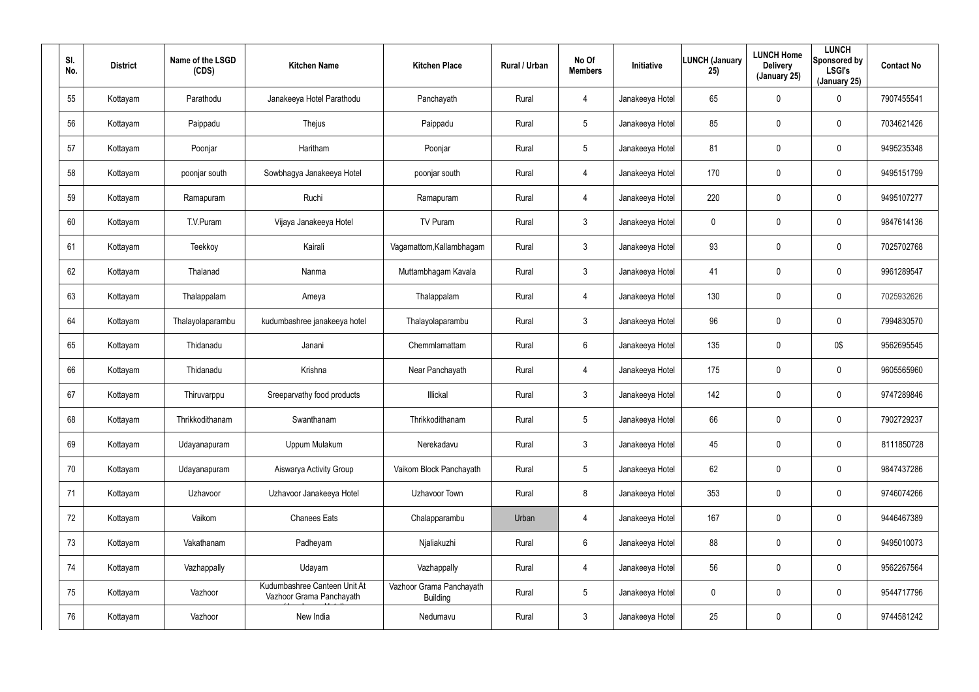| SI.<br>No. | <b>District</b> | Name of the LSGD<br>(CDS) | <b>Kitchen Name</b>                                      | <b>Kitchen Place</b>                        | Rural / Urban | No Of<br><b>Members</b> | Initiative      | <b>LUNCH (January</b><br>25) | <b>LUNCH Home</b><br><b>Delivery</b><br>(January 25) | <b>LUNCH</b><br>Sponsored by<br><b>LSGI's</b><br>(January 25) | <b>Contact No</b> |
|------------|-----------------|---------------------------|----------------------------------------------------------|---------------------------------------------|---------------|-------------------------|-----------------|------------------------------|------------------------------------------------------|---------------------------------------------------------------|-------------------|
| 55         | Kottayam        | Parathodu                 | Janakeeya Hotel Parathodu                                | Panchayath                                  | Rural         | 4                       | Janakeeya Hotel | 65                           | $\pmb{0}$                                            | 0                                                             | 7907455541        |
| 56         | Kottayam        | Paippadu                  | Thejus                                                   | Paippadu                                    | Rural         | 5                       | Janakeeya Hotel | 85                           | $\boldsymbol{0}$                                     | 0                                                             | 7034621426        |
| 57         | Kottayam        | Poonjar                   | Haritham                                                 | Poonjar                                     | Rural         | 5                       | Janakeeya Hotel | 81                           | $\pmb{0}$                                            | 0                                                             | 9495235348        |
| 58         | Kottayam        | poonjar south             | Sowbhagya Janakeeya Hotel                                | poonjar south                               | Rural         | 4                       | Janakeeya Hotel | 170                          | $\boldsymbol{0}$                                     | 0                                                             | 9495151799        |
| 59         | Kottayam        | Ramapuram                 | Ruchi                                                    | Ramapuram                                   | Rural         | $\overline{4}$          | Janakeeya Hotel | 220                          | $\pmb{0}$                                            | 0                                                             | 9495107277        |
| 60         | Kottayam        | T.V.Puram                 | Vijaya Janakeeya Hotel                                   | TV Puram                                    | Rural         | $\mathbf{3}$            | Janakeeya Hotel | 0                            | $\boldsymbol{0}$                                     | 0                                                             | 9847614136        |
| 61         | Kottayam        | Teekkoy                   | Kairali                                                  | Vagamattom, Kallambhagam                    | Rural         | $\mathbf{3}$            | Janakeeya Hotel | 93                           | $\pmb{0}$                                            | 0                                                             | 7025702768        |
| 62         | Kottayam        | Thalanad                  | Nanma                                                    | Muttambhagam Kavala                         | Rural         | $\mathbf{3}$            | Janakeeya Hotel | 41                           | $\boldsymbol{0}$                                     | $\mathbf 0$                                                   | 9961289547        |
| 63         | Kottayam        | Thalappalam               | Ameya                                                    | Thalappalam                                 | Rural         | $\overline{4}$          | Janakeeya Hotel | 130                          | $\overline{0}$                                       | 0                                                             | 7025932626        |
| 64         | Kottayam        | Thalayolaparambu          | kudumbashree janakeeya hotel                             | Thalayolaparambu                            | Rural         | $\mathbf{3}$            | Janakeeya Hotel | 96                           | $\pmb{0}$                                            | $\mathbf 0$                                                   | 7994830570        |
| 65         | Kottayam        | Thidanadu                 | Janani                                                   | Chemmlamattam                               | Rural         | $6\phantom{.}6$         | Janakeeya Hotel | 135                          | $\overline{0}$                                       | 0\$                                                           | 9562695545        |
| 66         | Kottayam        | Thidanadu                 | Krishna                                                  | Near Panchayath                             | Rural         | 4                       | Janakeeya Hotel | 175                          | $\pmb{0}$                                            | $\mathbf 0$                                                   | 9605565960        |
| 67         | Kottayam        | Thiruvarppu               | Sreeparvathy food products                               | Illickal                                    | Rural         | $\mathbf{3}$            | Janakeeya Hotel | 142                          | $\overline{0}$                                       | $\mathbf 0$                                                   | 9747289846        |
| 68         | Kottayam        | Thrikkodithanam           | Swanthanam                                               | Thrikkodithanam                             | Rural         | 5                       | Janakeeya Hotel | 66                           | $\mathbf 0$                                          | $\pmb{0}$                                                     | 7902729237        |
| 69         | Kottayam        | Udayanapuram              | Uppum Mulakum                                            | Nerekadavu                                  | Rural         | $\mathbf{3}$            | Janakeeya Hotel | 45                           | $\overline{0}$                                       | $\pmb{0}$                                                     | 8111850728        |
| 70         | Kottayam        | Udayanapuram              | Aiswarya Activity Group                                  | Vaikom Block Panchayath                     | Rural         | $5\phantom{.0}$         | Janakeeya Hotel | 62                           | $\mathbf 0$                                          | $\pmb{0}$                                                     | 9847437286        |
| 71         | Kottayam        | Uzhavoor                  | Uzhavoor Janakeeya Hotel                                 | Uzhavoor Town                               | Rural         | 8                       | Janakeeya Hotel | 353                          | $\mathbf 0$                                          | $\pmb{0}$                                                     | 9746074266        |
| 72         | Kottayam        | Vaikom                    | <b>Chanees Eats</b>                                      | Chalapparambu                               | Urban         | $\overline{4}$          | Janakeeya Hotel | 167                          | $\mathbf 0$                                          | $\pmb{0}$                                                     | 9446467389        |
| 73         | Kottayam        | Vakathanam                | Padheyam                                                 | Njaliakuzhi                                 | Rural         | $6\phantom{.}6$         | Janakeeya Hotel | 88                           | $\pmb{0}$                                            | 0                                                             | 9495010073        |
| 74         | Kottayam        | Vazhappally               | Udayam                                                   | Vazhappally                                 | Rural         | $\overline{4}$          | Janakeeya Hotel | 56                           | $\mathbf 0$                                          | 0                                                             | 9562267564        |
| 75         | Kottayam        | Vazhoor                   | Kudumbashree Canteen Unit At<br>Vazhoor Grama Panchayath | Vazhoor Grama Panchayath<br><b>Building</b> | Rural         | $5\phantom{.0}$         | Janakeeya Hotel | 0                            | $\pmb{0}$                                            | 0                                                             | 9544717796        |
| 76         | Kottayam        | Vazhoor                   | New India                                                | Nedumavu                                    | Rural         | 3 <sup>1</sup>          | Janakeeya Hotel | 25                           | $\boldsymbol{0}$                                     | 0                                                             | 9744581242        |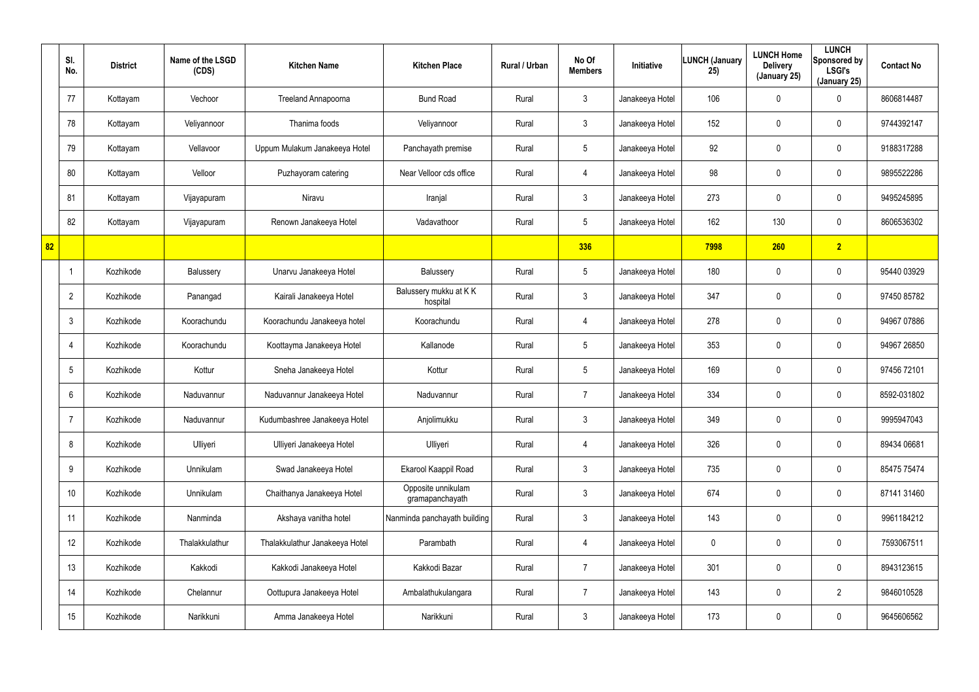|    | SI.<br>No.      | <b>District</b> | Name of the LSGD<br>(CDS) | <b>Kitchen Name</b>            | <b>Kitchen Place</b>                  | Rural / Urban | No Of<br><b>Members</b> | Initiative      | <b>LUNCH (January</b><br>25) | <b>LUNCH Home</b><br><b>Delivery</b><br>(January 25) | <b>LUNCH</b><br>Sponsored by<br><b>LSGI's</b><br>(January 25) | <b>Contact No</b> |
|----|-----------------|-----------------|---------------------------|--------------------------------|---------------------------------------|---------------|-------------------------|-----------------|------------------------------|------------------------------------------------------|---------------------------------------------------------------|-------------------|
|    | 77              | Kottayam        | Vechoor                   | Treeland Annapoorna            | <b>Bund Road</b>                      | Rural         | $\mathbf{3}$            | Janakeeya Hotel | 106                          | 0                                                    | $\mathbf 0$                                                   | 8606814487        |
|    | 78              | Kottayam        | Veliyannoor               | Thanima foods                  | Veliyannoor                           | Rural         | $\mathbf{3}$            | Janakeeya Hotel | 152                          | 0                                                    | $\mathbf 0$                                                   | 9744392147        |
|    | 79              | Kottayam        | Vellavoor                 | Uppum Mulakum Janakeeya Hotel  | Panchayath premise                    | Rural         | $5\phantom{.0}$         | Janakeeya Hotel | 92                           | 0                                                    | $\mathbf 0$                                                   | 9188317288        |
|    | 80              | Kottayam        | Velloor                   | Puzhayoram catering            | Near Velloor cds office               | Rural         | 4                       | Janakeeya Hotel | 98                           | 0                                                    | $\mathbf 0$                                                   | 9895522286        |
|    | 81              | Kottayam        | Vijayapuram               | Niravu                         | Iranjal                               | Rural         | $\mathfrak{Z}$          | Janakeeya Hotel | 273                          | 0                                                    | $\mathbf 0$                                                   | 9495245895        |
|    | 82              | Kottayam        | Vijayapuram               | Renown Janakeeya Hotel         | Vadavathoor                           | Rural         | $5\phantom{.0}$         | Janakeeya Hotel | 162                          | 130                                                  | $\mathbf 0$                                                   | 8606536302        |
| 82 |                 |                 |                           |                                |                                       |               | 336                     |                 | 7998                         | 260                                                  | 2                                                             |                   |
|    | $\mathbf 1$     | Kozhikode       | Balussery                 | Unarvu Janakeeya Hotel         | Balussery                             | Rural         | $5\phantom{.0}$         | Janakeeya Hotel | 180                          | 0                                                    | $\mathbf 0$                                                   | 95440 03929       |
|    | $\overline{2}$  | Kozhikode       | Panangad                  | Kairali Janakeeya Hotel        | Balussery mukku at KK<br>hospital     | Rural         | $\mathfrak{Z}$          | Janakeeya Hotel | 347                          | 0                                                    | $\mathbf 0$                                                   | 97450 85782       |
|    | $\mathbf{3}$    | Kozhikode       | Koorachundu               | Koorachundu Janakeeya hotel    | Koorachundu                           | Rural         | 4                       | Janakeeya Hotel | 278                          | 0                                                    | $\mathbf 0$                                                   | 94967 07886       |
|    | 4               | Kozhikode       | Koorachundu               | Koottayma Janakeeya Hotel      | Kallanode                             | Rural         | $5\phantom{.0}$         | Janakeeya Hotel | 353                          | 0                                                    | $\mathbf 0$                                                   | 94967 26850       |
|    | $5\phantom{.0}$ | Kozhikode       | Kottur                    | Sneha Janakeeya Hotel          | Kottur                                | Rural         | $5\phantom{.0}$         | Janakeeya Hotel | 169                          | 0                                                    | $\mathbf 0$                                                   | 97456 72101       |
|    | 6               | Kozhikode       | Naduvannur                | Naduvannur Janakeeya Hotel     | Naduvannur                            | Rural         | $\overline{7}$          | Janakeeya Hotel | 334                          | 0                                                    | $\mathbf 0$                                                   | 8592-031802       |
|    | 7               | Kozhikode       | Naduvannur                | Kudumbashree Janakeeya Hotel   | Anjolimukku                           | Rural         | $\mathfrak{Z}$          | Janakeeya Hotel | 349                          | 0                                                    | $\mathbf 0$                                                   | 9995947043        |
|    | 8               | Kozhikode       | Ulliyeri                  | Ulliyeri Janakeeya Hotel       | Ulliyeri                              | Rural         | 4                       | Janakeeya Hotel | 326                          | 0                                                    | $\boldsymbol{0}$                                              | 89434 06681       |
|    | 9               | Kozhikode       | Unnikulam                 | Swad Janakeeya Hotel           | Ekarool Kaappil Road                  | Rural         | $\mathbf{3}$            | Janakeeya Hotel | 735                          | 0                                                    | $\boldsymbol{0}$                                              | 85475 75474       |
|    | 10 <sup>°</sup> | Kozhikode       | Unnikulam                 | Chaithanya Janakeeya Hotel     | Opposite unnikulam<br>gramapanchayath | Rural         | $\mathbf{3}$            | Janakeeya Hotel | 674                          | 0                                                    | $\mathbf 0$                                                   | 87141 31460       |
|    | 11              | Kozhikode       | Nanminda                  | Akshaya vanitha hotel          | Nanminda panchayath building          | Rural         | $\mathbf{3}$            | Janakeeya Hotel | 143                          | 0                                                    | $\pmb{0}$                                                     | 9961184212        |
|    | 12              | Kozhikode       | Thalakkulathur            | Thalakkulathur Janakeeya Hotel | Parambath                             | Rural         | 4                       | Janakeeya Hotel | 0                            | 0                                                    | $\mathbf 0$                                                   | 7593067511        |
|    | 13              | Kozhikode       | Kakkodi                   | Kakkodi Janakeeya Hotel        | Kakkodi Bazar                         | Rural         | $\overline{7}$          | Janakeeya Hotel | 301                          | 0                                                    | $\mathbf 0$                                                   | 8943123615        |
|    | 14              | Kozhikode       | Chelannur                 | Oottupura Janakeeya Hotel      | Ambalathukulangara                    | Rural         | $\overline{7}$          | Janakeeya Hotel | 143                          | 0                                                    | $\overline{2}$                                                | 9846010528        |
|    | 15              | Kozhikode       | Narikkuni                 | Amma Janakeeya Hotel           | Narikkuni                             | Rural         | $\mathfrak{Z}$          | Janakeeya Hotel | 173                          | 0                                                    | $\pmb{0}$                                                     | 9645606562        |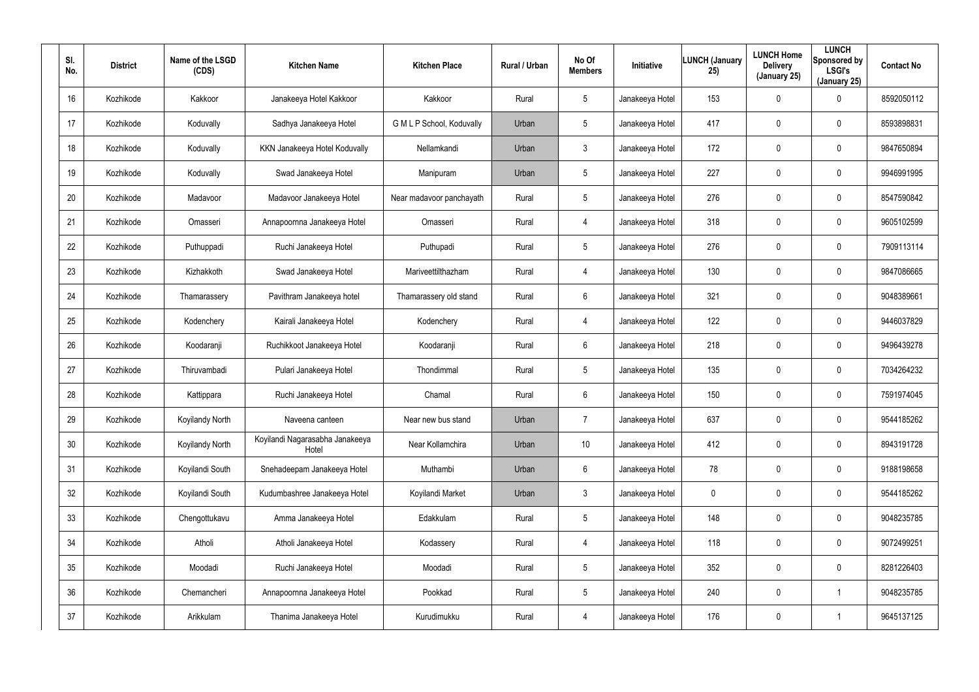| SI.<br>No. | <b>District</b> | Name of the LSGD<br>(CDS) | <b>Kitchen Name</b>                      | <b>Kitchen Place</b>      | Rural / Urban | No Of<br><b>Members</b> | Initiative      | <b>LUNCH (January</b><br>25) | <b>LUNCH Home</b><br><b>Delivery</b><br>(January 25) | <b>LUNCH</b><br>Sponsored by<br><b>LSGI's</b><br>(January 25) | <b>Contact No</b> |
|------------|-----------------|---------------------------|------------------------------------------|---------------------------|---------------|-------------------------|-----------------|------------------------------|------------------------------------------------------|---------------------------------------------------------------|-------------------|
| 16         | Kozhikode       | Kakkoor                   | Janakeeya Hotel Kakkoor                  | Kakkoor                   | Rural         | 5                       | Janakeeya Hotel | 153                          | $\mathbf 0$                                          | 0                                                             | 8592050112        |
| 17         | Kozhikode       | Koduvally                 | Sadhya Janakeeya Hotel                   | G M L P School, Koduvally | Urban         | 5                       | Janakeeya Hotel | 417                          | $\mathbf 0$                                          | $\mathbf 0$                                                   | 8593898831        |
| 18         | Kozhikode       | Koduvally                 | KKN Janakeeya Hotel Koduvally            | Nellamkandi               | Urban         | $\mathbf{3}$            | Janakeeya Hotel | 172                          | $\mathbf 0$                                          | $\mathbf 0$                                                   | 9847650894        |
| 19         | Kozhikode       | Koduvally                 | Swad Janakeeya Hotel                     | Manipuram                 | Urban         | 5                       | Janakeeya Hotel | 227                          | 0                                                    | $\mathbf 0$                                                   | 9946991995        |
| 20         | Kozhikode       | Madavoor                  | Madavoor Janakeeya Hotel                 | Near madavoor panchayath  | Rural         | 5                       | Janakeeya Hotel | 276                          | $\mathbf 0$                                          | $\mathbf 0$                                                   | 8547590842        |
| 21         | Kozhikode       | Omasseri                  | Annapoornna Janakeeya Hotel              | Omasseri                  | Rural         | $\overline{4}$          | Janakeeya Hotel | 318                          | 0                                                    | $\mathbf 0$                                                   | 9605102599        |
| 22         | Kozhikode       | Puthuppadi                | Ruchi Janakeeya Hotel                    | Puthupadi                 | Rural         | 5                       | Janakeeya Hotel | 276                          | $\mathbf 0$                                          | 0                                                             | 7909113114        |
| 23         | Kozhikode       | Kizhakkoth                | Swad Janakeeya Hotel                     | Mariveettilthazham        | Rural         | 4                       | Janakeeya Hotel | 130                          | 0                                                    | 0                                                             | 9847086665        |
| 24         | Kozhikode       | Thamarassery              | Pavithram Janakeeya hotel                | Thamarassery old stand    | Rural         | 6                       | Janakeeya Hotel | 321                          | $\mathbf 0$                                          | 0                                                             | 9048389661        |
| 25         | Kozhikode       | Kodenchery                | Kairali Janakeeya Hotel                  | Kodenchery                | Rural         | 4                       | Janakeeya Hotel | 122                          | 0                                                    | 0                                                             | 9446037829        |
| 26         | Kozhikode       | Koodaranji                | Ruchikkoot Janakeeya Hotel               | Koodaranji                | Rural         | 6                       | Janakeeya Hotel | 218                          | $\mathbf 0$                                          | 0                                                             | 9496439278        |
| 27         | Kozhikode       | Thiruvambadi              | Pulari Janakeeya Hotel                   | Thondimmal                | Rural         | 5                       | Janakeeya Hotel | 135                          | $\mathbf 0$                                          | 0                                                             | 7034264232        |
| 28         | Kozhikode       | Kattippara                | Ruchi Janakeeya Hotel                    | Chamal                    | Rural         | 6                       | Janakeeya Hotel | 150                          | $\boldsymbol{0}$                                     | 0                                                             | 7591974045        |
| 29         | Kozhikode       | Koyilandy North           | Naveena canteen                          | Near new bus stand        | Urban         | $\overline{7}$          | Janakeeya Hotel | 637                          | $\overline{0}$                                       | 0                                                             | 9544185262        |
| 30         | Kozhikode       | Koyilandy North           | Koyilandi Nagarasabha Janakeeya<br>Hotel | Near Kollamchira          | Urban         | 10                      | Janakeeya Hotel | 412                          | $\overline{0}$                                       | 0                                                             | 8943191728        |
| 31         | Kozhikode       | Koyilandi South           | Snehadeepam Janakeeya Hotel              | Muthambi                  | Urban         | $6\phantom{.}$          | Janakeeya Hotel | 78                           | $\mathbf 0$                                          | $\pmb{0}$                                                     | 9188198658        |
| 32         | Kozhikode       | Koyilandi South           | Kudumbashree Janakeeya Hotel             | Koyilandi Market          | Urban         | $\mathbf{3}$            | Janakeeya Hotel | 0                            | $\pmb{0}$                                            | 0                                                             | 9544185262        |
| 33         | Kozhikode       | Chengottukavu             | Amma Janakeeya Hotel                     | Edakkulam                 | Rural         | 5                       | Janakeeya Hotel | 148                          | $\mathbf 0$                                          | 0                                                             | 9048235785        |
| 34         | Kozhikode       | Atholi                    | Atholi Janakeeya Hotel                   | Kodassery                 | Rural         | $\overline{4}$          | Janakeeya Hotel | 118                          | $\mathbf 0$                                          | 0                                                             | 9072499251        |
| 35         | Kozhikode       | Moodadi                   | Ruchi Janakeeya Hotel                    | Moodadi                   | Rural         | 5                       | Janakeeya Hotel | 352                          | $\mathbf 0$                                          | 0                                                             | 8281226403        |
| 36         | Kozhikode       | Chemancheri               | Annapoornna Janakeeya Hotel              | Pookkad                   | Rural         | 5                       | Janakeeya Hotel | 240                          | $\mathbf 0$                                          |                                                               | 9048235785        |
| 37         | Kozhikode       | Arikkulam                 | Thanima Janakeeya Hotel                  | Kurudimukku               | Rural         | $\overline{4}$          | Janakeeya Hotel | 176                          | $\boldsymbol{0}$                                     |                                                               | 9645137125        |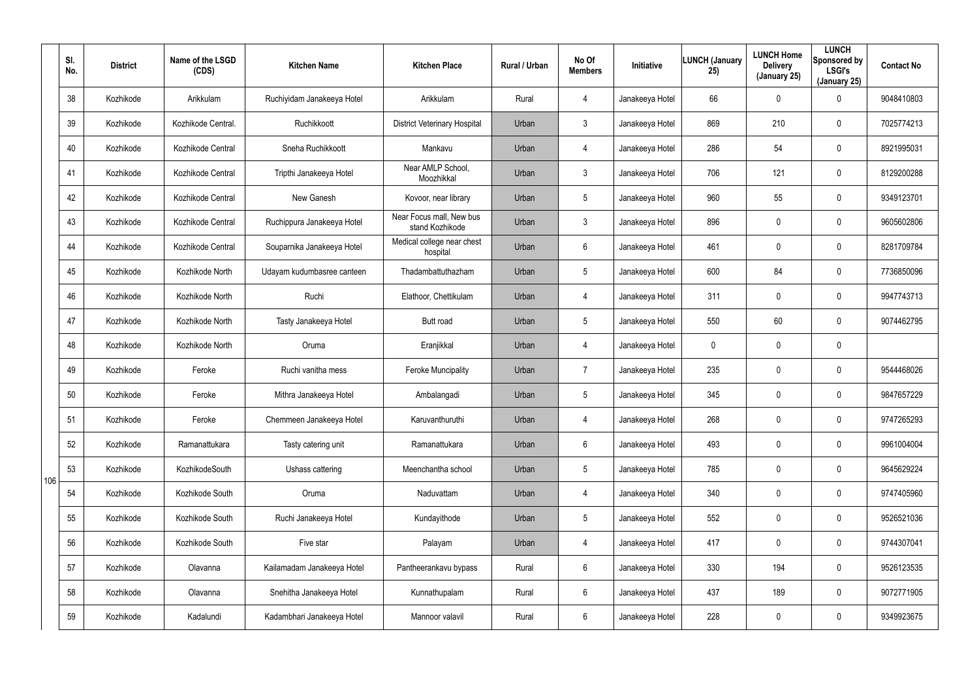|     | SI.<br>No. | <b>District</b> | Name of the LSGD<br>(CDS) | <b>Kitchen Name</b>        | <b>Kitchen Place</b>                        | Rural / Urban | No Of<br><b>Members</b> | Initiative      | <b>LUNCH (January</b><br>25) | <b>LUNCH Home</b><br><b>Delivery</b><br>(January 25) | <b>LUNCH</b><br>Sponsored by<br><b>LSGI's</b><br>(January 25) | <b>Contact No</b> |
|-----|------------|-----------------|---------------------------|----------------------------|---------------------------------------------|---------------|-------------------------|-----------------|------------------------------|------------------------------------------------------|---------------------------------------------------------------|-------------------|
|     | 38         | Kozhikode       | Arikkulam                 | Ruchiyidam Janakeeya Hotel | Arikkulam                                   | Rural         | 4                       | Janakeeya Hotel | 66                           | 0                                                    | $\mathbf 0$                                                   | 9048410803        |
|     | 39         | Kozhikode       | Kozhikode Central.        | Ruchikkoott                | <b>District Veterinary Hospital</b>         | Urban         | $\mathbf{3}$            | Janakeeya Hotel | 869                          | 210                                                  | $\boldsymbol{0}$                                              | 7025774213        |
|     | 40         | Kozhikode       | Kozhikode Central         | Sneha Ruchikkoott          | Mankavu                                     | Urban         | $\overline{4}$          | Janakeeya Hotel | 286                          | 54                                                   | $\boldsymbol{0}$                                              | 8921995031        |
|     | 41         | Kozhikode       | Kozhikode Central         | Tripthi Janakeeya Hotel    | Near AMLP School,<br>Moozhikkal             | Urban         | $\mathbf{3}$            | Janakeeya Hotel | 706                          | 121                                                  | $\boldsymbol{0}$                                              | 8129200288        |
|     | 42         | Kozhikode       | Kozhikode Central         | New Ganesh                 | Kovoor, near library                        | Urban         | $5\phantom{.0}$         | Janakeeya Hotel | 960                          | 55                                                   | $\boldsymbol{0}$                                              | 9349123701        |
|     | 43         | Kozhikode       | Kozhikode Central         | Ruchippura Janakeeya Hotel | Near Focus mall, New bus<br>stand Kozhikode | Urban         | $\mathbf{3}$            | Janakeeya Hotel | 896                          | 0                                                    | $\boldsymbol{0}$                                              | 9605602806        |
|     | 44         | Kozhikode       | Kozhikode Central         | Souparnika Janakeeya Hotel | Medical college near chest<br>hospital      | Urban         | 6                       | Janakeeya Hotel | 461                          | 0                                                    | $\mathbf 0$                                                   | 8281709784        |
|     | 45         | Kozhikode       | Kozhikode North           | Udayam kudumbasree canteen | Thadambattuthazham                          | Urban         | $5\phantom{.0}$         | Janakeeya Hotel | 600                          | 84                                                   | $\mathbf 0$                                                   | 7736850096        |
|     | 46         | Kozhikode       | Kozhikode North           | Ruchi                      | Elathoor, Chettikulam                       | Urban         | $\overline{4}$          | Janakeeya Hotel | 311                          | 0                                                    | $\mathbf 0$                                                   | 9947743713        |
|     | 47         | Kozhikode       | Kozhikode North           | Tasty Janakeeya Hotel      | Butt road                                   | Urban         | $5\phantom{.0}$         | Janakeeya Hotel | 550                          | 60                                                   | $\mathbf 0$                                                   | 9074462795        |
|     | 48         | Kozhikode       | Kozhikode North           | Oruma                      | Eranjikkal                                  | Urban         | $\overline{4}$          | Janakeeya Hotel | 0                            | 0                                                    | $\mathbf 0$                                                   |                   |
|     | 49         | Kozhikode       | Feroke                    | Ruchi vanitha mess         | Feroke Muncipality                          | Urban         | 7                       | Janakeeya Hotel | 235                          | 0                                                    | $\mathbf 0$                                                   | 9544468026        |
|     | 50         | Kozhikode       | Feroke                    | Mithra Janakeeya Hotel     | Ambalangadi                                 | Urban         | $\sqrt{5}$              | Janakeeya Hotel | 345                          | 0                                                    | $\mathbf 0$                                                   | 9847657229        |
|     | 51         | Kozhikode       | Feroke                    | Chemmeen Janakeeya Hotel   | Karuvanthuruthi                             | Urban         | $\overline{4}$          | Janakeeya Hotel | 268                          | 0                                                    | $\mathbf 0$                                                   | 9747265293        |
|     | 52         | Kozhikode       | Ramanattukara             | Tasty catering unit        | Ramanattukara                               | Urban         | 6                       | Janakeeya Hotel | 493                          | 0                                                    | $\mathbf 0$                                                   | 9961004004        |
| 106 | 53         | Kozhikode       | KozhikodeSouth            | Ushass cattering           | Meenchantha school                          | Urban         | $5\phantom{.0}$         | Janakeeya Hotel | 785                          | 0                                                    | $\pmb{0}$                                                     | 9645629224        |
|     | 54         | Kozhikode       | Kozhikode South           | Oruma                      | Naduvattam                                  | Urban         | 4                       | Janakeeya Hotel | 340                          | 0                                                    | $\mathbf 0$                                                   | 9747405960        |
|     | 55         | Kozhikode       | Kozhikode South           | Ruchi Janakeeya Hotel      | Kundayithode                                | Urban         | $5\overline{)}$         | Janakeeya Hotel | 552                          | 0                                                    | $\pmb{0}$                                                     | 9526521036        |
|     | 56         | Kozhikode       | Kozhikode South           | Five star                  | Palayam                                     | Urban         | 4                       | Janakeeya Hotel | 417                          | 0                                                    | $\pmb{0}$                                                     | 9744307041        |
|     | 57         | Kozhikode       | Olavanna                  | Kailamadam Janakeeya Hotel | Pantheerankavu bypass                       | Rural         | 6                       | Janakeeya Hotel | 330                          | 194                                                  | $\pmb{0}$                                                     | 9526123535        |
|     | 58         | Kozhikode       | Olavanna                  | Snehitha Janakeeya Hotel   | Kunnathupalam                               | Rural         | 6                       | Janakeeya Hotel | 437                          | 189                                                  | $\mathbf 0$                                                   | 9072771905        |
|     | 59         | Kozhikode       | Kadalundi                 | Kadambhari Janakeeya Hotel | Mannoor valavil                             | Rural         | 6                       | Janakeeya Hotel | 228                          | 0                                                    | $\pmb{0}$                                                     | 9349923675        |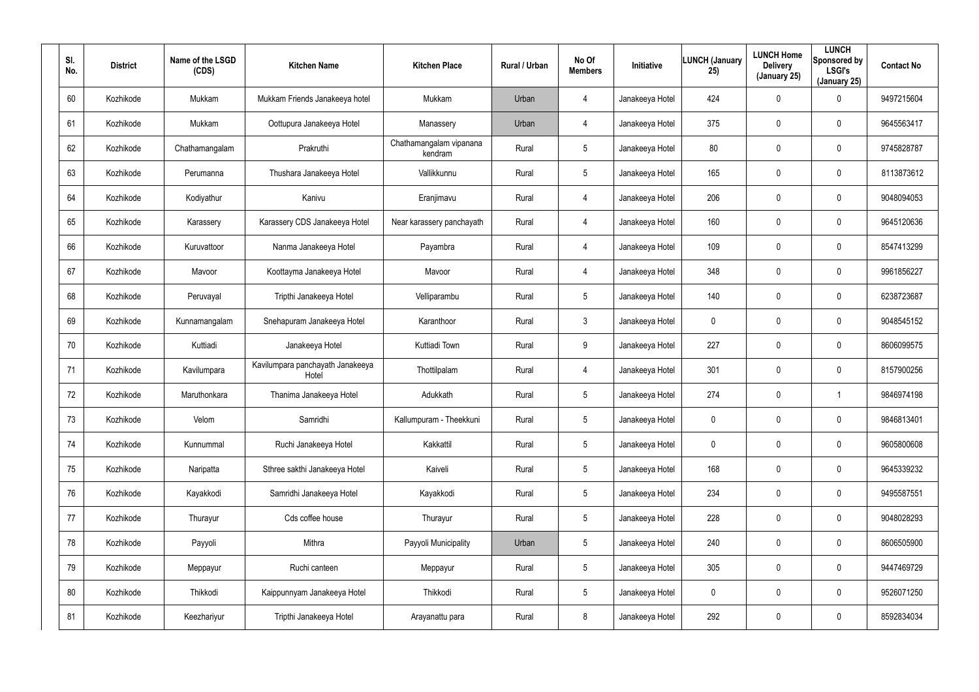| SI.<br>No. | <b>District</b> | Name of the LSGD<br>(CDS) | <b>Kitchen Name</b>                       | <b>Kitchen Place</b>               | Rural / Urban | No Of<br><b>Members</b> | Initiative      | <b>LUNCH (January</b><br>25) | <b>LUNCH Home</b><br><b>Delivery</b><br>(January 25) | <b>LUNCH</b><br>Sponsored by<br><b>LSGI's</b><br>(January 25) | <b>Contact No</b> |
|------------|-----------------|---------------------------|-------------------------------------------|------------------------------------|---------------|-------------------------|-----------------|------------------------------|------------------------------------------------------|---------------------------------------------------------------|-------------------|
| 60         | Kozhikode       | Mukkam                    | Mukkam Friends Janakeeya hotel            | Mukkam                             | Urban         | $\overline{4}$          | Janakeeya Hotel | 424                          | $\mathbf 0$                                          | 0                                                             | 9497215604        |
| 61         | Kozhikode       | Mukkam                    | Oottupura Janakeeya Hotel                 | Manassery                          | Urban         | $\overline{4}$          | Janakeeya Hotel | 375                          | $\mathbf 0$                                          | 0                                                             | 9645563417        |
| 62         | Kozhikode       | Chathamangalam            | Prakruthi                                 | Chathamangalam vipanana<br>kendram | Rural         | 5                       | Janakeeya Hotel | 80                           | $\boldsymbol{0}$                                     | $\pmb{0}$                                                     | 9745828787        |
| 63         | Kozhikode       | Perumanna                 | Thushara Janakeeya Hotel                  | Vallikkunnu                        | Rural         | 5                       | Janakeeya Hotel | 165                          | $\mathbf 0$                                          | 0                                                             | 8113873612        |
| 64         | Kozhikode       | Kodiyathur                | Kanivu                                    | Eranjimavu                         | Rural         | $\overline{4}$          | Janakeeya Hotel | 206                          | $\boldsymbol{0}$                                     | $\pmb{0}$                                                     | 9048094053        |
| 65         | Kozhikode       | Karassery                 | Karassery CDS Janakeeya Hotel             | Near karassery panchayath          | Rural         | 4                       | Janakeeya Hotel | 160                          | $\mathbf 0$                                          | 0                                                             | 9645120636        |
| 66         | Kozhikode       | Kuruvattoor               | Nanma Janakeeya Hotel                     | Payambra                           | Rural         | $\overline{4}$          | Janakeeya Hotel | 109                          | 0                                                    | $\mathbf 0$                                                   | 8547413299        |
| 67         | Kozhikode       | Mavoor                    | Koottayma Janakeeya Hotel                 | Mavoor                             | Rural         | 4                       | Janakeeya Hotel | 348                          | 0                                                    | $\mathbf 0$                                                   | 9961856227        |
| 68         | Kozhikode       | Peruvayal                 | Tripthi Janakeeya Hotel                   | Velliparambu                       | Rural         | 5                       | Janakeeya Hotel | 140                          | 0                                                    | $\mathbf 0$                                                   | 6238723687        |
| 69         | Kozhikode       | Kunnamangalam             | Snehapuram Janakeeya Hotel                | Karanthoor                         | Rural         | 3                       | Janakeeya Hotel | 0                            | 0                                                    | $\mathbf 0$                                                   | 9048545152        |
| 70         | Kozhikode       | Kuttiadi                  | Janakeeya Hotel                           | Kuttiadi Town                      | Rural         | 9                       | Janakeeya Hotel | 227                          | 0                                                    | $\mathbf 0$                                                   | 8606099575        |
| 71         | Kozhikode       | Kavilumpara               | Kavilumpara panchayath Janakeeya<br>Hotel | Thottilpalam                       | Rural         | 4                       | Janakeeya Hotel | 301                          | 0                                                    | $\mathbf 0$                                                   | 8157900256        |
| 72         | Kozhikode       | Maruthonkara              | Thanima Janakeeya Hotel                   | Adukkath                           | Rural         | 5                       | Janakeeya Hotel | 274                          | $\boldsymbol{0}$                                     |                                                               | 9846974198        |
| 73         | Kozhikode       | Velom                     | Samridhi                                  | Kallumpuram - Theekkuni            | Rural         | 5                       | Janakeeya Hotel | 0                            | $\pmb{0}$                                            | 0                                                             | 9846813401        |
| 74         | Kozhikode       | Kunnummal                 | Ruchi Janakeeya Hotel                     | Kakkattil                          | Rural         | $5\phantom{.0}$         | Janakeeya Hotel | 0                            | $\pmb{0}$                                            | 0                                                             | 9605800608        |
| 75         | Kozhikode       | Naripatta                 | Sthree sakthi Janakeeya Hotel             | Kaiveli                            | Rural         | 5                       | Janakeeya Hotel | 168                          | $\pmb{0}$                                            | 0                                                             | 9645339232        |
| 76         | Kozhikode       | Kayakkodi                 | Samridhi Janakeeya Hotel                  | Kayakkodi                          | Rural         | $5\phantom{.0}$         | Janakeeya Hotel | 234                          | $\pmb{0}$                                            | 0                                                             | 9495587551        |
| 77         | Kozhikode       | Thurayur                  | Cds coffee house                          | Thurayur                           | Rural         | 5                       | Janakeeya Hotel | 228                          | $\pmb{0}$                                            | $\pmb{0}$                                                     | 9048028293        |
| 78         | Kozhikode       | Payyoli                   | Mithra                                    | Payyoli Municipality               | Urban         | 5                       | Janakeeya Hotel | 240                          | $\pmb{0}$                                            | $\pmb{0}$                                                     | 8606505900        |
| 79         | Kozhikode       | Meppayur                  | Ruchi canteen                             | Meppayur                           | Rural         | 5                       | Janakeeya Hotel | 305                          | $\pmb{0}$                                            | $\pmb{0}$                                                     | 9447469729        |
| 80         | Kozhikode       | Thikkodi                  | Kaippunnyam Janakeeya Hotel               | Thikkodi                           | Rural         | 5                       | Janakeeya Hotel | 0                            | $\pmb{0}$                                            | $\pmb{0}$                                                     | 9526071250        |
| 81         | Kozhikode       | Keezhariyur               | Tripthi Janakeeya Hotel                   | Arayanattu para                    | Rural         | 8                       | Janakeeya Hotel | 292                          | $\boldsymbol{0}$                                     | 0                                                             | 8592834034        |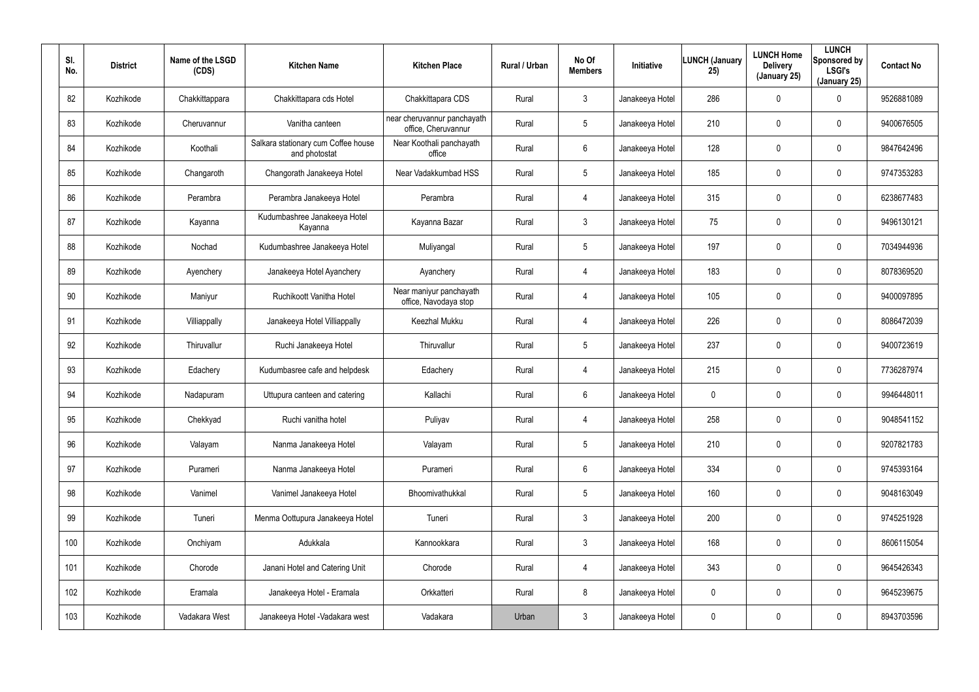| SI.<br>No. | <b>District</b> | Name of the LSGD<br>(CDS) | <b>Kitchen Name</b>                                  | <b>Kitchen Place</b>                               | Rural / Urban | No Of<br><b>Members</b> | Initiative      | <b>LUNCH (January</b><br>25) | <b>LUNCH Home</b><br><b>Delivery</b><br>(January 25) | <b>LUNCH</b><br>Sponsored by<br><b>LSGI's</b><br>(January 25) | <b>Contact No</b> |
|------------|-----------------|---------------------------|------------------------------------------------------|----------------------------------------------------|---------------|-------------------------|-----------------|------------------------------|------------------------------------------------------|---------------------------------------------------------------|-------------------|
| 82         | Kozhikode       | Chakkittappara            | Chakkittapara cds Hotel                              | Chakkittapara CDS                                  | Rural         | $\mathbf{3}$            | Janakeeya Hotel | 286                          | $\mathbf 0$                                          | 0                                                             | 9526881089        |
| 83         | Kozhikode       | Cheruvannur               | Vanitha canteen                                      | near cheruvannur panchayath<br>office, Cheruvannur | Rural         | 5                       | Janakeeya Hotel | 210                          | $\mathbf 0$                                          | $\mathbf 0$                                                   | 9400676505        |
| 84         | Kozhikode       | Koothali                  | Salkara stationary cum Coffee house<br>and photostat | Near Koothali panchayath<br>office                 | Rural         | 6                       | Janakeeya Hotel | 128                          | $\mathbf 0$                                          | $\mathbf 0$                                                   | 9847642496        |
| 85         | Kozhikode       | Changaroth                | Changorath Janakeeya Hotel                           | Near Vadakkumbad HSS                               | Rural         | 5                       | Janakeeya Hotel | 185                          | $\mathbf 0$                                          | $\mathbf 0$                                                   | 9747353283        |
| 86         | Kozhikode       | Perambra                  | Perambra Janakeeya Hotel                             | Perambra                                           | Rural         | $\overline{4}$          | Janakeeya Hotel | 315                          | $\mathbf 0$                                          | $\mathbf 0$                                                   | 6238677483        |
| 87         | Kozhikode       | Kayanna                   | Kudumbashree Janakeeya Hotel<br>Kayanna              | Kayanna Bazar                                      | Rural         | $\mathbf{3}$            | Janakeeya Hotel | 75                           | 0                                                    | $\mathbf 0$                                                   | 9496130121        |
| 88         | Kozhikode       | Nochad                    | Kudumbashree Janakeeya Hotel                         | Muliyangal                                         | Rural         | 5                       | Janakeeya Hotel | 197                          | $\mathbf 0$                                          | $\mathbf 0$                                                   | 7034944936        |
| 89         | Kozhikode       | Ayenchery                 | Janakeeya Hotel Ayanchery                            | Ayanchery                                          | Rural         | 4                       | Janakeeya Hotel | 183                          | 0                                                    | 0                                                             | 8078369520        |
| 90         | Kozhikode       | Maniyur                   | Ruchikoott Vanitha Hotel                             | Near maniyur panchayath<br>office, Navodaya stop   | Rural         | 4                       | Janakeeya Hotel | 105                          | $\mathbf 0$                                          | $\mathbf 0$                                                   | 9400097895        |
| 91         | Kozhikode       | Villiappally              | Janakeeya Hotel Villiappally                         | Keezhal Mukku                                      | Rural         | 4                       | Janakeeya Hotel | 226                          | 0                                                    | $\mathbf 0$                                                   | 8086472039        |
| 92         | Kozhikode       | Thiruvallur               | Ruchi Janakeeya Hotel                                | Thiruvallur                                        | Rural         | 5                       | Janakeeya Hotel | 237                          | $\mathbf 0$                                          | $\mathbf 0$                                                   | 9400723619        |
| 93         | Kozhikode       | Edachery                  | Kudumbasree cafe and helpdesk                        | Edachery                                           | Rural         | 4                       | Janakeeya Hotel | 215                          | $\mathbf 0$                                          | 0                                                             | 7736287974        |
| 94         | Kozhikode       | Nadapuram                 | Uttupura canteen and catering                        | Kallachi                                           | Rural         | 6                       | Janakeeya Hotel | 0                            | $\mathbf 0$                                          | 0                                                             | 9946448011        |
| 95         | Kozhikode       | Chekkyad                  | Ruchi vanitha hotel                                  | Puliyav                                            | Rural         | 4                       | Janakeeya Hotel | 258                          | $\mathbf 0$                                          | 0                                                             | 9048541152        |
| 96         | Kozhikode       | Valayam                   | Nanma Janakeeya Hotel                                | Valayam                                            | Rural         | $5\phantom{.0}$         | Janakeeya Hotel | 210                          | $\overline{0}$                                       | $\pmb{0}$                                                     | 9207821783        |
| 97         | Kozhikode       | Purameri                  | Nanma Janakeeya Hotel                                | Purameri                                           | Rural         | $6\phantom{.}$          | Janakeeya Hotel | 334                          | $\mathbf 0$                                          | $\pmb{0}$                                                     | 9745393164        |
| 98         | Kozhikode       | Vanimel                   | Vanimel Janakeeya Hotel                              | Bhoomivathukkal                                    | Rural         | $5\phantom{.0}$         | Janakeeya Hotel | 160                          | $\overline{0}$                                       | $\pmb{0}$                                                     | 9048163049        |
| 99         | Kozhikode       | Tuneri                    | Menma Oottupura Janakeeya Hotel                      | Tuneri                                             | Rural         | 3 <sup>1</sup>          | Janakeeya Hotel | 200                          | $\overline{0}$                                       | 0                                                             | 9745251928        |
| 100        | Kozhikode       | Onchiyam                  | Adukkala                                             | Kannookkara                                        | Rural         | 3 <sup>1</sup>          | Janakeeya Hotel | 168                          | $\pmb{0}$                                            | 0                                                             | 8606115054        |
| 101        | Kozhikode       | Chorode                   | Janani Hotel and Catering Unit                       | Chorode                                            | Rural         | $\overline{4}$          | Janakeeya Hotel | 343                          | $\mathbf 0$                                          | 0                                                             | 9645426343        |
| 102        | Kozhikode       | Eramala                   | Janakeeya Hotel - Eramala                            | Orkkatteri                                         | Rural         | 8                       | Janakeeya Hotel | 0                            | $\pmb{0}$                                            | 0                                                             | 9645239675        |
| 103        | Kozhikode       | Vadakara West             | Janakeeya Hotel - Vadakara west                      | Vadakara                                           | Urban         | $\mathfrak{Z}$          | Janakeeya Hotel | 0                            | $\mathbf 0$                                          | 0                                                             | 8943703596        |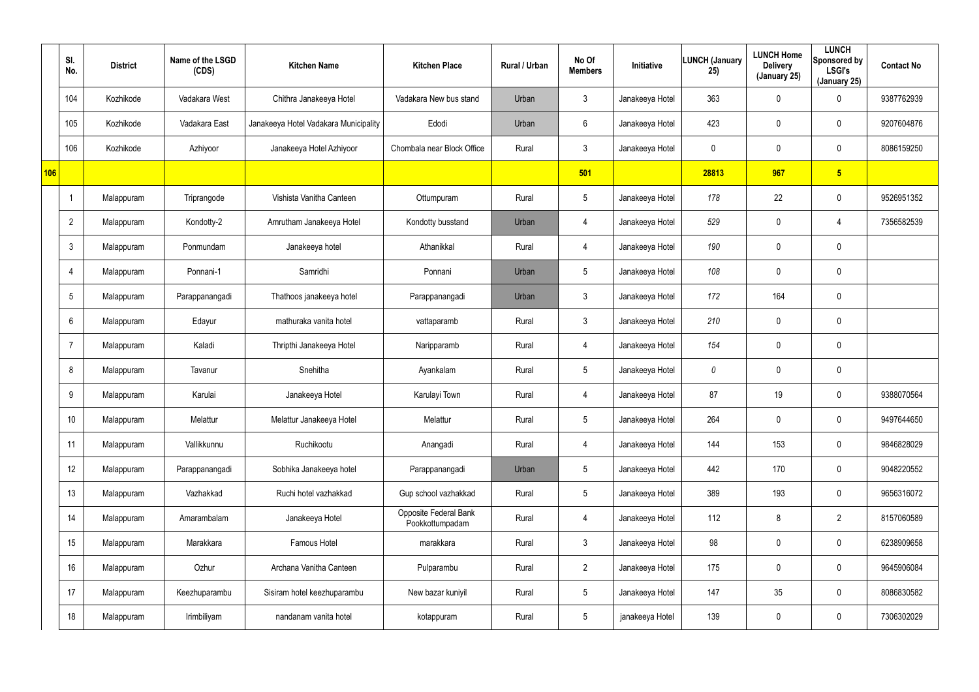|     | SI.<br>No.      | <b>District</b> | Name of the LSGD<br>(CDS) | <b>Kitchen Name</b>                   | <b>Kitchen Place</b>                     | Rural / Urban | No Of<br><b>Members</b> | Initiative      | LUNCH (January<br>25) | <b>LUNCH Home</b><br><b>Delivery</b><br>(January 25) | <b>LUNCH</b><br>Sponsored by<br><b>LSGI's</b><br>(January 25) | <b>Contact No</b> |
|-----|-----------------|-----------------|---------------------------|---------------------------------------|------------------------------------------|---------------|-------------------------|-----------------|-----------------------|------------------------------------------------------|---------------------------------------------------------------|-------------------|
|     | 104             | Kozhikode       | Vadakara West             | Chithra Janakeeya Hotel               | Vadakara New bus stand                   | Urban         | $\mathbf{3}$            | Janakeeya Hotel | 363                   | 0                                                    | $\mathbf 0$                                                   | 9387762939        |
|     | 105             | Kozhikode       | Vadakara East             | Janakeeya Hotel Vadakara Municipality | Edodi                                    | Urban         | 6                       | Janakeeya Hotel | 423                   | 0                                                    | $\mathbf 0$                                                   | 9207604876        |
|     | 106             | Kozhikode       | Azhiyoor                  | Janakeeya Hotel Azhiyoor              | Chombala near Block Office               | Rural         | $\mathbf{3}$            | Janakeeya Hotel | $\mathbf 0$           | 0                                                    | $\mathbf 0$                                                   | 8086159250        |
| 106 |                 |                 |                           |                                       |                                          |               | 501                     |                 | 28813                 | 967                                                  | 5 <sub>5</sub>                                                |                   |
|     |                 | Malappuram      | Triprangode               | Vishista Vanitha Canteen              | Ottumpuram                               | Rural         | $5\phantom{.0}$         | Janakeeya Hotel | 178                   | 22                                                   | $\mathbf 0$                                                   | 9526951352        |
|     | $\overline{2}$  | Malappuram      | Kondotty-2                | Amrutham Janakeeya Hotel              | Kondotty busstand                        | Urban         | $\overline{4}$          | Janakeeya Hotel | 529                   | 0                                                    | 4                                                             | 7356582539        |
|     | $\mathbf{3}$    | Malappuram      | Ponmundam                 | Janakeeya hotel                       | Athanikkal                               | Rural         | 4                       | Janakeeya Hotel | 190                   | 0                                                    | $\mathbf 0$                                                   |                   |
|     | $\overline{4}$  | Malappuram      | Ponnani-1                 | Samridhi                              | Ponnani                                  | Urban         | $5\phantom{.0}$         | Janakeeya Hotel | 108                   | 0                                                    | $\mathbf 0$                                                   |                   |
|     | $5\phantom{.0}$ | Malappuram      | Parappanangadi            | Thathoos janakeeya hotel              | Parappanangadi                           | Urban         | $\mathfrak{Z}$          | Janakeeya Hotel | 172                   | 164                                                  | $\pmb{0}$                                                     |                   |
|     | $6^{\circ}$     | Malappuram      | Edayur                    | mathuraka vanita hotel                | vattaparamb                              | Rural         | $\mathbf{3}$            | Janakeeya Hotel | 210                   | 0                                                    | $\mathbf 0$                                                   |                   |
|     | $\overline{7}$  | Malappuram      | Kaladi                    | Thripthi Janakeeya Hotel              | Naripparamb                              | Rural         | 4                       | Janakeeya Hotel | 154                   | 0                                                    | $\mathbf 0$                                                   |                   |
|     | 8               | Malappuram      | Tavanur                   | Snehitha                              | Ayankalam                                | Rural         | $5\phantom{.0}$         | Janakeeya Hotel | 0                     | 0                                                    | $\mathbf 0$                                                   |                   |
|     | 9               | Malappuram      | Karulai                   | Janakeeya Hotel                       | Karulayi Town                            | Rural         | 4                       | Janakeeya Hotel | 87                    | 19                                                   | $\mathbf 0$                                                   | 9388070564        |
|     | 10              | Malappuram      | Melattur                  | Melattur Janakeeya Hotel              | Melattur                                 | Rural         | $5\phantom{.0}$         | Janakeeya Hotel | 264                   | 0                                                    | $\mathbf 0$                                                   | 9497644650        |
|     | 11              | Malappuram      | Vallikkunnu               | Ruchikootu                            | Anangadi                                 | Rural         | 4                       | Janakeeya Hotel | 144                   | 153                                                  | $\mathbf 0$                                                   | 9846828029        |
|     | 12              | Malappuram      | Parappanangadi            | Sobhika Janakeeya hotel               | Parappanangadi                           | Urban         | $5\overline{)}$         | Janakeeya Hotel | 442                   | 170                                                  | $\mathbf 0$                                                   | 9048220552        |
|     | 13              | Malappuram      | Vazhakkad                 | Ruchi hotel vazhakkad                 | Gup school vazhakkad                     | Rural         | $5\overline{)}$         | Janakeeya Hotel | 389                   | 193                                                  | $\mathbf 0$                                                   | 9656316072        |
|     | 14              | Malappuram      | Amarambalam               | Janakeeya Hotel                       | Opposite Federal Bank<br>Pookkottumpadam | Rural         | 4                       | Janakeeya Hotel | 112                   | 8                                                    | $\overline{2}$                                                | 8157060589        |
|     | 15              | Malappuram      | Marakkara                 | Famous Hotel                          | marakkara                                | Rural         | $\mathbf{3}$            | Janakeeya Hotel | 98                    | 0                                                    | $\boldsymbol{0}$                                              | 6238909658        |
|     | 16              | Malappuram      | Ozhur                     | Archana Vanitha Canteen               | Pulparambu                               | Rural         | $2^{\circ}$             | Janakeeya Hotel | 175                   | 0                                                    | $\boldsymbol{0}$                                              | 9645906084        |
|     | 17              | Malappuram      | Keezhuparambu             | Sisiram hotel keezhuparambu           | New bazar kuniyil                        | Rural         | $5\phantom{.0}$         | Janakeeya Hotel | 147                   | 35                                                   | $\boldsymbol{0}$                                              | 8086830582        |
|     | 18              | Malappuram      | Irimbiliyam               | nandanam vanita hotel                 | kotappuram                               | Rural         | $5\,$                   | janakeeya Hotel | 139                   | 0                                                    | $\pmb{0}$                                                     | 7306302029        |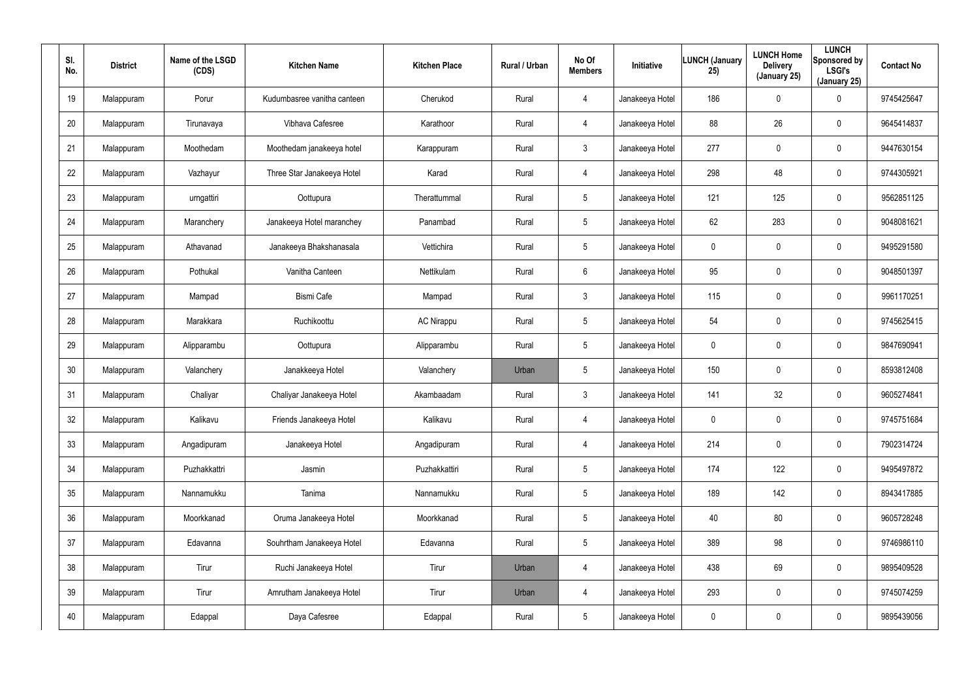| SI.<br>No. | <b>District</b> | Name of the LSGD<br>(CDS) | <b>Kitchen Name</b>         | <b>Kitchen Place</b> | Rural / Urban | No Of<br><b>Members</b> | Initiative      | <b>LUNCH (January</b><br>25) | <b>LUNCH Home</b><br><b>Delivery</b><br>(January 25) | <b>LUNCH</b><br>Sponsored by<br><b>LSGI's</b><br>(January 25) | <b>Contact No</b> |
|------------|-----------------|---------------------------|-----------------------------|----------------------|---------------|-------------------------|-----------------|------------------------------|------------------------------------------------------|---------------------------------------------------------------|-------------------|
| 19         | Malappuram      | Porur                     | Kudumbasree vanitha canteen | Cherukod             | Rural         | 4                       | Janakeeya Hotel | 186                          | $\pmb{0}$                                            | 0                                                             | 9745425647        |
| 20         | Malappuram      | Tirunavaya                | Vibhava Cafesree            | Karathoor            | Rural         | $\overline{4}$          | Janakeeya Hotel | 88                           | 26                                                   | 0                                                             | 9645414837        |
| 21         | Malappuram      | Moothedam                 | Moothedam janakeeya hotel   | Karappuram           | Rural         | $\mathbf{3}$            | Janakeeya Hotel | 277                          | $\pmb{0}$                                            | 0                                                             | 9447630154        |
| 22         | Malappuram      | Vazhayur                  | Three Star Janakeeya Hotel  | Karad                | Rural         | $\overline{4}$          | Janakeeya Hotel | 298                          | 48                                                   | 0                                                             | 9744305921        |
| 23         | Malappuram      | urngattiri                | Oottupura                   | Therattummal         | Rural         | 5                       | Janakeeya Hotel | 121                          | 125                                                  | 0                                                             | 9562851125        |
| 24         | Malappuram      | Maranchery                | Janakeeya Hotel maranchey   | Panambad             | Rural         | 5                       | Janakeeya Hotel | 62                           | 283                                                  | 0                                                             | 9048081621        |
| 25         | Malappuram      | Athavanad                 | Janakeeya Bhakshanasala     | Vettichira           | Rural         | $5\phantom{.0}$         | Janakeeya Hotel | 0                            | $\pmb{0}$                                            | $\mathbf 0$                                                   | 9495291580        |
| 26         | Malappuram      | Pothukal                  | Vanitha Canteen             | Nettikulam           | Rural         | 6                       | Janakeeya Hotel | 95                           | $\boldsymbol{0}$                                     | $\mathbf 0$                                                   | 9048501397        |
| 27         | Malappuram      | Mampad                    | <b>Bismi Cafe</b>           | Mampad               | Rural         | $\mathbf{3}$            | Janakeeya Hotel | 115                          | $\overline{0}$                                       | $\mathbf 0$                                                   | 9961170251        |
| 28         | Malappuram      | Marakkara                 | Ruchikoottu                 | <b>AC Nirappu</b>    | Rural         | $5\phantom{.0}$         | Janakeeya Hotel | 54                           | $\mathbf 0$                                          | $\mathbf 0$                                                   | 9745625415        |
| 29         | Malappuram      | Alipparambu               | Oottupura                   | Alipparambu          | Rural         | $5\phantom{.0}$         | Janakeeya Hotel | 0                            | $\pmb{0}$                                            | $\mathbf 0$                                                   | 9847690941        |
| 30         | Malappuram      | Valanchery                | Janakkeeya Hotel            | Valanchery           | Urban         | $5\phantom{.0}$         | Janakeeya Hotel | 150                          | $\mathbf 0$                                          | 0                                                             | 8593812408        |
| 31         | Malappuram      | Chaliyar                  | Chaliyar Janakeeya Hotel    | Akambaadam           | Rural         | $\mathbf{3}$            | Janakeeya Hotel | 141                          | 32                                                   | $\mathbf 0$                                                   | 9605274841        |
| 32         | Malappuram      | Kalikavu                  | Friends Janakeeya Hotel     | Kalikavu             | Rural         | 4                       | Janakeeya Hotel | 0                            | $\mathbf 0$                                          | $\pmb{0}$                                                     | 9745751684        |
| 33         | Malappuram      | Angadipuram               | Janakeeya Hotel             | Angadipuram          | Rural         | $\overline{4}$          | Janakeeya Hotel | 214                          | $\mathbf 0$                                          | $\pmb{0}$                                                     | 7902314724        |
| 34         | Malappuram      | Puzhakkattri              | Jasmin                      | Puzhakkattiri        | Rural         | $5\phantom{.0}$         | Janakeeya Hotel | 174                          | 122                                                  | $\pmb{0}$                                                     | 9495497872        |
| 35         | Malappuram      | Nannamukku                | Tanima                      | Nannamukku           | Rural         | $5\phantom{.0}$         | Janakeeya Hotel | 189                          | 142                                                  | $\pmb{0}$                                                     | 8943417885        |
| 36         | Malappuram      | Moorkkanad                | Oruma Janakeeya Hotel       | Moorkkanad           | Rural         | $5\phantom{.0}$         | Janakeeya Hotel | 40                           | 80                                                   | 0                                                             | 9605728248        |
| 37         | Malappuram      | Edavanna                  | Souhrtham Janakeeya Hotel   | Edavanna             | Rural         | $5\phantom{.0}$         | Janakeeya Hotel | 389                          | 98                                                   | 0                                                             | 9746986110        |
| 38         | Malappuram      | Tirur                     | Ruchi Janakeeya Hotel       | Tirur                | Urban         | $\overline{4}$          | Janakeeya Hotel | 438                          | 69                                                   | 0                                                             | 9895409528        |
| 39         | Malappuram      | Tirur                     | Amrutham Janakeeya Hotel    | Tirur                | Urban         | $\overline{4}$          | Janakeeya Hotel | 293                          | $\mathbf 0$                                          | 0                                                             | 9745074259        |
| 40         | Malappuram      | Edappal                   | Daya Cafesree               | Edappal              | Rural         | $5\phantom{.0}$         | Janakeeya Hotel | 0                            | $\boldsymbol{0}$                                     | 0                                                             | 9895439056        |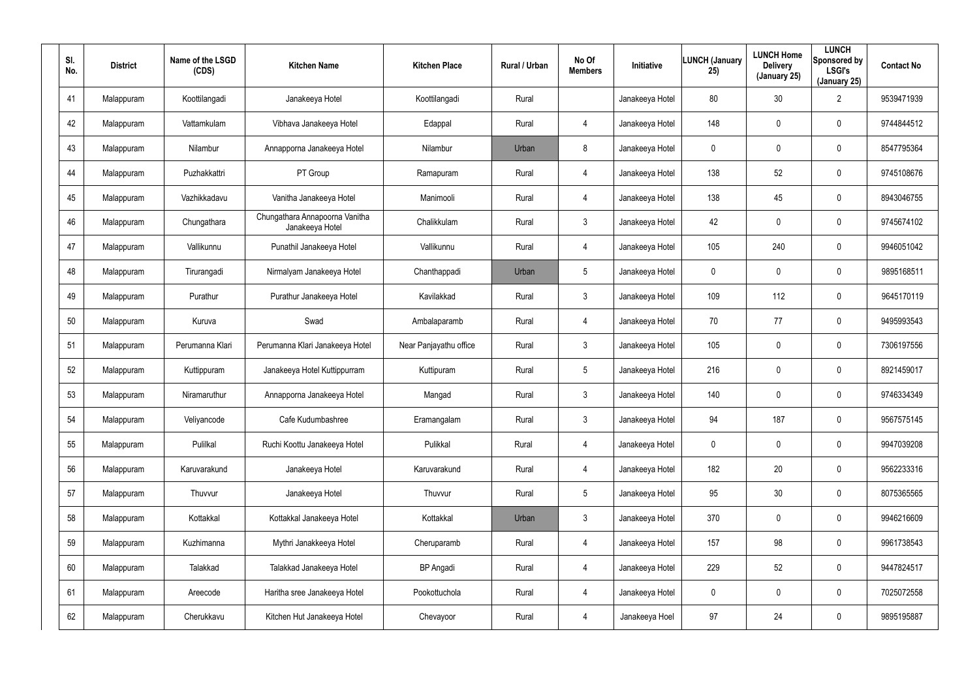| SI.<br>No. | <b>District</b> | Name of the LSGD<br>(CDS) | <b>Kitchen Name</b>                               | <b>Kitchen Place</b>   | Rural / Urban | No Of<br><b>Members</b> | Initiative      | <b>LUNCH (January</b><br>25) | <b>LUNCH Home</b><br><b>Delivery</b><br>(January 25) | <b>LUNCH</b><br>Sponsored by<br><b>LSGI's</b><br>(January 25) | <b>Contact No</b> |
|------------|-----------------|---------------------------|---------------------------------------------------|------------------------|---------------|-------------------------|-----------------|------------------------------|------------------------------------------------------|---------------------------------------------------------------|-------------------|
| 41         | Malappuram      | Koottilangadi             | Janakeeya Hotel                                   | Koottilangadi          | Rural         |                         | Janakeeya Hotel | 80                           | 30                                                   | $\overline{2}$                                                | 9539471939        |
| 42         | Malappuram      | Vattamkulam               | Vibhava Janakeeya Hotel                           | Edappal                | Rural         | $\overline{4}$          | Janakeeya Hotel | 148                          | $\mathbf 0$                                          | 0                                                             | 9744844512        |
| 43         | Malappuram      | Nilambur                  | Annapporna Janakeeya Hotel                        | Nilambur               | Urban         | 8                       | Janakeeya Hotel | 0                            | $\mathbf 0$                                          | 0                                                             | 8547795364        |
| 44         | Malappuram      | Puzhakkattri              | PT Group                                          | Ramapuram              | Rural         | $\overline{4}$          | Janakeeya Hotel | 138                          | 52                                                   | 0                                                             | 9745108676        |
| 45         | Malappuram      | Vazhikkadavu              | Vanitha Janakeeya Hotel                           | Manimooli              | Rural         | $\overline{4}$          | Janakeeya Hotel | 138                          | 45                                                   | 0                                                             | 8943046755        |
| 46         | Malappuram      | Chungathara               | Chungathara Annapoorna Vanitha<br>Janakeeya Hotel | Chalikkulam            | Rural         | $\mathbf{3}$            | Janakeeya Hotel | 42                           | $\mathbf 0$                                          | $\mathbf 0$                                                   | 9745674102        |
| 47         | Malappuram      | Vallikunnu                | Punathil Janakeeya Hotel                          | Vallikunnu             | Rural         | $\overline{4}$          | Janakeeya Hotel | 105                          | 240                                                  | $\mathbf 0$                                                   | 9946051042        |
| 48         | Malappuram      | Tirurangadi               | Nirmalyam Janakeeya Hotel                         | Chanthappadi           | Urban         | $5\phantom{.0}$         | Janakeeya Hotel | 0                            | 0                                                    | 0                                                             | 9895168511        |
| 49         | Malappuram      | Purathur                  | Purathur Janakeeya Hotel                          | Kavilakkad             | Rural         | $\mathbf{3}$            | Janakeeya Hotel | 109                          | 112                                                  | $\mathbf 0$                                                   | 9645170119        |
| 50         | Malappuram      | Kuruva                    | Swad                                              | Ambalaparamb           | Rural         | 4                       | Janakeeya Hotel | 70                           | 77                                                   | 0                                                             | 9495993543        |
| 51         | Malappuram      | Perumanna Klari           | Perumanna Klari Janakeeya Hotel                   | Near Panjayathu office | Rural         | $\mathbf{3}$            | Janakeeya Hotel | 105                          | $\overline{0}$                                       | $\mathbf 0$                                                   | 7306197556        |
| 52         | Malappuram      | Kuttippuram               | Janakeeya Hotel Kuttippurram                      | Kuttipuram             | Rural         | $5\phantom{.0}$         | Janakeeya Hotel | 216                          | $\mathbf 0$                                          | 0                                                             | 8921459017        |
| 53         | Malappuram      | Niramaruthur              | Annapporna Janakeeya Hotel                        | Mangad                 | Rural         | $\mathbf{3}$            | Janakeeya Hotel | 140                          | $\overline{0}$                                       | 0                                                             | 9746334349        |
| 54         | Malappuram      | Veliyancode               | Cafe Kudumbashree                                 | Eramangalam            | Rural         | $\mathbf{3}$            | Janakeeya Hotel | 94                           | 187                                                  | 0                                                             | 9567575145        |
| 55         | Malappuram      | Pulilkal                  | Ruchi Koottu Janakeeya Hotel                      | Pulikkal               | Rural         | $\overline{4}$          | Janakeeya Hotel | 0                            | $\mathbf 0$                                          | $\pmb{0}$                                                     | 9947039208        |
| 56         | Malappuram      | Karuvarakund              | Janakeeya Hotel                                   | Karuvarakund           | Rural         | $\overline{4}$          | Janakeeya Hotel | 182                          | 20                                                   | $\pmb{0}$                                                     | 9562233316        |
| 57         | Malappuram      | Thuvvur                   | Janakeeya Hotel                                   | Thuvvur                | Rural         | $5\phantom{.0}$         | Janakeeya Hotel | 95                           | 30 <sub>o</sub>                                      | 0                                                             | 8075365565        |
| 58         | Malappuram      | Kottakkal                 | Kottakkal Janakeeya Hotel                         | Kottakkal              | Urban         | 3 <sup>1</sup>          | Janakeeya Hotel | 370                          | $\mathbf 0$                                          | 0                                                             | 9946216609        |
| 59         | Malappuram      | Kuzhimanna                | Mythri Janakkeeya Hotel                           | Cheruparamb            | Rural         | $\overline{4}$          | Janakeeya Hotel | 157                          | 98                                                   | 0                                                             | 9961738543        |
| 60         | Malappuram      | Talakkad                  | Talakkad Janakeeya Hotel                          | <b>BP</b> Angadi       | Rural         | $\overline{4}$          | Janakeeya Hotel | 229                          | 52                                                   | 0                                                             | 9447824517        |
| 61         | Malappuram      | Areecode                  | Haritha sree Janakeeya Hotel                      | Pookottuchola          | Rural         | $\overline{4}$          | Janakeeya Hotel | 0                            | $\overline{0}$                                       | 0                                                             | 7025072558        |
| 62         | Malappuram      | Cherukkavu                | Kitchen Hut Janakeeya Hotel                       | Chevayoor              | Rural         | $\overline{4}$          | Janakeeya Hoel  | 97                           | 24                                                   | 0                                                             | 9895195887        |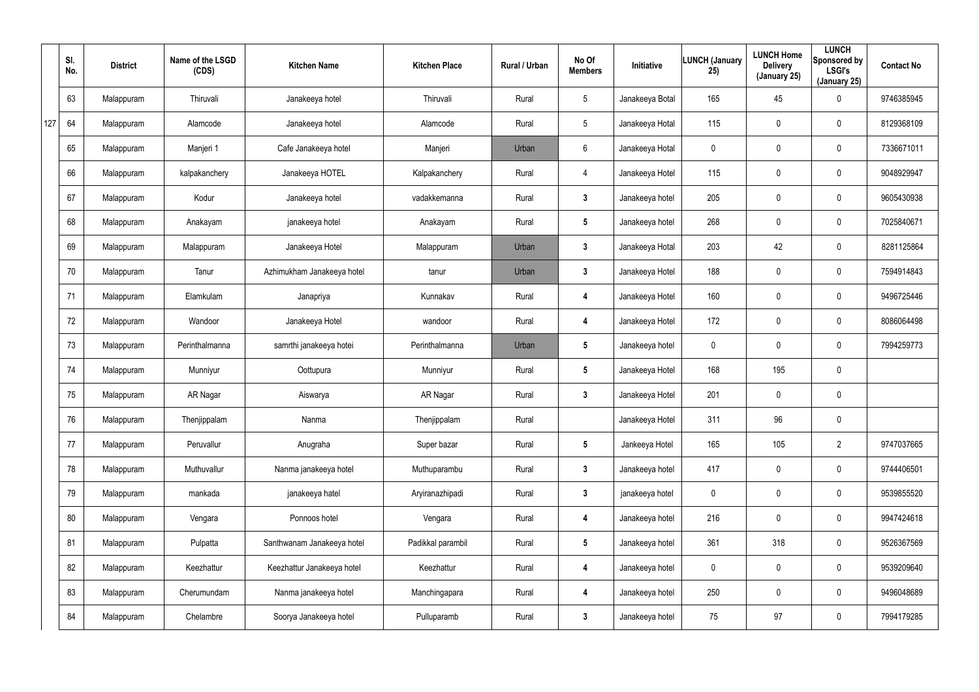|     | SI.<br>No. | <b>District</b> | Name of the LSGD<br>(CDS) | <b>Kitchen Name</b>        | <b>Kitchen Place</b> | Rural / Urban | No Of<br><b>Members</b> | <b>Initiative</b> | <b>LUNCH (January</b><br>25) | <b>LUNCH Home</b><br><b>Delivery</b><br>(January 25) | <b>LUNCH</b><br>Sponsored by<br><b>LSGI's</b><br>(January 25) | <b>Contact No</b> |
|-----|------------|-----------------|---------------------------|----------------------------|----------------------|---------------|-------------------------|-------------------|------------------------------|------------------------------------------------------|---------------------------------------------------------------|-------------------|
|     | 63         | Malappuram      | Thiruvali                 | Janakeeya hotel            | Thiruvali            | Rural         | $5\overline{)}$         | Janakeeya Botal   | 165                          | 45                                                   | $\mathbf 0$                                                   | 9746385945        |
| 127 | 64         | Malappuram      | Alamcode                  | Janakeeya hotel            | Alamcode             | Rural         | $5\phantom{.0}$         | Janakeeya Hotal   | 115                          | 0                                                    | $\mathbf 0$                                                   | 8129368109        |
|     | 65         | Malappuram      | Manjeri 1                 | Cafe Janakeeya hotel       | Manjeri              | Urban         | 6                       | Janakeeya Hotal   | $\mathbf 0$                  | 0                                                    | $\mathbf 0$                                                   | 7336671011        |
|     | 66         | Malappuram      | kalpakanchery             | Janakeeya HOTEL            | Kalpakanchery        | Rural         | 4                       | Janakeeya Hotel   | 115                          | 0                                                    | $\mathbf 0$                                                   | 9048929947        |
|     | 67         | Malappuram      | Kodur                     | Janakeeya hotel            | vadakkemanna         | Rural         | $\mathbf{3}$            | Janakeeya hotel   | 205                          | 0                                                    | $\mathbf 0$                                                   | 9605430938        |
|     | 68         | Malappuram      | Anakayam                  | janakeeya hotel            | Anakayam             | Rural         | $5\overline{)}$         | Janakeeya hotel   | 268                          | 0                                                    | $\mathbf 0$                                                   | 7025840671        |
|     | 69         | Malappuram      | Malappuram                | Janakeeya Hotel            | Malappuram           | Urban         | $\mathbf{3}$            | Janakeeya Hotal   | 203                          | 42                                                   | $\boldsymbol{0}$                                              | 8281125864        |
|     | 70         | Malappuram      | Tanur                     | Azhimukham Janakeeya hotel | tanur                | Urban         | $\mathbf{3}$            | Janakeeya Hotel   | 188                          | 0                                                    | $\mathbf 0$                                                   | 7594914843        |
|     | 71         | Malappuram      | Elamkulam                 | Janapriya                  | Kunnakav             | Rural         | 4                       | Janakeeya Hotel   | 160                          | 0                                                    | $\mathbf 0$                                                   | 9496725446        |
|     | 72         | Malappuram      | Wandoor                   | Janakeeya Hotel            | wandoor              | Rural         | 4                       | Janakeeya Hotel   | 172                          | 0                                                    | $\mathbf 0$                                                   | 8086064498        |
|     | 73         | Malappuram      | Perinthalmanna            | samrthi janakeeya hotei    | Perinthalmanna       | Urban         | $5\phantom{.0}$         | Janakeeya hotel   | $\mathbf 0$                  | 0                                                    | $\mathbf 0$                                                   | 7994259773        |
|     | 74         | Malappuram      | Munniyur                  | Oottupura                  | Munniyur             | Rural         | $5\overline{)}$         | Janakeeya Hotel   | 168                          | 195                                                  | $\mathbf 0$                                                   |                   |
|     | 75         | Malappuram      | AR Nagar                  | Aiswarya                   | AR Nagar             | Rural         | $\mathbf{3}$            | Janakeeya Hotel   | 201                          | 0                                                    | $\boldsymbol{0}$                                              |                   |
|     | 76         | Malappuram      | Thenjippalam              | Nanma                      | Thenjippalam         | Rural         |                         | Janakeeya Hotel   | 311                          | 96                                                   | $\pmb{0}$                                                     |                   |
|     | 77         | Malappuram      | Peruvallur                | Anugraha                   | Super bazar          | Rural         | $5\phantom{.0}$         | Jankeeya Hotel    | 165                          | 105                                                  | $\overline{2}$                                                | 9747037665        |
|     | 78         | Malappuram      | Muthuvallur               | Nanma janakeeya hotel      | Muthuparambu         | Rural         | $3\phantom{a}$          | Janakeeya hotel   | 417                          | 0                                                    | $\pmb{0}$                                                     | 9744406501        |
|     | 79         | Malappuram      | mankada                   | janakeeya hatel            | Aryiranazhipadi      | Rural         | $\mathbf{3}$            | janakeeya hotel   | $\pmb{0}$                    | 0                                                    | $\pmb{0}$                                                     | 9539855520        |
|     | 80         | Malappuram      | Vengara                   | Ponnoos hotel              | Vengara              | Rural         | 4                       | Janakeeya hotel   | 216                          | 0                                                    | $\pmb{0}$                                                     | 9947424618        |
|     | 81         | Malappuram      | Pulpatta                  | Santhwanam Janakeeya hotel | Padikkal parambil    | Rural         | $5\phantom{.0}$         | Janakeeya hotel   | 361                          | 318                                                  | $\pmb{0}$                                                     | 9526367569        |
|     | 82         | Malappuram      | Keezhattur                | Keezhattur Janakeeya hotel | Keezhattur           | Rural         | 4                       | Janakeeya hotel   | $\mathbf 0$                  | 0                                                    | $\pmb{0}$                                                     | 9539209640        |
|     | 83         | Malappuram      | Cherumundam               | Nanma janakeeya hotel      | Manchingapara        | Rural         | 4                       | Janakeeya hotel   | 250                          | 0                                                    | $\pmb{0}$                                                     | 9496048689        |
|     | 84         | Malappuram      | Chelambre                 | Soorya Janakeeya hotel     | Pulluparamb          | Rural         | $\mathbf{3}$            | Janakeeya hotel   | 75                           | 97                                                   | $\pmb{0}$                                                     | 7994179285        |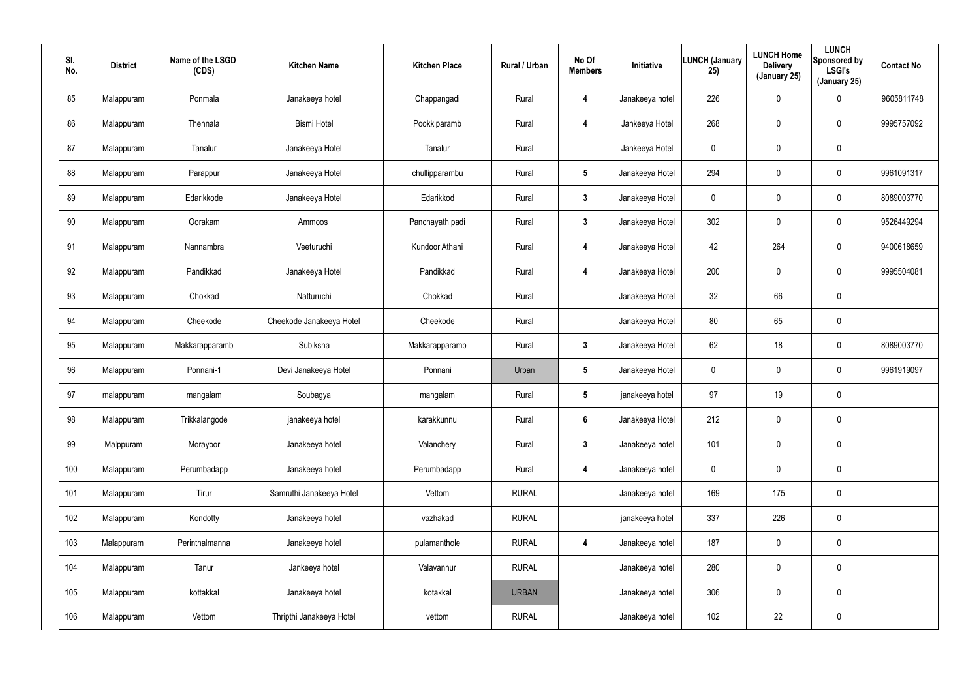| SI.<br>No. | <b>District</b> | Name of the LSGD<br>(CDS) | <b>Kitchen Name</b>      | <b>Kitchen Place</b> | Rural / Urban | No Of<br><b>Members</b> | Initiative      | <b>LUNCH (January</b><br>25) | <b>LUNCH Home</b><br><b>Delivery</b><br>(January 25) | <b>LUNCH</b><br>Sponsored by<br><b>LSGI's</b><br>(January 25) | <b>Contact No</b> |
|------------|-----------------|---------------------------|--------------------------|----------------------|---------------|-------------------------|-----------------|------------------------------|------------------------------------------------------|---------------------------------------------------------------|-------------------|
| 85         | Malappuram      | Ponmala                   | Janakeeya hotel          | Chappangadi          | Rural         | 4                       | Janakeeya hotel | 226                          | 0                                                    | $\boldsymbol{0}$                                              | 9605811748        |
| 86         | Malappuram      | Thennala                  | <b>Bismi Hotel</b>       | Pookkiparamb         | Rural         | 4                       | Jankeeya Hotel  | 268                          | 0                                                    | $\pmb{0}$                                                     | 9995757092        |
| 87         | Malappuram      | Tanalur                   | Janakeeya Hotel          | Tanalur              | Rural         |                         | Jankeeya Hotel  | 0                            | 0                                                    | $\pmb{0}$                                                     |                   |
| 88         | Malappuram      | Parappur                  | Janakeeya Hotel          | chullipparambu       | Rural         | $5\phantom{.0}$         | Janakeeya Hotel | 294                          | 0                                                    | $\pmb{0}$                                                     | 9961091317        |
| 89         | Malappuram      | Edarikkode                | Janakeeya Hotel          | Edarikkod            | Rural         | $\mathbf{3}$            | Janakeeya Hotel | 0                            | 0                                                    | $\pmb{0}$                                                     | 8089003770        |
| 90         | Malappuram      | Oorakam                   | Ammoos                   | Panchayath padi      | Rural         | $\mathbf{3}$            | Janakeeya Hotel | 302                          | 0                                                    | $\boldsymbol{0}$                                              | 9526449294        |
| 91         | Malappuram      | Nannambra                 | Veeturuchi               | Kundoor Athani       | Rural         | 4                       | Janakeeya Hotel | 42                           | 264                                                  | $\mathbf 0$                                                   | 9400618659        |
| 92         | Malappuram      | Pandikkad                 | Janakeeya Hotel          | Pandikkad            | Rural         | 4                       | Janakeeya Hotel | 200                          | $\mathbf 0$                                          | $\mathbf 0$                                                   | 9995504081        |
| 93         | Malappuram      | Chokkad                   | Natturuchi               | Chokkad              | Rural         |                         | Janakeeya Hotel | 32                           | 66                                                   | $\pmb{0}$                                                     |                   |
| 94         | Malappuram      | Cheekode                  | Cheekode Janakeeya Hotel | Cheekode             | Rural         |                         | Janakeeya Hotel | 80                           | 65                                                   | $\pmb{0}$                                                     |                   |
| 95         | Malappuram      | Makkarapparamb            | Subiksha                 | Makkarapparamb       | Rural         | $\mathbf{3}$            | Janakeeya Hotel | 62                           | 18                                                   | $\pmb{0}$                                                     | 8089003770        |
| 96         | Malappuram      | Ponnani-1                 | Devi Janakeeya Hotel     | Ponnani              | Urban         | $5\phantom{.0}$         | Janakeeya Hotel | 0                            | $\mathbf 0$                                          | $\mathbf 0$                                                   | 9961919097        |
| 97         | malappuram      | mangalam                  | Soubagya                 | mangalam             | Rural         | $5\phantom{.0}$         | janakeeya hotel | 97                           | 19                                                   | $\pmb{0}$                                                     |                   |
| 98         | Malappuram      | Trikkalangode             | janakeeya hotel          | karakkunnu           | Rural         | $6\phantom{.}$          | Janakeeya Hotel | 212                          | $\mathbf 0$                                          | $\pmb{0}$                                                     |                   |
| 99         | Malppuram       | Morayoor                  | Janakeeya hotel          | Valanchery           | Rural         | $3\phantom{a}$          | Janakeeya hotel | 101                          | $\mathbf 0$                                          | $\mathbf 0$                                                   |                   |
| 100        | Malappuram      | Perumbadapp               | Janakeeya hotel          | Perumbadapp          | Rural         | $\overline{\mathbf{4}}$ | Janakeeya hotel | $\mathbf 0$                  | $\mathbf 0$                                          | $\mathbf 0$                                                   |                   |
| 101        | Malappuram      | Tirur                     | Samruthi Janakeeya Hotel | Vettom               | <b>RURAL</b>  |                         | Janakeeya hotel | 169                          | 175                                                  | $\mathbf 0$                                                   |                   |
| 102        | Malappuram      | Kondotty                  | Janakeeya hotel          | vazhakad             | <b>RURAL</b>  |                         | janakeeya hotel | 337                          | 226                                                  | $\pmb{0}$                                                     |                   |
| 103        | Malappuram      | Perinthalmanna            | Janakeeya hotel          | pulamanthole         | <b>RURAL</b>  | 4                       | Janakeeya hotel | 187                          | 0                                                    | $\mathbf 0$                                                   |                   |
| 104        | Malappuram      | Tanur                     | Jankeeya hotel           | Valavannur           | <b>RURAL</b>  |                         | Janakeeya hotel | 280                          | $\pmb{0}$                                            | $\pmb{0}$                                                     |                   |
| 105        | Malappuram      | kottakkal                 | Janakeeya hotel          | kotakkal             | <b>URBAN</b>  |                         | Janakeeya hotel | 306                          | 0                                                    | $\mathbf 0$                                                   |                   |
| 106        | Malappuram      | Vettom                    | Thripthi Janakeeya Hotel | vettom               | <b>RURAL</b>  |                         | Janakeeya hotel | 102                          | 22                                                   | $\pmb{0}$                                                     |                   |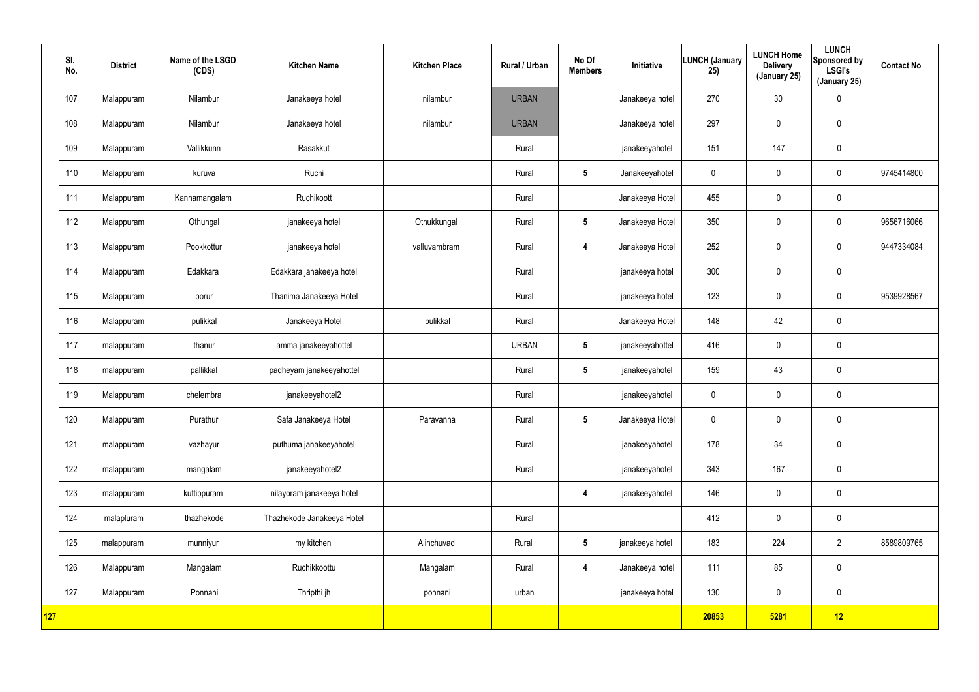|     | SI.<br>No. | <b>District</b> | Name of the LSGD<br>(CDS) | <b>Kitchen Name</b>        | <b>Kitchen Place</b> | Rural / Urban | No Of<br><b>Members</b> | Initiative      | <b>LUNCH (January</b><br>25) | <b>LUNCH Home</b><br><b>Delivery</b><br>(January 25) | <b>LUNCH</b><br>Sponsored by<br><b>LSGI's</b><br>(January 25) | <b>Contact No</b> |
|-----|------------|-----------------|---------------------------|----------------------------|----------------------|---------------|-------------------------|-----------------|------------------------------|------------------------------------------------------|---------------------------------------------------------------|-------------------|
|     | 107        | Malappuram      | Nilambur                  | Janakeeya hotel            | nilambur             | <b>URBAN</b>  |                         | Janakeeya hotel | 270                          | 30                                                   | $\pmb{0}$                                                     |                   |
|     | 108        | Malappuram      | Nilambur                  | Janakeeya hotel            | nilambur             | <b>URBAN</b>  |                         | Janakeeya hotel | 297                          | $\mathbf 0$                                          | $\mathbf 0$                                                   |                   |
|     | 109        | Malappuram      | Vallikkunn                | Rasakkut                   |                      | Rural         |                         | janakeeyahotel  | 151                          | 147                                                  | $\pmb{0}$                                                     |                   |
|     | 110        | Malappuram      | kuruva                    | Ruchi                      |                      | Rural         | $5\phantom{.0}$         | Janakeeyahotel  | 0                            | $\mathbf 0$                                          | $\mathbf 0$                                                   | 9745414800        |
|     | 111        | Malappuram      | Kannamangalam             | Ruchikoott                 |                      | Rural         |                         | Janakeeya Hotel | 455                          | $\mathbf 0$                                          | $\mathbf 0$                                                   |                   |
|     | 112        | Malappuram      | Othungal                  | janakeeya hotel            | Othukkungal          | Rural         | $5\phantom{.0}$         | Janakeeya Hotel | 350                          | $\mathbf 0$                                          | $\mathbf 0$                                                   | 9656716066        |
|     | 113        | Malappuram      | Pookkottur                | janakeeya hotel            | valluvambram         | Rural         | $\overline{\mathbf{4}}$ | Janakeeya Hotel | 252                          | $\mathbf 0$                                          | $\mathbf 0$                                                   | 9447334084        |
|     | 114        | Malappuram      | Edakkara                  | Edakkara janakeeya hotel   |                      | Rural         |                         | janakeeya hotel | 300                          | 0                                                    | $\mathbf 0$                                                   |                   |
|     | 115        | Malappuram      | porur                     | Thanima Janakeeya Hotel    |                      | Rural         |                         | janakeeya hotel | 123                          | $\mathbf 0$                                          | $\mathbf 0$                                                   | 9539928567        |
|     | 116        | Malappuram      | pulikkal                  | Janakeeya Hotel            | pulikkal             | Rural         |                         | Janakeeya Hotel | 148                          | 42                                                   | $\mathbf 0$                                                   |                   |
|     | 117        | malappuram      | thanur                    | amma janakeeyahottel       |                      | <b>URBAN</b>  | $5\phantom{.0}$         | janakeeyahottel | 416                          | $\pmb{0}$                                            | $\pmb{0}$                                                     |                   |
|     | 118        | malappuram      | pallikkal                 | padheyam janakeeyahottel   |                      | Rural         | $5\phantom{.0}$         | janakeeyahotel  | 159                          | 43                                                   | $\mathbf 0$                                                   |                   |
|     | 119        | Malappuram      | chelembra                 | janakeeyahotel2            |                      | Rural         |                         | janakeeyahotel  | 0                            | $\pmb{0}$                                            | $\pmb{0}$                                                     |                   |
|     | 120        | Malappuram      | Purathur                  | Safa Janakeeya Hotel       | Paravanna            | Rural         | $5\phantom{.0}$         | Janakeeya Hotel | 0                            | $\pmb{0}$                                            | $\pmb{0}$                                                     |                   |
|     | 121        | malappuram      | vazhayur                  | puthuma janakeeyahotel     |                      | Rural         |                         | janakeeyahotel  | 178                          | 34                                                   | $\pmb{0}$                                                     |                   |
|     | 122        | malappuram      | mangalam                  | janakeeyahotel2            |                      | Rural         |                         | janakeeyahotel  | 343                          | 167                                                  | $\pmb{0}$                                                     |                   |
|     | 123        | malappuram      | kuttippuram               | nilayoram janakeeya hotel  |                      |               | $\overline{\mathbf{4}}$ | janakeeyahotel  | 146                          | 0                                                    | $\mathbf 0$                                                   |                   |
|     | 124        | malapluram      | thazhekode                | Thazhekode Janakeeya Hotel |                      | Rural         |                         |                 | 412                          | $\pmb{0}$                                            | $\pmb{0}$                                                     |                   |
|     | 125        | malappuram      | munniyur                  | my kitchen                 | Alinchuvad           | Rural         | $5\phantom{.0}$         | janakeeya hotel | 183                          | 224                                                  | $\overline{2}$                                                | 8589809765        |
|     | 126        | Malappuram      | Mangalam                  | Ruchikkoottu               | Mangalam             | Rural         | $\overline{\mathbf{4}}$ | Janakeeya hotel | 111                          | 85                                                   | $\pmb{0}$                                                     |                   |
|     | 127        | Malappuram      | Ponnani                   | Thripthi jh                | ponnani              | urban         |                         | janakeeya hotel | 130                          | $\pmb{0}$                                            | $\mathbf 0$                                                   |                   |
| 127 |            |                 |                           |                            |                      |               |                         |                 | 20853                        | 5281                                                 | 12                                                            |                   |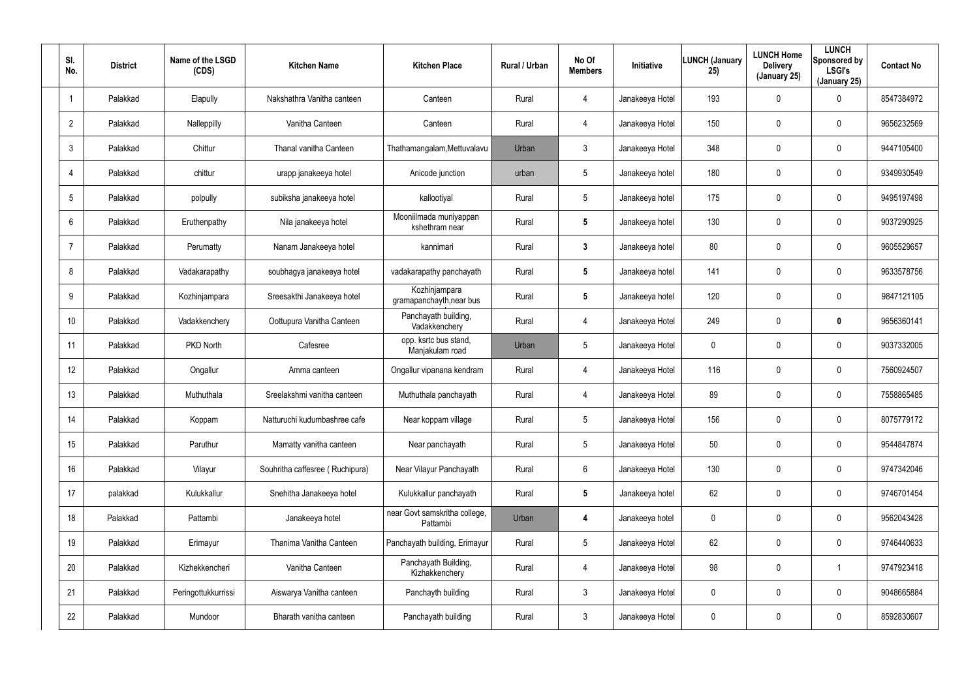| SI.<br>No.      | <b>District</b> | Name of the LSGD<br>(CDS) | <b>Kitchen Name</b>             | <b>Kitchen Place</b>                      | <b>Rural / Urban</b> | No Of<br><b>Members</b> | <b>Initiative</b> | <b>LUNCH (January</b><br>25) | <b>LUNCH Home</b><br><b>Delivery</b><br>(January 25) | <b>LUNCH</b><br>Sponsored by<br><b>LSGI's</b><br>(January 25) | <b>Contact No</b> |
|-----------------|-----------------|---------------------------|---------------------------------|-------------------------------------------|----------------------|-------------------------|-------------------|------------------------------|------------------------------------------------------|---------------------------------------------------------------|-------------------|
| $\mathbf 1$     | Palakkad        | Elapully                  | Nakshathra Vanitha canteen      | Canteen                                   | Rural                | 4                       | Janakeeya Hotel   | 193                          | $\mathbf 0$                                          | 0                                                             | 8547384972        |
| $\overline{2}$  | Palakkad        | Nalleppilly               | Vanitha Canteen                 | Canteen                                   | Rural                | 4                       | Janakeeya Hotel   | 150                          | $\mathbf 0$                                          | 0                                                             | 9656232569        |
| $\mathbf{3}$    | Palakkad        | Chittur                   | Thanal vanitha Canteen          | Thathamangalam, Mettuvalavu               | Urban                | 3                       | Janakeeya Hotel   | 348                          | 0                                                    | 0                                                             | 9447105400        |
| $\overline{4}$  | Palakkad        | chittur                   | urapp janakeeya hotel           | Anicode junction                          | urban                | 5                       | Janakeeya hotel   | 180                          | $\mathbf 0$                                          | 0                                                             | 9349930549        |
| 5               | Palakkad        | polpully                  | subiksha janakeeya hotel        | kallootiyal                               | Rural                | $5\overline{)}$         | Janakeeya hotel   | 175                          | 0                                                    | 0                                                             | 9495197498        |
| 6               | Palakkad        | Eruthenpathy              | Nila janakeeya hotel            | Mooniilmada muniyappan<br>kshethram near  | Rural                | 5                       | Janakeeya hotel   | 130                          | $\mathbf 0$                                          | 0                                                             | 9037290925        |
| $\overline{7}$  | Palakkad        | Perumatty                 | Nanam Janakeeya hotel           | kannimari                                 | Rural                | $\mathbf{3}$            | Janakeeya hotel   | 80                           | $\mathbf 0$                                          | 0                                                             | 9605529657        |
| 8               | Palakkad        | Vadakarapathy             | soubhagya janakeeya hotel       | vadakarapathy panchayath                  | Rural                | 5                       | Janakeeya hotel   | 141                          | $\mathbf 0$                                          | 0                                                             | 9633578756        |
| 9               | Palakkad        | Kozhinjampara             | Sreesakthi Janakeeya hotel      | Kozhinjampara<br>gramapanchayth, near bus | Rural                | $5\phantom{.0}$         | Janakeeya hotel   | 120                          | $\mathbf 0$                                          | 0                                                             | 9847121105        |
| 10 <sup>°</sup> | Palakkad        | Vadakkenchery             | Oottupura Vanitha Canteen       | Panchayath building,<br>Vadakkenchery     | Rural                | 4                       | Janakeeya Hotel   | 249                          | $\mathbf 0$                                          | 0                                                             | 9656360141        |
| 11              | Palakkad        | PKD North                 | Cafesree                        | opp. ksrtc bus stand,<br>Manjakulam road  | Urban                | 5                       | Janakeeya Hotel   | 0                            | $\mathbf 0$                                          | 0                                                             | 9037332005        |
| 12 <sup>°</sup> | Palakkad        | Ongallur                  | Amma canteen                    | Ongallur vipanana kendram                 | Rural                | 4                       | Janakeeya Hotel   | 116                          | 0                                                    | 0                                                             | 7560924507        |
| 13              | Palakkad        | Muthuthala                | Sreelakshmi vanitha canteen     | Muthuthala panchayath                     | Rural                | 4                       | Janakeeya Hotel   | 89                           | $\mathbf 0$                                          | 0                                                             | 7558865485        |
| 14              | Palakkad        | Koppam                    | Natturuchi kudumbashree cafe    | Near koppam village                       | Rural                | $5\phantom{.0}$         | Janakeeya Hotel   | 156                          | $\boldsymbol{0}$                                     | 0                                                             | 8075779172        |
| 15              | Palakkad        | Paruthur                  | Mamatty vanitha canteen         | Near panchayath                           | Rural                | $5\phantom{.0}$         | Janakeeya Hotel   | 50                           | $\overline{0}$                                       | 0                                                             | 9544847874        |
| 16              | Palakkad        | Vilayur                   | Souhritha caffesree (Ruchipura) | Near Vilayur Panchayath                   | Rural                | 6                       | Janakeeya Hotel   | 130                          | $\overline{0}$                                       | 0                                                             | 9747342046        |
| 17              | palakkad        | Kulukkallur               | Snehitha Janakeeya hotel        | Kulukkallur panchayath                    | Rural                | $5\phantom{.0}$         | Janakeeya hotel   | 62                           | $\overline{0}$                                       | 0                                                             | 9746701454        |
| 18              | Palakkad        | Pattambi                  | Janakeeya hotel                 | near Govt samskritha college,<br>Pattambi | Urban                | 4                       | Janakeeya hotel   | 0                            | $\overline{0}$                                       | 0                                                             | 9562043428        |
| 19              | Palakkad        | Erimayur                  | Thanima Vanitha Canteen         | Panchayath building, Erimayur             | Rural                | $5\phantom{.0}$         | Janakeeya Hotel   | 62                           | $\overline{0}$                                       | 0                                                             | 9746440633        |
| 20              | Palakkad        | Kizhekkencheri            | Vanitha Canteen                 | Panchayath Building,<br>Kizhakkenchery    | Rural                | 4                       | Janakeeya Hotel   | 98                           | $\overline{0}$                                       |                                                               | 9747923418        |
| 21              | Palakkad        | Peringottukkurrissi       | Aiswarya Vanitha canteen        | Panchayth building                        | Rural                | $\mathbf{3}$            | Janakeeya Hotel   | 0                            | $\mathbf 0$                                          | 0                                                             | 9048665884        |
| 22              | Palakkad        | Mundoor                   | Bharath vanitha canteen         | Panchayath building                       | Rural                | $\mathfrak{Z}$          | Janakeeya Hotel   | 0                            | $\boldsymbol{0}$                                     | 0                                                             | 8592830607        |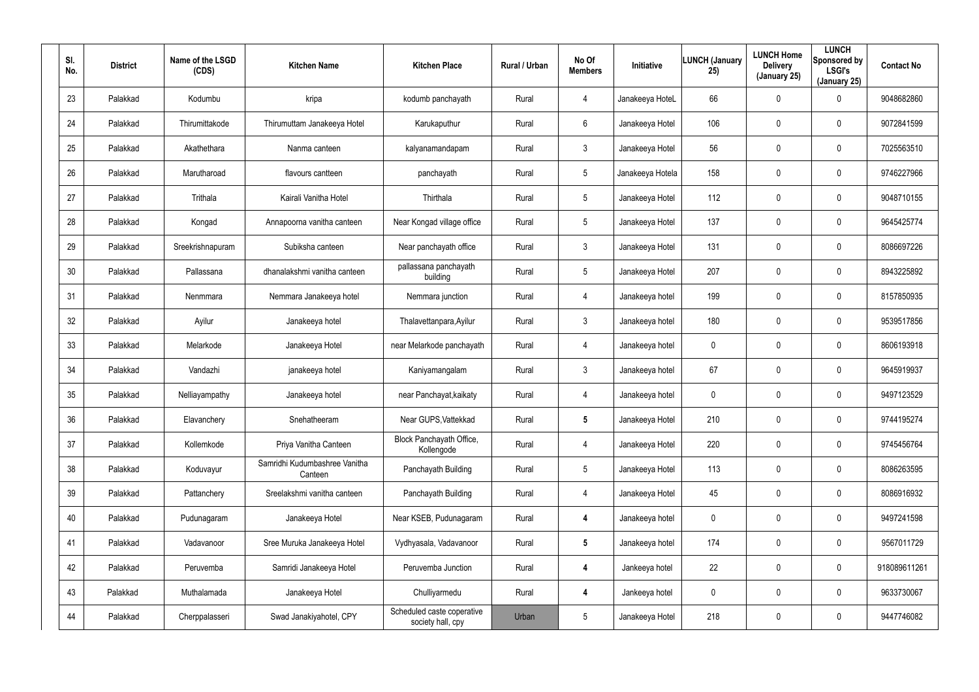| SI.<br>No. | <b>District</b> | Name of the LSGD<br>(CDS) | <b>Kitchen Name</b>                      | <b>Kitchen Place</b>                            | Rural / Urban | No Of<br><b>Members</b> | Initiative       | <b>LUNCH (January</b><br>25) | <b>LUNCH Home</b><br><b>Delivery</b><br>(January 25) | <b>LUNCH</b><br>Sponsored by<br><b>LSGI's</b><br>(January 25) | <b>Contact No</b> |
|------------|-----------------|---------------------------|------------------------------------------|-------------------------------------------------|---------------|-------------------------|------------------|------------------------------|------------------------------------------------------|---------------------------------------------------------------|-------------------|
| 23         | Palakkad        | Kodumbu                   | kripa                                    | kodumb panchayath                               | Rural         | $\overline{4}$          | Janakeeya HoteL  | 66                           | $\mathbf 0$                                          | 0                                                             | 9048682860        |
| 24         | Palakkad        | Thirumittakode            | Thirumuttam Janakeeya Hotel              | Karukaputhur                                    | Rural         | 6                       | Janakeeya Hotel  | 106                          | $\mathbf 0$                                          | 0                                                             | 9072841599        |
| 25         | Palakkad        | Akathethara               | Nanma canteen                            | kalyanamandapam                                 | Rural         | $\mathbf{3}$            | Janakeeya Hotel  | 56                           | $\mathbf 0$                                          | 0                                                             | 7025563510        |
| 26         | Palakkad        | Marutharoad               | flavours cantteen                        | panchayath                                      | Rural         | 5                       | Janakeeya Hotela | 158                          | $\mathbf 0$                                          | $\mathbf 0$                                                   | 9746227966        |
| 27         | Palakkad        | Trithala                  | Kairali Vanitha Hotel                    | Thirthala                                       | Rural         | 5                       | Janakeeya Hotel  | 112                          | $\mathbf 0$                                          | 0                                                             | 9048710155        |
| 28         | Palakkad        | Kongad                    | Annapoorna vanitha canteen               | Near Kongad village office                      | Rural         | 5                       | Janakeeya Hotel  | 137                          | $\mathbf 0$                                          | 0                                                             | 9645425774        |
| 29         | Palakkad        | Sreekrishnapuram          | Subiksha canteen                         | Near panchayath office                          | Rural         | $\mathbf{3}$            | Janakeeya Hotel  | 131                          | $\mathbf 0$                                          | $\mathbf 0$                                                   | 8086697226        |
| 30         | Palakkad        | Pallassana                | dhanalakshmi vanitha canteen             | pallassana panchayath<br>building               | Rural         | 5                       | Janakeeya Hotel  | 207                          | 0                                                    | 0                                                             | 8943225892        |
| 31         | Palakkad        | Nenmmara                  | Nemmara Janakeeya hotel                  | Nemmara junction                                | Rural         | $\overline{4}$          | Janakeeya hotel  | 199                          | $\mathbf 0$                                          | $\mathbf 0$                                                   | 8157850935        |
| 32         | Palakkad        | Ayilur                    | Janakeeya hotel                          | Thalavettanpara, Ayilur                         | Rural         | $\mathbf{3}$            | Janakeeya hotel  | 180                          | 0                                                    | 0                                                             | 9539517856        |
| 33         | Palakkad        | Melarkode                 | Janakeeya Hotel                          | near Melarkode panchayath                       | Rural         | 4                       | Janakeeya hotel  | 0                            | $\mathbf 0$                                          | $\mathbf 0$                                                   | 8606193918        |
| 34         | Palakkad        | Vandazhi                  | janakeeya hotel                          | Kaniyamangalam                                  | Rural         | $\mathbf{3}$            | Janakeeya hotel  | 67                           | 0                                                    | 0                                                             | 9645919937        |
| 35         | Palakkad        | Nelliayampathy            | Janakeeya hotel                          | near Panchayat, kaikaty                         | Rural         | 4                       | Janakeeya hotel  | 0                            | $\boldsymbol{0}$                                     | 0                                                             | 9497123529        |
| 36         | Palakkad        | Elavanchery               | Snehatheeram                             | Near GUPS, Vattekkad                            | Rural         | $5\phantom{.0}$         | Janakeeya Hotel  | 210                          | $\mathbf 0$                                          | 0                                                             | 9744195274        |
| 37         | Palakkad        | Kollemkode                | Priya Vanitha Canteen                    | Block Panchayath Office,<br>Kollengode          | Rural         | 4                       | Janakeeya Hotel  | 220                          | $\pmb{0}$                                            | 0                                                             | 9745456764        |
| 38         | Palakkad        | Koduvayur                 | Samridhi Kudumbashree Vanitha<br>Canteen | Panchayath Building                             | Rural         | 5                       | Janakeeya Hotel  | 113                          | $\mathbf 0$                                          | $\pmb{0}$                                                     | 8086263595        |
| 39         | Palakkad        | Pattanchery               | Sreelakshmi vanitha canteen              | Panchayath Building                             | Rural         | 4                       | Janakeeya Hotel  | 45                           | $\pmb{0}$                                            | 0                                                             | 8086916932        |
| 40         | Palakkad        | Pudunagaram               | Janakeeya Hotel                          | Near KSEB, Pudunagaram                          | Rural         | 4                       | Janakeeya hotel  | 0                            | $\mathbf 0$                                          | 0                                                             | 9497241598        |
| 41         | Palakkad        | Vadavanoor                | Sree Muruka Janakeeya Hotel              | Vydhyasala, Vadavanoor                          | Rural         | $5\phantom{.0}$         | Janakeeya hotel  | 174                          | $\pmb{0}$                                            | 0                                                             | 9567011729        |
| 42         | Palakkad        | Peruvemba                 | Samridi Janakeeya Hotel                  | Peruvemba Junction                              | Rural         | $\boldsymbol{4}$        | Jankeeya hotel   | 22                           | $\pmb{0}$                                            | 0                                                             | 918089611261      |
| 43         | Palakkad        | Muthalamada               | Janakeeya Hotel                          | Chulliyarmedu                                   | Rural         | $\boldsymbol{4}$        | Jankeeya hotel   | 0                            | $\pmb{0}$                                            | 0                                                             | 9633730067        |
| 44         | Palakkad        | Cherppalasseri            | Swad Janakiyahotel, CPY                  | Scheduled caste coperative<br>society hall, cpy | Urban         | 5                       | Janakeeya Hotel  | 218                          | $\boldsymbol{0}$                                     | 0                                                             | 9447746082        |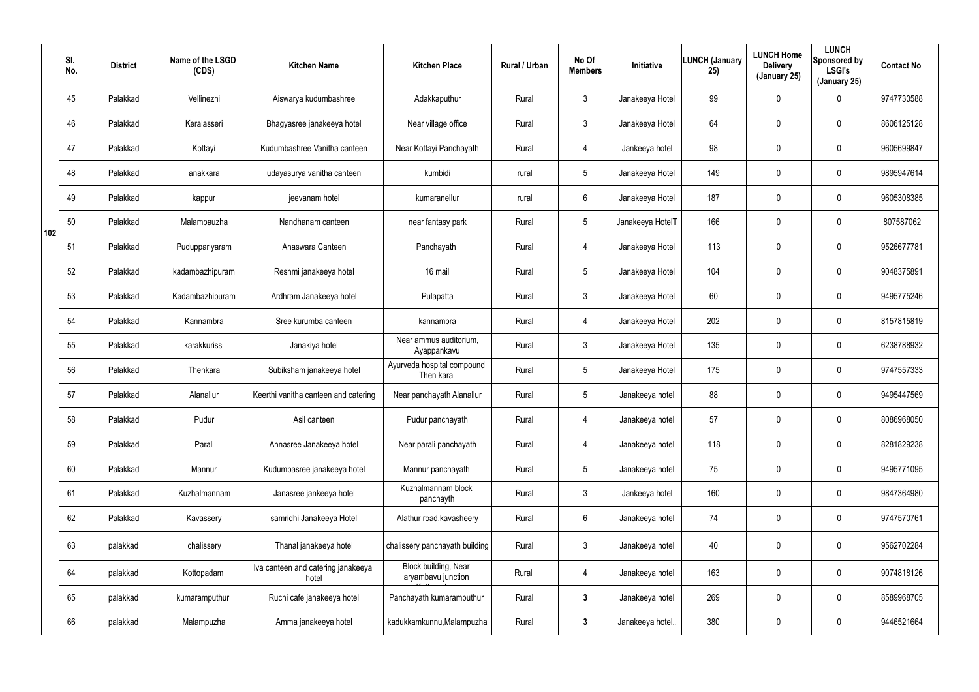|     | SI.<br>No. | <b>District</b> | Name of the LSGD<br>(CDS) | <b>Kitchen Name</b>                         | <b>Kitchen Place</b>                       | Rural / Urban | No Of<br><b>Members</b> | Initiative       | <b>LUNCH (January</b><br>25) | <b>LUNCH Home</b><br><b>Delivery</b><br>(January 25) | <b>LUNCH</b><br>Sponsored by<br><b>LSGI's</b><br>(January 25) | <b>Contact No</b> |
|-----|------------|-----------------|---------------------------|---------------------------------------------|--------------------------------------------|---------------|-------------------------|------------------|------------------------------|------------------------------------------------------|---------------------------------------------------------------|-------------------|
|     | 45         | Palakkad        | Vellinezhi                | Aiswarya kudumbashree                       | Adakkaputhur                               | Rural         | 3                       | Janakeeya Hotel  | 99                           | 0                                                    | $\mathbf 0$                                                   | 9747730588        |
|     | 46         | Palakkad        | Keralasseri               | Bhagyasree janakeeya hotel                  | Near village office                        | Rural         | $\mathbf{3}$            | Janakeeya Hotel  | 64                           | 0                                                    | $\mathbf 0$                                                   | 8606125128        |
|     | 47         | Palakkad        | Kottayi                   | Kudumbashree Vanitha canteen                | Near Kottayi Panchayath                    | Rural         | 4                       | Jankeeya hotel   | 98                           | 0                                                    | $\mathbf 0$                                                   | 9605699847        |
|     | 48         | Palakkad        | anakkara                  | udayasurya vanitha canteen                  | kumbidi                                    | rural         | $5\phantom{.0}$         | Janakeeya Hotel  | 149                          | 0                                                    | $\mathbf 0$                                                   | 9895947614        |
|     | 49         | Palakkad        | kappur                    | jeevanam hotel                              | kumaranellur                               | rural         | $6\phantom{.}$          | Janakeeya Hotel  | 187                          | 0                                                    | $\boldsymbol{0}$                                              | 9605308385        |
| 102 | 50         | Palakkad        | Malampauzha               | Nandhanam canteen                           | near fantasy park                          | Rural         | $5\phantom{.0}$         | Janakeeya HotelT | 166                          | 0                                                    | $\boldsymbol{0}$                                              | 807587062         |
|     | 51         | Palakkad        | Puduppariyaram            | Anaswara Canteen                            | Panchayath                                 | Rural         | 4                       | Janakeeya Hotel  | 113                          | 0                                                    | $\mathbf 0$                                                   | 9526677781        |
|     | 52         | Palakkad        | kadambazhipuram           | Reshmi janakeeya hotel                      | 16 mail                                    | Rural         | $5\phantom{.0}$         | Janakeeya Hotel  | 104                          | 0                                                    | $\mathbf 0$                                                   | 9048375891        |
|     | 53         | Palakkad        | Kadambazhipuram           | Ardhram Janakeeya hotel                     | Pulapatta                                  | Rural         | $\mathfrak{Z}$          | Janakeeya Hotel  | 60                           | 0                                                    | $\boldsymbol{0}$                                              | 9495775246        |
|     | 54         | Palakkad        | Kannambra                 | Sree kurumba canteen                        | kannambra                                  | Rural         | 4                       | Janakeeya Hotel  | 202                          | 0                                                    | $\mathbf 0$                                                   | 8157815819        |
|     | 55         | Palakkad        | karakkurissi              | Janakiya hotel                              | Near ammus auditorium,<br>Ayappankavu      | Rural         | $\mathfrak{Z}$          | Janakeeya Hotel  | 135                          | 0                                                    | $\boldsymbol{0}$                                              | 6238788932        |
|     | 56         | Palakkad        | Thenkara                  | Subiksham janakeeya hotel                   | Ayurveda hospital compound<br>Then kara    | Rural         | $5\phantom{.0}$         | Janakeeya Hotel  | 175                          | 0                                                    | $\mathbf 0$                                                   | 9747557333        |
|     | 57         | Palakkad        | Alanallur                 | Keerthi vanitha canteen and catering        | Near panchayath Alanallur                  | Rural         | $5\phantom{.0}$         | Janakeeya hotel  | 88                           | 0                                                    | $\mathbf 0$                                                   | 9495447569        |
|     | 58         | Palakkad        | Pudur                     | Asil canteen                                | Pudur panchayath                           | Rural         | 4                       | Janakeeya hotel  | 57                           | 0                                                    | $\pmb{0}$                                                     | 8086968050        |
|     | 59         | Palakkad        | Parali                    | Annasree Janakeeya hotel                    | Near parali panchayath                     | Rural         | 4                       | Janakeeya hotel  | 118                          | 0                                                    | $\pmb{0}$                                                     | 8281829238        |
|     | 60         | Palakkad        | Mannur                    | Kudumbasree janakeeya hotel                 | Mannur panchayath                          | Rural         | $5\phantom{.0}$         | Janakeeya hotel  | 75                           | 0                                                    | $\pmb{0}$                                                     | 9495771095        |
|     | 61         | Palakkad        | Kuzhalmannam              | Janasree jankeeya hotel                     | Kuzhalmannam block<br>panchayth            | Rural         | $\mathbf{3}$            | Jankeeya hotel   | 160                          | 0                                                    | $\mathbf 0$                                                   | 9847364980        |
|     | 62         | Palakkad        | Kavassery                 | samridhi Janakeeya Hotel                    | Alathur road, kavasheery                   | Rural         | $6\phantom{.0}$         | Janakeeya hotel  | 74                           | 0                                                    | $\pmb{0}$                                                     | 9747570761        |
|     | 63         | palakkad        | chalissery                | Thanal janakeeya hotel                      | chalissery panchayath building             | Rural         | $\mathfrak{Z}$          | Janakeeya hotel  | 40                           | $\mathbf 0$                                          | $\mathbf 0$                                                   | 9562702284        |
|     | 64         | palakkad        | Kottopadam                | Iva canteen and catering janakeeya<br>hotel | Block building, Near<br>aryambavu junction | Rural         | 4                       | Janakeeya hotel  | 163                          | 0                                                    | $\mathbf 0$                                                   | 9074818126        |
|     | 65         | palakkad        | kumaramputhur             | Ruchi cafe janakeeya hotel                  | Panchayath kumaramputhur                   | Rural         | $3\phantom{a}$          | Janakeeya hotel  | 269                          | 0                                                    | $\pmb{0}$                                                     | 8589968705        |
|     | 66         | palakkad        | Malampuzha                | Amma janakeeya hotel                        | kadukkamkunnu, Malampuzha                  | Rural         | $\mathbf{3}$            | Janakeeya hotel  | 380                          | 0                                                    | $\pmb{0}$                                                     | 9446521664        |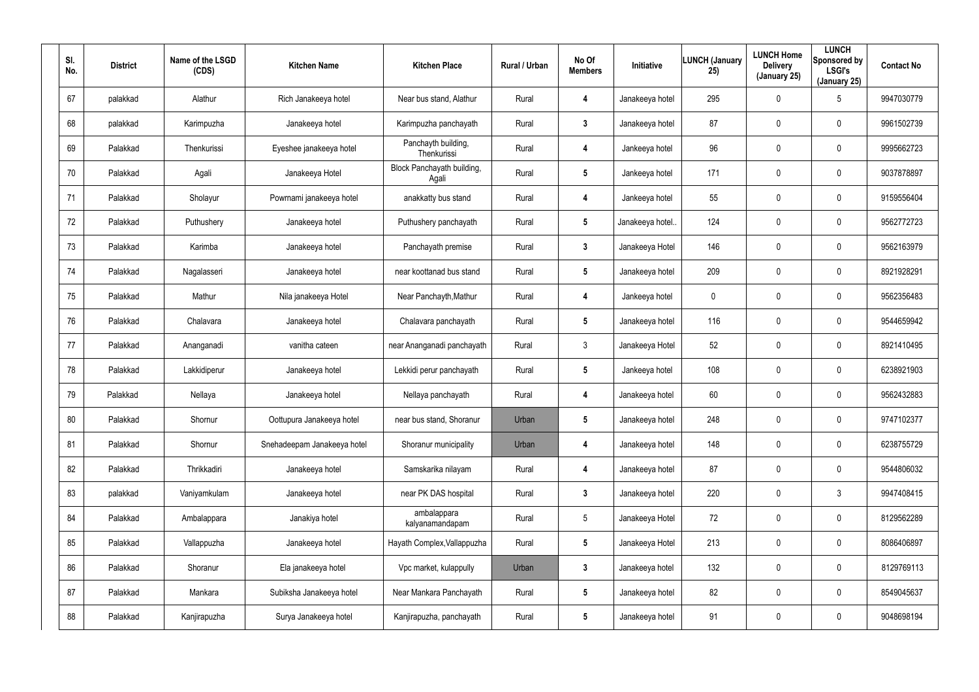| SI.<br>No. | <b>District</b> | Name of the LSGD<br>(CDS) | <b>Kitchen Name</b>         | <b>Kitchen Place</b>                | Rural / Urban | No Of<br><b>Members</b> | Initiative       | <b>LUNCH (January</b><br>25) | <b>LUNCH Home</b><br><b>Delivery</b><br>(January 25) | <b>LUNCH</b><br>Sponsored by<br><b>LSGI's</b><br>(January 25) | <b>Contact No</b> |
|------------|-----------------|---------------------------|-----------------------------|-------------------------------------|---------------|-------------------------|------------------|------------------------------|------------------------------------------------------|---------------------------------------------------------------|-------------------|
| 67         | palakkad        | Alathur                   | Rich Janakeeya hotel        | Near bus stand, Alathur             | Rural         | 4                       | Janakeeya hotel  | 295                          | $\mathbf 0$                                          | $5\phantom{.0}$                                               | 9947030779        |
| 68         | palakkad        | Karimpuzha                | Janakeeya hotel             | Karimpuzha panchayath               | Rural         | 3                       | Janakeeya hotel  | 87                           | 0                                                    | 0                                                             | 9961502739        |
| 69         | Palakkad        | Thenkurissi               | Eyeshee janakeeya hotel     | Panchayth building,<br>Thenkurissi  | Rural         | 4                       | Jankeeya hotel   | 96                           | $\mathbf 0$                                          | 0                                                             | 9995662723        |
| 70         | Palakkad        | Agali                     | Janakeeya Hotel             | Block Panchayath building,<br>Agali | Rural         | 5                       | Jankeeya hotel   | 171                          | 0                                                    | 0                                                             | 9037878897        |
| 71         | Palakkad        | Sholayur                  | Powrnami janakeeya hotel    | anakkatty bus stand                 | Rural         | 4                       | Jankeeya hotel   | 55                           | $\mathbf 0$                                          | 0                                                             | 9159556404        |
| 72         | Palakkad        | Puthushery                | Janakeeya hotel             | Puthushery panchayath               | Rural         | $5\phantom{.0}$         | Janakeeya hotel. | 124                          | 0                                                    | 0                                                             | 9562772723        |
| 73         | Palakkad        | Karimba                   | Janakeeya hotel             | Panchayath premise                  | Rural         | $\mathbf{3}$            | Janakeeya Hotel  | 146                          | $\pmb{0}$                                            | 0                                                             | 9562163979        |
| 74         | Palakkad        | Nagalasseri               | Janakeeya hotel             | near koottanad bus stand            | Rural         | 5                       | Janakeeya hotel  | 209                          | $\boldsymbol{0}$                                     | 0                                                             | 8921928291        |
| 75         | Palakkad        | Mathur                    | Nila janakeeya Hotel        | Near Panchayth, Mathur              | Rural         | 4                       | Jankeeya hotel   | 0                            | $\pmb{0}$                                            | 0                                                             | 9562356483        |
| 76         | Palakkad        | Chalavara                 | Janakeeya hotel             | Chalavara panchayath                | Rural         | $5\phantom{.0}$         | Janakeeya hotel  | 116                          | $\boldsymbol{0}$                                     | 0                                                             | 9544659942        |
| 77         | Palakkad        | Ananganadi                | vanitha cateen              | near Ananganadi panchayath          | Rural         | $\mathbf{3}$            | Janakeeya Hotel  | 52                           | $\pmb{0}$                                            | 0                                                             | 8921410495        |
| 78         | Palakkad        | Lakkidiperur              | Janakeeya hotel             | Lekkidi perur panchayath            | Rural         | $5\phantom{.0}$         | Jankeeya hotel   | 108                          | $\boldsymbol{0}$                                     | 0                                                             | 6238921903        |
| 79         | Palakkad        | Nellaya                   | Janakeeya hotel             | Nellaya panchayath                  | Rural         | 4                       | Janakeeya hotel  | 60                           | $\boldsymbol{0}$                                     | 0                                                             | 9562432883        |
| 80         | Palakkad        | Shornur                   | Oottupura Janakeeya hotel   | near bus stand, Shoranur            | Urban         | $\overline{\mathbf{5}}$ | Janakeeya hotel  | 248                          | $\boldsymbol{0}$                                     | 0                                                             | 9747102377        |
| 81         | Palakkad        | Shornur                   | Snehadeepam Janakeeya hotel | Shoranur municipality               | Urban         | 4                       | Janakeeya hotel  | 148                          | $\mathbf 0$                                          | 0                                                             | 6238755729        |
| 82         | Palakkad        | Thrikkadiri               | Janakeeya hotel             | Samskarika nilayam                  | Rural         | 4                       | Janakeeya hotel  | 87                           | $\boldsymbol{0}$                                     | 0                                                             | 9544806032        |
| 83         | palakkad        | Vaniyamkulam              | Janakeeya hotel             | near PK DAS hospital                | Rural         | $\mathbf{3}$            | Janakeeya hotel  | 220                          | $\boldsymbol{0}$                                     | $\mathfrak{Z}$                                                | 9947408415        |
| 84         | Palakkad        | Ambalappara               | Janakiya hotel              | ambalappara<br>kalyanamandapam      | Rural         | $5\phantom{.0}$         | Janakeeya Hotel  | 72                           | $\mathbf 0$                                          | 0                                                             | 8129562289        |
| 85         | Palakkad        | Vallappuzha               | Janakeeya hotel             | Hayath Complex, Vallappuzha         | Rural         | $5\phantom{.0}$         | Janakeeya Hotel  | 213                          | $\mathbf 0$                                          | 0                                                             | 8086406897        |
| 86         | Palakkad        | Shoranur                  | Ela janakeeya hotel         | Vpc market, kulappully              | Urban         | $\mathbf{3}$            | Janakeeya hotel  | 132                          | $\mathbf 0$                                          | 0                                                             | 8129769113        |
| 87         | Palakkad        | Mankara                   | Subiksha Janakeeya hotel    | Near Mankara Panchayath             | Rural         | $5\phantom{.0}$         | Janakeeya hotel  | 82                           | $\mathbf 0$                                          | 0                                                             | 8549045637        |
| 88         | Palakkad        | Kanjirapuzha              | Surya Janakeeya hotel       | Kanjirapuzha, panchayath            | Rural         | $5\phantom{.0}$         | Janakeeya hotel  | 91                           | $\mathbf 0$                                          | 0                                                             | 9048698194        |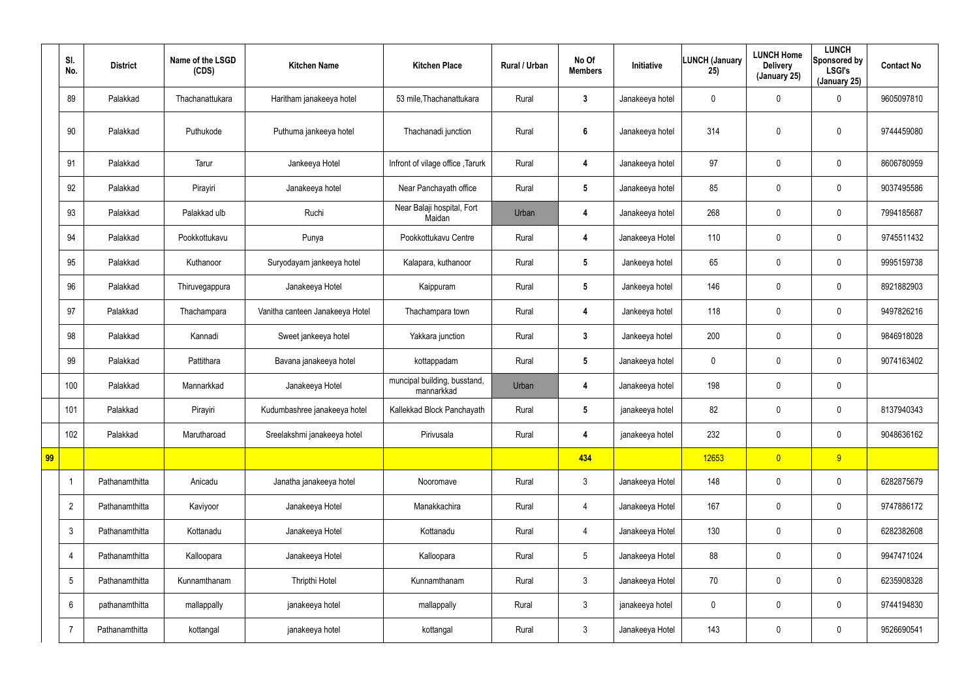|    | SI.<br>No.      | <b>District</b> | Name of the LSGD<br>(CDS) | <b>Kitchen Name</b>             | <b>Kitchen Place</b>                       | Rural / Urban | No Of<br><b>Members</b> | Initiative      | <b>LUNCH (January</b><br>25) | <b>LUNCH Home</b><br><b>Delivery</b><br>(January 25) | <b>LUNCH</b><br>Sponsored by<br><b>LSGI's</b><br>(January 25) | <b>Contact No</b> |
|----|-----------------|-----------------|---------------------------|---------------------------------|--------------------------------------------|---------------|-------------------------|-----------------|------------------------------|------------------------------------------------------|---------------------------------------------------------------|-------------------|
|    | 89              | Palakkad        | Thachanattukara           | Haritham janakeeya hotel        | 53 mile, Thachanattukara                   | Rural         | $\mathbf{3}$            | Janakeeya hotel | 0                            | 0                                                    | $\mathbf 0$                                                   | 9605097810        |
|    | 90              | Palakkad        | Puthukode                 | Puthuma jankeeya hotel          | Thachanadi junction                        | Rural         | $\boldsymbol{6}$        | Janakeeya hotel | 314                          | 0                                                    | $\pmb{0}$                                                     | 9744459080        |
|    | 91              | Palakkad        | Tarur                     | Jankeeya Hotel                  | Infront of vilage office, Tarurk           | Rural         | 4                       | Janakeeya hotel | 97                           | 0                                                    | $\mathbf 0$                                                   | 8606780959        |
|    | 92              | Palakkad        | Pirayiri                  | Janakeeya hotel                 | Near Panchayath office                     | Rural         | $5\phantom{.0}$         | Janakeeya hotel | 85                           | 0                                                    | $\boldsymbol{0}$                                              | 9037495586        |
|    | 93              | Palakkad        | Palakkad ulb              | Ruchi                           | Near Balaji hospital, Fort<br>Maidan       | Urban         | 4                       | Janakeeya hotel | 268                          | 0                                                    | $\mathbf 0$                                                   | 7994185687        |
|    | 94              | Palakkad        | Pookkottukavu             | Punya                           | Pookkottukavu Centre                       | Rural         | 4                       | Janakeeya Hotel | 110                          | 0                                                    | $\boldsymbol{0}$                                              | 9745511432        |
|    | 95              | Palakkad        | Kuthanoor                 | Suryodayam jankeeya hotel       | Kalapara, kuthanoor                        | Rural         | $5\phantom{.0}$         | Jankeeya hotel  | 65                           | 0                                                    | $\mathbf 0$                                                   | 9995159738        |
|    | 96              | Palakkad        | Thiruvegappura            | Janakeeya Hotel                 | Kaippuram                                  | Rural         | $5\phantom{.0}$         | Jankeeya hotel  | 146                          | 0                                                    | $\boldsymbol{0}$                                              | 8921882903        |
|    | 97              | Palakkad        | Thachampara               | Vanitha canteen Janakeeya Hotel | Thachampara town                           | Rural         | 4                       | Jankeeya hotel  | 118                          | 0                                                    | $\boldsymbol{0}$                                              | 9497826216        |
|    | 98              | Palakkad        | Kannadi                   | Sweet jankeeya hotel            | Yakkara junction                           | Rural         | $\mathbf{3}$            | Jankeeya hotel  | 200                          | 0                                                    | $\boldsymbol{0}$                                              | 9846918028        |
|    | 99              | Palakkad        | Pattithara                | Bavana janakeeya hotel          | kottappadam                                | Rural         | $5\phantom{.0}$         | Janakeeya hotel | 0                            | 0                                                    | $\mathbf 0$                                                   | 9074163402        |
|    | 100             | Palakkad        | Mannarkkad                | Janakeeya Hotel                 | muncipal building, busstand,<br>mannarkkad | Urban         | 4                       | Janakeeya hotel | 198                          | 0                                                    | $\mathbf 0$                                                   |                   |
|    | 101             | Palakkad        | Pirayiri                  | Kudumbashree janakeeya hotel    | Kallekkad Block Panchayath                 | Rural         | 5                       | janakeeya hotel | 82                           | 0                                                    | $\mathbf 0$                                                   | 8137940343        |
|    | 102             | Palakkad        | Marutharoad               | Sreelakshmi janakeeya hotel     | Pirivusala                                 | Rural         | 4                       | janakeeya hotel | 232                          | 0                                                    | $\pmb{0}$                                                     | 9048636162        |
| 99 |                 |                 |                           |                                 |                                            |               | 434                     |                 | 12653                        | $\overline{0}$                                       | 9                                                             |                   |
|    | -1              | Pathanamthitta  | Anicadu                   | Janatha janakeeya hotel         | Nooromave                                  | Rural         | $\mathfrak{Z}$          | Janakeeya Hotel | 148                          | $\mathbf 0$                                          | $\mathbf 0$                                                   | 6282875679        |
|    | $\overline{2}$  | Pathanamthitta  | Kaviyoor                  | Janakeeya Hotel                 | Manakkachira                               | Rural         | 4                       | Janakeeya Hotel | 167                          | 0                                                    | $\mathsf{0}$                                                  | 9747886172        |
|    | $\mathfrak{Z}$  | Pathanamthitta  | Kottanadu                 | Janakeeya Hotel                 | Kottanadu                                  | Rural         | 4                       | Janakeeya Hotel | 130                          | $\pmb{0}$                                            | $\mathsf{0}$                                                  | 6282382608        |
|    | $\overline{4}$  | Pathanamthitta  | Kalloopara                | Janakeeya Hotel                 | Kalloopara                                 | Rural         | $5\phantom{.0}$         | Janakeeya Hotel | 88                           | $\pmb{0}$                                            | $\mathsf{0}$                                                  | 9947471024        |
|    | $5\phantom{.0}$ | Pathanamthitta  | Kunnamthanam              | Thripthi Hotel                  | Kunnamthanam                               | Rural         | $\mathfrak{Z}$          | Janakeeya Hotel | 70                           | $\pmb{0}$                                            | $\mathsf{0}$                                                  | 6235908328        |
|    | 6               | pathanamthitta  | mallappally               | janakeeya hotel                 | mallappally                                | Rural         | $\mathfrak{Z}$          | janakeeya hotel | 0                            | $\pmb{0}$                                            | $\mathsf{0}$                                                  | 9744194830        |
|    | $\overline{7}$  | Pathanamthitta  | kottangal                 | janakeeya hotel                 | kottangal                                  | Rural         | $\mathfrak{Z}$          | Janakeeya Hotel | 143                          | 0                                                    | $\boldsymbol{0}$                                              | 9526690541        |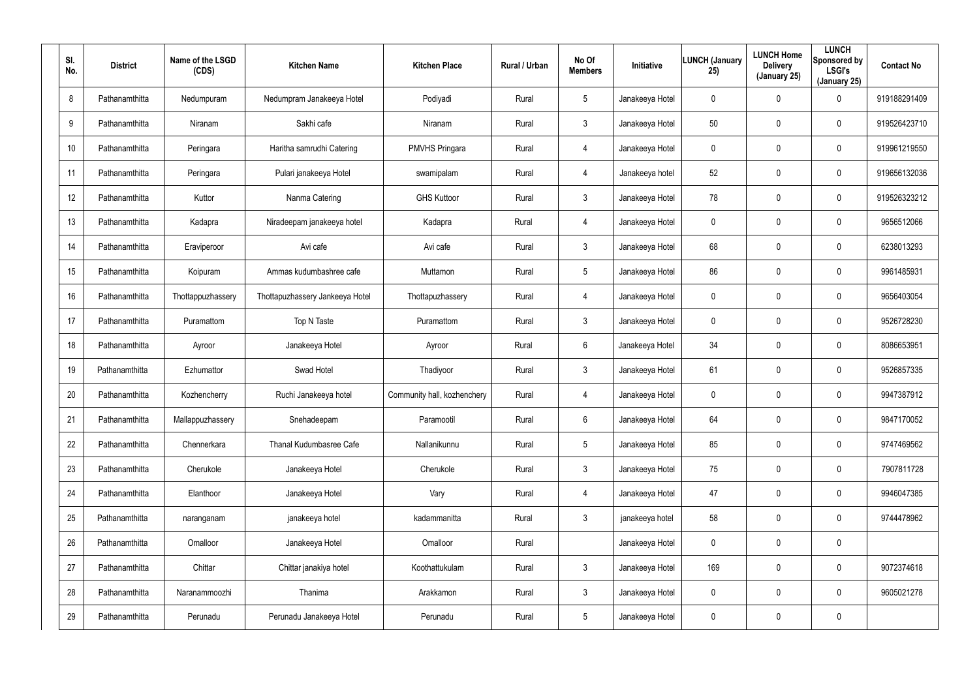| SI.<br>No. | <b>District</b> | Name of the LSGD<br>(CDS) | <b>Kitchen Name</b>             | <b>Kitchen Place</b>        | <b>Rural / Urban</b> | No Of<br><b>Members</b> | <b>Initiative</b> | <b>LUNCH (January</b><br>25) | <b>LUNCH Home</b><br><b>Delivery</b><br>(January 25) | <b>LUNCH</b><br>Sponsored by<br><b>LSGI's</b><br>(January 25) | <b>Contact No</b> |
|------------|-----------------|---------------------------|---------------------------------|-----------------------------|----------------------|-------------------------|-------------------|------------------------------|------------------------------------------------------|---------------------------------------------------------------|-------------------|
| 8          | Pathanamthitta  | Nedumpuram                | Nedumpram Janakeeya Hotel       | Podiyadi                    | Rural                | $5\overline{)}$         | Janakeeya Hotel   | 0                            | $\mathbf 0$                                          | $\mathbf 0$                                                   | 919188291409      |
| 9          | Pathanamthitta  | Niranam                   | Sakhi cafe                      | Niranam                     | Rural                | $\mathbf{3}$            | Janakeeya Hotel   | 50                           | $\mathbf 0$                                          | $\mathbf 0$                                                   | 919526423710      |
| 10         | Pathanamthitta  | Peringara                 | Haritha samrudhi Catering       | PMVHS Pringara              | Rural                | $\overline{4}$          | Janakeeya Hotel   | 0                            | 0                                                    | $\mathbf 0$                                                   | 919961219550      |
| 11         | Pathanamthitta  | Peringara                 | Pulari janakeeya Hotel          | swamipalam                  | Rural                | 4                       | Janakeeya hotel   | 52                           | $\mathbf 0$                                          | $\mathbf 0$                                                   | 919656132036      |
| 12         | Pathanamthitta  | Kuttor                    | Nanma Catering                  | <b>GHS Kuttoor</b>          | Rural                | $\mathbf{3}$            | Janakeeya Hotel   | 78                           | $\boldsymbol{0}$                                     | $\mathbf 0$                                                   | 919526323212      |
| 13         | Pathanamthitta  | Kadapra                   | Niradeepam janakeeya hotel      | Kadapra                     | Rural                | 4                       | Janakeeya Hotel   | 0                            | 0                                                    | $\mathbf 0$                                                   | 9656512066        |
| 14         | Pathanamthitta  | Eraviperoor               | Avi cafe                        | Avi cafe                    | Rural                | 3                       | Janakeeya Hotel   | 68                           | $\mathbf 0$                                          | $\mathbf 0$                                                   | 6238013293        |
| 15         | Pathanamthitta  | Koipuram                  | Ammas kudumbashree cafe         | Muttamon                    | Rural                | $5\overline{)}$         | Janakeeya Hotel   | 86                           | $\mathbf 0$                                          | $\mathbf 0$                                                   | 9961485931        |
| 16         | Pathanamthitta  | Thottappuzhassery         | Thottapuzhassery Jankeeya Hotel | Thottapuzhassery            | Rural                | $\overline{4}$          | Janakeeya Hotel   | 0                            | $\mathbf 0$                                          | $\mathbf 0$                                                   | 9656403054        |
| 17         | Pathanamthitta  | Puramattom                | Top N Taste                     | Puramattom                  | Rural                | 3                       | Janakeeya Hotel   | 0                            | $\mathbf 0$                                          | $\mathbf 0$                                                   | 9526728230        |
| 18         | Pathanamthitta  | Ayroor                    | Janakeeya Hotel                 | Ayroor                      | Rural                | 6                       | Janakeeya Hotel   | 34                           | $\mathbf 0$                                          | $\mathbf 0$                                                   | 8086653951        |
| 19         | Pathanamthitta  | Ezhumattor                | Swad Hotel                      | Thadiyoor                   | Rural                | 3                       | Janakeeya Hotel   | 61                           | $\pmb{0}$                                            | $\mathbf 0$                                                   | 9526857335        |
| 20         | Pathanamthitta  | Kozhencherry              | Ruchi Janakeeya hotel           | Community hall, kozhenchery | Rural                | $\overline{4}$          | Janakeeya Hotel   | 0                            | $\mathbf 0$                                          | $\mathbf 0$                                                   | 9947387912        |
| 21         | Pathanamthitta  | Mallappuzhassery          | Snehadeepam                     | Paramootil                  | Rural                | 6                       | Janakeeya Hotel   | 64                           | $\mathbf 0$                                          | $\pmb{0}$                                                     | 9847170052        |
| 22         | Pathanamthitta  | Chennerkara               | Thanal Kudumbasree Cafe         | Nallanikunnu                | Rural                | $5\phantom{.0}$         | Janakeeya Hotel   | 85                           | $\mathbf 0$                                          | $\pmb{0}$                                                     | 9747469562        |
| 23         | Pathanamthitta  | Cherukole                 | Janakeeya Hotel                 | Cherukole                   | Rural                | $\mathfrak{Z}$          | Janakeeya Hotel   | 75                           | $\boldsymbol{0}$                                     | $\pmb{0}$                                                     | 7907811728        |
| 24         | Pathanamthitta  | Elanthoor                 | Janakeeya Hotel                 | Vary                        | Rural                | $\overline{4}$          | Janakeeya Hotel   | 47                           | $\mathbf 0$                                          | $\mathbf 0$                                                   | 9946047385        |
| 25         | Pathanamthitta  | naranganam                | janakeeya hotel                 | kadammanitta                | Rural                | $\mathbf{3}$            | janakeeya hotel   | 58                           | $\mathbf 0$                                          | $\mathbf 0$                                                   | 9744478962        |
| 26         | Pathanamthitta  | Omalloor                  | Janakeeya Hotel                 | Omalloor                    | Rural                |                         | Janakeeya Hotel   | 0                            | $\mathbf 0$                                          | $\pmb{0}$                                                     |                   |
| 27         | Pathanamthitta  | Chittar                   | Chittar janakiya hotel          | Koothattukulam              | Rural                | $\mathbf{3}$            | Janakeeya Hotel   | 169                          | $\mathbf 0$                                          | $\pmb{0}$                                                     | 9072374618        |
| 28         | Pathanamthitta  | Naranammoozhi             | Thanima                         | Arakkamon                   | Rural                | $\mathbf{3}$            | Janakeeya Hotel   | 0                            | $\mathbf 0$                                          | $\boldsymbol{0}$                                              | 9605021278        |
| 29         | Pathanamthitta  | Perunadu                  | Perunadu Janakeeya Hotel        | Perunadu                    | Rural                | $5\phantom{.0}$         | Janakeeya Hotel   | 0                            | $\mathbf 0$                                          | $\pmb{0}$                                                     |                   |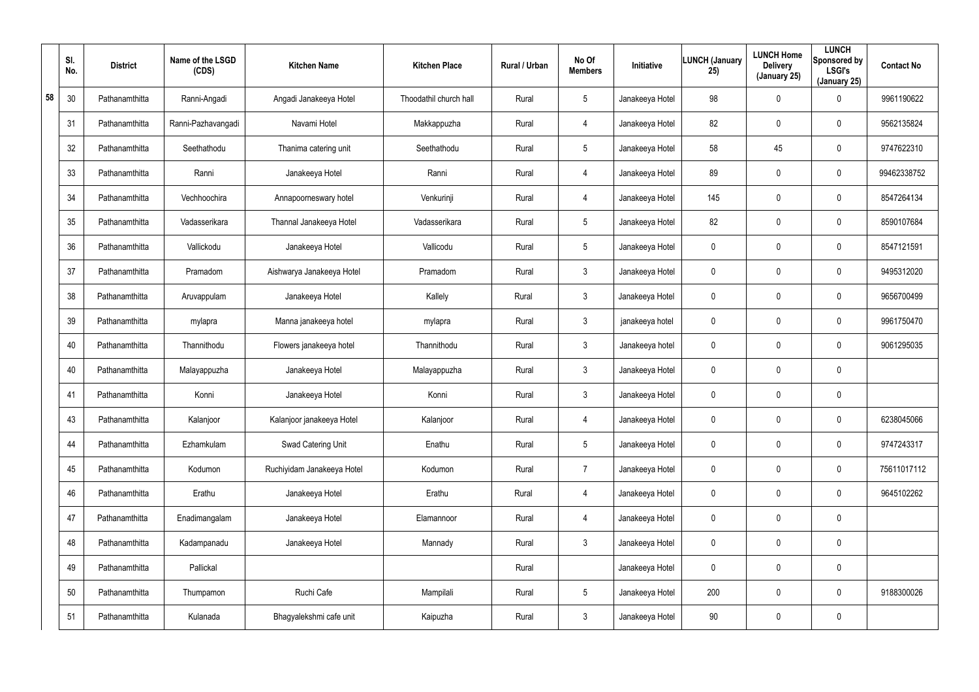|    | SI.<br>No. | <b>District</b> | Name of the LSGD<br>(CDS) | <b>Kitchen Name</b>        | <b>Kitchen Place</b>   | Rural / Urban | No Of<br><b>Members</b> | Initiative      | <b>LUNCH (January</b><br>25) | <b>LUNCH Home</b><br><b>Delivery</b><br>(January 25) | <b>LUNCH</b><br>Sponsored by<br><b>LSGI's</b><br>(January 25) | <b>Contact No</b> |
|----|------------|-----------------|---------------------------|----------------------------|------------------------|---------------|-------------------------|-----------------|------------------------------|------------------------------------------------------|---------------------------------------------------------------|-------------------|
| 58 | 30         | Pathanamthitta  | Ranni-Angadi              | Angadi Janakeeya Hotel     | Thoodathil church hall | Rural         | 5                       | Janakeeya Hotel | 98                           | $\mathbf 0$                                          | 0                                                             | 9961190622        |
|    | 31         | Pathanamthitta  | Ranni-Pazhavangadi        | Navami Hotel               | Makkappuzha            | Rural         | 4                       | Janakeeya Hotel | 82                           | $\pmb{0}$                                            | 0                                                             | 9562135824        |
|    | 32         | Pathanamthitta  | Seethathodu               | Thanima catering unit      | Seethathodu            | Rural         | $5\phantom{.0}$         | Janakeeya Hotel | 58                           | 45                                                   | 0                                                             | 9747622310        |
|    | 33         | Pathanamthitta  | Ranni                     | Janakeeya Hotel            | Ranni                  | Rural         | $\overline{4}$          | Janakeeya Hotel | 89                           | $\pmb{0}$                                            | 0                                                             | 99462338752       |
|    | 34         | Pathanamthitta  | Vechhoochira              | Annapoorneswary hotel      | Venkurinji             | Rural         | 4                       | Janakeeya Hotel | 145                          | $\pmb{0}$                                            | 0                                                             | 8547264134        |
|    | 35         | Pathanamthitta  | Vadasserikara             | Thannal Janakeeya Hotel    | Vadasserikara          | Rural         | $5\overline{)}$         | Janakeeya Hotel | 82                           | $\pmb{0}$                                            | 0                                                             | 8590107684        |
|    | 36         | Pathanamthitta  | Vallickodu                | Janakeeya Hotel            | Vallicodu              | Rural         | $5\phantom{.0}$         | Janakeeya Hotel | $\mathbf 0$                  | $\pmb{0}$                                            | 0                                                             | 8547121591        |
|    | 37         | Pathanamthitta  | Pramadom                  | Aishwarya Janakeeya Hotel  | Pramadom               | Rural         | $\mathbf{3}$            | Janakeeya Hotel | 0                            | $\mathbf 0$                                          | 0                                                             | 9495312020        |
|    | 38         | Pathanamthitta  | Aruvappulam               | Janakeeya Hotel            | Kallely                | Rural         | $\mathbf{3}$            | Janakeeya Hotel | $\mathbf 0$                  | $\pmb{0}$                                            | 0                                                             | 9656700499        |
|    | 39         | Pathanamthitta  | mylapra                   | Manna janakeeya hotel      | mylapra                | Rural         | $\mathbf{3}$            | janakeeya hotel | 0                            | $\mathbf 0$                                          | 0                                                             | 9961750470        |
|    | 40         | Pathanamthitta  | Thannithodu               | Flowers janakeeya hotel    | Thannithodu            | Rural         | $\mathbf{3}$            | Janakeeya hotel | $\mathbf 0$                  | $\pmb{0}$                                            | 0                                                             | 9061295035        |
|    | 40         | Pathanamthitta  | Malayappuzha              | Janakeeya Hotel            | Malayappuzha           | Rural         | $\mathbf{3}$            | Janakeeya Hotel | 0                            | $\mathbf 0$                                          | 0                                                             |                   |
|    | 41         | Pathanamthitta  | Konni                     | Janakeeya Hotel            | Konni                  | Rural         | $\mathbf{3}$            | Janakeeya Hotel | 0                            | $\mathbf 0$                                          | 0                                                             |                   |
|    | 43         | Pathanamthitta  | Kalanjoor                 | Kalanjoor janakeeya Hotel  | Kalanjoor              | Rural         | 4                       | Janakeeya Hotel | 0                            | $\mathbf 0$                                          | 0                                                             | 6238045066        |
|    | 44         | Pathanamthitta  | Ezhamkulam                | Swad Catering Unit         | Enathu                 | Rural         | $5\phantom{.0}$         | Janakeeya Hotel | $\pmb{0}$                    | $\mathbf 0$                                          | 0                                                             | 9747243317        |
|    | 45         | Pathanamthitta  | Kodumon                   | Ruchiyidam Janakeeya Hotel | Kodumon                | Rural         | $\overline{7}$          | Janakeeya Hotel | $\mathbf 0$                  | $\mathbf 0$                                          | 0                                                             | 75611017112       |
|    | 46         | Pathanamthitta  | Erathu                    | Janakeeya Hotel            | Erathu                 | Rural         | 4                       | Janakeeya Hotel | $\pmb{0}$                    | $\mathbf 0$                                          | 0                                                             | 9645102262        |
|    | 47         | Pathanamthitta  | Enadimangalam             | Janakeeya Hotel            | Elamannoor             | Rural         | $\overline{4}$          | Janakeeya Hotel | $\mathbf 0$                  | $\mathbf 0$                                          | 0                                                             |                   |
|    | 48         | Pathanamthitta  | Kadampanadu               | Janakeeya Hotel            | Mannady                | Rural         | 3 <sup>1</sup>          | Janakeeya Hotel | 0                            | $\mathbf 0$                                          | 0                                                             |                   |
|    | 49         | Pathanamthitta  | Pallickal                 |                            |                        | Rural         |                         | Janakeeya Hotel | 0                            | $\mathbf 0$                                          | 0                                                             |                   |
|    | 50         | Pathanamthitta  | Thumpamon                 | Ruchi Cafe                 | Mampilali              | Rural         | $5\phantom{.0}$         | Janakeeya Hotel | 200                          | $\mathbf 0$                                          | 0                                                             | 9188300026        |
|    | 51         | Pathanamthitta  | Kulanada                  | Bhagyalekshmi cafe unit    | Kaipuzha               | Rural         | $\mathfrak{Z}$          | Janakeeya Hotel | 90                           | $\mathbf 0$                                          | 0                                                             |                   |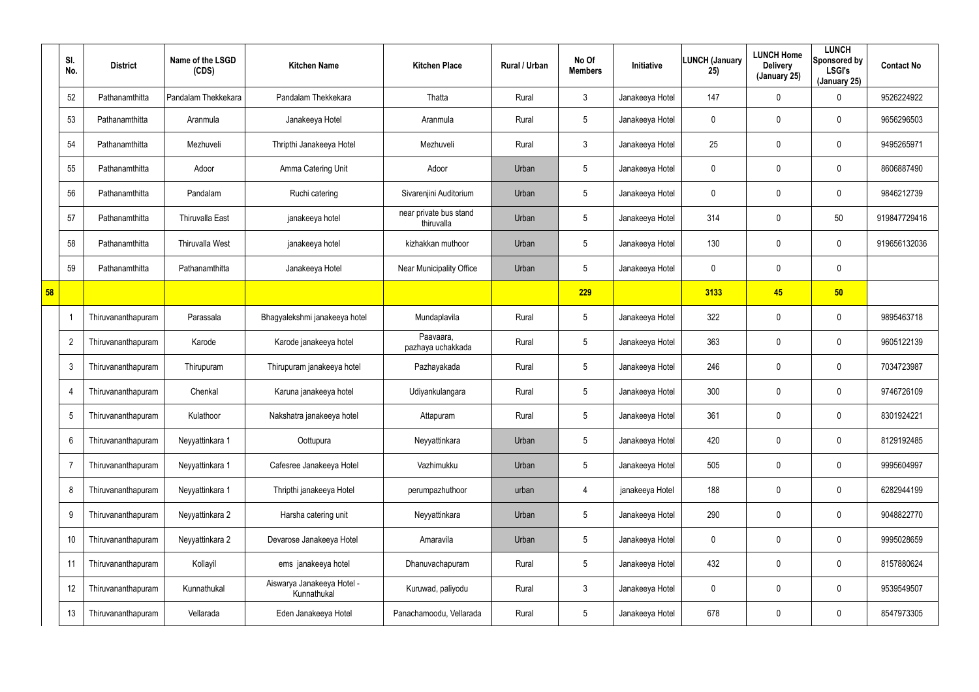|    | SI.<br>No.     | <b>District</b>    | Name of the LSGD<br>(CDS) | <b>Kitchen Name</b>                       | <b>Kitchen Place</b>                 | Rural / Urban | No Of<br><b>Members</b> | <b>Initiative</b> | <b>LUNCH (January</b><br>25) | <b>LUNCH Home</b><br><b>Delivery</b><br>(January 25) | <b>LUNCH</b><br>Sponsored by<br><b>LSGI's</b><br>(January 25) | <b>Contact No</b> |
|----|----------------|--------------------|---------------------------|-------------------------------------------|--------------------------------------|---------------|-------------------------|-------------------|------------------------------|------------------------------------------------------|---------------------------------------------------------------|-------------------|
|    | 52             | Pathanamthitta     | Pandalam Thekkekara       | Pandalam Thekkekara                       | Thatta                               | Rural         | 3                       | Janakeeya Hotel   | 147                          | 0                                                    | 0                                                             | 9526224922        |
|    | 53             | Pathanamthitta     | Aranmula                  | Janakeeya Hotel                           | Aranmula                             | Rural         | $5\phantom{.0}$         | Janakeeya Hotel   | 0                            | 0                                                    | $\mathbf 0$                                                   | 9656296503        |
|    | 54             | Pathanamthitta     | Mezhuveli                 | Thripthi Janakeeya Hotel                  | Mezhuveli                            | Rural         | $\mathbf{3}$            | Janakeeya Hotel   | 25                           | 0                                                    | $\mathbf 0$                                                   | 9495265971        |
|    | 55             | Pathanamthitta     | Adoor                     | Amma Catering Unit                        | Adoor                                | Urban         | $5\phantom{.0}$         | Janakeeya Hotel   | 0                            | 0                                                    | $\mathbf 0$                                                   | 8606887490        |
|    | 56             | Pathanamthitta     | Pandalam                  | Ruchi catering                            | Sivarenjini Auditorium               | Urban         | $5\phantom{.0}$         | Janakeeya Hotel   | 0                            | 0                                                    | $\mathbf 0$                                                   | 9846212739        |
|    | 57             | Pathanamthitta     | <b>Thiruvalla East</b>    | janakeeya hotel                           | near private bus stand<br>thiruvalla | Urban         | $5\phantom{.0}$         | Janakeeya Hotel   | 314                          | 0                                                    | 50                                                            | 919847729416      |
|    | 58             | Pathanamthitta     | Thiruvalla West           | janakeeya hotel                           | kizhakkan muthoor                    | Urban         | $5\phantom{.0}$         | Janakeeya Hotel   | 130                          | 0                                                    | $\mathbf 0$                                                   | 919656132036      |
|    | 59             | Pathanamthitta     | Pathanamthitta            | Janakeeya Hotel                           | Near Municipality Office             | Urban         | $5\phantom{.0}$         | Janakeeya Hotel   | 0                            | 0                                                    | $\pmb{0}$                                                     |                   |
| 58 |                |                    |                           |                                           |                                      |               | 229                     |                   | 3133                         | 45                                                   | 50                                                            |                   |
|    |                | Thiruvananthapuram | Parassala                 | Bhagyalekshmi janakeeya hotel             | Mundaplavila                         | Rural         | $5\phantom{.0}$         | Janakeeya Hotel   | 322                          | $\pmb{0}$                                            | $\mathbf 0$                                                   | 9895463718        |
|    | $\overline{2}$ | Thiruvananthapuram | Karode                    | Karode janakeeya hotel                    | Paavaara,<br>pazhaya uchakkada       | Rural         | $5\phantom{.0}$         | Janakeeya Hotel   | 363                          | 0                                                    | $\mathbf 0$                                                   | 9605122139        |
|    | 3              | Thiruvananthapuram | Thirupuram                | Thirupuram janakeeya hotel                | Pazhayakada                          | Rural         | $5\phantom{.0}$         | Janakeeya Hotel   | 246                          | 0                                                    | $\mathbf 0$                                                   | 7034723987        |
|    | $\overline{4}$ | Thiruvananthapuram | Chenkal                   | Karuna janakeeya hotel                    | Udiyankulangara                      | Rural         | $5\phantom{.0}$         | Janakeeya Hotel   | 300                          | 0                                                    | $\mathbf 0$                                                   | 9746726109        |
|    | 5              | Thiruvananthapuram | Kulathoor                 | Nakshatra janakeeya hotel                 | Attapuram                            | Rural         | 5                       | Janakeeya Hotel   | 361                          | 0                                                    | $\mathbf 0$                                                   | 8301924221        |
|    | 6              | Thiruvananthapuram | Neyyattinkara 1           | Oottupura                                 | Neyyattinkara                        | Urban         | $5\phantom{.0}$         | Janakeeya Hotel   | 420                          | 0                                                    | $\pmb{0}$                                                     | 8129192485        |
|    | $\overline{7}$ | Thiruvananthapuram | Neyyattinkara 1           | Cafesree Janakeeya Hotel                  | Vazhimukku                           | Urban         | $5\phantom{.0}$         | Janakeeya Hotel   | 505                          | 0                                                    | $\mathbf 0$                                                   | 9995604997        |
|    | 8              | Thiruvananthapuram | Neyyattinkara 1           | Thripthi janakeeya Hotel                  | perumpazhuthoor                      | urban         | 4                       | janakeeya Hotel   | 188                          | $\mathbf 0$                                          | $\pmb{0}$                                                     | 6282944199        |
|    | 9              | Thiruvananthapuram | Neyyattinkara 2           | Harsha catering unit                      | Neyyattinkara                        | Urban         | $5\phantom{.0}$         | Janakeeya Hotel   | 290                          | 0                                                    | $\mathbf 0$                                                   | 9048822770        |
|    | 10             | Thiruvananthapuram | Neyyattinkara 2           | Devarose Janakeeya Hotel                  | Amaravila                            | Urban         | $5\phantom{.0}$         | Janakeeya Hotel   | 0                            | 0                                                    | $\mathbf 0$                                                   | 9995028659        |
|    | 11             | Thiruvananthapuram | Kollayil                  | ems janakeeya hotel                       | Dhanuvachapuram                      | Rural         | $5\phantom{.0}$         | Janakeeya Hotel   | 432                          | 0                                                    | $\mathbf 0$                                                   | 8157880624        |
|    | 12             | Thiruvananthapuram | Kunnathukal               | Aiswarya Janakeeya Hotel -<br>Kunnathukal | Kuruwad, paliyodu                    | Rural         | $\mathfrak{Z}$          | Janakeeya Hotel   | 0                            | 0                                                    | $\pmb{0}$                                                     | 9539549507        |
|    | 13             | Thiruvananthapuram | Vellarada                 | Eden Janakeeya Hotel                      | Panachamoodu, Vellarada              | Rural         | $5\phantom{.0}$         | Janakeeya Hotel   | 678                          | 0                                                    | $\pmb{0}$                                                     | 8547973305        |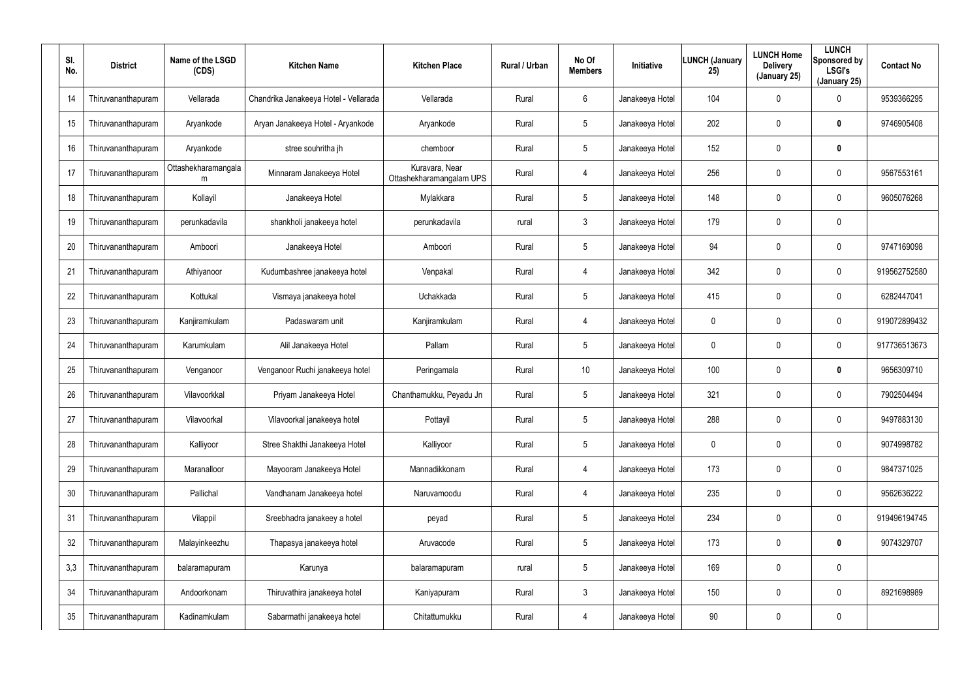| SI.<br>No. | <b>District</b>    | Name of the LSGD<br>(CDS) | <b>Kitchen Name</b>                   | <b>Kitchen Place</b>                       | <b>Rural / Urban</b> | No Of<br><b>Members</b> | Initiative      | <b>LUNCH (January</b><br>25) | <b>LUNCH Home</b><br><b>Delivery</b><br>(January 25) | <b>LUNCH</b><br>Sponsored by<br><b>LSGI's</b><br>(January 25) | <b>Contact No</b> |
|------------|--------------------|---------------------------|---------------------------------------|--------------------------------------------|----------------------|-------------------------|-----------------|------------------------------|------------------------------------------------------|---------------------------------------------------------------|-------------------|
| 14         | Thiruvananthapuram | Vellarada                 | Chandrika Janakeeya Hotel - Vellarada | Vellarada                                  | Rural                | 6                       | Janakeeya Hotel | 104                          | $\mathbf 0$                                          | $\mathbf 0$                                                   | 9539366295        |
| 15         | Thiruvananthapuram | Aryankode                 | Aryan Janakeeya Hotel - Aryankode     | Aryankode                                  | Rural                | $5\phantom{.0}$         | Janakeeya Hotel | 202                          | $\mathbf 0$                                          | $\boldsymbol{0}$                                              | 9746905408        |
| 16         | Thiruvananthapuram | Aryankode                 | stree souhritha jh                    | chemboor                                   | Rural                | $5\overline{)}$         | Janakeeya Hotel | 152                          | $\pmb{0}$                                            | $\boldsymbol{0}$                                              |                   |
| 17         | Thiruvananthapuram | Ottashekharamangala<br>m  | Minnaram Janakeeya Hotel              | Kuravara, Near<br>Ottashekharamangalam UPS | Rural                | $\overline{4}$          | Janakeeya Hotel | 256                          | $\mathbf 0$                                          | $\mathbf 0$                                                   | 9567553161        |
| 18         | Thiruvananthapuram | Kollayil                  | Janakeeya Hotel                       | Mylakkara                                  | Rural                | $5\overline{)}$         | Janakeeya Hotel | 148                          | $\mathbf 0$                                          | $\mathbf 0$                                                   | 9605076268        |
| 19         | Thiruvananthapuram | perunkadavila             | shankholi janakeeya hotel             | perunkadavila                              | rural                | $\mathbf{3}$            | Janakeeya Hotel | 179                          | $\mathbf 0$                                          | $\mathbf 0$                                                   |                   |
| 20         | Thiruvananthapuram | Amboori                   | Janakeeya Hotel                       | Amboori                                    | Rural                | $5\overline{)}$         | Janakeeya Hotel | 94                           | $\pmb{0}$                                            | $\mathbf 0$                                                   | 9747169098        |
| 21         | Thiruvananthapuram | Athiyanoor                | Kudumbashree janakeeya hotel          | Venpakal                                   | Rural                | $\overline{4}$          | Janakeeya Hotel | 342                          | 0                                                    | $\mathbf 0$                                                   | 919562752580      |
| 22         | Thiruvananthapuram | Kottukal                  | Vismaya janakeeya hotel               | Uchakkada                                  | Rural                | $5\phantom{.0}$         | Janakeeya Hotel | 415                          | $\pmb{0}$                                            | $\mathbf 0$                                                   | 6282447041        |
| 23         | Thiruvananthapuram | Kanjiramkulam             | Padaswaram unit                       | Kanjiramkulam                              | Rural                | $\overline{4}$          | Janakeeya Hotel | 0                            | 0                                                    | $\mathbf 0$                                                   | 919072899432      |
| 24         | Thiruvananthapuram | Karumkulam                | Alil Janakeeya Hotel                  | Pallam                                     | Rural                | $5\phantom{.0}$         | Janakeeya Hotel | 0                            | $\pmb{0}$                                            | $\mathbf 0$                                                   | 917736513673      |
| 25         | Thiruvananthapuram | Venganoor                 | Venganoor Ruchi janakeeya hotel       | Peringamala                                | Rural                | 10                      | Janakeeya Hotel | 100                          | $\mathbf 0$                                          | $\boldsymbol{0}$                                              | 9656309710        |
| 26         | Thiruvananthapuram | Vilavoorkkal              | Priyam Janakeeya Hotel                | Chanthamukku, Peyadu Jn                    | Rural                | $5\phantom{.0}$         | Janakeeya Hotel | 321                          | $\mathbf 0$                                          | $\mathbf 0$                                                   | 7902504494        |
| 27         | Thiruvananthapuram | Vilavoorkal               | Vilavoorkal janakeeya hotel           | Pottayil                                   | Rural                | $5\phantom{.0}$         | Janakeeya Hotel | 288                          | $\mathbf 0$                                          | $\mathbf 0$                                                   | 9497883130        |
| 28         | Thiruvananthapuram | Kalliyoor                 | Stree Shakthi Janakeeya Hotel         | Kalliyoor                                  | Rural                | $5\overline{)}$         | Janakeeya Hotel | 0                            | $\mathbf 0$                                          | $\mathbf 0$                                                   | 9074998782        |
| 29         | Thiruvananthapuram | Maranalloor               | Mayooram Janakeeya Hotel              | Mannadikkonam                              | Rural                | $\overline{4}$          | Janakeeya Hotel | 173                          | $\mathbf 0$                                          | $\mathbf 0$                                                   | 9847371025        |
| 30         | Thiruvananthapuram | Pallichal                 | Vandhanam Janakeeya hotel             | Naruvamoodu                                | Rural                | 4                       | Janakeeya Hotel | 235                          | $\mathbf 0$                                          | $\mathbf 0$                                                   | 9562636222        |
| 31         | Thiruvananthapuram | Vilappil                  | Sreebhadra janakeey a hotel           | peyad                                      | Rural                | $5\phantom{.0}$         | Janakeeya Hotel | 234                          | $\mathbf 0$                                          | $\pmb{0}$                                                     | 919496194745      |
| 32         | Thiruvananthapuram | Malayinkeezhu             | Thapasya janakeeya hotel              | Aruvacode                                  | Rural                | $5\overline{)}$         | Janakeeya Hotel | 173                          | $\mathbf 0$                                          | $\mathbf 0$                                                   | 9074329707        |
| 3,3        | Thiruvananthapuram | balaramapuram             | Karunya                               | balaramapuram                              | rural                | $5\phantom{.0}$         | Janakeeya Hotel | 169                          | $\mathbf 0$                                          | $\pmb{0}$                                                     |                   |
| 34         | Thiruvananthapuram | Andoorkonam               | Thiruvathira janakeeya hotel          | Kaniyapuram                                | Rural                | $\mathbf{3}$            | Janakeeya Hotel | 150                          | $\mathbf 0$                                          | $\mathbf 0$                                                   | 8921698989        |
| 35         | Thiruvananthapuram | Kadinamkulam              | Sabarmathi janakeeya hotel            | Chitattumukku                              | Rural                | 4                       | Janakeeya Hotel | 90                           | $\mathbf 0$                                          | $\pmb{0}$                                                     |                   |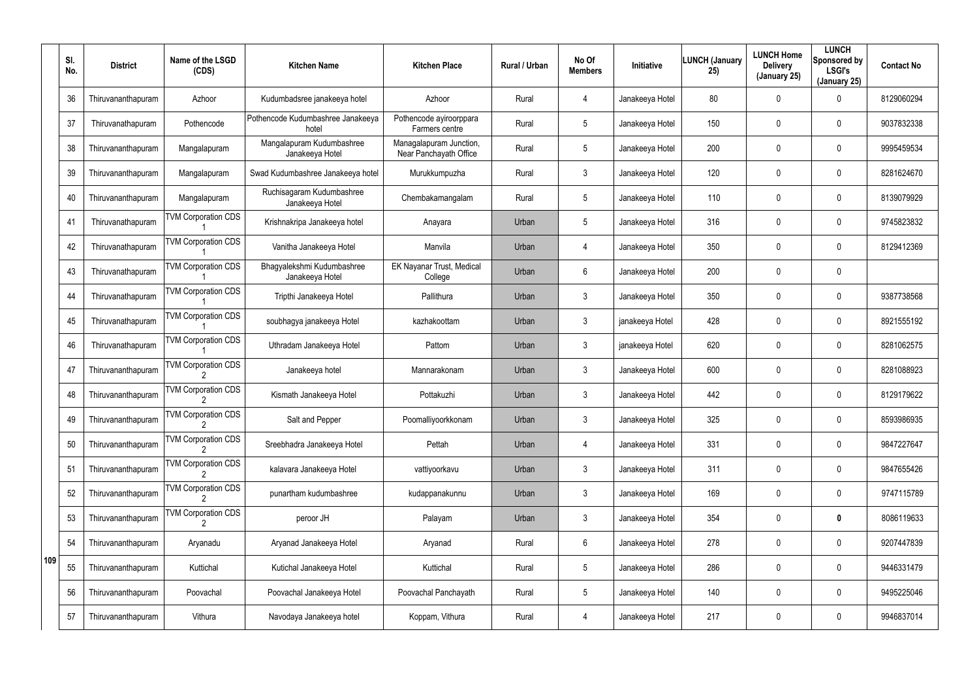|     | SI.<br>No. | <b>District</b>    | Name of the LSGD<br>(CDS)  | <b>Kitchen Name</b>                           | <b>Kitchen Place</b>                              | <b>Rural / Urban</b> | No Of<br><b>Members</b> | <b>Initiative</b> | <b>LUNCH (January</b><br>25) | <b>LUNCH Home</b><br><b>Delivery</b><br>(January 25) | <b>LUNCH</b><br>Sponsored by<br><b>LSGI's</b><br>(January 25) | <b>Contact No</b> |
|-----|------------|--------------------|----------------------------|-----------------------------------------------|---------------------------------------------------|----------------------|-------------------------|-------------------|------------------------------|------------------------------------------------------|---------------------------------------------------------------|-------------------|
|     | 36         | Thiruvananthapuram | Azhoor                     | Kudumbadsree janakeeya hotel                  | Azhoor                                            | Rural                | $\overline{4}$          | Janakeeya Hotel   | 80                           | 0                                                    | 0                                                             | 8129060294        |
|     | 37         | Thiruvanathapuram  | Pothencode                 | Pothencode Kudumbashree Janakeeya<br>hotel    | Pothencode ayiroorppara<br>Farmers centre         | Rural                | $5\phantom{.0}$         | Janakeeya Hotel   | 150                          | 0                                                    | $\mathbf 0$                                                   | 9037832338        |
|     | 38         | Thiruvananthapuram | Mangalapuram               | Mangalapuram Kudumbashree<br>Janakeeya Hotel  | Managalapuram Junction,<br>Near Panchayath Office | Rural                | $5\phantom{.0}$         | Janakeeya Hotel   | 200                          | 0                                                    | $\mathbf 0$                                                   | 9995459534        |
|     | 39         | Thiruvananthapuram | Mangalapuram               | Swad Kudumbashree Janakeeya hotel             | Murukkumpuzha                                     | Rural                | 3                       | Janakeeya Hotel   | 120                          | 0                                                    | $\mathbf 0$                                                   | 8281624670        |
|     | 40         | Thiruvananthapuram | Mangalapuram               | Ruchisagaram Kudumbashree<br>Janakeeya Hotel  | Chembakamangalam                                  | Rural                | $5\phantom{.0}$         | Janakeeya Hotel   | 110                          | 0                                                    | $\mathbf 0$                                                   | 8139079929        |
|     | 41         | Thiruvanathapuram  | <b>TVM Corporation CDS</b> | Krishnakripa Janakeeya hotel                  | Anayara                                           | Urban                | $5\phantom{.0}$         | Janakeeya Hotel   | 316                          | 0                                                    | $\mathbf 0$                                                   | 9745823832        |
|     | 42         | Thiruvanathapuram  | <b>TVM Corporation CDS</b> | Vanitha Janakeeya Hotel                       | Manvila                                           | Urban                | $\overline{4}$          | Janakeeya Hotel   | 350                          | 0                                                    | $\mathbf 0$                                                   | 8129412369        |
|     | 43         | Thiruvanathapuram  | <b>TVM Corporation CDS</b> | Bhagyalekshmi Kudumbashree<br>Janakeeya Hotel | EK Nayanar Trust, Medical<br>College              | Urban                | 6                       | Janakeeya Hotel   | 200                          | 0                                                    | $\mathbf 0$                                                   |                   |
|     | 44         | Thiruvanathapuram  | <b>TVM Corporation CDS</b> | Tripthi Janakeeya Hotel                       | Pallithura                                        | Urban                | 3                       | Janakeeya Hotel   | 350                          | 0                                                    | $\mathbf 0$                                                   | 9387738568        |
|     | 45         | Thiruvanathapuram  | <b>TVM Corporation CDS</b> | soubhagya janakeeya Hotel                     | kazhakoottam                                      | Urban                | 3                       | janakeeya Hotel   | 428                          | 0                                                    | $\mathbf 0$                                                   | 8921555192        |
|     | 46         | Thiruvanathapuram  | <b>TVM Corporation CDS</b> | Uthradam Janakeeya Hotel                      | Pattom                                            | Urban                | $\mathbf{3}$            | janakeeya Hotel   | 620                          | 0                                                    | $\mathbf 0$                                                   | 8281062575        |
|     | 47         | Thiruvananthapuram | <b>TVM Corporation CDS</b> | Janakeeya hotel                               | Mannarakonam                                      | Urban                | 3                       | Janakeeya Hotel   | 600                          | 0                                                    | $\mathbf 0$                                                   | 8281088923        |
|     | 48         | Thiruvananthapuram | <b>TVM Corporation CDS</b> | Kismath Janakeeya Hotel                       | Pottakuzhi                                        | Urban                | 3                       | Janakeeya Hotel   | 442                          | 0                                                    | $\mathbf 0$                                                   | 8129179622        |
|     | 49         | Thiruvananthapuram | <b>TVM Corporation CDS</b> | Salt and Pepper                               | Poomalliyoorkkonam                                | Urban                | $\mathbf{3}$            | Janakeeya Hotel   | 325                          | 0                                                    | $\mathbf 0$                                                   | 8593986935        |
|     | 50         | Thiruvananthapuram | <b>TVM Corporation CDS</b> | Sreebhadra Janakeeya Hotel                    | Pettah                                            | Urban                | $\overline{4}$          | Janakeeya Hotel   | 331                          | 0                                                    | $\mathbf 0$                                                   | 9847227647        |
|     | 51         | Thiruvananthapuram | <b>TVM Corporation CDS</b> | kalavara Janakeeya Hotel                      | vattiyoorkavu                                     | Urban                | $\mathbf{3}$            | Janakeeya Hotel   | 311                          | 0                                                    | $\mathbf 0$                                                   | 9847655426        |
|     | 52         | Thiruvananthapuram | <b>TVM Corporation CDS</b> | punartham kudumbashree                        | kudappanakunnu                                    | Urban                | $\mathbf{3}$            | Janakeeya Hotel   | 169                          | 0                                                    | $\mathbf 0$                                                   | 9747115789        |
|     | 53         | Thiruvananthapuram | <b>TVM Corporation CDS</b> | peroor JH                                     | Palayam                                           | Urban                | $\mathbf{3}$            | Janakeeya Hotel   | 354                          | 0                                                    | $\mathbf 0$                                                   | 8086119633        |
|     | 54         | Thiruvananthapuram | Aryanadu                   | Aryanad Janakeeya Hotel                       | Aryanad                                           | Rural                | 6                       | Janakeeya Hotel   | 278                          | 0                                                    | $\mathbf 0$                                                   | 9207447839        |
| 109 | 55         | Thiruvananthapuram | Kuttichal                  | Kutichal Janakeeya Hotel                      | Kuttichal                                         | Rural                | $5\phantom{.0}$         | Janakeeya Hotel   | 286                          | 0                                                    | $\mathbf 0$                                                   | 9446331479        |
|     | 56         | Thiruvananthapuram | Poovachal                  | Poovachal Janakeeya Hotel                     | Poovachal Panchayath                              | Rural                | $5\phantom{.0}$         | Janakeeya Hotel   | 140                          | 0                                                    | $\mathbf 0$                                                   | 9495225046        |
|     | 57         | Thiruvananthapuram | Vithura                    | Navodaya Janakeeya hotel                      | Koppam, Vithura                                   | Rural                | 4                       | Janakeeya Hotel   | 217                          | 0                                                    | $\pmb{0}$                                                     | 9946837014        |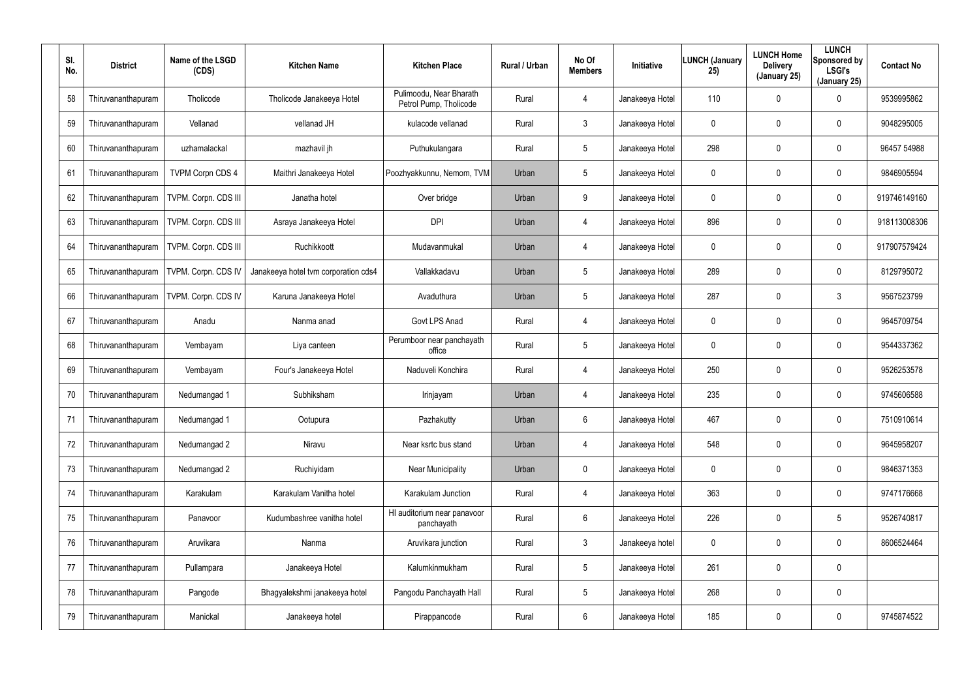| SI.<br>No. | <b>District</b>    | Name of the LSGD<br>(CDS) | <b>Kitchen Name</b>                  | <b>Kitchen Place</b>                              | <b>Rural / Urban</b> | No Of<br><b>Members</b> | Initiative      | <b>LUNCH (January</b><br>25) | <b>LUNCH Home</b><br><b>Delivery</b><br>(January 25) | <b>LUNCH</b><br>Sponsored by<br><b>LSGI's</b><br>(January 25) | <b>Contact No</b> |
|------------|--------------------|---------------------------|--------------------------------------|---------------------------------------------------|----------------------|-------------------------|-----------------|------------------------------|------------------------------------------------------|---------------------------------------------------------------|-------------------|
| 58         | Thiruvananthapuram | Tholicode                 | Tholicode Janakeeya Hotel            | Pulimoodu, Near Bharath<br>Petrol Pump, Tholicode | Rural                | 4                       | Janakeeya Hotel | 110                          | $\mathbf 0$                                          | 0                                                             | 9539995862        |
| 59         | Thiruvananthapuram | Vellanad                  | vellanad JH                          | kulacode vellanad                                 | Rural                | $\mathbf{3}$            | Janakeeya Hotel | 0                            | $\mathbf 0$                                          | $\mathbf 0$                                                   | 9048295005        |
| 60         | Thiruvananthapuram | uzhamalackal              | mazhavil jh                          | Puthukulangara                                    | Rural                | $5\overline{)}$         | Janakeeya Hotel | 298                          | 0                                                    | $\mathbf 0$                                                   | 96457 54988       |
| 61         | Thiruvananthapuram | <b>TVPM Corpn CDS 4</b>   | Maithri Janakeeya Hotel              | Poozhyakkunnu, Nemom, TVM                         | Urban                | $5\overline{)}$         | Janakeeya Hotel | 0                            | $\mathbf 0$                                          | $\mathbf 0$                                                   | 9846905594        |
| 62         | Thiruvananthapuram | TVPM. Corpn. CDS III      | Janatha hotel                        | Over bridge                                       | Urban                | 9                       | Janakeeya Hotel | 0                            | $\mathbf 0$                                          | $\mathbf 0$                                                   | 919746149160      |
| 63         | Thiruvananthapuram | TVPM. Corpn. CDS III      | Asraya Janakeeya Hotel               | <b>DPI</b>                                        | Urban                | $\overline{4}$          | Janakeeya Hotel | 896                          | 0                                                    | $\mathbf 0$                                                   | 918113008306      |
| 64         | Thiruvananthapuram | TVPM. Corpn. CDS III      | Ruchikkoott                          | Mudavanmukal                                      | Urban                | $\overline{4}$          | Janakeeya Hotel | 0                            | 0                                                    | 0                                                             | 917907579424      |
| 65         | Thiruvananthapuram | TVPM. Corpn. CDS IV       | Janakeeya hotel tvm corporation cds4 | Vallakkadavu                                      | Urban                | $5\overline{)}$         | Janakeeya Hotel | 289                          | 0                                                    | $\mathbf 0$                                                   | 8129795072        |
| 66         | Thiruvananthapuram | TVPM. Corpn. CDS IV       | Karuna Janakeeya Hotel               | Avaduthura                                        | Urban                | $5\phantom{.0}$         | Janakeeya Hotel | 287                          | 0                                                    | 3                                                             | 9567523799        |
| 67         | Thiruvananthapuram | Anadu                     | Nanma anad                           | Govt LPS Anad                                     | Rural                | $\overline{4}$          | Janakeeya Hotel | 0                            | 0                                                    | $\mathbf 0$                                                   | 9645709754        |
| 68         | Thiruvananthapuram | Vembayam                  | Liya canteen                         | Perumboor near panchayath<br>office               | Rural                | $5\phantom{.0}$         | Janakeeya Hotel | 0                            | 0                                                    | 0                                                             | 9544337362        |
| 69         | Thiruvananthapuram | Vembayam                  | Four's Janakeeya Hotel               | Naduveli Konchira                                 | Rural                | $\overline{4}$          | Janakeeya Hotel | 250                          | 0                                                    | $\mathbf 0$                                                   | 9526253578        |
| 70         | Thiruvananthapuram | Nedumangad 1              | Subhiksham                           | Irinjayam                                         | Urban                | 4                       | Janakeeya Hotel | 235                          | $\boldsymbol{0}$                                     | 0                                                             | 9745606588        |
| 71         | Thiruvananthapuram | Nedumangad 1              | Ootupura                             | Pazhakutty                                        | Urban                | 6                       | Janakeeya Hotel | 467                          | $\boldsymbol{0}$                                     | $\pmb{0}$                                                     | 7510910614        |
| 72         | Thiruvananthapuram | Nedumangad 2              | Niravu                               | Near ksrtc bus stand                              | Urban                | 4                       | Janakeeya Hotel | 548                          | $\boldsymbol{0}$                                     | 0                                                             | 9645958207        |
| 73         | Thiruvananthapuram | Nedumangad 2              | Ruchiyidam                           | <b>Near Municipality</b>                          | Urban                | 0                       | Janakeeya Hotel | 0                            | $\boldsymbol{0}$                                     | $\pmb{0}$                                                     | 9846371353        |
| 74         | Thiruvananthapuram | Karakulam                 | Karakulam Vanitha hotel              | Karakulam Junction                                | Rural                | 4                       | Janakeeya Hotel | 363                          | $\boldsymbol{0}$                                     | 0                                                             | 9747176668        |
| 75         | Thiruvananthapuram | Panavoor                  | Kudumbashree vanitha hotel           | HI auditorium near panavoor<br>panchayath         | Rural                | $6\phantom{.0}$         | Janakeeya Hotel | 226                          | $\boldsymbol{0}$                                     | $5\phantom{.0}$                                               | 9526740817        |
| 76         | Thiruvananthapuram | Aruvikara                 | Nanma                                | Aruvikara junction                                | Rural                | $\mathfrak{Z}$          | Janakeeya hotel | 0                            | $\boldsymbol{0}$                                     | 0                                                             | 8606524464        |
| 77         | Thiruvananthapuram | Pullampara                | Janakeeya Hotel                      | Kalumkinmukham                                    | Rural                | $5\phantom{.0}$         | Janakeeya Hotel | 261                          | $\boldsymbol{0}$                                     | $\pmb{0}$                                                     |                   |
| 78         | Thiruvananthapuram | Pangode                   | Bhagyalekshmi janakeeya hotel        | Pangodu Panchayath Hall                           | Rural                | $5\phantom{.0}$         | Janakeeya Hotel | 268                          | $\boldsymbol{0}$                                     | $\pmb{0}$                                                     |                   |
| 79         | Thiruvananthapuram | Manickal                  | Janakeeya hotel                      | Pirappancode                                      | Rural                | 6                       | Janakeeya Hotel | 185                          | $\boldsymbol{0}$                                     | 0                                                             | 9745874522        |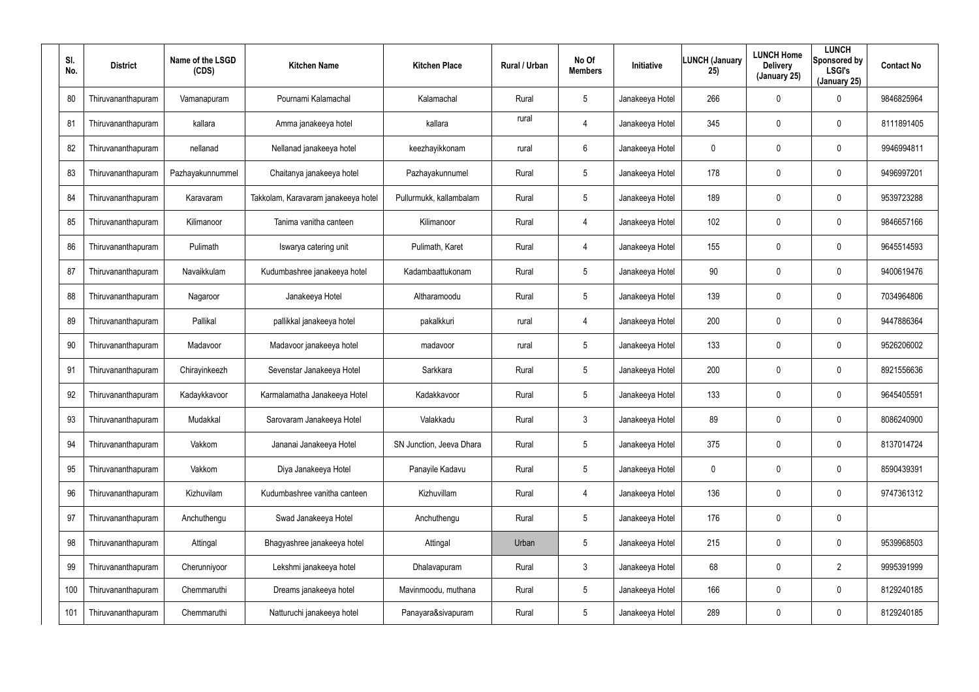| SI.<br>No. | <b>District</b>    | Name of the LSGD<br>(CDS) | <b>Kitchen Name</b>                 | <b>Kitchen Place</b>     | <b>Rural / Urban</b> | No Of<br><b>Members</b> | Initiative      | <b>LUNCH (January</b><br>25) | <b>LUNCH Home</b><br><b>Delivery</b><br>(January 25) | <b>LUNCH</b><br>Sponsored by<br><b>LSGI's</b><br>(January 25) | <b>Contact No</b> |
|------------|--------------------|---------------------------|-------------------------------------|--------------------------|----------------------|-------------------------|-----------------|------------------------------|------------------------------------------------------|---------------------------------------------------------------|-------------------|
| 80         | Thiruvananthapuram | Vamanapuram               | Pournami Kalamachal                 | Kalamachal               | Rural                | 5                       | Janakeeya Hotel | 266                          | 0                                                    | 0                                                             | 9846825964        |
| 81         | Thiruvananthapuram | kallara                   | Amma janakeeya hotel                | kallara                  | rural                | 4                       | Janakeeya Hotel | 345                          | 0                                                    | $\mathbf 0$                                                   | 8111891405        |
| 82         | Thiruvananthapuram | nellanad                  | Nellanad janakeeya hotel            | keezhayikkonam           | rural                | 6                       | Janakeeya Hotel | $\mathbf 0$                  | 0                                                    | $\mathbf 0$                                                   | 9946994811        |
| 83         | Thiruvananthapuram | Pazhayakunnummel          | Chaitanya janakeeya hotel           | Pazhayakunnumel          | Rural                | 5                       | Janakeeya Hotel | 178                          | 0                                                    | $\mathbf 0$                                                   | 9496997201        |
| 84         | Thiruvananthapuram | Karavaram                 | Takkolam, Karavaram janakeeya hotel | Pullurmukk, kallambalam  | Rural                | 5                       | Janakeeya Hotel | 189                          | 0                                                    | $\mathbf 0$                                                   | 9539723288        |
| 85         | Thiruvananthapuram | Kilimanoor                | Tanima vanitha canteen              | Kilimanoor               | Rural                | 4                       | Janakeeya Hotel | 102                          | 0                                                    | $\mathbf 0$                                                   | 9846657166        |
| 86         | Thiruvananthapuram | Pulimath                  | Iswarya catering unit               | Pulimath, Karet          | Rural                | $\overline{4}$          | Janakeeya Hotel | 155                          | 0                                                    | $\mathbf 0$                                                   | 9645514593        |
| 87         | Thiruvananthapuram | Navaikkulam               | Kudumbashree janakeeya hotel        | Kadambaattukonam         | Rural                | 5                       | Janakeeya Hotel | 90                           | 0                                                    | $\mathbf 0$                                                   | 9400619476        |
| 88         | Thiruvananthapuram | Nagaroor                  | Janakeeya Hotel                     | Altharamoodu             | Rural                | 5                       | Janakeeya Hotel | 139                          | 0                                                    | $\mathbf 0$                                                   | 7034964806        |
| 89         | Thiruvananthapuram | Pallikal                  | pallikkal janakeeya hotel           | pakalkkuri               | rural                | 4                       | Janakeeya Hotel | 200                          | 0                                                    | $\mathbf 0$                                                   | 9447886364        |
| 90         | Thiruvananthapuram | Madavoor                  | Madavoor janakeeya hotel            | madavoor                 | rural                | 5                       | Janakeeya Hotel | 133                          | $\boldsymbol{0}$                                     | $\mathbf 0$                                                   | 9526206002        |
| 91         | Thiruvananthapuram | Chirayinkeezh             | Sevenstar Janakeeya Hotel           | Sarkkara                 | Rural                | 5                       | Janakeeya Hotel | 200                          | 0                                                    | $\mathbf 0$                                                   | 8921556636        |
| 92         | Thiruvananthapuram | Kadaykkavoor              | Karmalamatha Janakeeya Hotel        | Kadakkavoor              | Rural                | 5                       | Janakeeya Hotel | 133                          | $\boldsymbol{0}$                                     | 0                                                             | 9645405591        |
| 93         | Thiruvananthapuram | Mudakkal                  | Sarovaram Janakeeya Hotel           | Valakkadu                | Rural                | 3                       | Janakeeya Hotel | 89                           | $\boldsymbol{0}$                                     | $\pmb{0}$                                                     | 8086240900        |
| 94         | Thiruvananthapuram | Vakkom                    | Jananai Janakeeya Hotel             | SN Junction, Jeeva Dhara | Rural                | $5\phantom{.0}$         | Janakeeya Hotel | 375                          | $\boldsymbol{0}$                                     | 0                                                             | 8137014724        |
| 95         | Thiruvananthapuram | Vakkom                    | Diya Janakeeya Hotel                | Panayile Kadavu          | Rural                | $5\phantom{.0}$         | Janakeeya Hotel | 0                            | $\boldsymbol{0}$                                     | $\pmb{0}$                                                     | 8590439391        |
| 96         | Thiruvananthapuram | Kizhuvilam                | Kudumbashree vanitha canteen        | Kizhuvillam              | Rural                | 4                       | Janakeeya Hotel | 136                          | $\boldsymbol{0}$                                     | $\pmb{0}$                                                     | 9747361312        |
| 97         | Thiruvananthapuram | Anchuthengu               | Swad Janakeeya Hotel                | Anchuthengu              | Rural                | $5\phantom{.0}$         | Janakeeya Hotel | 176                          | $\boldsymbol{0}$                                     | $\pmb{0}$                                                     |                   |
| 98         | Thiruvananthapuram | Attingal                  | Bhagyashree janakeeya hotel         | Attingal                 | Urban                | 5                       | Janakeeya Hotel | 215                          | $\boldsymbol{0}$                                     | 0                                                             | 9539968503        |
| 99         | Thiruvananthapuram | Cherunniyoor              | Lekshmi janakeeya hotel             | Dhalavapuram             | Rural                | $\mathfrak{Z}$          | Janakeeya Hotel | 68                           | $\boldsymbol{0}$                                     | $\overline{2}$                                                | 9995391999        |
| 100        | Thiruvananthapuram | Chemmaruthi               | Dreams janakeeya hotel              | Mavinmoodu, muthana      | Rural                | 5                       | Janakeeya Hotel | 166                          | $\boldsymbol{0}$                                     | $\pmb{0}$                                                     | 8129240185        |
| 101        | Thiruvananthapuram | Chemmaruthi               | Natturuchi janakeeya hotel          | Panayara&sivapuram       | Rural                | 5                       | Janakeeya Hotel | 289                          | $\boldsymbol{0}$                                     | $\pmb{0}$                                                     | 8129240185        |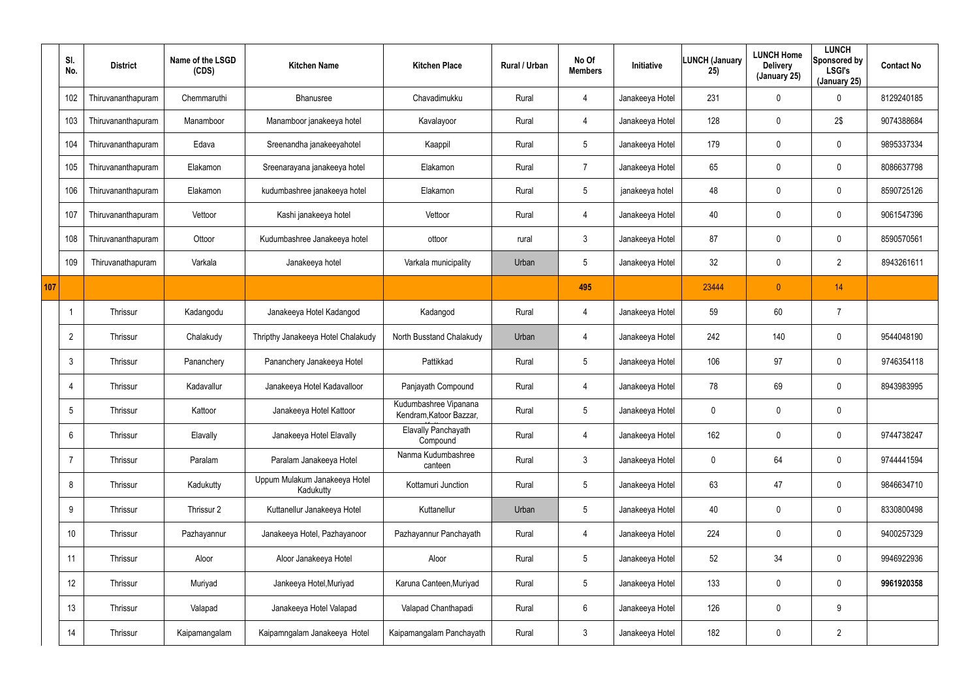|     | SI.<br>No.      | <b>District</b>    | Name of the LSGD<br>(CDS) | <b>Kitchen Name</b>                        | <b>Kitchen Place</b>                             | Rural / Urban | No Of<br><b>Members</b> | Initiative      | LUNCH (January<br>25) | <b>LUNCH Home</b><br><b>Delivery</b><br>(January 25) | <b>LUNCH</b><br>Sponsored by<br><b>LSGI's</b><br>(January 25) | <b>Contact No</b> |
|-----|-----------------|--------------------|---------------------------|--------------------------------------------|--------------------------------------------------|---------------|-------------------------|-----------------|-----------------------|------------------------------------------------------|---------------------------------------------------------------|-------------------|
|     | 102             | Thiruvananthapuram | Chemmaruthi               | Bhanusree                                  | Chavadimukku                                     | Rural         | 4                       | Janakeeya Hotel | 231                   | 0                                                    | $\mathbf 0$                                                   | 8129240185        |
|     | 103             | Thiruvananthapuram | Manamboor                 | Manamboor janakeeya hotel                  | Kavalayoor                                       | Rural         | $\overline{4}$          | Janakeeya Hotel | 128                   | 0                                                    | 2\$                                                           | 9074388684        |
|     | 104             | Thiruvananthapuram | Edava                     | Sreenandha janakeeyahotel                  | Kaappil                                          | Rural         | $5\phantom{.0}$         | Janakeeya Hotel | 179                   | $\mathbf 0$                                          | $\mathbf 0$                                                   | 9895337334        |
|     | 105             | Thiruvananthapuram | Elakamon                  | Sreenarayana janakeeya hotel               | Elakamon                                         | Rural         | $\overline{7}$          | Janakeeya Hotel | 65                    | 0                                                    | $\pmb{0}$                                                     | 8086637798        |
|     | 106             | Thiruvananthapuram | Elakamon                  | kudumbashree janakeeya hotel               | Elakamon                                         | Rural         | $5\phantom{.0}$         | janakeeya hotel | 48                    | 0                                                    | $\mathbf 0$                                                   | 8590725126        |
|     | 107             | Thiruvananthapuram | Vettoor                   | Kashi janakeeya hotel                      | Vettoor                                          | Rural         | $\overline{4}$          | Janakeeya Hotel | 40                    | $\mathbf 0$                                          | $\mathbf 0$                                                   | 9061547396        |
|     | 108             | Thiruvananthapuram | Ottoor                    | Kudumbashree Janakeeya hotel               | ottoor                                           | rural         | $\mathbf{3}$            | Janakeeya Hotel | 87                    | 0                                                    | $\mathbf 0$                                                   | 8590570561        |
|     | 109             | Thiruvanathapuram  | Varkala                   | Janakeeya hotel                            | Varkala municipality                             | Urban         | $5\phantom{.0}$         | Janakeeya Hotel | 32 <sup>°</sup>       | $\pmb{0}$                                            | $\overline{2}$                                                | 8943261611        |
| 107 |                 |                    |                           |                                            |                                                  |               | 495                     |                 | 23444                 | $\overline{0}$                                       | 14                                                            |                   |
|     |                 | Thrissur           | Kadangodu                 | Janakeeya Hotel Kadangod                   | Kadangod                                         | Rural         | 4                       | Janakeeya Hotel | 59                    | 60                                                   | $\overline{7}$                                                |                   |
|     | $\overline{2}$  | Thrissur           | Chalakudy                 | Thripthy Janakeeya Hotel Chalakudy         | North Busstand Chalakudy                         | Urban         | $\overline{4}$          | Janakeeya Hotel | 242                   | 140                                                  | $\mathbf 0$                                                   | 9544048190        |
|     | $\mathbf{3}$    | Thrissur           | Pananchery                | Pananchery Janakeeya Hotel                 | Pattikkad                                        | Rural         | $5\phantom{.0}$         | Janakeeya Hotel | 106                   | 97                                                   | $\mathbf 0$                                                   | 9746354118        |
|     | $\overline{4}$  | Thrissur           | Kadavallur                | Janakeeya Hotel Kadavalloor                | Panjayath Compound                               | Rural         | $\overline{4}$          | Janakeeya Hotel | 78                    | 69                                                   | $\pmb{0}$                                                     | 8943983995        |
|     | $\mathcal{D}$   | Thrissur           | Kattoor                   | Janakeeya Hotel Kattoor                    | Kudumbashree Vipanana<br>Kendram, Katoor Bazzar, | Rural         | 5                       | Janakeeya Hotel | $\mathbf 0$           | $\mathbf 0$                                          | $\mathbf 0$                                                   |                   |
|     | $6\overline{6}$ | Thrissur           | Elavally                  | Janakeeya Hotel Elavally                   | Elavally Panchayath<br>Compound                  | Rural         | $\overline{4}$          | Janakeeya Hotel | 162                   | 0                                                    | $\pmb{0}$                                                     | 9744738247        |
|     | $\overline{7}$  | Thrissur           | Paralam                   | Paralam Janakeeya Hotel                    | Nanma Kudumbashree<br>canteen                    | Rural         | 3 <sup>1</sup>          | Janakeeya Hotel | $\mathbf 0$           | 64                                                   | $\pmb{0}$                                                     | 9744441594        |
|     | 8               | Thrissur           | Kadukutty                 | Uppum Mulakum Janakeeya Hotel<br>Kadukutty | Kottamuri Junction                               | Rural         | $5\overline{)}$         | Janakeeya Hotel | 63                    | 47                                                   | $\pmb{0}$                                                     | 9846634710        |
|     | 9               | Thrissur           | Thrissur 2                | Kuttanellur Janakeeya Hotel                | Kuttanellur                                      | Urban         | $5\overline{)}$         | Janakeeya Hotel | 40                    | 0                                                    | $\pmb{0}$                                                     | 8330800498        |
|     | 10 <sup>°</sup> | Thrissur           | Pazhayannur               | Janakeeya Hotel, Pazhayanoor               | Pazhayannur Panchayath                           | Rural         | $\overline{4}$          | Janakeeya Hotel | 224                   | 0                                                    | $\pmb{0}$                                                     | 9400257329        |
|     | 11              | Thrissur           | Aloor                     | Aloor Janakeeya Hotel                      | Aloor                                            | Rural         | $5\overline{)}$         | Janakeeya Hotel | 52                    | 34                                                   | $\pmb{0}$                                                     | 9946922936        |
|     | 12              | Thrissur           | Muriyad                   | Jankeeya Hotel, Muriyad                    | Karuna Canteen, Muriyad                          | Rural         | $5\overline{)}$         | Janakeeya Hotel | 133                   | 0                                                    | $\pmb{0}$                                                     | 9961920358        |
|     | 13              | Thrissur           | Valapad                   | Janakeeya Hotel Valapad                    | Valapad Chanthapadi                              | Rural         | $6\,$                   | Janakeeya Hotel | 126                   | 0                                                    | 9                                                             |                   |
|     | 14              | Thrissur           | Kaipamangalam             | Kaipamngalam Janakeeya Hotel               | Kaipamangalam Panchayath                         | Rural         | $\mathfrak{Z}$          | Janakeeya Hotel | 182                   | 0                                                    | $\overline{2}$                                                |                   |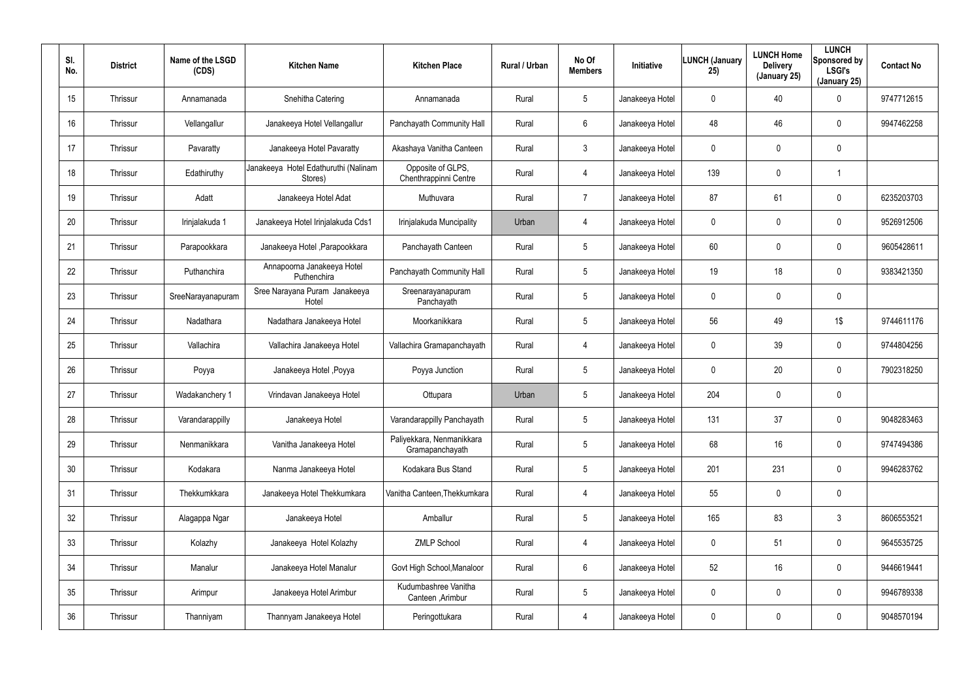| SI.<br>No. | <b>District</b> | Name of the LSGD<br>(CDS) | <b>Kitchen Name</b>                             | <b>Kitchen Place</b>                         | Rural / Urban | No Of<br><b>Members</b> | Initiative      | <b>LUNCH (January</b><br>25) | <b>LUNCH Home</b><br><b>Delivery</b><br>(January 25) | <b>LUNCH</b><br>Sponsored by<br><b>LSGI's</b><br>(January 25) | <b>Contact No</b> |
|------------|-----------------|---------------------------|-------------------------------------------------|----------------------------------------------|---------------|-------------------------|-----------------|------------------------------|------------------------------------------------------|---------------------------------------------------------------|-------------------|
| 15         | Thrissur        | Annamanada                | Snehitha Catering                               | Annamanada                                   | Rural         | 5                       | Janakeeya Hotel | 0                            | 40                                                   | 0                                                             | 9747712615        |
| 16         | Thrissur        | Vellangallur              | Janakeeya Hotel Vellangallur                    | Panchayath Community Hall                    | Rural         | 6                       | Janakeeya Hotel | 48                           | 46                                                   | $\mathbf 0$                                                   | 9947462258        |
| 17         | Thrissur        | Pavaratty                 | Janakeeya Hotel Pavaratty                       | Akashaya Vanitha Canteen                     | Rural         | $\mathbf{3}$            | Janakeeya Hotel | 0                            | $\mathbf 0$                                          | 0                                                             |                   |
| 18         | Thrissur        | Edathiruthy               | Janakeeya Hotel Edathuruthi (Nalinam<br>Stores) | Opposite of GLPS,<br>Chenthrappinni Centre   | Rural         | $\overline{4}$          | Janakeeya Hotel | 139                          | $\mathbf 0$                                          |                                                               |                   |
| 19         | Thrissur        | Adatt                     | Janakeeya Hotel Adat                            | Muthuvara                                    | Rural         | $\overline{7}$          | Janakeeya Hotel | 87                           | 61                                                   | $\mathbf 0$                                                   | 6235203703        |
| 20         | Thrissur        | Irinjalakuda 1            | Janakeeya Hotel Irinjalakuda Cds1               | Irinjalakuda Muncipality                     | Urban         | $\overline{4}$          | Janakeeya Hotel | 0                            | $\mathbf 0$                                          | $\mathbf 0$                                                   | 9526912506        |
| 21         | Thrissur        | Parapookkara              | Janakeeya Hotel , Parapookkara                  | Panchayath Canteen                           | Rural         | 5                       | Janakeeya Hotel | 60                           | $\mathbf 0$                                          | $\mathbf 0$                                                   | 9605428611        |
| 22         | Thrissur        | Puthanchira               | Annapoorna Janakeeya Hotel<br>Puthenchira       | Panchayath Community Hall                    | Rural         | 5                       | Janakeeya Hotel | 19                           | 18                                                   | 0                                                             | 9383421350        |
| 23         | Thrissur        | SreeNarayanapuram         | Sree Narayana Puram Janakeeya<br>Hotel          | Sreenarayanapuram<br>Panchayath              | Rural         | 5                       | Janakeeya Hotel | 0                            | $\mathbf 0$                                          | $\mathbf 0$                                                   |                   |
| 24         | Thrissur        | Nadathara                 | Nadathara Janakeeya Hotel                       | Moorkanikkara                                | Rural         | 5                       | Janakeeya Hotel | 56                           | 49                                                   | 1\$                                                           | 9744611176        |
| 25         | Thrissur        | Vallachira                | Vallachira Janakeeya Hotel                      | Vallachira Gramapanchayath                   | Rural         | 4                       | Janakeeya Hotel | 0                            | 39                                                   | $\mathbf 0$                                                   | 9744804256        |
| 26         | Thrissur        | Poyya                     | Janakeeya Hotel, Poyya                          | Poyya Junction                               | Rural         | 5                       | Janakeeya Hotel | 0                            | 20                                                   | 0                                                             | 7902318250        |
| 27         | Thrissur        | Wadakanchery 1            | Vrindavan Janakeeya Hotel                       | Ottupara                                     | Urban         | 5                       | Janakeeya Hotel | 204                          | $\pmb{0}$                                            | 0                                                             |                   |
| 28         | Thrissur        | Varandarappilly           | Janakeeya Hotel                                 | Varandarappilly Panchayath                   | Rural         | 5                       | Janakeeya Hotel | 131                          | 37                                                   | 0                                                             | 9048283463        |
| 29         | Thrissur        | Nenmanikkara              | Vanitha Janakeeya Hotel                         | Paliyekkara, Nenmanikkara<br>Gramapanchayath | Rural         | 5                       | Janakeeya Hotel | 68                           | 16                                                   | 0                                                             | 9747494386        |
| 30         | Thrissur        | Kodakara                  | Nanma Janakeeya Hotel                           | Kodakara Bus Stand                           | Rural         | 5                       | Janakeeya Hotel | 201                          | 231                                                  | $\pmb{0}$                                                     | 9946283762        |
| 31         | Thrissur        | Thekkumkkara              | Janakeeya Hotel Thekkumkara                     | Vanitha Canteen, Thekkumkara                 | Rural         | 4                       | Janakeeya Hotel | 55                           | $\pmb{0}$                                            | $\pmb{0}$                                                     |                   |
| 32         | Thrissur        | Alagappa Ngar             | Janakeeya Hotel                                 | Amballur                                     | Rural         | 5                       | Janakeeya Hotel | 165                          | 83                                                   | $\mathfrak{Z}$                                                | 8606553521        |
| 33         | Thrissur        | Kolazhy                   | Janakeeya Hotel Kolazhy                         | <b>ZMLP School</b>                           | Rural         | $\overline{4}$          | Janakeeya Hotel | 0                            | 51                                                   | 0                                                             | 9645535725        |
| 34         | Thrissur        | Manalur                   | Janakeeya Hotel Manalur                         | Govt High School, Manaloor                   | Rural         | $6\phantom{.}6$         | Janakeeya Hotel | 52                           | 16                                                   | 0                                                             | 9446619441        |
| 35         | Thrissur        | Arimpur                   | Janakeeya Hotel Arimbur                         | Kudumbashree Vanitha<br>Canteen , Arimbur    | Rural         | 5                       | Janakeeya Hotel | 0                            | $\pmb{0}$                                            | 0                                                             | 9946789338        |
| 36         | Thrissur        | Thanniyam                 | Thannyam Janakeeya Hotel                        | Peringottukara                               | Rural         | $\overline{4}$          | Janakeeya Hotel | 0                            | $\overline{0}$                                       | 0                                                             | 9048570194        |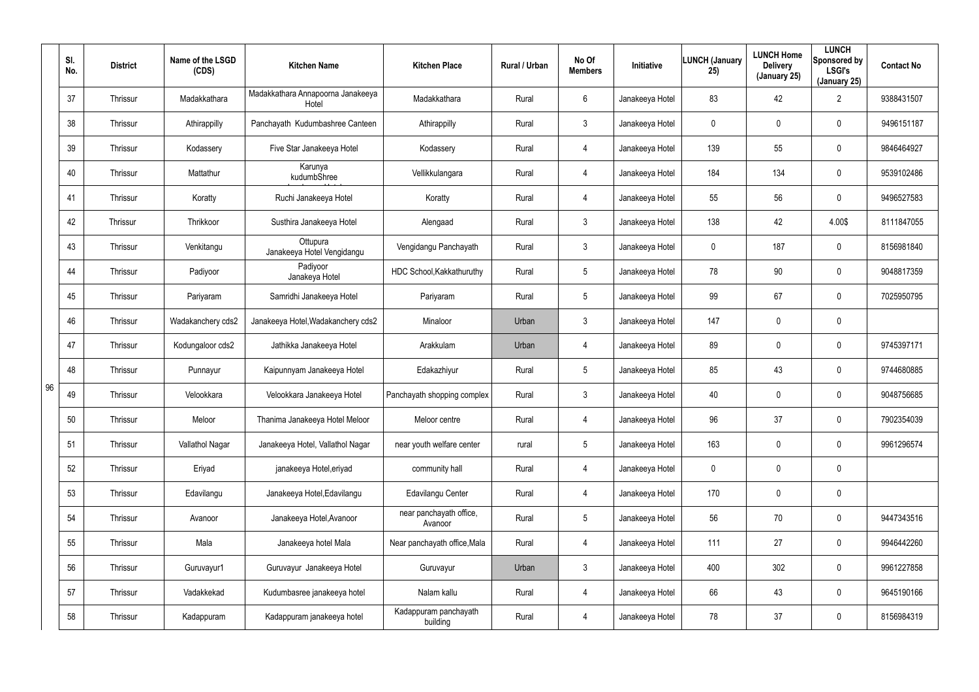|    | SI.<br>No. | <b>District</b> | Name of the LSGD<br>(CDS) | <b>Kitchen Name</b>                        | <b>Kitchen Place</b>               | Rural / Urban | No Of<br><b>Members</b> | <b>Initiative</b> | <b>LUNCH (January</b><br>25) | <b>LUNCH Home</b><br><b>Delivery</b><br>(January 25) | <b>LUNCH</b><br>Sponsored by<br><b>LSGI's</b><br>(January 25) | <b>Contact No</b> |
|----|------------|-----------------|---------------------------|--------------------------------------------|------------------------------------|---------------|-------------------------|-------------------|------------------------------|------------------------------------------------------|---------------------------------------------------------------|-------------------|
|    | 37         | Thrissur        | Madakkathara              | Madakkathara Annapoorna Janakeeya<br>Hotel | Madakkathara                       | Rural         | 6                       | Janakeeya Hotel   | 83                           | 42                                                   | $\overline{2}$                                                | 9388431507        |
|    | 38         | Thrissur        | Athirappilly              | Panchayath Kudumbashree Canteen            | Athirappilly                       | Rural         | 3                       | Janakeeya Hotel   | 0                            | 0                                                    | 0                                                             | 9496151187        |
|    | 39         | Thrissur        | Kodassery                 | Five Star Janakeeya Hotel                  | Kodassery                          | Rural         | 4                       | Janakeeya Hotel   | 139                          | 55                                                   | 0                                                             | 9846464927        |
|    | 40         | Thrissur        | Mattathur                 | Karunya<br>kudumbShree                     | Vellikkulangara                    | Rural         | 4                       | Janakeeya Hotel   | 184                          | 134                                                  | 0                                                             | 9539102486        |
|    | 41         | Thrissur        | Koratty                   | Ruchi Janakeeya Hotel                      | Koratty                            | Rural         | 4                       | Janakeeya Hotel   | 55                           | 56                                                   | 0                                                             | 9496527583        |
|    | 42         | Thrissur        | Thrikkoor                 | Susthira Janakeeya Hotel                   | Alengaad                           | Rural         | 3                       | Janakeeya Hotel   | 138                          | 42                                                   | 4.00\$                                                        | 8111847055        |
|    | 43         | Thrissur        | Venkitangu                | Ottupura<br>Janakeeya Hotel Vengidangu     | Vengidangu Panchayath              | Rural         | $\mathbf{3}$            | Janakeeya Hotel   | 0                            | 187                                                  | 0                                                             | 8156981840        |
|    | 44         | Thrissur        | Padiyoor                  | Padiyoor<br>Janakeya Hotel                 | HDC School, Kakkathuruthy          | Rural         | 5                       | Janakeeya Hotel   | 78                           | 90                                                   | 0                                                             | 9048817359        |
|    | 45         | Thrissur        | Pariyaram                 | Samridhi Janakeeya Hotel                   | Pariyaram                          | Rural         | 5                       | Janakeeya Hotel   | 99                           | 67                                                   | 0                                                             | 7025950795        |
|    | 46         | Thrissur        | Wadakanchery cds2         | Janakeeya Hotel, Wadakanchery cds2         | Minaloor                           | Urban         | $\mathbf{3}$            | Janakeeya Hotel   | 147                          | $\mathbf 0$                                          | 0                                                             |                   |
|    | 47         | Thrissur        | Kodungaloor cds2          | Jathikka Janakeeya Hotel                   | Arakkulam                          | Urban         | 4                       | Janakeeya Hotel   | 89                           | $\mathbf 0$                                          | 0                                                             | 9745397171        |
|    | 48         | Thrissur        | Punnayur                  | Kaipunnyam Janakeeya Hotel                 | Edakazhiyur                        | Rural         | 5                       | Janakeeya Hotel   | 85                           | 43                                                   | 0                                                             | 9744680885        |
| 96 | 49         | Thrissur        | Velookkara                | Velookkara Janakeeya Hotel                 | Panchayath shopping complex        | Rural         | $\mathbf{3}$            | Janakeeya Hotel   | 40                           | $\mathbf 0$                                          | 0                                                             | 9048756685        |
|    | 50         | Thrissur        | Meloor                    | Thanima Janakeeya Hotel Meloor             | Meloor centre                      | Rural         | 4                       | Janakeeya Hotel   | 96                           | 37                                                   | 0                                                             | 7902354039        |
|    | 51         | Thrissur        | Vallathol Nagar           | Janakeeya Hotel, Vallathol Nagar           | near youth welfare center          | rural         | $5\phantom{.0}$         | Janakeeya Hotel   | 163                          | $\mathbf 0$                                          | 0                                                             | 9961296574        |
|    | 52         | Thrissur        | Eriyad                    | janakeeya Hotel, eriyad                    | community hall                     | Rural         | 4                       | Janakeeya Hotel   | $\mathbf 0$                  | $\mathbf 0$                                          | 0                                                             |                   |
|    | 53         | Thrissur        | Edavilangu                | Janakeeya Hotel, Edavilangu                | Edavilangu Center                  | Rural         | 4                       | Janakeeya Hotel   | 170                          | $\mathbf 0$                                          | 0                                                             |                   |
|    | 54         | Thrissur        | Avanoor                   | Janakeeya Hotel, Avanoor                   | near panchayath office,<br>Avanoor | Rural         | $5\phantom{.0}$         | Janakeeya Hotel   | 56                           | 70                                                   | 0                                                             | 9447343516        |
|    | 55         | Thrissur        | Mala                      | Janakeeya hotel Mala                       | Near panchayath office, Mala       | Rural         | 4                       | Janakeeya Hotel   | 111                          | 27                                                   | 0                                                             | 9946442260        |
|    | 56         | Thrissur        | Guruvayur1                | Guruvayur Janakeeya Hotel                  | Guruvayur                          | Urban         | $\mathbf{3}$            | Janakeeya Hotel   | 400                          | 302                                                  | 0                                                             | 9961227858        |
|    | 57         | Thrissur        | Vadakkekad                | Kudumbasree janakeeya hotel                | Nalam kallu                        | Rural         | 4                       | Janakeeya Hotel   | 66                           | 43                                                   | 0                                                             | 9645190166        |
|    | 58         | Thrissur        | Kadappuram                | Kadappuram janakeeya hotel                 | Kadappuram panchayath<br>building  | Rural         | 4                       | Janakeeya Hotel   | 78                           | 37                                                   | 0                                                             | 8156984319        |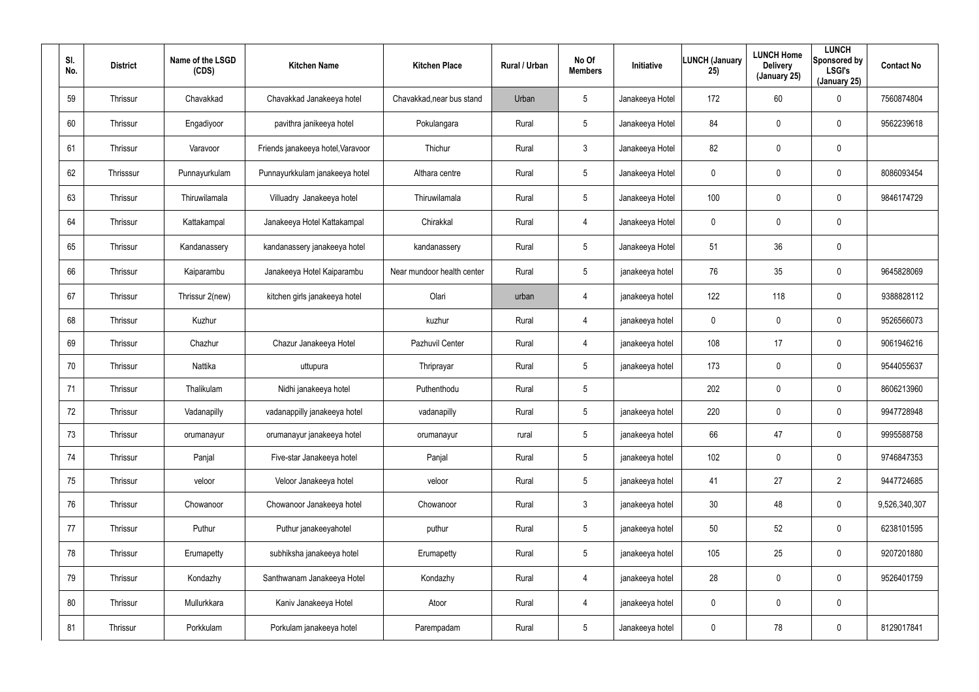| SI.<br>No. | <b>District</b> | Name of the LSGD<br>(CDS) | <b>Kitchen Name</b>               | <b>Kitchen Place</b>       | Rural / Urban | No Of<br><b>Members</b> | Initiative      | <b>LUNCH (January</b><br>25) | <b>LUNCH Home</b><br><b>Delivery</b><br>(January 25) | <b>LUNCH</b><br>Sponsored by<br><b>LSGI's</b><br>(January 25) | <b>Contact No</b> |
|------------|-----------------|---------------------------|-----------------------------------|----------------------------|---------------|-------------------------|-----------------|------------------------------|------------------------------------------------------|---------------------------------------------------------------|-------------------|
| 59         | Thrissur        | Chavakkad                 | Chavakkad Janakeeya hotel         | Chavakkad, near bus stand  | Urban         | $5\phantom{.0}$         | Janakeeya Hotel | 172                          | 60                                                   | 0                                                             | 7560874804        |
| 60         | Thrissur        | Engadiyoor                | pavithra janikeeya hotel          | Pokulangara                | Rural         | $5\phantom{.0}$         | Janakeeya Hotel | 84                           | $\pmb{0}$                                            | 0                                                             | 9562239618        |
| 61         | Thrissur        | Varavoor                  | Friends janakeeya hotel, Varavoor | Thichur                    | Rural         | $\mathbf{3}$            | Janakeeya Hotel | 82                           | $\mathbf 0$                                          | 0                                                             |                   |
| 62         | Thrisssur       | Punnayurkulam             | Punnayurkkulam janakeeya hotel    | Althara centre             | Rural         | $5\phantom{.0}$         | Janakeeya Hotel | 0                            | $\pmb{0}$                                            | 0                                                             | 8086093454        |
| 63         | Thrissur        | Thiruwilamala             | Villuadry Janakeeya hotel         | Thiruwilamala              | Rural         | $5\phantom{.0}$         | Janakeeya Hotel | 100                          | $\mathbf 0$                                          | 0                                                             | 9846174729        |
| 64         | Thrissur        | Kattakampal               | Janakeeya Hotel Kattakampal       | Chirakkal                  | Rural         | 4                       | Janakeeya Hotel | 0                            | $\mathbf 0$                                          | 0                                                             |                   |
| 65         | Thrissur        | Kandanassery              | kandanassery janakeeya hotel      | kandanassery               | Rural         | $5\phantom{.0}$         | Janakeeya Hotel | 51                           | 36                                                   | 0                                                             |                   |
| 66         | Thrissur        | Kaiparambu                | Janakeeya Hotel Kaiparambu        | Near mundoor health center | Rural         | $5\phantom{.0}$         | janakeeya hotel | 76                           | 35                                                   | 0                                                             | 9645828069        |
| 67         | Thrissur        | Thrissur 2(new)           | kitchen girls janakeeya hotel     | Olari                      | urban         | 4                       | janakeeya hotel | 122                          | 118                                                  | 0                                                             | 9388828112        |
| 68         | Thrissur        | Kuzhur                    |                                   | kuzhur                     | Rural         | 4                       | janakeeya hotel | $\mathbf 0$                  | $\mathbf 0$                                          | 0                                                             | 9526566073        |
| 69         | Thrissur        | Chazhur                   | Chazur Janakeeya Hotel            | Pazhuvil Center            | Rural         | 4                       | janakeeya hotel | 108                          | 17                                                   | 0                                                             | 9061946216        |
| 70         | Thrissur        | Nattika                   | uttupura                          | Thriprayar                 | Rural         | $5\phantom{.0}$         | janakeeya hotel | 173                          | $\mathbf 0$                                          | 0                                                             | 9544055637        |
| 71         | Thrissur        | Thalikulam                | Nidhi janakeeya hotel             | Puthenthodu                | Rural         | $5\overline{)}$         |                 | 202                          | $\mathbf 0$                                          | 0                                                             | 8606213960        |
| 72         | Thrissur        | Vadanapilly               | vadanappilly janakeeya hotel      | vadanapilly                | Rural         | $5\phantom{.0}$         | janakeeya hotel | 220                          | $\mathbf 0$                                          | 0                                                             | 9947728948        |
| 73         | Thrissur        | orumanayur                | orumanayur janakeeya hotel        | orumanayur                 | rural         | $5\phantom{.0}$         | janakeeya hotel | 66                           | 47                                                   | 0                                                             | 9995588758        |
| 74         | Thrissur        | Panjal                    | Five-star Janakeeya hotel         | Panjal                     | Rural         | $5\phantom{.0}$         | janakeeya hotel | 102                          | $\mathbf 0$                                          | 0                                                             | 9746847353        |
| 75         | Thrissur        | veloor                    | Veloor Janakeeya hotel            | veloor                     | Rural         | $5\phantom{.0}$         | janakeeya hotel | 41                           | 27                                                   | $\overline{2}$                                                | 9447724685        |
| 76         | Thrissur        | Chowanoor                 | Chowanoor Janakeeya hotel         | Chowanoor                  | Rural         | $\mathbf{3}$            | janakeeya hotel | 30 <sup>°</sup>              | 48                                                   | 0                                                             | 9,526,340,307     |
| 77         | Thrissur        | Puthur                    | Puthur janakeeyahotel             | puthur                     | Rural         | $5\phantom{.0}$         | janakeeya hotel | 50                           | 52                                                   | 0                                                             | 6238101595        |
| 78         | Thrissur        | Erumapetty                | subhiksha janakeeya hotel         | Erumapetty                 | Rural         | $5\phantom{.0}$         | janakeeya hotel | 105                          | 25                                                   | 0                                                             | 9207201880        |
| 79         | Thrissur        | Kondazhy                  | Santhwanam Janakeeya Hotel        | Kondazhy                   | Rural         | $\overline{4}$          | janakeeya hotel | 28                           | $\mathbf 0$                                          | 0                                                             | 9526401759        |
| 80         | Thrissur        | Mullurkkara               | Kaniv Janakeeya Hotel             | Atoor                      | Rural         | 4                       | janakeeya hotel | $\mathbf 0$                  | $\mathbf 0$                                          | 0                                                             |                   |
| 81         | Thrissur        | Porkkulam                 | Porkulam janakeeya hotel          | Parempadam                 | Rural         | $5\phantom{.0}$         | Janakeeya hotel | 0                            | 78                                                   | 0                                                             | 8129017841        |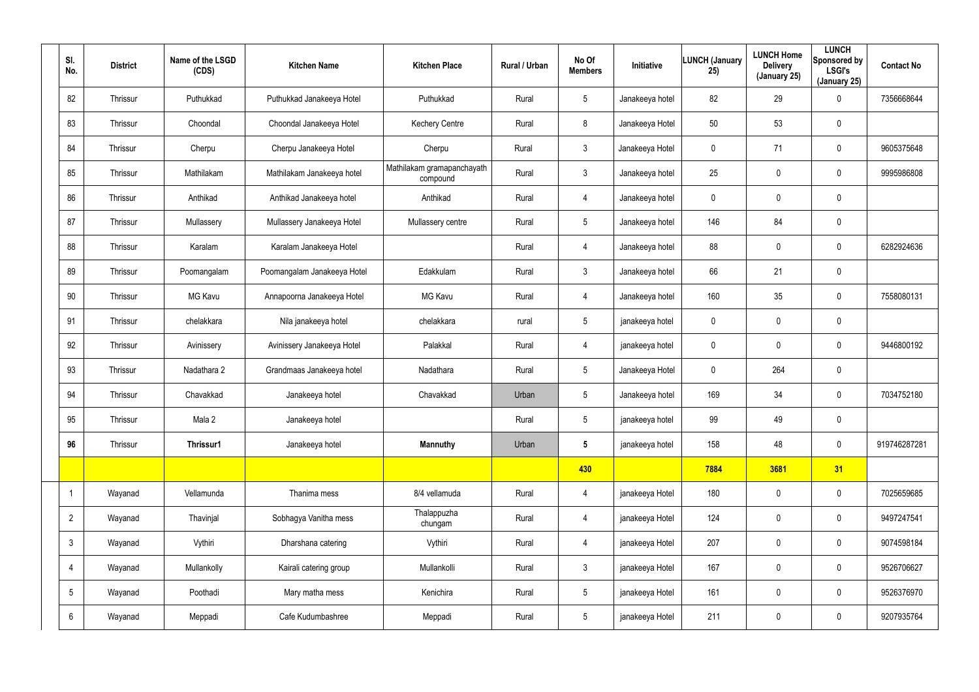| SI.<br>No.      | <b>District</b> | Name of the LSGD<br>(CDS) | <b>Kitchen Name</b>         | <b>Kitchen Place</b>                   | Rural / Urban | No Of<br><b>Members</b> | Initiative      | LUNCH (January<br>25) | <b>LUNCH Home</b><br><b>Delivery</b><br>(January 25) | <b>LUNCH</b><br>Sponsored by<br><b>LSGI's</b><br>(January 25) | <b>Contact No</b> |
|-----------------|-----------------|---------------------------|-----------------------------|----------------------------------------|---------------|-------------------------|-----------------|-----------------------|------------------------------------------------------|---------------------------------------------------------------|-------------------|
| 82              | Thrissur        | Puthukkad                 | Puthukkad Janakeeya Hotel   | Puthukkad                              | Rural         | $5\phantom{.0}$         | Janakeeya hotel | 82                    | 29                                                   | $\mathbf 0$                                                   | 7356668644        |
| 83              | Thrissur        | Choondal                  | Choondal Janakeeya Hotel    | <b>Kechery Centre</b>                  | Rural         | 8                       | Janakeeya Hotel | 50                    | 53                                                   | $\mathbf 0$                                                   |                   |
| 84              | Thrissur        | Cherpu                    | Cherpu Janakeeya Hotel      | Cherpu                                 | Rural         | 3 <sup>1</sup>          | Janakeeya Hotel | $\mathbf 0$           | 71                                                   | $\mathbf 0$                                                   | 9605375648        |
| 85              | Thrissur        | Mathilakam                | Mathilakam Janakeeya hotel  | Mathilakam gramapanchayath<br>compound | Rural         | $\mathbf{3}$            | Janakeeya hotel | 25                    | 0                                                    | $\mathbf 0$                                                   | 9995986808        |
| 86              | Thrissur        | Anthikad                  | Anthikad Janakeeya hotel    | Anthikad                               | Rural         | $\overline{4}$          | Janakeeya hotel | $\mathbf 0$           | 0                                                    | $\mathbf 0$                                                   |                   |
| 87              | Thrissur        | Mullassery                | Mullassery Janakeeya Hotel  | Mullassery centre                      | Rural         | $5\phantom{.0}$         | Janakeeya hotel | 146                   | 84                                                   | $\mathbf 0$                                                   |                   |
| 88              | Thrissur        | Karalam                   | Karalam Janakeeya Hotel     |                                        | Rural         | $\overline{4}$          | Janakeeya hotel | 88                    | 0                                                    | $\mathbf 0$                                                   | 6282924636        |
| 89              | Thrissur        | Poomangalam               | Poomangalam Janakeeya Hotel | Edakkulam                              | Rural         | 3                       | Janakeeya hotel | 66                    | 21                                                   | $\mathbf 0$                                                   |                   |
| 90              | Thrissur        | MG Kavu                   | Annapoorna Janakeeya Hotel  | <b>MG Kavu</b>                         | Rural         | $\overline{4}$          | Janakeeya hotel | 160                   | 35                                                   | $\mathbf 0$                                                   | 7558080131        |
| 91              | Thrissur        | chelakkara                | Nila janakeeya hotel        | chelakkara                             | rural         | $5\overline{)}$         | janakeeya hotel | 0                     | 0                                                    | $\mathbf 0$                                                   |                   |
| 92              | Thrissur        | Avinissery                | Avinissery Janakeeya Hotel  | Palakkal                               | Rural         | 4                       | janakeeya hotel | $\mathbf 0$           | 0                                                    | $\mathbf 0$                                                   | 9446800192        |
| 93              | Thrissur        | Nadathara 2               | Grandmaas Janakeeya hotel   | Nadathara                              | Rural         | $5\overline{)}$         | Janakeeya Hotel | 0                     | 264                                                  | $\mathbf 0$                                                   |                   |
| 94              | Thrissur        | Chavakkad                 | Janakeeya hotel             | Chavakkad                              | Urban         | $5\phantom{.0}$         | Janakeeya hotel | 169                   | 34                                                   | $\boldsymbol{0}$                                              | 7034752180        |
| 95              | Thrissur        | Mala 2                    | Janakeeya hotel             |                                        | Rural         | $5\phantom{.0}$         | janakeeya hotel | 99                    | 49                                                   | $\pmb{0}$                                                     |                   |
| 96              | Thrissur        | Thrissur1                 | Janakeeya hotel             | <b>Mannuthy</b>                        | Urban         | $5\phantom{.0}$         | janakeeya hotel | 158                   | 48                                                   | $\mathbf 0$                                                   | 919746287281      |
|                 |                 |                           |                             |                                        |               | 430                     |                 | 7884                  | 3681                                                 | 31                                                            |                   |
| $\overline{1}$  | Wayanad         | Vellamunda                | Thanima mess                | 8/4 vellamuda                          | Rural         | 4                       | janakeeya Hotel | 180                   | $\mathbf 0$                                          | $\mathbf 0$                                                   | 7025659685        |
| $2^{\circ}$     | Wayanad         | Thavinjal                 | Sobhagya Vanitha mess       | Thalappuzha<br>chungam                 | Rural         | $\overline{4}$          | janakeeya Hotel | 124                   | 0                                                    | $\mathbf 0$                                                   | 9497247541        |
| $\mathbf{3}$    | Wayanad         | Vythiri                   | Dharshana catering          | Vythiri                                | Rural         | 4                       | janakeeya Hotel | 207                   | 0                                                    | $\mathbf 0$                                                   | 9074598184        |
| 4               | Wayanad         | Mullankolly               | Kairali catering group      | Mullankolli                            | Rural         | 3 <sup>1</sup>          | janakeeya Hotel | 167                   | $\mathbf 0$                                          | $\mathbf 0$                                                   | 9526706627        |
| $5\phantom{.0}$ | Wayanad         | Poothadi                  | Mary matha mess             | Kenichira                              | Rural         | $5\phantom{.0}$         | janakeeya Hotel | 161                   | 0                                                    | $\mathbf 0$                                                   | 9526376970        |
| 6               | Wayanad         | Meppadi                   | Cafe Kudumbashree           | Meppadi                                | Rural         | $5\phantom{.0}$         | janakeeya Hotel | 211                   | $\pmb{0}$                                            | $\bf{0}$                                                      | 9207935764        |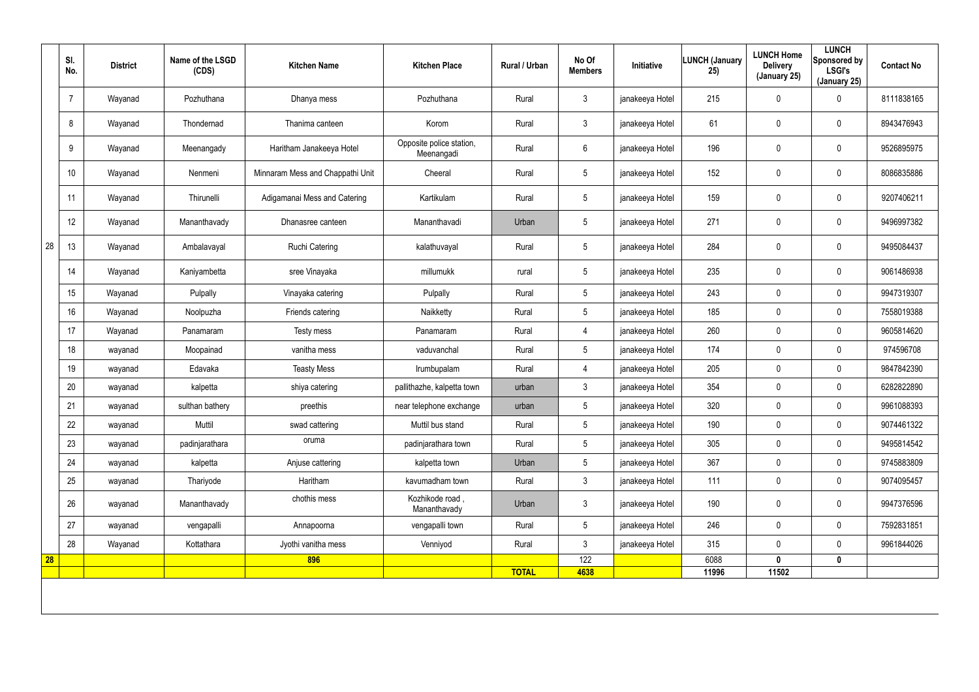|    | SI.<br>No.     | <b>District</b> | Name of the LSGD<br>(CDS) | <b>Kitchen Name</b>              | <b>Kitchen Place</b>                   | Rural / Urban | No Of<br><b>Members</b> | Initiative      | <b>LUNCH (January</b><br>25) | <b>LUNCH Home</b><br><b>Delivery</b><br>(January 25) | <b>LUNCH</b><br>Sponsored by<br><b>LSGI's</b><br>(January 25) | <b>Contact No</b> |
|----|----------------|-----------------|---------------------------|----------------------------------|----------------------------------------|---------------|-------------------------|-----------------|------------------------------|------------------------------------------------------|---------------------------------------------------------------|-------------------|
|    | $\overline{7}$ | Wayanad         | Pozhuthana                | Dhanya mess                      | Pozhuthana                             | Rural         | $\mathbf{3}$            | janakeeya Hotel | 215                          | 0                                                    | 0                                                             | 8111838165        |
|    | 8              | Wayanad         | Thondernad                | Thanima canteen                  | Korom                                  | Rural         | $\mathbf{3}$            | janakeeya Hotel | 61                           | 0                                                    | $\pmb{0}$                                                     | 8943476943        |
|    | 9              | Wayanad         | Meenangady                | Haritham Janakeeya Hotel         | Opposite police station,<br>Meenangadi | Rural         | $6\overline{6}$         | janakeeya Hotel | 196                          | 0                                                    | $\pmb{0}$                                                     | 9526895975        |
|    | 10             | Wayanad         | Nenmeni                   | Minnaram Mess and Chappathi Unit | Cheeral                                | Rural         | $5\phantom{.0}$         | janakeeya Hotel | 152                          | 0                                                    | $\pmb{0}$                                                     | 8086835886        |
|    | 11             | Wayanad         | Thirunelli                | Adigamanai Mess and Catering     | Kartikulam                             | Rural         | $5\overline{)}$         | janakeeya Hotel | 159                          | 0                                                    | $\pmb{0}$                                                     | 9207406211        |
|    | 12             | Wayanad         | Mananthavady              | Dhanasree canteen                | Mananthavadi                           | Urban         | $5\phantom{.0}$         | janakeeya Hotel | 271                          | $\mathbf 0$                                          | $\pmb{0}$                                                     | 9496997382        |
| 28 | 13             | Wayanad         | Ambalavayal               | <b>Ruchi Catering</b>            | kalathuvayal                           | Rural         | $5\overline{)}$         | janakeeya Hotel | 284                          | 0                                                    | $\pmb{0}$                                                     | 9495084437        |
|    | 14             | Wayanad         | Kaniyambetta              | sree Vinayaka                    | millumukk                              | rural         | $5\phantom{.0}$         | janakeeya Hotel | 235                          | 0                                                    | $\pmb{0}$                                                     | 9061486938        |
|    | 15             | Wayanad         | Pulpally                  | Vinayaka catering                | Pulpally                               | Rural         | $5\phantom{.0}$         | janakeeya Hotel | 243                          | $\mathbf 0$                                          | $\pmb{0}$                                                     | 9947319307        |
|    | 16             | Wayanad         | Noolpuzha                 | Friends catering                 | Naikketty                              | Rural         | $5\phantom{.0}$         | janakeeya Hotel | 185                          | 0                                                    | 0                                                             | 7558019388        |
|    | 17             | Wayanad         | Panamaram                 | Testy mess                       | Panamaram                              | Rural         | 4                       | janakeeya Hotel | 260                          | $\mathbf 0$                                          | $\pmb{0}$                                                     | 9605814620        |
|    | 18             | wayanad         | Moopainad                 | vanitha mess                     | vaduvanchal                            | Rural         | $5\overline{)}$         | janakeeya Hotel | 174                          | 0                                                    | 0                                                             | 974596708         |
|    | 19             | wayanad         | Edavaka                   | <b>Teasty Mess</b>               | Irumbupalam                            | Rural         | 4                       | janakeeya Hotel | 205                          | 0                                                    | $\pmb{0}$                                                     | 9847842390        |
|    | 20             | wayanad         | kalpetta                  | shiya catering                   | pallithazhe, kalpetta town             | urban         | $\mathbf{3}$            | janakeeya Hotel | 354                          | $\mathbf 0$                                          | $\pmb{0}$                                                     | 6282822890        |
|    | 21             | wayanad         | sulthan bathery           | preethis                         | near telephone exchange                | urban         | 5                       | janakeeya Hotel | 320                          | 0                                                    | $\mathbf 0$                                                   | 9961088393        |
|    | 22             | wayanad         | Muttil                    | swad cattering                   | Muttil bus stand                       | Rural         | $5\overline{)}$         | janakeeya Hotel | 190                          | $\mathbf 0$                                          | $\mathbf 0$                                                   | 9074461322        |
|    | 23             | wayanad         | padinjarathara            | oruma                            | padinjarathara town                    | Rural         | $5\overline{)}$         | janakeeya Hotel | 305                          | 0                                                    | $\mathbf 0$                                                   | 9495814542        |
|    | 24             | wayanad         | kalpetta                  | Anjuse cattering                 | kalpetta town                          | Urban         | $5\overline{)}$         | janakeeya Hotel | 367                          | 0                                                    | $\mathbf 0$                                                   | 9745883809        |
|    | 25             | wayanad         | Thariyode                 | Haritham                         | kavumadham town                        | Rural         | $3\phantom{a}$          | janakeeya Hotel | 111                          | $\pmb{0}$                                            | $\mathbf 0$                                                   | 9074095457        |
|    | 26             | wayanad         | Mananthavady              | chothis mess                     | Kozhikode road,<br>Mananthavady        | Urban         | $\mathbf{3}$            | janakeeya Hotel | 190                          | 0                                                    | $\mathbf 0$                                                   | 9947376596        |
|    | 27             | wayanad         | vengapalli                | Annapoorna                       | vengapalli town                        | Rural         | $5\overline{)}$         | janakeeya Hotel | 246                          | 0                                                    | $\mathbf 0$                                                   | 7592831851        |
|    | 28             | Wayanad         | Kottathara                | Jyothi vanitha mess              | Venniyod                               | Rural         | 3                       | janakeeya Hotel | 315                          | $\mathbf 0$                                          | $\mathbf 0$                                                   | 9961844026        |
| 28 |                |                 |                           | 896                              |                                        |               | 122                     |                 | 6088                         | $\mathbf 0$                                          | $\pmb{0}$                                                     |                   |
|    |                |                 |                           |                                  |                                        | <b>TOTAL</b>  | 4638                    |                 | 11996                        | 11502                                                |                                                               |                   |
|    |                |                 |                           |                                  |                                        |               |                         |                 |                              |                                                      |                                                               |                   |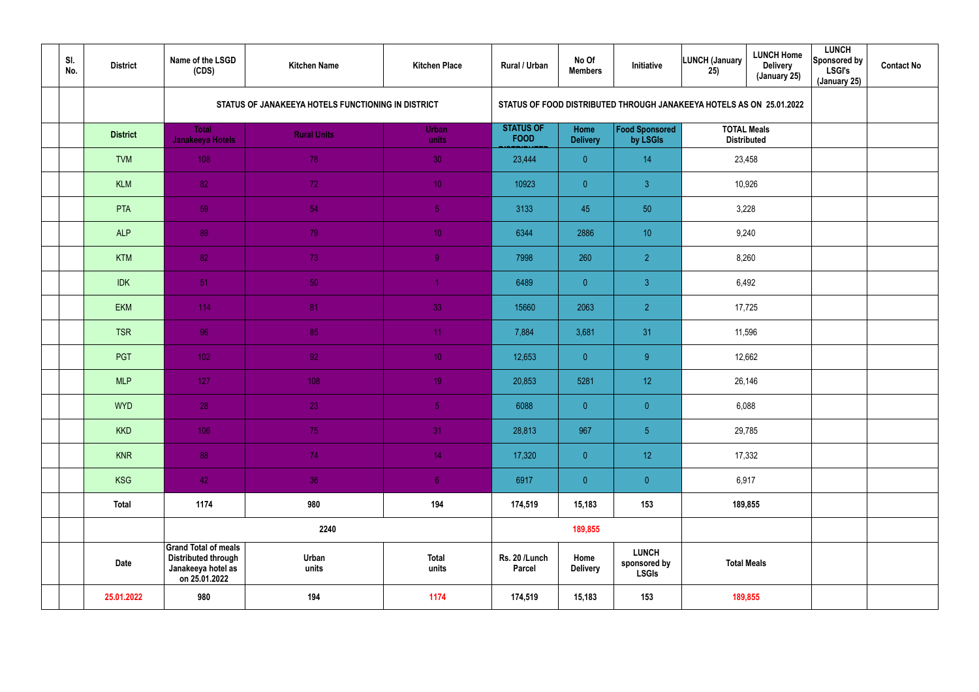| SI.<br>No. | <b>District</b> | Name of the LSGD<br>(CDS)                                                                        | <b>Kitchen Name</b>                                | <b>Kitchen Place</b>  | Rural / Urban                   | No Of<br><b>Members</b> | Initiative                                                           | <b>LUNCH (January</b><br>25)             | <b>LUNCH Home</b><br><b>Delivery</b><br>(January 25) | <b>LUNCH</b><br>Sponsored by<br><b>LSGI's</b><br>(January 25) | <b>Contact No</b> |
|------------|-----------------|--------------------------------------------------------------------------------------------------|----------------------------------------------------|-----------------------|---------------------------------|-------------------------|----------------------------------------------------------------------|------------------------------------------|------------------------------------------------------|---------------------------------------------------------------|-------------------|
|            |                 |                                                                                                  | STATUS OF JANAKEEYA HOTELS FUNCTIONING IN DISTRICT |                       |                                 |                         | STATUS OF FOOD DISTRIBUTED THROUGH JANAKEEYA HOTELS AS ON 25.01.2022 |                                          |                                                      |                                                               |                   |
|            | <b>District</b> | <b>Total</b><br>Janakeeya Hotels                                                                 | <b>Rural Units</b>                                 | Urban<br>units        | <b>STATUS OF</b><br><b>FOOD</b> | Home<br><b>Delivery</b> | <b>Food Sponsored</b><br>by LSGIs                                    | <b>TOTAL Meals</b><br><b>Distributed</b> |                                                      |                                                               |                   |
|            | <b>TVM</b>      | 108                                                                                              | 78                                                 | 30                    | 23,444                          | $\overline{0}$          | 14                                                                   | 23,458                                   |                                                      |                                                               |                   |
|            | <b>KLM</b>      | 82                                                                                               | 72                                                 | 10 <sup>°</sup>       | 10923                           | $\overline{0}$          | 3 <sup>°</sup>                                                       | 10,926                                   |                                                      |                                                               |                   |
|            | PTA             | 59                                                                                               | 54                                                 | 5 <sub>1</sub>        | 3133                            | 45                      | 50                                                                   | 3,228                                    |                                                      |                                                               |                   |
|            | <b>ALP</b>      | 89                                                                                               | 79                                                 | 10 <sup>°</sup>       | 6344                            | 2886                    | 10                                                                   | 9,240                                    |                                                      |                                                               |                   |
|            | <b>KTM</b>      | 82                                                                                               | 73                                                 | 9 <sup>°</sup>        | 7998                            | 260                     | $\overline{2}$                                                       | 8,260                                    |                                                      |                                                               |                   |
|            | <b>IDK</b>      | 51                                                                                               | 50 <sub>1</sub>                                    |                       | 6489                            | $\overline{0}$          | $\mathbf{3}$                                                         | 6,492                                    |                                                      |                                                               |                   |
|            | <b>EKM</b>      | 114                                                                                              | 81                                                 | 33                    | 15660                           | 2063                    | $\overline{2}$                                                       | 17,725                                   |                                                      |                                                               |                   |
|            | <b>TSR</b>      | 96                                                                                               | 85                                                 | 11                    | 7,884                           | 3,681                   | 31                                                                   | 11,596                                   |                                                      |                                                               |                   |
|            | PGT             | 102 <sub>1</sub>                                                                                 | 92 <sub>1</sub>                                    | 10 <sup>°</sup>       | 12,653                          | $\overline{0}$          | 9 <sup>°</sup>                                                       | 12,662                                   |                                                      |                                                               |                   |
|            | <b>MLP</b>      | 127                                                                                              | 108                                                | 19 <sup>°</sup>       | 20,853                          | 5281                    | 12 <sub>2</sub>                                                      | 26,146                                   |                                                      |                                                               |                   |
|            | <b>WYD</b>      | 28                                                                                               | 23                                                 | 5 <sub>1</sub>        | 6088                            | $\overline{0}$          | $\overline{0}$                                                       | 6,088                                    |                                                      |                                                               |                   |
|            | <b>KKD</b>      | 106                                                                                              | 75                                                 | 31                    | 28,813                          | 967                     | $\overline{5}$                                                       | 29,785                                   |                                                      |                                                               |                   |
|            | <b>KNR</b>      | 88                                                                                               | 74                                                 | 14 <sup>°</sup>       | 17,320                          | $\overline{0}$          | 12                                                                   | 17,332                                   |                                                      |                                                               |                   |
|            | KSG             | 42                                                                                               | 36                                                 | 6 <sup>1</sup>        | 6917                            | $\overline{0}$          | $\pmb{0}$                                                            | 6,917                                    |                                                      |                                                               |                   |
|            | <b>Total</b>    | 1174                                                                                             | 980                                                | 194                   | 174,519                         | 15,183                  | 153                                                                  | 189,855                                  |                                                      |                                                               |                   |
|            |                 |                                                                                                  | 2240                                               |                       |                                 | 189,855                 |                                                                      |                                          |                                                      |                                                               |                   |
|            | <b>Date</b>     | <b>Grand Total of meals</b><br><b>Distributed through</b><br>Janakeeya hotel as<br>on 25.01.2022 | Urban<br>units                                     | <b>Total</b><br>units | Rs. 20 /Lunch<br>Parcel         | Home<br><b>Delivery</b> | <b>LUNCH</b><br>sponsored by<br><b>LSGIs</b>                         | <b>Total Meals</b>                       |                                                      |                                                               |                   |
|            | 25.01.2022      | 980                                                                                              | 194                                                | 1174                  | 174,519                         | 15,183                  | 153                                                                  | 189,855                                  |                                                      |                                                               |                   |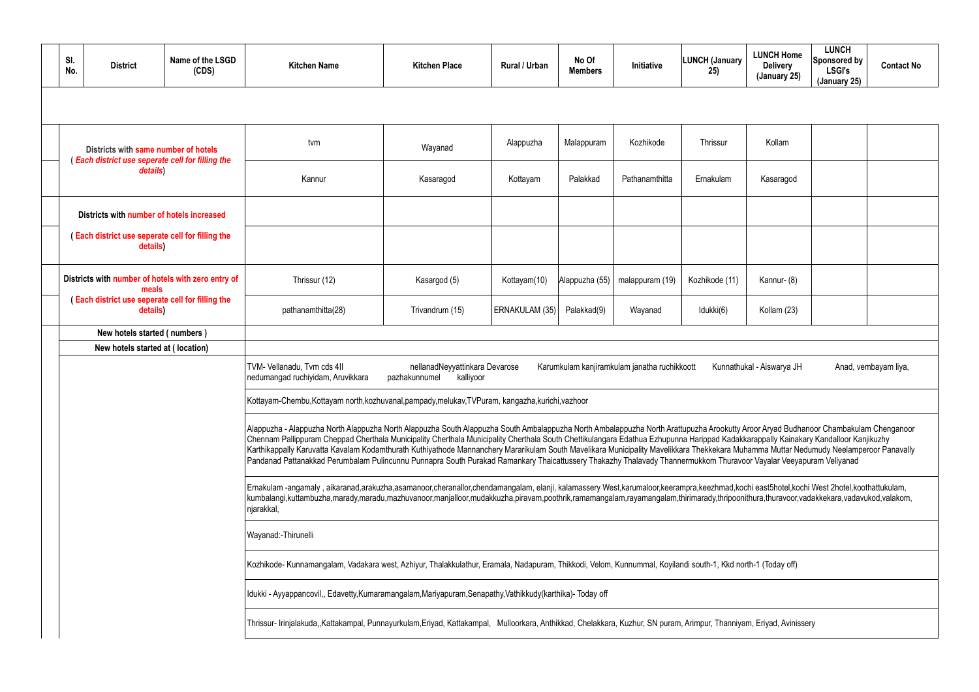|  | SI.<br>No.                                                                                                                                                                                  | <b>District</b>                                                                          | Name of the LSGD<br>(CDS) | <b>Kitchen Name</b>                                                                                                                                                                                                                                                                                                                                                                                                                                                                                                                                                                                                                                                                                                                          | <b>Kitchen Place</b> | <b>Rural / Urban</b> | No Of<br><b>Members</b> | Initiative     | <b>LUNCH (January</b><br>25) | <b>LUNCH Home</b><br><b>Delivery</b><br>(January 25) | <b>LUNCH</b><br>Sponsored by<br><b>LSGI's</b><br>(January 25) | <b>Contact No</b> |  |  |
|--|---------------------------------------------------------------------------------------------------------------------------------------------------------------------------------------------|------------------------------------------------------------------------------------------|---------------------------|----------------------------------------------------------------------------------------------------------------------------------------------------------------------------------------------------------------------------------------------------------------------------------------------------------------------------------------------------------------------------------------------------------------------------------------------------------------------------------------------------------------------------------------------------------------------------------------------------------------------------------------------------------------------------------------------------------------------------------------------|----------------------|----------------------|-------------------------|----------------|------------------------------|------------------------------------------------------|---------------------------------------------------------------|-------------------|--|--|
|  |                                                                                                                                                                                             |                                                                                          |                           |                                                                                                                                                                                                                                                                                                                                                                                                                                                                                                                                                                                                                                                                                                                                              |                      |                      |                         |                |                              |                                                      |                                                               |                   |  |  |
|  |                                                                                                                                                                                             | Districts with same number of hotels<br>(Each district use seperate cell for filling the |                           | tvm                                                                                                                                                                                                                                                                                                                                                                                                                                                                                                                                                                                                                                                                                                                                          | Wayanad              | Alappuzha            | Malappuram              | Kozhikode      | Thrissur                     | Kollam                                               |                                                               |                   |  |  |
|  |                                                                                                                                                                                             | details)                                                                                 |                           | Kannur                                                                                                                                                                                                                                                                                                                                                                                                                                                                                                                                                                                                                                                                                                                                       | Kasaragod            | Kottayam             | Palakkad                | Pathanamthitta | Ernakulam                    | Kasaragod                                            |                                                               |                   |  |  |
|  |                                                                                                                                                                                             | Districts with number of hotels increased                                                |                           |                                                                                                                                                                                                                                                                                                                                                                                                                                                                                                                                                                                                                                                                                                                                              |                      |                      |                         |                |                              |                                                      |                                                               |                   |  |  |
|  | (Each district use seperate cell for filling the<br>details)<br>Districts with number of hotels with zero entry of<br>meals<br>(Each district use seperate cell for filling the<br>details) |                                                                                          |                           |                                                                                                                                                                                                                                                                                                                                                                                                                                                                                                                                                                                                                                                                                                                                              |                      |                      |                         |                |                              |                                                      |                                                               |                   |  |  |
|  |                                                                                                                                                                                             |                                                                                          | Thrissur (12)             | Kasargod (5)                                                                                                                                                                                                                                                                                                                                                                                                                                                                                                                                                                                                                                                                                                                                 | Kottayam(10)         | Alappuzha (55)       | malappuram (19)         | Kozhikode (11) | Kannur- (8)                  |                                                      |                                                               |                   |  |  |
|  |                                                                                                                                                                                             |                                                                                          | pathanamthitta(28)        | Trivandrum (15)                                                                                                                                                                                                                                                                                                                                                                                                                                                                                                                                                                                                                                                                                                                              | ERNAKULAM (35)       | Palakkad(9)          | Wayanad                 | Idukki(6)      | Kollam (23)                  |                                                      |                                                               |                   |  |  |
|  | New hotels started (numbers)                                                                                                                                                                |                                                                                          |                           |                                                                                                                                                                                                                                                                                                                                                                                                                                                                                                                                                                                                                                                                                                                                              |                      |                      |                         |                |                              |                                                      |                                                               |                   |  |  |
|  |                                                                                                                                                                                             | New hotels started at (location)                                                         |                           |                                                                                                                                                                                                                                                                                                                                                                                                                                                                                                                                                                                                                                                                                                                                              |                      |                      |                         |                |                              |                                                      |                                                               |                   |  |  |
|  |                                                                                                                                                                                             |                                                                                          |                           | TVM- Vellanadu, Tvm cds 4II<br>nellanadNeyyattinkara Devarose<br>Karumkulam kanjiramkulam janatha ruchikkoott<br>Kunnathukal - Aiswarya JH<br>Anad, vembayam liya,<br>kalliyoor<br>nedumangad ruchiyidam, Aruvikkara<br>pazhakunnumel                                                                                                                                                                                                                                                                                                                                                                                                                                                                                                        |                      |                      |                         |                |                              |                                                      |                                                               |                   |  |  |
|  |                                                                                                                                                                                             |                                                                                          |                           | Kottayam-Chembu, Kottayam north, kozhuvanal, pampady, melukav, TVPuram, kangazha, kurichi, vazhoor                                                                                                                                                                                                                                                                                                                                                                                                                                                                                                                                                                                                                                           |                      |                      |                         |                |                              |                                                      |                                                               |                   |  |  |
|  |                                                                                                                                                                                             |                                                                                          |                           | Alappuzha - Alappuzha North Alappuzha North Alappuzha South Alappuzha South Ambalappuzha North Ambalappuzha North Arattupuzha Arookutty Aroor Aryad Budhanoor Chambakulam Chenganoor<br>Chennam Pallippuram Cheppad Cherthala Municipality Cherthala Municipality Cherthala South Chettikulangara Edathua Ezhupunna Harippad Kadakkarappally Kainakary Kandalloor Kanjikuzhy<br>Karthikappally Karuvatta Kavalam Kodamthurath Kuthiyathode Mannanchery Mararikulam South Mavelikara Municipality Mavelikkara Thekkekara Muhamma Muttar Nedumudy Neelamperoor Panavally<br>Pandanad Pattanakkad Perumbalam Pulincunnu Punnapra South Purakad Ramankary Thaicattussery Thakazhy Thalavady Thannermukkom Thuravoor Vayalar Veeyapuram Veliyanad |                      |                      |                         |                |                              |                                                      |                                                               |                   |  |  |
|  |                                                                                                                                                                                             |                                                                                          |                           | Ernakulam-angamaly, aikaranad,arakuzha,asamanoor,cheranallor,chendamangalam, elanji, kalamassery West,karumaloor,keerampra,keezhmad,kochi east5hotel,kochi West 2hotel,koothattukulam,<br>kumbalangi,kuttambuzha,marady,maradu,mazhuvanoor,manjalloor,mudakkuzha,piravam,poothrik,ramamangalam,rayamangalam,thirimarady,thripoonithura,thuravoor,vadakkekara,vadavukod,valakom,<br>njarakkal,                                                                                                                                                                                                                                                                                                                                                |                      |                      |                         |                |                              |                                                      |                                                               |                   |  |  |
|  |                                                                                                                                                                                             |                                                                                          |                           | Wayanad:-Thirunelli                                                                                                                                                                                                                                                                                                                                                                                                                                                                                                                                                                                                                                                                                                                          |                      |                      |                         |                |                              |                                                      |                                                               |                   |  |  |
|  |                                                                                                                                                                                             |                                                                                          |                           | Kozhikode- Kunnamangalam, Vadakara west, Azhiyur, Thalakkulathur, Eramala, Nadapuram, Thikkodi, Velom, Kunnummal, Koyilandi south-1, Kkd north-1 (Today off)                                                                                                                                                                                                                                                                                                                                                                                                                                                                                                                                                                                 |                      |                      |                         |                |                              |                                                      |                                                               |                   |  |  |
|  |                                                                                                                                                                                             |                                                                                          |                           | Idukki - Ayyappancovil,, Edavetty, Kumaramangalam, Mariyapuram, Senapathy, Vathikkudy (karthika) - Today off                                                                                                                                                                                                                                                                                                                                                                                                                                                                                                                                                                                                                                 |                      |                      |                         |                |                              |                                                      |                                                               |                   |  |  |
|  |                                                                                                                                                                                             |                                                                                          |                           | Thrissur-Irinjalakuda,,Kattakampal, Punnayurkulam,Eriyad, Kattakampal, Mulloorkara, Anthikkad, Chelakkara, Kuzhur, SN puram, Arimpur, Thanniyam, Eriyad, Avinissery                                                                                                                                                                                                                                                                                                                                                                                                                                                                                                                                                                          |                      |                      |                         |                |                              |                                                      |                                                               |                   |  |  |

|                        | Kollam                                                                                                                                                                           |  |                      |  |  |  |  |  |  |  |  |  |  |  |
|------------------------|----------------------------------------------------------------------------------------------------------------------------------------------------------------------------------|--|----------------------|--|--|--|--|--|--|--|--|--|--|--|
|                        | Kasaragod                                                                                                                                                                        |  |                      |  |  |  |  |  |  |  |  |  |  |  |
|                        |                                                                                                                                                                                  |  |                      |  |  |  |  |  |  |  |  |  |  |  |
|                        |                                                                                                                                                                                  |  |                      |  |  |  |  |  |  |  |  |  |  |  |
|                        | Kannur-(8)                                                                                                                                                                       |  |                      |  |  |  |  |  |  |  |  |  |  |  |
|                        | Kollam (23)                                                                                                                                                                      |  |                      |  |  |  |  |  |  |  |  |  |  |  |
|                        |                                                                                                                                                                                  |  |                      |  |  |  |  |  |  |  |  |  |  |  |
|                        | ukal - Aiswarya JH                                                                                                                                                               |  | Anad, vembayam liya, |  |  |  |  |  |  |  |  |  |  |  |
|                        |                                                                                                                                                                                  |  |                      |  |  |  |  |  |  |  |  |  |  |  |
|                        | Aroor Aryad Budhanoor Chambakulam Chenganoor<br>kkarappally Kainakary Kandalloor Kanjikuzhy<br>uhamma Muttar Nedumudy Neelamperoor Panavally<br>oor Vayalar Veeyapuram Veliyanad |  |                      |  |  |  |  |  |  |  |  |  |  |  |
|                        | ochi east5hotel,kochi West 2hotel,koothattukulam,<br>nithura,thuravoor,vadakkekara,vadavukod,valakom,                                                                            |  |                      |  |  |  |  |  |  |  |  |  |  |  |
|                        |                                                                                                                                                                                  |  |                      |  |  |  |  |  |  |  |  |  |  |  |
| orth-1 (Today off)     |                                                                                                                                                                                  |  |                      |  |  |  |  |  |  |  |  |  |  |  |
|                        |                                                                                                                                                                                  |  |                      |  |  |  |  |  |  |  |  |  |  |  |
| am, Eriyad, Avinissery |                                                                                                                                                                                  |  |                      |  |  |  |  |  |  |  |  |  |  |  |